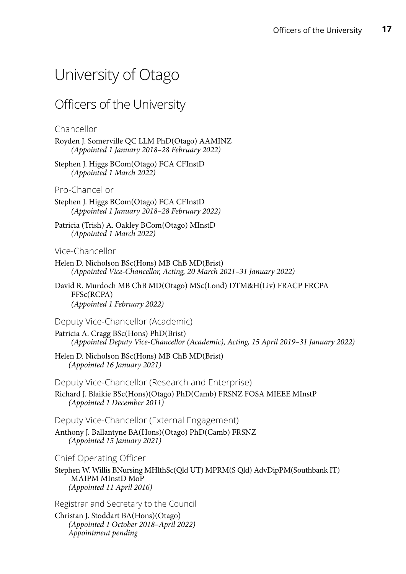## University of Otago

## Officers of the University

## Chancellor

- Royden J. Somerville QC LLM PhD(Otago) AAMINZ *(Appointed 1 January 2018–28 February 2022)*
- Stephen J. Higgs BCom(Otago) FCA CFInstD *(Appointed 1 March 2022)*

## Pro-Chancellor

Stephen J. Higgs BCom(Otago) FCA CFInstD *(Appointed 1 January 2018–28 February 2022)*

Patricia (Trish) A. Oakley BCom(Otago) MInstD *(Appointed 1 March 2022)*

## Vice-Chancellor

- Helen D. Nicholson BSc(Hons) MB ChB MD(Brist) *(Appointed Vice-Chancellor, Acting, 20 March 2021–31 January 2022)*
- David R. Murdoch MB ChB MD(Otago) MSc(Lond) DTM&H(Liv) FRACP FRCPA FFSc(RCPA) *(Appointed 1 February 2022)*

## Deputy Vice-Chancellor (Academic)

- Patricia A. Cragg BSc(Hons) PhD(Brist) *(Appointed Deputy Vice-Chancellor (Academic), Acting, 15 April 2019–31 January 2022)*
- Helen D. Nicholson BSc(Hons) MB ChB MD(Brist) *(Appointed 16 January 2021)*

Deputy Vice-Chancellor (Research and Enterprise)

Richard J. Blaikie BSc(Hons)(Otago) PhD(Camb) FRSNZ FOSA MIEEE MInstP *(Appointed 1 December 2011)*

Deputy Vice-Chancellor (External Engagement)

Anthony J. Ballantyne BA(Hons)(Otago) PhD(Camb) FRSNZ *(Appointed 15 January 2021)*

Chief Operating Officer

Stephen W. Willis BNursing MHlthSc(Old UT) MPRM(S Old) AdvDipPM(Southbank IT) MAIPM MInstD MoP *(Appointed 11 April 2016)*

Registrar and Secretary to the Council

Christan J. Stoddart BA(Hons)(Otago) *(Appointed 1 October 2018–April 2022) Appointment pending*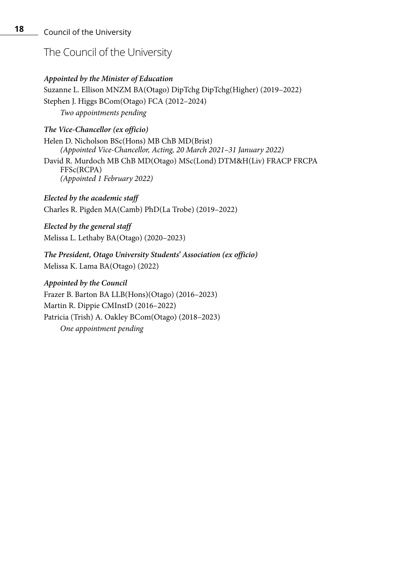## The Council of the University

## *Appointed by the Minister of Education*

Suzanne L. Ellison MNZM BA(Otago) DipTchg DipTchg(Higher) (2019–2022) Stephen J. Higgs BCom(Otago) FCA (2012–2024) *Two appointments pending*

## *The Vice-Chancellor (ex officio)*

Helen D. Nicholson BSc(Hons) MB ChB MD(Brist) *(Appointed Vice-Chancellor, Acting, 20 March 2021–31 January 2022)* David R. Murdoch MB ChB MD(Otago) MSc(Lond) DTM&H(Liv) FRACP FRCPA FFSc(RCPA) *(Appointed 1 February 2022)*

*Elected by the academic staff* Charles R. Pigden MA(Camb) PhD(La Trobe) (2019–2022)

*Elected by the general staff* Melissa L. Lethaby BA(Otago) (2020–2023)

*The President, Otago University Students' Association (ex officio)* Melissa K. Lama BA(Otago) (2022)

#### *Appointed by the Council*

Frazer B. Barton BA LLB(Hons)(Otago) (2016–2023) Martin R. Dippie CMInstD (2016–2022) Patricia (Trish) A. Oakley BCom(Otago) (2018–2023)

*One appointment pending*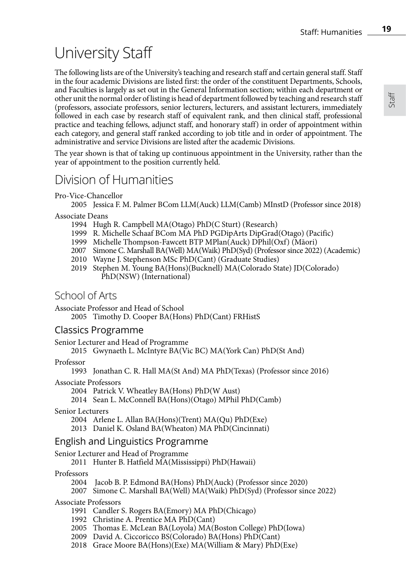# University Staff

The following lists are of the University's teaching and research staff and certain general staff. Staff in the four academic Divisions are listed first: the order of the constituent Departments, Schools, and Faculties is largely as set out in the General Information section; within each department or other unit the normal order of listing is head of department followed by teaching and research staff (professors, associate professors, senior lecturers, lecturers, and assistant lecturers, immediately followed in each case by research staff of equivalent rank, and then clinical staff, professional practice and teaching fellows, adjunct staff, and honorary staff) in order of appointment within each category, and general staff ranked according to job title and in order of appointment. The administrative and service Divisions are listed after the academic Divisions.

The year shown is that of taking up continuous appointment in the University, rather than the year of appointment to the position currently held.

## Division of Humanities

Pro-Vice-Chancellor

2005 Jessica F. M. Palmer BCom LLM(Auck) LLM(Camb) MInstD (Professor since 2018)

#### Associate Deans

- 1994 Hugh R. Campbell MA(Otago) PhD(C Sturt) (Research)
- 1999 R. Michelle Schaaf BCom MA PhD PGDipArts DipGrad(Otago) (Pacific)
- 1999 Michelle Thompson-Fawcett BTP MPlan(Auck) DPhil(Oxf) (Māori)
- 2007 Simone C. Marshall BA(Well) MA(Waik) PhD(Syd) (Professor since 2022) (Academic)
- 2010 Wayne J. Stephenson MSc PhD(Cant) (Graduate Studies)
- 2019 Stephen M. Young BA(Hons)(Bucknell) MA(Colorado State) JD(Colorado) PhD(NSW) (International)

## School of Arts

Associate Professor and Head of School

2005 Timothy D. Cooper BA(Hons) PhD(Cant) FRHistS

## Classics Programme

Senior Lecturer and Head of Programme

2015 Gwynaeth L. McIntyre BA(Vic BC) MA(York Can) PhD(St And)

#### Professor

1993 Jonathan C. R. Hall MA(St And) MA PhD(Texas) (Professor since 2016)

Associate Professors

2004 Patrick V. Wheatley BA(Hons) PhD(W Aust)

2014 Sean L. McConnell BA(Hons)(Otago) MPhil PhD(Camb)

Senior Lecturers

2004 Arlene L. Allan BA(Hons)(Trent) MA(Qu) PhD(Exe)

2013 Daniel K. Osland BA(Wheaton) MA PhD(Cincinnati)

## English and Linguistics Programme

Senior Lecturer and Head of Programme

2011 Hunter B. Hatfield MA(Mississippi) PhD(Hawaii)

Professors

2004 Jacob B. P. Edmond BA(Hons) PhD(Auck) (Professor since 2020)

2007 Simone C. Marshall BA(Well) MA(Waik) PhD(Syd) (Professor since 2022)

Associate Professors

- 1991 Candler S. Rogers BA(Emory) MA PhD(Chicago)
- 1992 Christine A. Prentice MA PhD(Cant)
- 2005 Thomas E. McLean BA(Loyola) MA(Boston College) PhD(Iowa)
- 2009 David A. Ciccoricco BS(Colorado) BA(Hons) PhD(Cant)
- 2018 Grace Moore BA(Hons)(Exe) MA(William & Mary) PhD(Exe)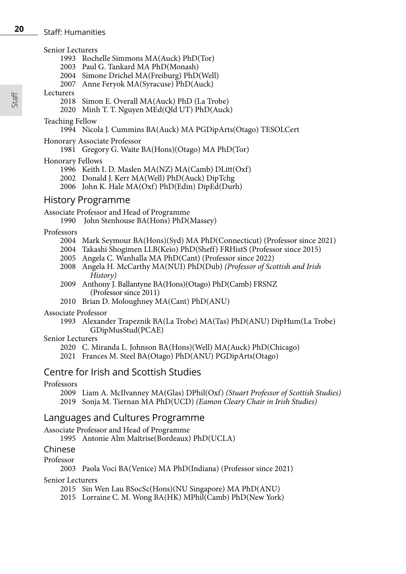#### Staff: Humanities

#### Senior Lecturers

- 1993 Rochelle Simmons MA(Auck) PhD(Tor)
- 2003 Paul G. Tankard MA PhD(Monash)
- 2004 Simone Drichel MA(Freiburg) PhD(Well)
- 2007 Anne Feryok MA(Syracuse) PhD(Auck)

#### Lecturers

- 2018 Simon E. Overall MA(Auck) PhD (La Trobe)
- 2020 Minh T. T. Nguyen MEd(Qld UT) PhD(Auck)

#### Teaching Fellow

1994 Nicola J. Cummins BA(Auck) MA PGDipArts(Otago) TESOLCert

#### Honorary Associate Professor

1981 Gregory G. Waite BA(Hons)(Otago) MA PhD(Tor)

#### Honorary Fellows

- 1996 Keith I. D. Maslen MA(NZ) MA(Camb) DLitt(Oxf)
- 2002 Donald J. Kerr MA(Well) PhD(Auck) DipTchg
- 2006 John K. Hale MA(Oxf) PhD(Edin) DipEd(Durh)

## History Programme

#### Associate Professor and Head of Programme

1990 John Stenhouse BA(Hons) PhD(Massey)

#### Professors

- 2004 Mark Seymour BA(Hons)(Syd) MA PhD(Connecticut) (Professor since 2021)
- 2004 Takashi Shogimen LLB(Keio) PhD(Sheff) FRHistS (Professor since 2015)
- 2005 Angela C. Wanhalla MA PhD(Cant) (Professor since 2022)
- 2008 Angela H. McCarthy MA(NUI) PhD(Dub) *(Professor of Scottish and Irish History)*
- 2009 Anthony J. Ballantyne BA(Hons)(Otago) PhD(Camb) FRSNZ (Professor since 2011)
- 2010 Brian D. Moloughney MA(Cant) PhD(ANU)

#### Associate Professor

1993 Alexander Trapeznik BA(La Trobe) MA(Tas) PhD(ANU) DipHum(La Trobe) GDipMusStud(PCAE)

#### Senior Lecturers

- 2020 C. Miranda L. Johnson BA(Hons)(Well) MA(Auck) PhD(Chicago)
- 2021 Frances M. Steel BA(Otago) PhD(ANU) PGDipArts(Otago)

## Centre for Irish and Scottish Studies

#### Professors

2009 Liam A. McIlvanney MA(Glas) DPhil(Oxf) *(Stuart Professor of Scottish Studies)* 2019 Sonja M. Tiernan MA PhD(UCD) *(Eamon Cleary Chair in Irish Studies)*

## Languages and Cultures Programme

#### Associate Professor and Head of Programme

1995 Antonie Alm Maîtrise(Bordeaux) PhD(UCLA)

### Chinese

#### Professor

2003 Paola Voci BA(Venice) MA PhD(Indiana) (Professor since 2021)

#### Senior Lecturers

- 2015 Sin Wen Lau BSocSc(Hons)(NU Singapore) MA PhD(ANU)
- 2015 Lorraine C. M. Wong BA(HK) MPhil(Camb) PhD(New York)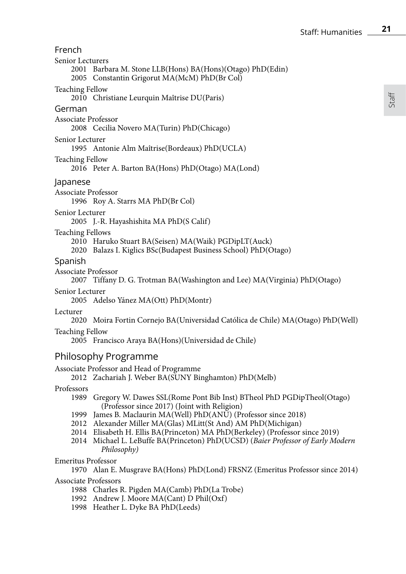Staff

| French                      |                                                                                                                                                                                                                                                                                                                       |
|-----------------------------|-----------------------------------------------------------------------------------------------------------------------------------------------------------------------------------------------------------------------------------------------------------------------------------------------------------------------|
| Senior Lecturers            | 2001 Barbara M. Stone LLB(Hons) BA(Hons)(Otago) PhD(Edin)<br>2005 Constantin Grigorut MA(McM) PhD(Br Col)                                                                                                                                                                                                             |
| Teaching Fellow             | 2010 Christiane Leurquin Maîtrise DU(Paris)                                                                                                                                                                                                                                                                           |
| German                      |                                                                                                                                                                                                                                                                                                                       |
| Associate Professor         | 2008 Cecilia Novero MA(Turin) PhD(Chicago)                                                                                                                                                                                                                                                                            |
| Senior Lecturer             | 1995 Antonie Alm Maîtrise (Bordeaux) PhD (UCLA)                                                                                                                                                                                                                                                                       |
| Teaching Fellow             | 2016 Peter A. Barton BA(Hons) PhD(Otago) MA(Lond)                                                                                                                                                                                                                                                                     |
| Japanese                    |                                                                                                                                                                                                                                                                                                                       |
| Associate Professor         | 1996 Roy A. Starrs MA PhD(Br Col)                                                                                                                                                                                                                                                                                     |
| Senior Lecturer             | 2005 J.-R. Hayashishita MA PhD(S Calif)                                                                                                                                                                                                                                                                               |
| Teaching Fellows            | 2010 Haruko Stuart BA(Seisen) MA(Waik) PGDipLT(Auck)<br>2020 Balazs I. Kiglics BSc(Budapest Business School) PhD(Otago)                                                                                                                                                                                               |
| Spanish                     |                                                                                                                                                                                                                                                                                                                       |
| Associate Professor         | 2007 Tiffany D. G. Trotman BA(Washington and Lee) MA(Virginia) PhD(Otago)                                                                                                                                                                                                                                             |
| Senior Lecturer             | 2005 Adelso Yánez MA(Ott) PhD(Montr)                                                                                                                                                                                                                                                                                  |
| Lecturer                    | 2020 Moira Fortin Cornejo BA(Universidad Católica de Chile) MA(Otago) PhD(Well)                                                                                                                                                                                                                                       |
| Teaching Fellow             | 2005 Francisco Araya BA(Hons)(Universidad de Chile)                                                                                                                                                                                                                                                                   |
| Philosophy Programme        |                                                                                                                                                                                                                                                                                                                       |
|                             | Associate Professor and Head of Programme<br>2012 Zachariah J. Weber BA(SUNY Binghamton) PhD(Melb)                                                                                                                                                                                                                    |
| Professors                  | 1989 Gregory W. Dawes SSL(Rome Pont Bib Inst) BTheol PhD PGDipTheol(Otago)<br>(Professor since 2017) (Joint with Religion)                                                                                                                                                                                            |
|                             | 1999 James B. Maclaurin MA(Well) PhD(ANU) (Professor since 2018)<br>2012 Alexander Miller MA(Glas) MLitt(St And) AM PhD(Michigan)<br>2014 Elisabeth H. Ellis BA(Princeton) MA PhD(Berkeley) (Professor since 2019)<br>2014 Michael L. LeBuffe BA(Princeton) PhD(UCSD) (Baier Professor of Early Modern<br>Philosophy) |
| <b>Emeritus Professor</b>   | 1970 Alan E. Musgrave BA(Hons) PhD(Lond) FRSNZ (Emeritus Professor since 2014)                                                                                                                                                                                                                                        |
| <b>Associate Professors</b> | 1988 Charles R. Pigden MA(Camb) PhD(La Trobe)<br>1992 Andrew J. Moore MA(Cant) D Phil(Oxf)<br>1998 Heather L. Dyke BA PhD(Leeds)                                                                                                                                                                                      |
|                             |                                                                                                                                                                                                                                                                                                                       |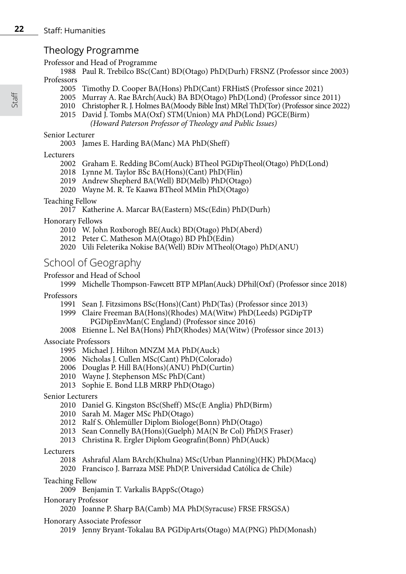## Theology Programme

## Professor and Head of Programme

1988 Paul R. Trebilco BSc(Cant) BD(Otago) PhD(Durh) FRSNZ (Professor since 2003) Professors

- 2005 Timothy D. Cooper BA(Hons) PhD(Cant) FRHistS (Professor since 2021)
- 2005 Murray A. Rae BArch(Auck) BA BD(Otago) PhD(Lond) (Professor since 2011)
- 2010 Christopher R. J. Holmes BA(Moody Bible Inst) MRel ThD(Tor) (Professor since 2022)
- 2015 David J. Tombs MA(Oxf) STM(Union) MA PhD(Lond) PGCE(Birm)
	- *(Howard Paterson Professor of Theology and Public Issues)*

## Senior Lecturer

2003 James E. Harding BA(Manc) MA PhD(Sheff)

## Lecturers

- 2002 Graham E. Redding BCom(Auck) BTheol PGDipTheol(Otago) PhD(Lond)
- 2018 Lynne M. Taylor BSc BA(Hons)(Cant) PhD(Flin)
- 2019 Andrew Shepherd BA(Well) BD(Melb) PhD(Otago)
- 2020 Wayne M. R. Te Kaawa BTheol MMin PhD(Otago)

## Teaching Fellow

2017 Katherine A. Marcar BA(Eastern) MSc(Edin) PhD(Durh)

Honorary Fellows

- 2010 W. John Roxborogh BE(Auck) BD(Otago) PhD(Aberd)
- 2012 Peter C. Matheson MA(Otago) BD PhD(Edin)
- 2020 Uili Feleterika Nokise BA(Well) BDiv MTheol(Otago) PhD(ANU)

## School of Geography

## Professor and Head of School

1999 Michelle Thompson-Fawcett BTP MPlan(Auck) DPhil(Oxf) (Professor since 2018)

Professors

- 1991 Sean J. Fitzsimons BSc(Hons)(Cant) PhD(Tas) (Professor since 2013)
- 1999 Claire Freeman BA(Hons)(Rhodes) MA(Witw) PhD(Leeds) PGDipTP PGDipEnvMan(C England) (Professor since 2016)
- 2008 Etienne L. Nel BA(Hons) PhD(Rhodes) MA(Witw) (Professor since 2013)

## Associate Professors

- 1995 Michael J. Hilton MNZM MA PhD(Auck)
- 2006 Nicholas J. Cullen MSc(Cant) PhD(Colorado)
- 2006 Douglas P. Hill BA(Hons)(ANU) PhD(Curtin)
- 2010 Wayne J. Stephenson MSc PhD(Cant)
- 2013 Sophie E. Bond LLB MRRP PhD(Otago)

## Senior Lecturers

- 2010 Daniel G. Kingston BSc(Sheff) MSc(E Anglia) PhD(Birm)
- 2010 Sarah M. Mager MSc PhD(Otago)
- 2012 Ralf S. Ohlemüller Diplom Biologe(Bonn) PhD(Otago)
- 2013 Sean Connelly BA(Hons)(Guelph) MA(N Br Col) PhD(S Fraser)
- 2013 Christina R. Ergler Diplom Geografin(Bonn) PhD(Auck)

## Lecturers

- 2018 Ashraful Alam BArch(Khulna) MSc(Urban Planning)(HK) PhD(Macq)
- 2020 Francisco J. Barraza MSE PhD(P. Universidad Católica de Chile)
- Teaching Fellow
	- 2009 Benjamin T. Varkalis BAppSc(Otago)
- Honorary Professor
	- 2020 Joanne P. Sharp BA(Camb) MA PhD(Syracuse) FRSE FRSGSA)

## Honorary Associate Professor

2019 Jenny Bryant-Tokalau BA PGDipArts(Otago) MA(PNG) PhD(Monash)

Staff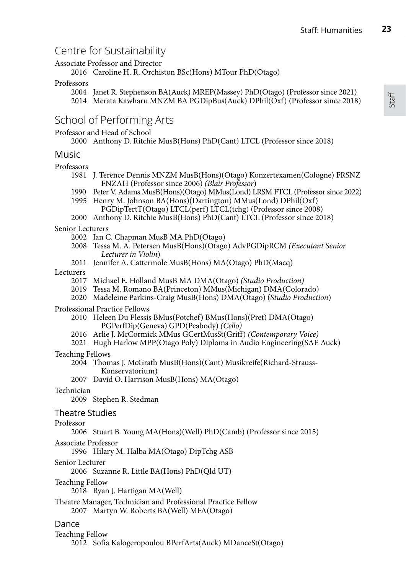## Centre for Sustainability

Associate Professor and Director

2016 Caroline H. R. Orchiston BSc(Hons) MTour PhD(Otago)

#### Professors

2004 Janet R. Stephenson BA(Auck) MREP(Massey) PhD(Otago) (Professor since 2021) 2014 Merata Kawharu MNZM BA PGDipBus(Auck) DPhil(Oxf) (Professor since 2018)

## School of Performing Arts

Professor and Head of School

2000 Anthony D. Ritchie MusB(Hons) PhD(Cant) LTCL (Professor since 2018)

### Music

Professors

- 1981 J. Terence Dennis MNZM MusB(Hons)(Otago) Konzertexamen(Cologne) FRSNZ FNZAH (Professor since 2006) *(Blair Professor*)
- 1990 Peter V. Adams MusB(Hons)(Otago) MMus(Lond) LRSM FTCL (Professor since 2022)
- 1995 Henry M. Johnson BA(Hons)(Dartington) MMus(Lond) DPhil(Oxf)
	- PGDipTertT(Otago) LTCL(perf) LTCL(tchg) (Professor since 2008)
- 2000 Anthony D. Ritchie MusB(Hons) PhD(Cant) LTCL (Professor since 2018)

Senior Lecturers

- 2002 Ian C. Chapman MusB MA PhD(Otago)
- 2008 Tessa M. A. Petersen MusB(Hons)(Otago) AdvPGDipRCM *(Executant Senior Lecturer in Violin*)
- 2011 Jennifer A. Cattermole MusB(Hons) MA(Otago) PhD(Macq)

Lecturers

- 2017 Michael E. Holland MusB MA DMA(Otago) *(Studio Production)*
- 2019 Tessa M. Romano BA(Princeton) MMus(Michigan) DMA(Colorado)
- 2020 Madeleine Parkins-Craig MusB(Hons) DMA(Otago) (*Studio Production*)

Professional Practice Fellows

- 2010 Heleen Du Plessis BMus(Potchef) BMus(Hons)(Pret) DMA(Otago) PGPerfDip(Geneva) GPD(Peabody) *(Cello)*
- 2016 Arlie J. McCormick MMus GCertMusSt(Griff) *(Contemporary Voice)*
- 2021 Hugh Harlow MPP(Otago Poly) Diploma in Audio Engineering(SAE Auck)

#### Teaching Fellows

2004 Thomas J. McGrath MusB(Hons)(Cant) Musikreife(Richard-Strauss- Konservatorium)

2007 David O. Harrison MusB(Hons) MA(Otago)

#### Technician

2009 Stephen R. Stedman

Theatre Studies

#### Professor

2006 Stuart B. Young MA(Hons)(Well) PhD(Camb) (Professor since 2015)

Associate Professor

1996 Hilary M. Halba MA(Otago) DipTchg ASB

#### Senior Lecturer

2006 Suzanne R. Little BA(Hons) PhD(Qld UT)

#### Teaching Fellow

2018 Ryan J. Hartigan MA(Well)

Theatre Manager, Technician and Professional Practice Fellow

2007 Martyn W. Roberts BA(Well) MFA(Otago)

### Dance

Teaching Fellow

2012 Sofia Kalogeropoulou BPerfArts(Auck) MDanceSt(Otago)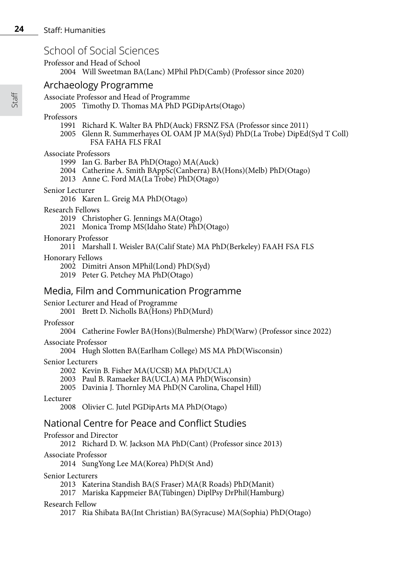## School of Social Sciences

Professor and Head of School

2004 Will Sweetman BA(Lanc) MPhil PhD(Camb) (Professor since 2020)

## Archaeology Programme

Associate Professor and Head of Programme

2005 Timothy D. Thomas MA PhD PGDipArts(Otago)

Professors

- 1991 Richard K. Walter BA PhD(Auck) FRSNZ FSA (Professor since 2011)
- 2005 Glenn R. Summerhayes OL OAM JP MA(Syd) PhD(La Trobe) DipEd(Syd T Coll) FSA FAHA FLS FRAI

## Associate Professors

- 1999 Ian G. Barber BA PhD(Otago) MA(Auck)
- 2004 Catherine A. Smith BAppSc(Canberra) BA(Hons)(Melb) PhD(Otago)
- 2013 Anne C. Ford MA(La Trobe) PhD(Otago)

## Senior Lecturer

- 2016 Karen L. Greig MA PhD(Otago)
- Research Fellows
	- 2019 Christopher G. Jennings MA(Otago)
	- 2021 Monica Tromp MS(Idaho State) PhD(Otago)
- Honorary Professor
	- 2011 Marshall I. Weisler BA(Calif State) MA PhD(Berkeley) FAAH FSA FLS
- Honorary Fellows
	- 2002 Dimitri Anson MPhil(Lond) PhD(Syd)
	- 2019 Peter G. Petchey MA PhD(Otago)

## Media, Film and Communication Programme

## Senior Lecturer and Head of Programme

2001 Brett D. Nicholls BA(Hons) PhD(Murd)

Professor

2004 Catherine Fowler BA(Hons)(Bulmershe) PhD(Warw) (Professor since 2022)

Associate Professor

2004 Hugh Slotten BA(Earlham College) MS MA PhD(Wisconsin)

### Senior Lecturers

2002 Kevin B. Fisher MA(UCSB) MA PhD(UCLA)

- 2003 Paul B. Ramaeker BA(UCLA) MA PhD(Wisconsin)
- 2005 Davinia J. Thornley MA PhD(N Carolina, Chapel Hill)

### Lecturer

2008 Olivier C. Jutel PGDipArts MA PhD(Otago)

## National Centre for Peace and Conflict Studies

## Professor and Director

2012 Richard D. W. Jackson MA PhD(Cant) (Professor since 2013)

### Associate Professor

2014 SungYong Lee MA(Korea) PhD(St And)

### Senior Lecturers

2013 Katerina Standish BA(S Fraser) MA(R Roads) PhD(Manit)

2017 Mariska Kappmeier BA(Tübingen) DiplPsy DrPhil(Hamburg)

## Research Fellow

2017 Ria Shibata BA(Int Christian) BA(Syracuse) MA(Sophia) PhD(Otago)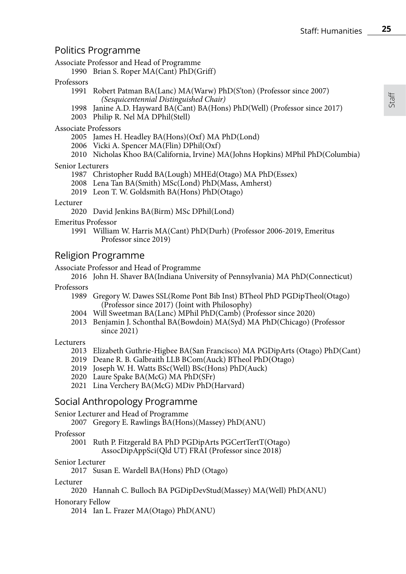## Politics Programme

Associate Professor and Head of Programme

1990 Brian S. Roper MA(Cant) PhD(Griff)

#### Professors

- 1991 Robert Patman BA(Lanc) MA(Warw) PhD(S'ton) (Professor since 2007) *(Sesquicentennial Distinguished Chair)*
- 1998 Janine A.D. Hayward BA(Cant) BA(Hons) PhD(Well) (Professor since 2017)
- 2003 Philip R. Nel MA DPhil(Stell)

#### Associate Professors

- 2005 James H. Headley BA(Hons)(Oxf) MA PhD(Lond)
- 2006 Vicki A. Spencer MA(Flin) DPhil(Oxf)
- 2010 Nicholas Khoo BA(California, Irvine) MA(Johns Hopkins) MPhil PhD(Columbia)

#### Senior Lecturers

- 1987 Christopher Rudd BA(Lough) MHEd(Otago) MA PhD(Essex)
- 2008 Lena Tan BA(Smith) MSc(Lond) PhD(Mass, Amherst)
- 2019 Leon T. W. Goldsmith BA(Hons) PhD(Otago)

#### Lecturer

2020 David Jenkins BA(Birm) MSc DPhil(Lond)

#### Emeritus Professor

1991 William W. Harris MA(Cant) PhD(Durh) (Professor 2006-2019, Emeritus Professor since 2019)

## Religion Programme

Associate Professor and Head of Programme

2016 John H. Shaver BA(Indiana University of Pennsylvania) MA PhD(Connecticut)

#### Professors

- 1989 Gregory W. Dawes SSL(Rome Pont Bib Inst) BTheol PhD PGDipTheol(Otago) (Professor since 2017) (Joint with Philosophy)
- 2004 Will Sweetman BA(Lanc) MPhil PhD(Camb) (Professor since 2020)
- 2013 Benjamin J. Schonthal BA(Bowdoin) MA(Syd) MA PhD(Chicago) (Professor since 2021)

#### Lecturers

- 2013 Elizabeth Guthrie-Higbee BA(San Francisco) MA PGDipArts (Otago) PhD(Cant)
- 2019 Deane R. B. Galbraith LLB BCom(Auck) BTheol PhD(Otago)
- 2019 Joseph W. H. Watts BSc(Well) BSc(Hons) PhD(Auck)
- 2020 Laure Spake BA(McG) MA PhD(SFr)
- 2021 Lina Verchery BA(McG) MDiv PhD(Harvard)

## Social Anthropology Programme

Senior Lecturer and Head of Programme

2007 Gregory E. Rawlings BA(Hons)(Massey) PhD(ANU)

#### Professor

2001 Ruth P. Fitzgerald BA PhD PGDipArts PGCertTertT(Otago) AssocDipAppSci(Qld UT) FRAI (Professor since 2018)

#### Senior Lecturer

2017 Susan E. Wardell BA(Hons) PhD (Otago)

#### Lecturer

2020 Hannah C. Bulloch BA PGDipDevStud(Massey) MA(Well) PhD(ANU)

#### Honorary Fellow

2014 Ian L. Frazer MA(Otago) PhD(ANU)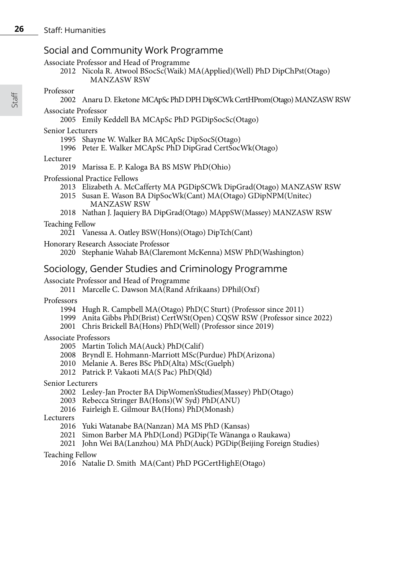## Social and Community Work Programme

Associate Professor and Head of Programme

2012 Nicola R. Atwool BSocSc(Waik) MA(Applied)(Well) PhD DipChPst(Otago) MANZASW RSW

#### Professor

2002 Anaru D. Eketone MCApSc PhD DPH DipSCWk CertHProm(Otago) MANZASW RSW

Associate Professor

2005 Emily Keddell BA MCApSc PhD PGDipSocSc(Otago)

#### Senior Lecturers

- 1995 Shayne W. Walker BA MCApSc DipSocS(Otago)
- 1996 Peter E. Walker MCApSc PhD DipGrad CertSocWk(Otago)

#### Lecturer

- 2019 Marissa E. P. Kaloga BA BS MSW PhD(Ohio)
- Professional Practice Fellows
	- 2013 Elizabeth A. McCafferty MA PGDipSCWk DipGrad(Otago) MANZASW RSW
	- 2015 Susan E. Wason BA DipSocWk(Cant) MA(Otago) GDipNPM(Unitec) MANZASW RSW
	- 2018 Nathan J. Jaquiery BA DipGrad(Otago) MAppSW(Massey) MANZASW RSW

Teaching Fellow

- 2021 Vanessa A. Oatley BSW(Hons)(Otago) DipTch(Cant)
- Honorary Research Associate Professor
	- 2020 Stephanie Wahab BA(Claremont McKenna) MSW PhD(Washington)

## Sociology, Gender Studies and Criminology Programme

#### Associate Professor and Head of Programme

2011 Marcelle C. Dawson MA(Rand Afrikaans) DPhil(Oxf)

#### Professors

- 1994 Hugh R. Campbell MA(Otago) PhD(C Sturt) (Professor since 2011)
- 1999 Anita Gibbs PhD(Brist) CertWSt(Open) CQSW RSW (Professor since 2022)
- 2001 Chris Brickell BA(Hons) PhD(Well) (Professor since 2019)

#### Associate Professors

- 2005 Martin Tolich MA(Auck) PhD(Calif)
- 2008 Bryndl E. Hohmann-Marriott MSc(Purdue) PhD(Arizona)
- 2010 Melanie A. Beres BSc PhD(Alta) MSc(Guelph)
- 2012 Patrick P. Vakaoti MA(S Pac) PhD(Qld)

#### Senior Lecturers

- 2002 Lesley-Jan Procter BA DipWomen'sStudies(Massey) PhD(Otago)
- 2003 Rebecca Stringer BA(Hons)(W Syd) PhD(ANU)
- 2016 Fairleigh E. Gilmour BA(Hons) PhD(Monash)

Lecturers

- 2016 Yuki Watanabe BA(Nanzan) MA MS PhD (Kansas)
- 2021 Simon Barber MA PhD(Lond) PGDip(Te Wānanga o Raukawa)
- 2021 John Wei BA(Lanzhou) MA PhD(Auck) PGDip(Beijing Foreign Studies)

#### Teaching Fellow

2016 Natalie D. Smith MA(Cant) PhD PGCertHighE(Otago)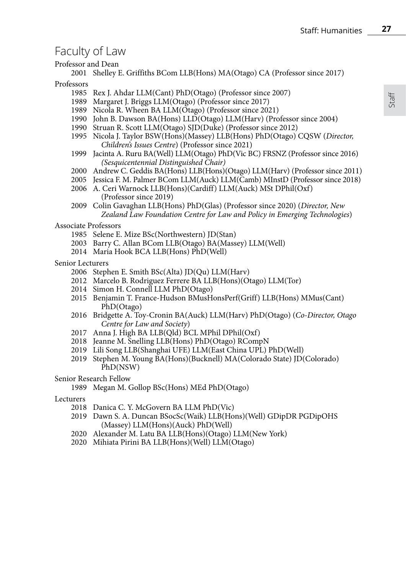## Faculty of Law

Professor and Dean

2001 Shelley E. Griffiths BCom LLB(Hons) MA(Otago) CA (Professor since 2017)

Professors

- 1985 Rex J. Ahdar LLM(Cant) PhD(Otago) (Professor since 2007)
- 1989 Margaret J. Briggs LLM(Otago) (Professor since 2017)
- 1989 Nicola R. Wheen BA LLM(Otago) (Professor since 2021)
- 1990 John B. Dawson BA(Hons) LLD(Otago) LLM(Harv) (Professor since 2004)
- 1990 Struan R. Scott LLM(Otago) SJD(Duke) (Professor since 2012)
- 1995 Nicola J. Taylor BSW(Hons)(Massey) LLB(Hons) PhD(Otago) CQSW (*Director, Children's Issues Centre*) (Professor since 2021)
- 1999 Jacinta A. Ruru BA(Well) LLM(Otago) PhD(Vic BC) FRSNZ (Professor since 2016) *(Sesquicentennial Distinguished Chair)*
- 2000 Andrew C. Geddis BA(Hons) LLB(Hons)(Otago) LLM(Harv) (Professor since 2011)
- 2005 Jessica F. M. Palmer BCom LLM(Auck) LLM(Camb) MInstD (Professor since 2018)
- 2006 A. Ceri Warnock LLB(Hons)(Cardiff) LLM(Auck) MSt DPhil(Oxf) (Professor since 2019)
- 2009 Colin Gavaghan LLB(Hons) PhD(Glas) (Professor since 2020) (*Director, New Zealand Law Foundation Centre for Law and Policy in Emerging Technologies*)

Associate Professors

- 1985 Selene E. Mize BSc(Northwestern) JD(Stan)
- 2003 Barry C. Allan BCom LLB(Otago) BA(Massey) LLM(Well)
- 2014 Maria Hook BCA LLB(Hons) PhD(Well)

Senior Lecturers

- 2006 Stephen E. Smith BSc(Alta) JD(Qu) LLM(Harv)
- 2012 Marcelo B. Rodriguez Ferrere BA LLB(Hons)(Otago) LLM(Tor)
- 2014 Simon H. Connell LLM PhD(Otago)
- 2015 Benjamin T. France-Hudson BMusHonsPerf(Griff) LLB(Hons) MMus(Cant) PhD(Otago)
- 2016 Bridgette A. Toy-Cronin BA(Auck) LLM(Harv) PhD(Otago) (*Co-Director, Otago Centre for Law and Society*)
- 2017 Anna J. High BA LLB(Qld) BCL MPhil DPhil(Oxf)
- 2018 Jeanne M. Snelling LLB(Hons) PhD(Otago) RCompN
- 2019 Lili Song LLB(Shanghai UFE) LLM(East China UPL) PhD(Well)
- 2019 Stephen M. Young BA(Hons)(Bucknell) MA(Colorado State) JD(Colorado) PhD(NSW)

#### Senior Research Fellow

- 1989 Megan M. Gollop BSc(Hons) MEd PhD(Otago)
- Lecturers
	- 2018 Danica C. Y. McGovern BA LLM PhD(Vic)
	- 2019 Dawn S. A. Duncan BSocSc(Waik) LLB(Hons)(Well) GDipDR PGDipOHS (Massey) LLM(Hons)(Auck) PhD(Well)
	- 2020 Alexander M. Latu BA LLB(Hons)(Otago) LLM(New York)
	- 2020 Mihiata Pirini BA LLB(Hons)(Well) LLM(Otago)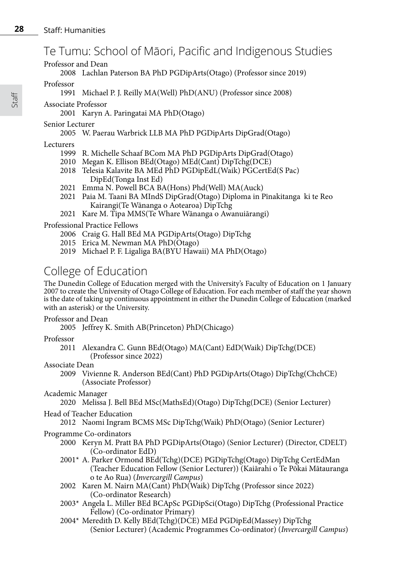## Te Tumu: School of Māori, Pacific and Indigenous Studies

Professor and Dean

## 2008 Lachlan Paterson BA PhD PGDipArts(Otago) (Professor since 2019)

#### Professor

## 1991 Michael P. J. Reilly MA(Well) PhD(ANU) (Professor since 2008)

### Associate Professor

2001 Karyn A. Paringatai MA PhD(Otago)

### Senior Lecturer

## 2005 W. Paerau Warbrick LLB MA PhD PGDipArts DipGrad(Otago)

## Lecturers

- 1999 R. Michelle Schaaf BCom MA PhD PGDipArts DipGrad(Otago)
- 2010 Megan K. Ellison BEd(Otago) MEd(Cant) DipTchg(DCE)
- 2018 Telesia Kalavite BA MEd PhD PGDipEdL(Waik) PGCertEd(S Pac) DipEd(Tonga Inst Ed)
- 2021 Emma N. Powell BCA BA(Hons) Phd(Well) MA(Auck)
- 2021 Paia M. Taani BA MIndS DipGrad(Otago) Diploma in Pīnakitanga ki te Reo Kairangi(Te Wānanga o Aotearoa) DipTchg
- 2021 Kare M. Tipa MMS(Te Whare Wānanga o Awanuiārangi)

## Professional Practice Fellows

- 2006 Craig G. Hall BEd MA PGDipArts(Otago) DipTchg
- 2015 Erica M. Newman MA PhD(Otago)
- 2019 Michael P. F. Ligaliga BA(BYU Hawaii) MA PhD(Otago)

## College of Education

The Dunedin College of Education merged with the University's Faculty of Education on 1 January 2007 to create the University of Otago College of Education. For each member of staff the year shown is the date of taking up continuous appointment in either the Dunedin College of Education (marked with an asterisk) or the University.

### Professor and Dean

2005 Jeffrey K. Smith AB(Princeton) PhD(Chicago)

### Professor

2011 Alexandra C. Gunn BEd(Otago) MA(Cant) EdD(Waik) DipTchg(DCE) (Professor since 2022)

### Associate Dean

- 2009 Vivienne R. Anderson BEd(Cant) PhD PGDipArts(Otago) DipTchg(ChchCE) (Associate Professor)
- Academic Manager

### 2020 Melissa J. Bell BEd MSc(MathsEd)(Otago) DipTchg(DCE) (Senior Lecturer)

- Head of Teacher Education
	- 2012 Naomi Ingram BCMS MSc DipTchg(Waik) PhD(Otago) (Senior Lecturer)

## Programme Co-ordinators

- 2000 Keryn M. Pratt BA PhD PGDipArts(Otago) (Senior Lecturer) (Director, CDELT) (Co-ordinator EdD)
- 2001\* A. Parker Ormond BEd(Tchg)(DCE) PGDipTchg(Otago) DipTchg CertEdMan (Teacher Education Fellow (Senior Lecturer)) (Kaiārahi o Te Pōkai Mātauranga o te Ao Rua) (*Invercargill Campus*)
- 2002 Karen M. Nairn MA(Cant) PhD(Waik) DipTchg (Professor since 2022) (Co-ordinator Research)
- 2003\* Angela L. Miller BEd BCApSc PGDipSci(Otago) DipTchg (Professional Practice Fellow) (Co-ordinator Primary)
- 2004\* Meredith D. Kelly BEd(Tchg)(DCE) MEd PGDipEd(Massey) DipTchg (Senior Lecturer) (Academic Programmes Co-ordinator) (*Invercargill Campus*)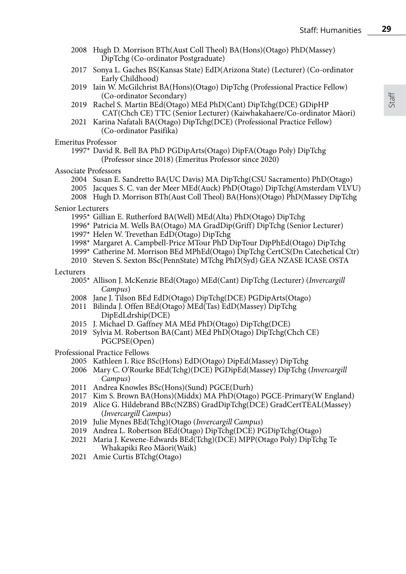- 2008 Hugh D. Morrison BTh(Aust Coll Theol) BA(Hons)(Otago) PhD(Massey) DipTchg (Co-ordinator Postgraduate)
- 2017 Sonya L. Gaches BS(Kansas State) EdD(Arizona State) (Lecturer) (Co-ordinator Early Childhood)
- 2019 Iain W. McGilchrist BA(Hons)(Otago) DipTchg (Professional Practice Fellow) (Co-ordinator Secondary)
- 2019 Rachel S. Martin BEd(Otago) MEd PhD(Cant) DipTchg(DCE) GDipHP CAT(Chch CE) TTC (Senior Lecturer) (Kaiwhakahaere/Co-ordinator Māori)
- 2021 Karina Nafatali BA(Otago) DipTchg(DCE) (Professional Practice Fellow) (Co-ordinator Pasifika)

Emeritus Professor

1997\* David R. Bell BA PhD PGDipArts(Otago) DipFA(Otago Poly) DipTchg (Professor since 2018) (Emeritus Professor since 2020)

Associate Professors

- 2004 Susan E. Sandretto BA(UC Davis) MA DipTchg(CSU Sacramento) PhD(Otago)
- 2005 Jacques S. C. van der Meer MEd(Auck) PhD(Otago) DipTchg(Amsterdam VLVU)
- 2008 Hugh D. Morrison BTh(Aust Coll Theol) BA(Hons)(Otago) PhD(Massey DipTchg

Senior Lecturers

- 1995\* Gillian E. Rutherford BA(Well) MEd(Alta) PhD(Otago) DipTchg
- 1996\* Patricia M. Wells BA(Otago) MA GradDip(Griff) DipTchg (Senior Lecturer)
- 1997\* Helen W. Trevethan EdD(Otago) DipTchg
- 1998\* Margaret A. Campbell-Price MTour PhD DipTour DipPhEd(Otago) DipTchg
- 1999\* Catherine M. Morrison BEd MPhEd(Otago) DipTchg CertCS(Dn Catechetical Ctr)
- 2010 Steven S. Sexton BSc(PennState) MTchg PhD(Syd) GEA NZASE ICASE OSTA

Lecturers

- 2005\* Allison J. McKenzie BEd(Otago) MEd(Cant) DipTchg (Lecturer) (*Invercargill Campus*)
- 2008 Jane J. Tilson BEd EdD(Otago) DipTchg(DCE) PGDipArts(Otago)
- 2011 Bilinda J. Offen BEd(Otago) MEd(Tas) EdD(Massey) DipTchg DipEdLdrship(DCE)
- 2015 J. Michael D. Gaffney MA MEd PhD(Otago) DipTchg(DCE)
- 2019 Sylvia M. Robertson BA(Cant) MEd PhD(Otago) DipTchg(Chch CE) PGCPSE(Open)

Professional Practice Fellows

- 2005 Kathleen I. Rice BSc(Hons) EdD(Otago) DipEd(Massey) DipTchg
- 2006 Mary C. O'Rourke BEd(Tchg)(DCE) PGDipEd(Massey) DipTchg (*Invercargill Campus*)
- 2011 Andrea Knowles BSc(Hons)(Sund) PGCE(Durh)
- 2017 Kim S. Brown BA(Hons)(Middx) MA PhD(Otago) PGCE-Primary(W England)
- 2019 Alice G. Hildebrand BBc(NZBS) GradDipTchg(DCE) GradCertTEAL(Massey) (*Invercargill Campus*)
- 2019 Julie Mynes BEd(Tchg)(Otago (*Invercargill Campus*)
- 2019 Andrea L. Robertson BEd(Otago) DipTchg(DCE) PGDipTchg(Otago)
- 2021 Maria J. Kewene-Edwards BEd(Tchg)(DCE) MPP(Otago Poly) DipTchg Te Whakapiki Reo Māori(Waik)
- 2021 Amie Curtis BTchg(Otago)

**29**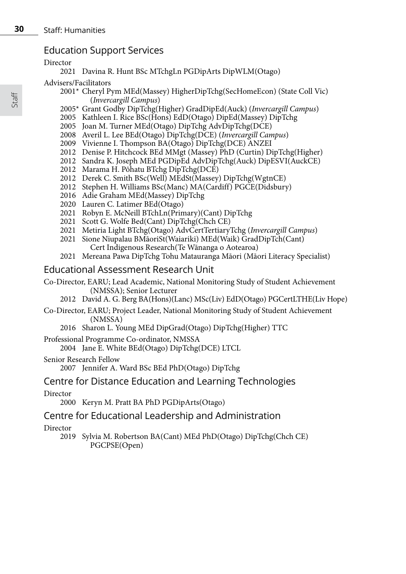## Education Support Services

Director

2021 Davina R. Hunt BSc MTchgLn PGDipArts DipWLM(Otago)

## Advisers/Facilitators

- 2001\* Cheryl Pym MEd(Massey) HigherDipTchg(SecHomeEcon) (State Coll Vic) (*Invercargill Campus*)
- 2005\* Grant Godby DipTchg(Higher) GradDipEd(Auck) (*Invercargill Campus*)
- 2005 Kathleen I. Rice BSc(Hons) EdD(Otago) DipEd(Massey) DipTchg
- 2005 Joan M. Turner MEd(Otago) DipTchg AdvDipTchg(DCE)
- 2008 Averil L. Lee BEd(Otago) DipTchg(DCE) (*Invercargill Campus*)
- 2009 Vivienne I. Thompson BA(Otago) DipTchg(DCE) ANZEI
- 2012 Denise P. Hitchcock BEd MMgt (Massey) PhD (Curtin) DipTchg(Higher)
- 2012 Sandra K. Joseph MEd PGDipEd AdvDipTchg(Auck) DipESVI(AuckCE)
- 2012 Marama H. Pōhatu BTchg DipTchg(DCE)
- 2012 Derek C. Smith BSc(Well) MEdSt(Massey) DipTchg(WgtnCE)
- 2012 Stephen H. Williams BSc(Manc) MA(Cardiff) PGCE(Didsbury)
- 2016 Adie Graham MEd(Massey) DipTchg
- 2020 Lauren C. Latimer BEd(Otago)
- 2021 Robyn E. McNeill BTchLn(Primary)(Cant) DipTchg
- 2021 Scott G. Wolfe Bed(Cant) DipTchg(Chch CE)
- 2021 Metiria Light BTchg(Otago) AdvCertTertiaryTchg (*Invercargill Campus*)
- 2021 Sione Niupalau BMāoriSt(Waiariki) MEd(Waik) GradDipTch(Cant) Cert Indigenous Research(Te Wānanga o Aotearoa)
- 2021 Mereana Pawa DipTchg Tohu Matauranga Māori (Māori Literacy Specialist)

## Educational Assessment Research Unit

- Co-Director, EARU; Lead Academic, National Monitoring Study of Student Achievement (NMSSA); Senior Lecturer
	- 2012 David A. G. Berg BA(Hons)(Lanc) MSc(Liv) EdD(Otago) PGCertLTHE(Liv Hope)
- Co-Director, EARU; Project Leader, National Monitoring Study of Student Achievement (NMSSA)
	- 2016 Sharon L. Young MEd DipGrad(Otago) DipTchg(Higher) TTC
- Professional Programme Co-ordinator, NMSSA
	- 2004 Jane E. White BEd(Otago) DipTchg(DCE) LTCL
- Senior Research Fellow
	- 2007 Jennifer A. Ward BSc BEd PhD(Otago) DipTchg

## Centre for Distance Education and Learning Technologies

Director

2000 Keryn M. Pratt BA PhD PGDipArts(Otago)

## Centre for Educational Leadership and Administration

Director

2019 Sylvia M. Robertson BA(Cant) MEd PhD(Otago) DipTchg(Chch CE) PGCPSE(Open)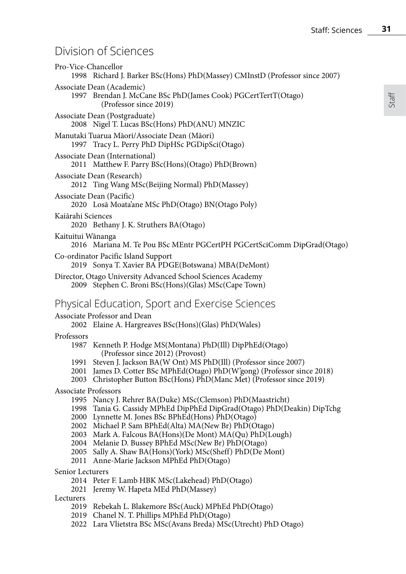Staff

## Division of Sciences

| Pro-Vice-Chancellor         | 1998 Richard J. Barker BSc(Hons) PhD(Massey) CMInstD (Professor since 2007)                                                                                                                                                                                                                                                                                                                                                                                                    |
|-----------------------------|--------------------------------------------------------------------------------------------------------------------------------------------------------------------------------------------------------------------------------------------------------------------------------------------------------------------------------------------------------------------------------------------------------------------------------------------------------------------------------|
|                             | Associate Dean (Academic)<br>1997 Brendan J. McCane BSc PhD(James Cook) PGCertTertT(Otago)<br>(Professor since 2019)                                                                                                                                                                                                                                                                                                                                                           |
|                             | Associate Dean (Postgraduate)<br>2008 Nigel T. Lucas BSc(Hons) PhD(ANU) MNZIC                                                                                                                                                                                                                                                                                                                                                                                                  |
|                             | Manutaki Tuarua Māori/Associate Dean (Māori)<br>1997 Tracy L. Perry PhD DipHSc PGDipSci(Otago)                                                                                                                                                                                                                                                                                                                                                                                 |
|                             | Associate Dean (International)<br>2011 Matthew F. Parry BSc(Hons)(Otago) PhD(Brown)                                                                                                                                                                                                                                                                                                                                                                                            |
|                             | Associate Dean (Research)<br>2012 Ting Wang MSc(Beijing Normal) PhD(Massey)                                                                                                                                                                                                                                                                                                                                                                                                    |
| Associate Dean (Pacific)    | 2020 Losā Moata'ane MSc PhD(Otago) BN(Otago Poly)                                                                                                                                                                                                                                                                                                                                                                                                                              |
| Kaiārahi Sciences           | 2020 Bethany J. K. Struthers BA(Otago)                                                                                                                                                                                                                                                                                                                                                                                                                                         |
| Kaituitui Wānanga           | 2016 Mariana M. Te Pou BSc MEntr PGCertPH PGCertSciComm DipGrad(Otago)                                                                                                                                                                                                                                                                                                                                                                                                         |
|                             | Co-ordinator Pacific Island Support<br>2019 Sonya T. Xavier BA PDGE(Botswana) MBA(DeMont)                                                                                                                                                                                                                                                                                                                                                                                      |
|                             | Director, Otago University Advanced School Sciences Academy<br>2009 Stephen C. Broni BSc(Hons)(Glas) MSc(Cape Town)                                                                                                                                                                                                                                                                                                                                                            |
|                             | Physical Education, Sport and Exercise Sciences                                                                                                                                                                                                                                                                                                                                                                                                                                |
|                             | Associate Professor and Dean<br>2002 Elaine A. Hargreaves BSc(Hons)(Glas) PhD(Wales)                                                                                                                                                                                                                                                                                                                                                                                           |
| Professors                  | 1987 Kenneth P. Hodge MS(Montana) PhD(Ill) DipPhEd(Otago)                                                                                                                                                                                                                                                                                                                                                                                                                      |
|                             | (Professor since 2012) (Provost)<br>1991 Steven J. Jackson BA(W Ont) MS PhD(Ill) (Professor since 2007)<br>2001 James D. Cotter BSc MPhEd(Otago) PhD(W'gong) (Professor since 2018)<br>2003 Christopher Button BSc(Hons) PhD(Manc Met) (Professor since 2019)                                                                                                                                                                                                                  |
| <b>Associate Professors</b> | 1995 Nancy J. Rehrer BA(Duke) MSc(Clemson) PhD(Maastricht)<br>1998 Tania G. Cassidy MPhEd DipPhEd DipGrad(Otago) PhD(Deakin) DipTchg<br>2000 Lynnette M. Jones BSc BPhEd(Hons) PhD(Otago)<br>2002 Michael P. Sam BPhEd(Alta) MA(New Br) PhD(Otago)<br>2003 Mark A. Falcous BA(Hons)(De Mont) MA(Qu) PhD(Lough)<br>2004 Melanie D. Bussey BPhEd MSc(New Br) PhD(Otago)<br>2005 Sally A. Shaw BA(Hons)(York) MSc(Sheff) PhD(De Mont)<br>2011 Anne-Marie Jackson MPhEd PhD(Otago) |
| Senior Lecturers            | 2014 Peter F. Lamb HBK MSc(Lakehead) PhD(Otago)                                                                                                                                                                                                                                                                                                                                                                                                                                |
| Lecturers                   | 2021 Jeremy W. Hapeta MEd PhD(Massey)<br>2019 Rebekah L. Blakemore BSc(Auck) MPhEd PhD(Otago)<br>2019 Chanel N. T. Phillips MPhEd PhD(Otago)<br>2022 Lara Vlietstra BSc MSc(Avans Breda) MSc(Utrecht) PhD Otago)                                                                                                                                                                                                                                                               |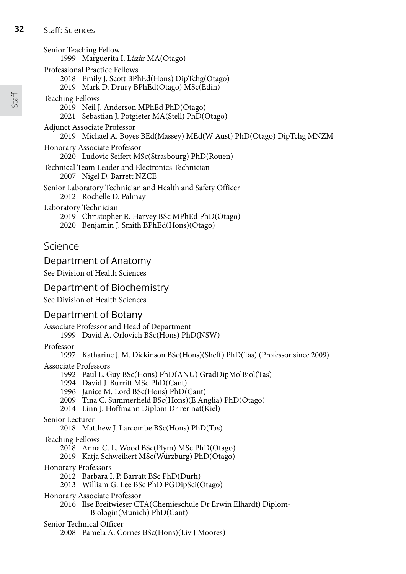Senior Teaching Fellow 1999 Marguerita I. Lázár MA(Otago)

- Professional Practice Fellows
	- 2018 Emily J. Scott BPhEd(Hons) DipTchg(Otago)
	- 2019 Mark D. Drury BPhEd(Otago) MSc(Edin)
- Teaching Fellows
	- 2019 Neil J. Anderson MPhEd PhD(Otago)
	- 2021 Sebastian J. Potgieter MA(Stell) PhD(Otago)
- Adjunct Associate Professor
	- 2019 Michael A. Boyes BEd(Massey) MEd(W Aust) PhD(Otago) DipTchg MNZM
- Honorary Associate Professor
	- 2020 Ludovic Seifert MSc(Strasbourg) PhD(Rouen)
- Technical Team Leader and Electronics Technician 2007 Nigel D. Barrett NZCE

Senior Laboratory Technician and Health and Safety Officer 2012 Rochelle D. Palmay

- Laboratory Technician
	- 2019 Christopher R. Harvey BSc MPhEd PhD(Otago)
	- 2020 Benjamin J. Smith BPhEd(Hons)(Otago)

## Science

## Department of Anatomy

See Division of Health Sciences

## Department of Biochemistry

See Division of Health Sciences

## Department of Botany

Associate Professor and Head of Department 1999 David A. Orlovich BSc(Hons) PhD(NSW)

Professor

- 1997 Katharine J. M. Dickinson BSc(Hons)(Sheff) PhD(Tas) (Professor since 2009)
- Associate Professors
	- 1992 Paul L. Guy BSc(Hons) PhD(ANU) GradDipMolBiol(Tas)
	- 1994 David J. Burritt MSc PhD(Cant)
	- 1996 Janice M. Lord BSc(Hons) PhD(Cant)
	- 2009 Tina C. Summerfield BSc(Hons)(E Anglia) PhD(Otago)
	- 2014 Linn J. Hoffmann Diplom Dr rer nat(Kiel)

#### Senior Lecturer

2018 Matthew J. Larcombe BSc(Hons) PhD(Tas)

### Teaching Fellows

- 2018 Anna C. L. Wood BSc(Plym) MSc PhD(Otago)
- 2019 Katja Schweikert MSc(Würzburg) PhD(Otago)
- Honorary Professors
	- 2012 Barbara I. P. Barratt BSc PhD(Durh)
	- 2013 William G. Lee BSc PhD PGDipSci(Otago)
- Honorary Associate Professor
	- 2016 Ilse Breitwieser CTA(Chemieschule Dr Erwin Elhardt) Diplom-
		- Biologin(Munich) PhD(Cant)

#### Senior Technical Officer

2008 Pamela A. Cornes BSc(Hons)(Liv J Moores)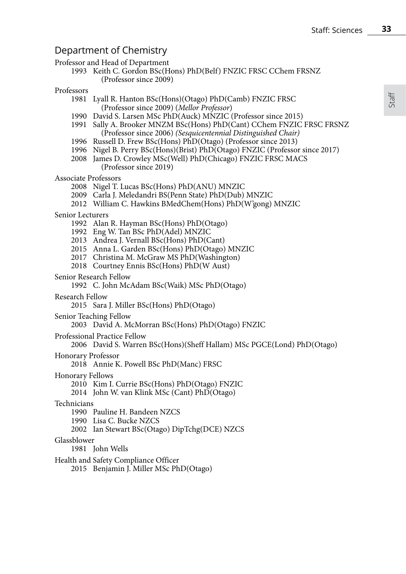## Department of Chemistry

#### Professor and Head of Department

1993 Keith C. Gordon BSc(Hons) PhD(Belf) FNZIC FRSC CChem FRSNZ (Professor since 2009)

#### Professors

- 1981 Lyall R. Hanton BSc(Hons)(Otago) PhD(Camb) FNZIC FRSC (Professor since 2009) (*Mellor Professor*)
- 1990 David S. Larsen MSc PhD(Auck) MNZIC (Professor since 2015)
- 1991 Sally A. Brooker MNZM BSc(Hons) PhD(Cant) CChem FNZIC FRSC FRSNZ (Professor since 2006) *(Sesquicentennial Distinguished Chair)*
- 1996 Russell D. Frew BSc(Hons) PhD(Otago) (Professor since 2013)
- 1996 Nigel B. Perry BSc(Hons)(Brist) PhD(Otago) FNZIC (Professor since 2017)
- 2008 James D. Crowley MSc(Well) PhD(Chicago) FNZIC FRSC MACS (Professor since 2019)

#### Associate Professors

- 2008 Nigel T. Lucas BSc(Hons) PhD(ANU) MNZIC
- 2009 Carla J. Meledandri BS(Penn State) PhD(Dub) MNZIC
- 2012 William C. Hawkins BMedChem(Hons) PhD(W'gong) MNZIC

#### Senior Lecturers

- 1992 Alan R. Hayman BSc(Hons) PhD(Otago)
- 1992 Eng W. Tan BSc PhD(Adel) MNZIC
- 2013 Andrea J. Vernall BSc(Hons) PhD(Cant)
- 2015 Anna L. Garden BSc(Hons) PhD(Otago) MNZIC
- 2017 Christina M. McGraw MS PhD(Washington)
- 2018 Courtney Ennis BSc(Hons) PhD(W Aust)

#### Senior Research Fellow

- 1992 C. John McAdam BSc(Waik) MSc PhD(Otago)
- Research Fellow
	- 2015 Sara J. Miller BSc(Hons) PhD(Otago)
- Senior Teaching Fellow
	- 2003 David A. McMorran BSc(Hons) PhD(Otago) FNZIC
- Professional Practice Fellow
	- 2006 David S. Warren BSc(Hons)(Sheff Hallam) MSc PGCE(Lond) PhD(Otago)

#### Honorary Professor

2018 Annie K. Powell BSc PhD(Manc) FRSC

- Honorary Fellows
	- 2010 Kim I. Currie BSc(Hons) PhD(Otago) FNZIC
	- 2014 John W. van Klink MSc (Cant) PhD(Otago)

#### Technicians

- 1990 Pauline H. Bandeen NZCS
- 1990 Lisa C. Bucke NZCS
- 2002 Ian Stewart BSc(Otago) DipTchg(DCE) NZCS

#### Glassblower

- 1981 John Wells
- Health and Safety Compliance Officer
	- 2015 Benjamin J. Miller MSc PhD(Otago)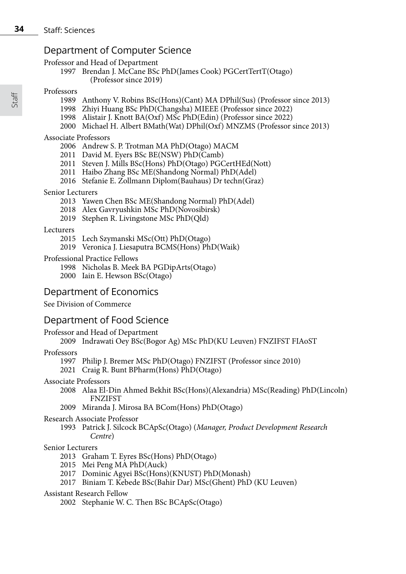## Department of Computer Science

Professor and Head of Department

1997 Brendan J. McCane BSc PhD(James Cook) PGCertTertT(Otago) (Professor since 2019)

#### Professors

- 1989 Anthony V. Robins BSc(Hons)(Cant) MA DPhil(Sus) (Professor since 2013)
- 1998 Zhiyi Huang BSc PhD(Changsha) MIEEE (Professor since 2022)
- 1998 Alistair J. Knott BA(Oxf) MSc PhD(Edin) (Professor since 2022)
- 2000 Michael H. Albert BMath(Wat) DPhil(Oxf) MNZMS (Professor since 2013)

#### Associate Professors

- 2006 Andrew S. P. Trotman MA PhD(Otago) MACM
- 2011 David M. Eyers BSc BE(NSW) PhD(Camb)
- 2011 Steven J. Mills BSc(Hons) PhD(Otago) PGCertHEd(Nott)
- 2011 Haibo Zhang BSc ME(Shandong Normal) PhD(Adel)
- 2016 Stefanie E. Zollmann Diplom(Bauhaus) Dr techn(Graz)

#### Senior Lecturers

- 2013 Yawen Chen BSc ME(Shandong Normal) PhD(Adel)
- 2018 Alex Gavryushkin MSc PhD(Novosibirsk)
- 2019 Stephen R. Livingstone MSc PhD(Qld)

#### Lecturers

- 2015 Lech Szymanski MSc(Ott) PhD(Otago)
- 2019 Veronica J. Liesaputra BCMS(Hons) PhD(Waik)

#### Professional Practice Fellows

- 1998 Nicholas B. Meek BA PGDipArts(Otago)
- 2000 Iain E. Hewson BSc(Otago)

## Department of Economics

### See Division of Commerce

## Department of Food Science

Professor and Head of Department

2009 Indrawati Oey BSc(Bogor Ag) MSc PhD(KU Leuven) FNZIFST FIAoST

#### Professors

- 1997 Philip J. Bremer MSc PhD(Otago) FNZIFST (Professor since 2010)
- 2021 Craig R. Bunt BPharm(Hons) PhD(Otago)

#### Associate Professors

- 2008 Alaa El-Din Ahmed Bekhit BSc(Hons)(Alexandria) MSc(Reading) PhD(Lincoln) FNZIFST
- 2009 Miranda J. Mirosa BA BCom(Hons) PhD(Otago)

#### Research Associate Professor

1993 Patrick J. Silcock BCApSc(Otago) (*Manager, Product Development Research Centre*)

#### Senior Lecturers

- 2013 Graham T. Eyres BSc(Hons) PhD(Otago)
- 2015 Mei Peng MA PhD(Auck)
- 2017 Dominic Agyei BSc(Hons)(KNUST) PhD(Monash)
- 2017 Biniam T. Kebede BSc(Bahir Dar) MSc(Ghent) PhD (KU Leuven)

#### Assistant Research Fellow

2002 Stephanie W. C. Then BSc BCApSc(Otago)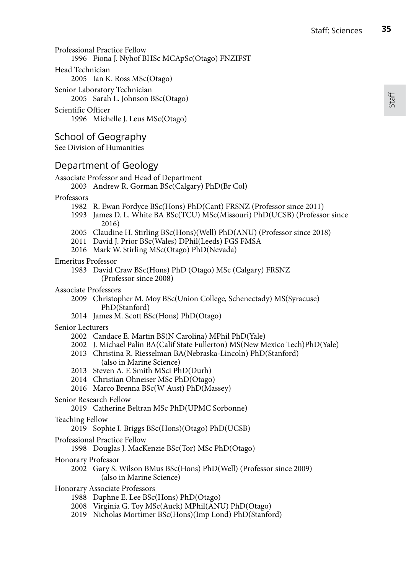Staff

Professional Practice Fellow 1996 Fiona J. Nyhof BHSc MCApSc(Otago) FNZIFST Head Technician 2005 Ian K. Ross MSc(Otago)

Senior Laboratory Technician 2005 Sarah L. Johnson BSc(Otago)

Scientific Officer 1996 Michelle J. Leus MSc(Otago)

## School of Geography

See Division of Humanities

## Department of Geology

```
Associate Professor and Head of Department
```
2003 Andrew R. Gorman BSc(Calgary) PhD(Br Col)

#### Professors

- 1982 R. Ewan Fordyce BSc(Hons) PhD(Cant) FRSNZ (Professor since 2011)
- 1993 James D. L. White BA BSc(TCU) MSc(Missouri) PhD(UCSB) (Professor since 2016)
- 2005 Claudine H. Stirling BSc(Hons)(Well) PhD(ANU) (Professor since 2018)
- 2011 David J. Prior BSc(Wales) DPhil(Leeds) FGS FMSA
- 2016 Mark W. Stirling MSc(Otago) PhD(Nevada)

#### Emeritus Professor

1983 David Craw BSc(Hons) PhD (Otago) MSc (Calgary) FRSNZ (Professor since 2008)

- Associate Professors
	- 2009 Christopher M. Moy BSc(Union College, Schenectady) MS(Syracuse) PhD(Stanford)
	- 2014 James M. Scott BSc(Hons) PhD(Otago)

#### Senior Lecturers

- 2002 Candace E. Martin BS(N Carolina) MPhil PhD(Yale)
- 2002 J. Michael Palin BA(Calif State Fullerton) MS(New Mexico Tech)PhD(Yale)
- 2013 Christina R. Riesselman BA(Nebraska-Lincoln) PhD(Stanford) (also in Marine Science)
- 2013 Steven A. F. Smith MSci PhD(Durh)
- 2014 Christian Ohneiser MSc PhD(Otago)
- 2016 Marco Brenna BSc(W Aust) PhD(Massey)
- Senior Research Fellow
	- 2019 Catherine Beltran MSc PhD(UPMC Sorbonne)
- Teaching Fellow
	- 2019 Sophie I. Briggs BSc(Hons)(Otago) PhD(UCSB)
- Professional Practice Fellow
	- 1998 Douglas J. MacKenzie BSc(Tor) MSc PhD(Otago)
- Honorary Professor
	- 2002 Gary S. Wilson BMus BSc(Hons) PhD(Well) (Professor since 2009) (also in Marine Science)
- Honorary Associate Professors
	- 1988 Daphne E. Lee BSc(Hons) PhD(Otago)
	- 2008 Virginia G. Toy MSc(Auck) MPhil(ANU) PhD(Otago)
	- 2019 Nicholas Mortimer BSc(Hons)(Imp Lond) PhD(Stanford)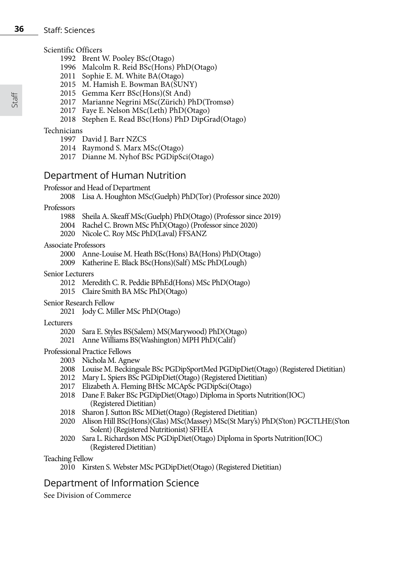#### **36** Staff: Sciences

#### Scientific Officers

- 1992 Brent W. Pooley BSc(Otago)
- 1996 Malcolm R. Reid BSc(Hons) PhD(Otago)
- 2011 Sophie E. M. White BA(Otago)
- 2015 M. Hamish E. Bowman BA(SUNY)
- 2015 Gemma Kerr BSc(Hons)(St And)
- 2017 Marianne Negrini MSc(Zürich) PhD(TromsØ)
- 2017 Faye E. Nelson MSc(Leth) PhD(Otago)
- 2018 Stephen E. Read BSc(Hons) PhD DipGrad(Otago)

#### Technicians

- 1997 David J. Barr NZCS
- 2014 Raymond S. Marx MSc(Otago)
- 2017 Dianne M. Nyhof BSc PGDipSci(Otago)

## Department of Human Nutrition

#### Professor and Head of Department

2008 Lisa A. Houghton MSc(Guelph) PhD(Tor) (Professor since 2020)

#### Professors

- 1988 Sheila A. Skeaff MSc(Guelph) PhD(Otago) (Professor since 2019)
- 2004 Rachel C. Brown MSc PhD(Otago) (Professor since 2020)
- 2020 Nicole C. Roy MSc PhD(Laval) FFSANZ

#### Associate Professors

- 2000 Anne-Louise M. Heath BSc(Hons) BA(Hons) PhD(Otago)
- 2009 Katherine E. Black BSc(Hons)(Salf) MSc PhD(Lough)

#### Senior Lecturers

- 2012 Meredith C. R. Peddie BPhEd(Hons) MSc PhD(Otago)
- 2015 Claire Smith BA MSc PhD(Otago)
- Senior Research Fellow
	- 2021 Jody C. Miller MSc PhD(Otago)

#### Lecturers

- 2020 Sara E. Styles BS(Salem) MS(Marywood) PhD(Otago)
- 2021 Anne Williams BS(Washington) MPH PhD(Calif)

#### Professional Practice Fellows

- 2003 Nichola M. Agnew
- 2008 Louise M. Beckingsale BSc PGDipSportMed PGDipDiet(Otago) (Registered Dietitian)
- 2012 Mary L. Spiers BSc PGDipDiet(Otago) (Registered Dietitian)
- 2017 Elizabeth A. Fleming BHSc MCApSc PGDipSci(Otago)
- 2018 Dane F. Baker BSc PGDipDiet(Otago) Diploma in Sports Nutrition(IOC) (Registered Dietitian)
- 2018 Sharon J. Sutton BSc MDiet(Otago) (Registered Dietitian)
- 2020 Alison Hill BSc(Hons)(Glas) MSc(Massey) MSc(St Mary's) PhD(S'ton) PGCTLHE(S'ton Solent) (Registered Nutritionist) SFHEA
- 2020 Sara L. Richardson MSc PGDipDiet(Otago) Diploma in Sports Nutrition(IOC) (Registered Dietitian)

#### Teaching Fellow

## Department of Information Science

See Division of Commerce

<sup>2010</sup> Kirsten S. Webster MSc PGDipDiet(Otago) (Registered Dietitian)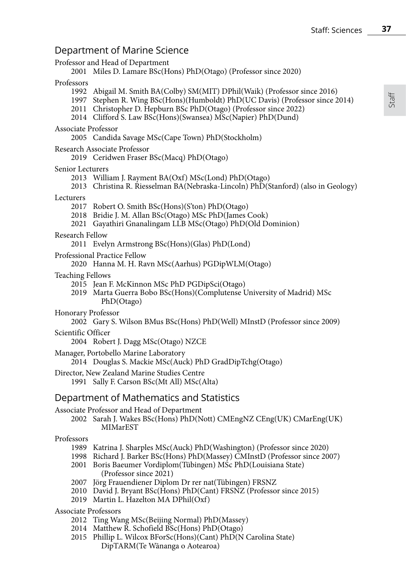## Department of Marine Science

| beparentent or intermediately                                                                                                                                                                                                                                                                                   |
|-----------------------------------------------------------------------------------------------------------------------------------------------------------------------------------------------------------------------------------------------------------------------------------------------------------------|
| Professor and Head of Department<br>2001 Miles D. Lamare BSc(Hons) PhD(Otago) (Professor since 2020)                                                                                                                                                                                                            |
| Professors<br>1992 Abigail M. Smith BA(Colby) SM(MIT) DPhil(Waik) (Professor since 2016)<br>1997 Stephen R. Wing BSc(Hons)(Humboldt) PhD(UC Davis) (Professor since 2014)<br>2011 Christopher D. Hepburn BSc PhD(Otago) (Professor since 2022)<br>2014 Clifford S. Law BSc(Hons)(Swansea) MSc(Napier) PhD(Dund) |
| <b>Associate Professor</b><br>2005 Candida Savage MSc(Cape Town) PhD(Stockholm)                                                                                                                                                                                                                                 |
| Research Associate Professor<br>2019 Ceridwen Fraser BSc(Macq) PhD(Otago)                                                                                                                                                                                                                                       |
| Senior Lecturers<br>2013 William J. Rayment BA(Oxf) MSc(Lond) PhD(Otago)<br>2013 Christina R. Riesselman BA(Nebraska-Lincoln) PhD(Stanford) (also in Geology)                                                                                                                                                   |
| Lecturers<br>2017 Robert O. Smith BSc(Hons)(S'ton) PhD(Otago)<br>2018 Bridie J. M. Allan BSc(Otago) MSc PhD(James Cook)<br>2021 Gayathiri Gnanalingam LLB MSc(Otago) PhD(Old Dominion)                                                                                                                          |
| Research Fellow<br>2011 Evelyn Armstrong BSc(Hons)(Glas) PhD(Lond)                                                                                                                                                                                                                                              |
| Professional Practice Fellow<br>2020 Hanna M. H. Ravn MSc(Aarhus) PGDipWLM(Otago)                                                                                                                                                                                                                               |
| <b>Teaching Fellows</b><br>2015 Jean F. McKinnon MSc PhD PGDipSci(Otago)<br>2019 Marta Guerra Bobo BSc(Hons)(Complutense University of Madrid) MSc<br>PhD(Otago)                                                                                                                                                |
| Honorary Professor<br>2002 Gary S. Wilson BMus BSc(Hons) PhD(Well) MInstD (Professor since 2009)                                                                                                                                                                                                                |
| Scientific Officer<br>2004 Robert J. Dagg MSc(Otago) NZCE                                                                                                                                                                                                                                                       |
| Manager, Portobello Marine Laboratory<br>2014 Douglas S. Mackie MSc(Auck) PhD GradDipTchg(Otago)                                                                                                                                                                                                                |
| Director, New Zealand Marine Studies Centre<br>1991 Sally F. Carson BSc(Mt All) MSc(Alta)                                                                                                                                                                                                                       |
| Department of Mathematics and Statistics                                                                                                                                                                                                                                                                        |
| Associate Professor and Head of Department<br>2002. Canal, J. W. Lee DC. (Henry) DL D(Mett) $CMF_{\text{max}}/UZ$ $CF_{\text{max}}/UZ$ $CM_{\text{max}}/UZ$                                                                                                                                                     |

2002 Sarah J. Wakes BSc(Hons) PhD(Nott) CMEngNZ CEng(UK) CMarEng(UK) MIMarEST

#### Professors

- 1989 Katrina J. Sharples MSc(Auck) PhD(Washington) (Professor since 2020)
- 1998 Richard J. Barker BSc(Hons) PhD(Massey) CMInstD (Professor since 2007)
- 2001 Boris Baeumer Vordiplom(Tübingen) MSc PhD(Louisiana State) (Professor since 2021)
- 2007 Jörg Frauendiener Diplom Dr rer nat(Tübingen) FRSNZ
- 2010 David J. Bryant BSc(Hons) PhD(Cant) FRSNZ (Professor since 2015)
- 2019 Martin L. Hazelton MA DPhil(Oxf)
- Associate Professors
	- 2012 Ting Wang MSc(Beijing Normal) PhD(Massey)
	- 2014 Matthew R. Schofield BSc(Hons) PhD(Otago)
	- 2015 Phillip L. Wilcox BForSc(Hons)(Cant) PhD(N Carolina State) DipTARM(Te Wānanga o Aotearoa)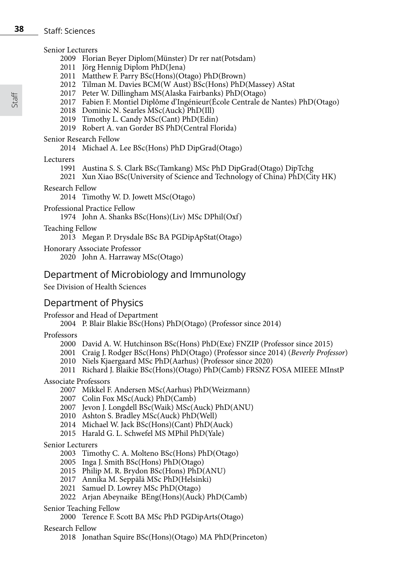#### **38** Staff: Sciences

#### Senior Lecturers

- 2009 Florian Beyer Diplom(Münster) Dr rer nat(Potsdam)
- 2011 Jörg Hennig Diplom PhD(Jena)
- 2011 Matthew F. Parry BSc(Hons)(Otago) PhD(Brown)
- 2012 Tilman M. Davies BCM(W Aust) BSc(Hons) PhD(Massey) AStat
- 2017 Peter W. Dillingham MS(Alaska Fairbanks) PhD(Otago)
- 2017 Fabien F. Montiel Diplôme d'Ingénieur(École Centrale de Nantes) PhD(Otago)
- 2018 Dominic N. Searles MSc(Auck) PhD(Ill)
- 2019 Timothy L. Candy MSc(Cant) PhD(Edin)
- 2019 Robert A. van Gorder BS PhD(Central Florida)

#### Senior Research Fellow

2014 Michael A. Lee BSc(Hons) PhD DipGrad(Otago)

#### Lecturers

- 1991 Austina S. S. Clark BSc(Tamkang) MSc PhD DipGrad(Otago) DipTchg
- 2021 Xun Xiao BSc(University of Science and Technology of China) PhD(City HK)

#### Research Fellow

2014 Timothy W. D. Jowett MSc(Otago)

Professional Practice Fellow

1974 John A. Shanks BSc(Hons)(Liv) MSc DPhil(Oxf)

Teaching Fellow

2013 Megan P. Drysdale BSc BA PGDipApStat(Otago)

Honorary Associate Professor

2020 John A. Harraway MSc(Otago)

## Department of Microbiology and Immunology

See Division of Health Sciences

## Department of Physics

Professor and Head of Department

2004 P. Blair Blakie BSc(Hons) PhD(Otago) (Professor since 2014)

#### Professors

- 2000 David A. W. Hutchinson BSc(Hons) PhD(Exe) FNZIP (Professor since 2015)
- 2001 Craig J. Rodger BSc(Hons) PhD(Otago) (Professor since 2014) (*Beverly Professor*)
- 2010 Niels Kjaergaard MSc PhD(Aarhus) (Professor since 2020)
- 2011 Richard J. Blaikie BSc(Hons)(Otago) PhD(Camb) FRSNZ FOSA MIEEE MInstP

#### Associate Professors

- 2007 Mikkel F. Andersen MSc(Aarhus) PhD(Weizmann)
- 2007 Colin Fox MSc(Auck) PhD(Camb)
- 2007 Jevon J. Longdell BSc(Waik) MSc(Auck) PhD(ANU)
- 2010 Ashton S. Bradley MSc(Auck) PhD(Well)
- 2014 Michael W. Jack BSc(Hons)(Cant) PhD(Auck)
- 2015 Harald G. L. Schwefel MS MPhil PhD(Yale)

#### Senior Lecturers

- 2003 Timothy C. A. Molteno BSc(Hons) PhD(Otago)
- 2005 Inga J. Smith BSc(Hons) PhD(Otago)
- 2015 Philip M. R. Brydon BSc(Hons) PhD(ANU)
- 2017 Annika M. Seppälä MSc PhD(Helsinki)
- 2021 Samuel D. Lowrey MSc PhD(Otago)
- 2022 Arjan Abeynaike BEng(Hons)(Auck) PhD(Camb)

#### Senior Teaching Fellow

2000 Terence F. Scott BA MSc PhD PGDipArts(Otago)

#### Research Fellow

2018 Jonathan Squire BSc(Hons)(Otago) MA PhD(Princeton)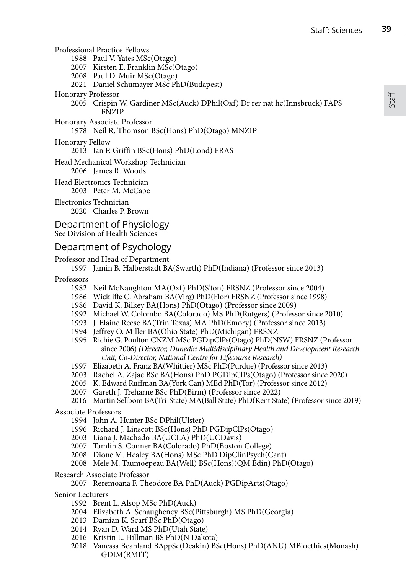Professional Practice Fellows

1988 Paul V. Yates MSc(Otago)

2007 Kirsten E. Franklin MSc(Otago)

- 2008 Paul D. Muir MSc(Otago)
- 2021 Daniel Schumayer MSc PhD(Budapest)

#### Honorary Professor

- 2005 Crispin W. Gardiner MSc(Auck) DPhil(Oxf) Dr rer nat hc(Innsbruck) FAPS FNZIP
- Honorary Associate Professor
	- 1978 Neil R. Thomson BSc(Hons) PhD(Otago) MNZIP

#### Honorary Fellow

2013 Ian P. Griffin BSc(Hons) PhD(Lond) FRAS

Head Mechanical Workshop Technician 2006 James R. Woods

Head Electronics Technician 2003 Peter M. McCabe

Electronics Technician 2020 Charles P. Brown

#### Department of Physiology See Division of Health Sciences

### Department of Psychology

#### Professor and Head of Department

1997 Jamin B. Halberstadt BA(Swarth) PhD(Indiana) (Professor since 2013)

Professors

- 1982 Neil McNaughton MA(Oxf) PhD(S'ton) FRSNZ (Professor since 2004)
- 1986 Wickliffe C. Abraham BA(Virg) PhD(Flor) FRSNZ (Professor since 1998)
- 1986 David K. Bilkey BA(Hons) PhD(Otago) (Professor since 2009)
- 1992 Michael W. Colombo BA(Colorado) MS PhD(Rutgers) (Professor since 2010)
- 1993 J. Elaine Reese BA(Trin Texas) MA PhD(Emory) (Professor since 2013)
- 1994 Jeffrey O. Miller BA(Ohio State) PhD(Michigan) FRSNZ
- 1995 Richie G. Poulton CNZM MSc PGDipClPs(Otago) PhD(NSW) FRSNZ (Professor since 2006) *(Director, Dunedin Multidisciplinary Health and Development Research Unit; Co-Director, National Centre for Lifecourse Research)*
- 1997 Elizabeth A. Franz BA(Whittier) MSc PhD(Purdue) (Professor since 2013)
- 2003 Rachel A. Zajac BSc BA(Hons) PhD PGDipClPs(Otago) (Professor since 2020)
- 2005 K. Edward Ruffman BA(York Can) MEd PhD(Tor) (Professor since 2012)
- 2007 Gareth J. Treharne BSc PhD(Birm) (Professor since 2022)
- 2016 Martin Sellbom BA(Tri-State) MA(Ball State) PhD(Kent State) (Professor since 2019)

#### Associate Professors

- 1994 John A. Hunter BSc DPhil(Ulster)
- 1996 Richard J. Linscott BSc(Hons) PhD PGDipClPs(Otago)
- 2003 Liana J. Machado BA(UCLA) PhD(UCDavis)
- 2007 Tamlin S. Conner BA(Colorado) PhD(Boston College)
- 2008 Dione M. Healey BA(Hons) MSc PhD DipClinPsych(Cant)
- 2008 Mele M. Taumoepeau BA(Well) BSc(Hons)(QM Edin) PhD(Otago)

#### Research Associate Professor

2007 Reremoana F. Theodore BA PhD(Auck) PGDipArts(Otago)

#### Senior Lecturers

- 1992 Brent L. Alsop MSc PhD(Auck)
- 2004 Elizabeth A. Schaughency BSc(Pittsburgh) MS PhD(Georgia)
- 2013 Damian K. Scarf BSc PhD(Otago)
- 2014 Ryan D. Ward MS PhD(Utah State)
- 2016 Kristin L. Hillman BS PhD(N Dakota)
- 2018 Vanessa Beanland BAppSc(Deakin) BSc(Hons) PhD(ANU) MBioethics(Monash) GDIM(RMIT)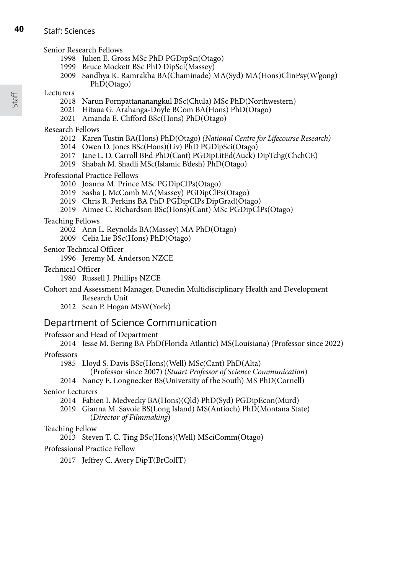#### **40** Staff: Sciences

Senior Research Fellows

- 1998 Julien E. Gross MSc PhD PGDipSci(Otago)
- 1999 Bruce Mockett BSc PhD DipSci(Massey)
- 2009 Sandhya K. Ramrakha BA(Chaminade) MA(Syd) MA(Hons)ClinPsy(W'gong) PhD(Otago)
- **Lecturers** 
	- 2018 Narun Pornpattananangkul BSc(Chula) MSc PhD(Northwestern)
	- 2021 Hitaua G. Arahanga-Doyle BCom BA(Hons) PhD(Otago)
	- 2021 Amanda E. Clifford BSc(Hons) PhD(Otago)

Research Fellows

- 2012 Karen Tustin BA(Hons) PhD(Otago) *(National Centre for Lifecourse Research)*
- 2014 Owen D. Jones BSc(Hons)(Liv) PhD PGDipSci(Otago)
- 2017 Jane L. D. Carroll BEd PhD(Cant) PGDipLitEd(Auck) DipTchg(ChchCE)
- 2019 Shabah M. Shadli MSc(Islamic B'desh) PhD(Otago)

Professional Practice Fellows

- 2010 Joanna M. Prince MSc PGDipClPs(Otago)
- 2019 Sasha J. McComb MA(Massey) PGDipClPs(Otago)
- 2019 Chris R. Perkins BA PhD PGDipClPs DipGrad(Otago)
- 2019 Aimee C. Richardson BSc(Hons)(Cant) MSc PGDipClPs(Otago)

#### Teaching Fellows

- 2002 Ann L. Reynolds BA(Massey) MA PhD(Otago)
- 2009 Celia Lie BSc(Hons) PhD(Otago)
- Senior Technical Officer

1996 Jeremy M. Anderson NZCE

Technical Officer

1980 Russell J. Phillips NZCE

Cohort and Assessment Manager, Dunedin Multidisciplinary Health and Development Research Unit

2012 Sean P. Hogan MSW(York)

## Department of Science Communication

Professor and Head of Department

2014 Jesse M. Bering BA PhD(Florida Atlantic) MS(Louisiana) (Professor since 2022)

#### **Professors**

- 1985 Lloyd S. Davis BSc(Hons)(Well) MSc(Cant) PhD(Alta)
	- (Professor since 2007) (*Stuart Professor of Science Communication*)
- 2014 Nancy E. Longnecker BS(University of the South) MS PhD(Cornell)

Senior Lecturers

- 2014 Fabien I. Medvecky BA(Hons)(Qld) PhD(Syd) PGDipEcon(Murd)
- 2019 Gianna M. Savoie BS(Long Island) MS(Antioch) PhD(Montana State) (*Director of Filmmaking*)

#### Teaching Fellow

2013 Steven T. C. Ting BSc(Hons)(Well) MSciComm(Otago)

#### Professional Practice Fellow

2017 Jeffrey C. Avery DipT(BrColIT)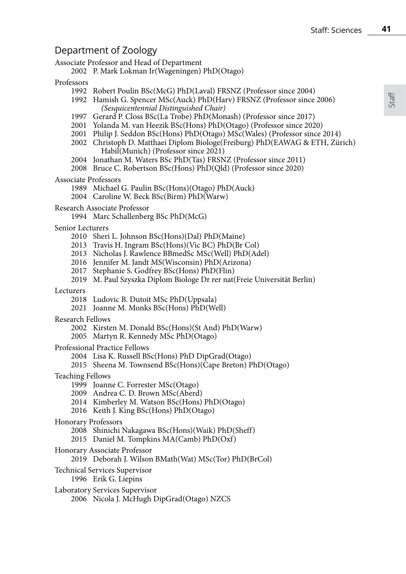## Department of Zoology

Associate Professor and Head of Department

P. Mark Lokman Ir(Wageningen) PhD(Otago)

#### Professors

- Robert Poulin BSc(McG) PhD(Laval) FRSNZ (Professor since 2004)
- Hamish G. Spencer MSc(Auck) PhD(Harv) FRSNZ (Professor since 2006) *(Sesquicentennial Distinguished Chair)*
- 1997 Gerard P. Closs BSc(La Trobe) PhD(Monash) (Professor since 2017)
- Yolanda M. van Heezik BSc(Hons) PhD(Otago) (Professor since 2020)
- Philip J. Seddon BSc(Hons) PhD(Otago) MSc(Wales) (Professor since 2014)
- Christoph D. Matthaei Diplom Biologe(Freiburg) PhD(EAWAG & ETH, Zürich) Habil(Munich) (Professor since 2021)
- Jonathan M. Waters BSc PhD(Tas) FRSNZ (Professor since 2011)
- Bruce C. Robertson BSc(Hons) PhD(Qld) (Professor since 2020)

#### Associate Professors

- Michael G. Paulin BSc(Hons)(Otago) PhD(Auck)
- Caroline W. Beck BSc(Birm) PhD(Warw)

#### Research Associate Professor

Marc Schallenberg BSc PhD(McG)

#### Senior Lecturers

- Sheri L. Johnson BSc(Hons)(Dal) PhD(Maine)
- Travis H. Ingram BSc(Hons)(Vic BC) PhD(Br Col)
- Nicholas J. Rawlence BBmedSc MSc(Well) PhD(Adel)
- Jennifer M. Jandt MS(Wisconsin) PhD(Arizona)
- Stephanie S. Godfrey BSc(Hons) PhD(Flin)
- M. Paul Szyszka Diplom Biologe Dr rer nat(Freie Universität Berlin)

#### Lecturers

- Ludovic B. Dutoit MSc PhD(Uppsala)
- Joanne M. Monks BSc(Hons) PhD(Well)

#### Research Fellows

- Kirsten M. Donald BSc(Hons)(St And) PhD(Warw)
- Martyn R. Kennedy MSc PhD(Otago)

#### Professional Practice Fellows

- Lisa K. Russell BSc(Hons) PhD DipGrad(Otago)
- Sheena M. Townsend BSc(Hons)(Cape Breton) PhD(Otago)

#### Teaching Fellows

- Joanne C. Forrester MSc(Otago)
- Andrea C. D. Brown MSc(Aberd)
- Kimberley M. Watson BSc(Hons) PhD(Otago)
- Keith J. King BSc(Hons) PhD(Otago)

#### Honorary Professors

- Shinichi Nakagawa BSc(Hons)(Waik) PhD(Sheff)
- Daniel M. Tompkins MA(Camb) PhD(Oxf)

#### Honorary Associate Professor

#### Deborah J. Wilson BMath(Wat) MSc(Tor) PhD(BrCol)

- Technical Services Supervisor
	- Erik G. Liepins
- Laboratory Services Supervisor 2006<sup>'</sup> Nicola J. McHugh DipGrad(Otago) NZCS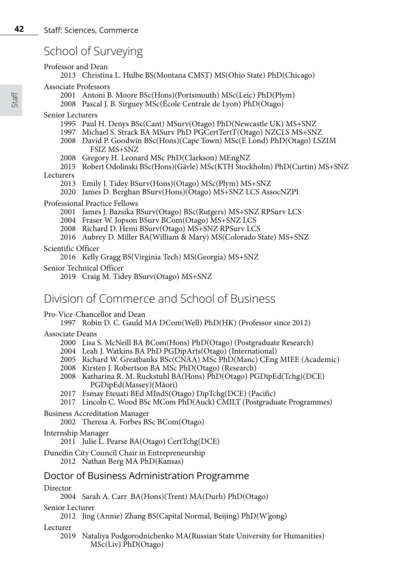## School of Surveying

#### Professor and Dean

2013 Christina L. Hulbe BS(Montana CMST) MS(Ohio State) PhD(Chicago)

#### Associate Professors

- 2001 Antoni B. Moore BSc(Hons)(Portsmouth) MSc(Leic) PhD(Plym)
- 2008 Pascal J. B. Sirguey MSc(École Centrale de Lyon) PhD(Otago)

#### Senior Lecturers

- 1995 Paul H. Denys BSc(Cant) MSurv(Otago) PhD(Newcastle UK) MS+SNZ
- 1997 Michael S. Strack BA MSurv PhD PGCertTertT(Otago) NZCLS MS+SNZ
- 2008 David P. Goodwin BSc(Hons)(Cape Town) MSc(E Lond) PhD(Otago) LSZIM FSIZ MS+SNZ
- 2008 Gregory H. Leonard MSc PhD(Clarkson) MEngNZ
- 2015 Robert Odolinski BSc(Hons)(Gävle) MSc(KTH Stockholm) PhD(Curtin) MS+SNZ

#### **Lecturers**

- 2013 Emily J. Tidey BSurv(Hons)(Otago) MSc(Plym) MS+SNZ
- 2020 James D. Berghan BSurv(Hons)(Otago) MS+SNZ LCS AssocNZPI

#### Professional Practice Fellows

- 2001 James J. Bazsika BSurv(Otago) BSc(Rutgers) MS+SNZ RPSurv LCS
- 2004 Fraser W. Jopson BSurv BCom(Otago) MS+SNZ LCS
- 2008 Richard D. Hemi BSurv(Otago) MS+SNZ RPSurv LCS
- 2016 Aubrey D. Miller BA(William & Mary) MS(Colorado State) MS+SNZ

#### Scientific Officer

- 2016 Kelly Gragg BS(Virginia Tech) MS(Georgia) MS+SNZ
- Senior Technical Officer

2019 Craig M. Tidey BSurv(Otago) MS+SNZ

## Division of Commerce and School of Business

#### Pro-Vice-Chancellor and Dean

1997 Robin D. C. Gauld MA DCom(Well) PhD(HK) (Professor since 2012)

#### Associate Deans

- 2000 Lisa S. McNeill BA BCom(Hons) PhD(Otago) (Postgraduate Research)
- 2004 Leah J. Watkins BA PhD PGDipArts(Otago) (International)
- 2005 Richard W. Greatbanks BSc(CNAA) MSc PhD(Manc) CEng MIEE (Academic)
- 2008 Kirsten J. Robertson BA MSc PhD(Otago) (Research)
- 2008 Katharina R. M. Ruckstuhl BA(Hons) PhD(Otago) PGDipEd(Tchg)(DCE) PGDipEd(Massey)(Māori)
- 2017 Esmay Eteuati BEd MIndS(Otago) DipTchg(DCE) (Pacific)
- 2017 Lincoln C. Wood BSc MCom PhD(Auck) CMILT (Postgraduate Programmes)

#### Business Accreditation Manager

2002 Theresa A. Forbes BSc BCom(Otago)

#### Internship Manager

2011 Julie L. Pearse BA(Otago) CertTchg(DCE)

Dunedin City Council Chair in Entrepreneurship 2012 Nathan Berg MA PhD(Kansas)

## Doctor of Business Administration Programme

#### Director

2004 Sarah A. Carr BA(Hons)(Trent) MA(Durh) PhD(Otago)

#### Senior Lecturer

2012 Jing (Annie) Zhang BS(Capital Normal, Beijing) PhD(W'gong)

#### Lecturer

2019 Nataliya Podgorodnichenko MA(Russian State University for Humanities) MSc(Liv) PhD(Otago)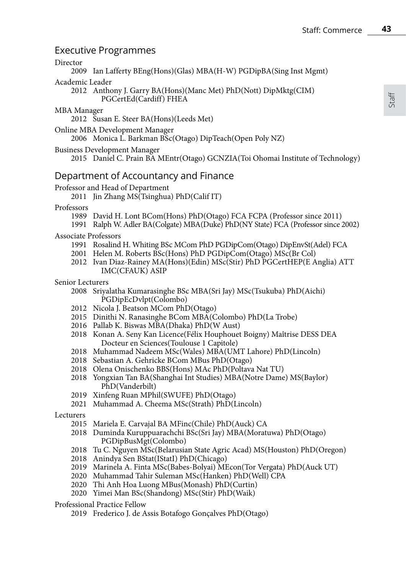## Executive Programmes

#### Director

2009 Ian Lafferty BEng(Hons)(Glas) MBA(H-W) PGDipBA(Sing Inst Mgmt)

## Academic Leader

2012 Anthony J. Garry BA(Hons)(Manc Met) PhD(Nott) DipMktg(CIM) PGCertEd(Cardiff) FHEA

#### MBA Manager

2012 Susan E. Steer BA(Hons)(Leeds Met)

Online MBA Development Manager

2006 Monica L. Barkman BSc(Otago) DipTeach(Open Poly NZ)

- Business Development Manager
	- 2015 Daniel C. Prain BA MEntr(Otago) GCNZIA(Toi Ohomai Institute of Technology)

## Department of Accountancy and Finance

#### Professor and Head of Department

2011 Jin Zhang MS $(T\sin \theta)$  PhD $(Calif IT)$ 

#### Professors

- 1989 David H. Lont BCom(Hons) PhD(Otago) FCA FCPA (Professor since 2011)
- 1991 Ralph W. Adler BA(Colgate) MBA(Duke) PhD(NY State) FCA (Professor since 2002)

### Associate Professors

- 1991 Rosalind H. Whiting BSc MCom PhD PGDipCom(Otago) DipEnvSt(Adel) FCA
- 2001 Helen M. Roberts BSc(Hons) PhD PGDipCom(Otago) MSc(Br Col)
- 2012 Ivan Diaz-Rainey MA(Hons)(Edin) MSc(Stir) PhD PGCertHEP(E Anglia) ATT IMC(CFAUK) ASIP

#### Senior Lecturers

- 2008 Sriyalatha Kumarasinghe BSc MBA(Sri Jay) MSc(Tsukuba) PhD(Aichi) PGDipEcDvlpt(Colombo)
- 2012 Nicola J. Beatson MCom PhD(Otago)
- 2015 Dinithi N. Ranasinghe BCom MBA(Colombo) PhD(La Trobe)
- 2016 Pallab K. Biswas MBA(Dhaka) PhD(W Aust)
- 2018 Konan A. Seny Kan Licence(Félix Houphouet Boigny) Maîtrise DESS DEA Docteur en Sciences(Toulouse 1 Capitole)
- 2018 Muhammad Nadeem MSc(Wales) MBA(UMT Lahore) PhD(Lincoln)
- 2018 Sebastian A. Gehricke BCom MBus PhD(Otago)
- 2018 Olena Onischenko BBS(Hons) MAc PhD(Poltava Nat TU)
- 2018 Yongxian Tan BA(Shanghai Int Studies) MBA(Notre Dame) MS(Baylor) PhD(Vanderbilt)
- 2019 Xinfeng Ruan MPhil(SWUFE) PhD(Otago)
- 2021 Muhammad A. Cheema MSc(Strath) PhD(Lincoln)

Lecturers

- 2015 Mariela E. Carvajal BA MFinc(Chile) PhD(Auck) CA
- 2018 Duminda Kuruppuarachchi BSc(Sri Jay) MBA(Moratuwa) PhD(Otago) PGDipBusMgt(Colombo)
- 2018 Tu C. Nguyen MSc(Belarusian State Agric Acad) MS(Houston) PhD(Oregon)
- 2018 Anindya Sen BStat(IStatI) PhD(Chicago)
- 2019 Marinela A. Finta MSc(Babes-Bolyai) MEcon(Tor Vergata) PhD(Auck UT)
- 2020 Muhammad Tahir Suleman MSc(Hanken) PhD(Well) CPA
- 2020 Thi Anh Hoa Luong MBus(Monash) PhD(Curtin)
- 2020 Yimei Man BSc(Shandong) MSc(Stir) PhD(Waik)

Professional Practice Fellow

2019 Frederico J. de Assis Botafogo Gonçalves PhD(Otago)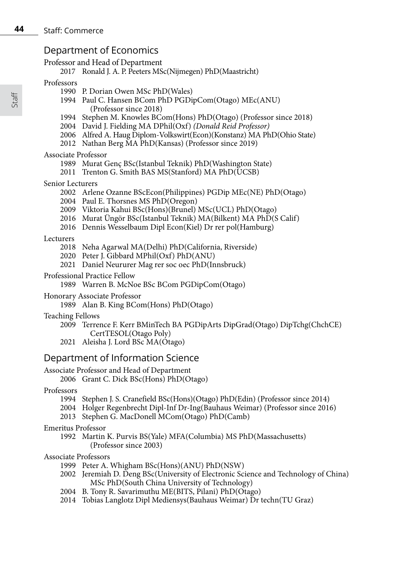## Department of Economics

Professor and Head of Department

2017 Ronald J. A. P. Peeters MSc(Nijmegen) PhD(Maastricht)

#### Professors

- 1990 P. Dorian Owen MSc PhD(Wales)
- 1994 Paul C. Hansen BCom PhD PGDipCom(Otago) MEc(ANU) (Professor since 2018)
- 1994 Stephen M. Knowles BCom(Hons) PhD(Otago) (Professor since 2018)
- 2004 David J. Fielding MA DPhil(Oxf) *(Donald Reid Professor)*
- 2006 Alfred A. Haug Diplom-Volkswirt(Econ)(Konstanz) MA PhD(Ohio State)
- 2012 Nathan Berg MA PhD(Kansas) (Professor since 2019)

#### Associate Professor

- 1989 Murat Genç BSc(Istanbul Teknik) PhD(Washington State)
- 2011 Trenton G. Smith BAS MS(Stanford) MA PhD(UCSB)

#### Senior Lecturers

- 2002 Arlene Ozanne BScEcon(Philippines) PGDip MEc(NE) PhD(Otago)
- 2004 Paul E. Thorsnes MS PhD(Oregon)
- 2009 Viktoria Kahui BSc(Hons)(Brunel) MSc(UCL) PhD(Otago)
- 2016 Murat Üngör BSc(Istanbul Teknik) MA(Bilkent) MA PhD(S Calif)
- 2016 Dennis Wesselbaum Dipl Econ(Kiel) Dr rer pol(Hamburg)

#### Lecturers

- 2018 Neha Agarwal MA(Delhi) PhD(California, Riverside)
- 2020 Peter J. Gibbard MPhil(Oxf) PhD(ANU)
- 2021 Daniel Neururer Mag rer soc oec PhD(Innsbruck)

#### Professional Practice Fellow

1989 Warren B. McNoe BSc BCom PGDipCom(Otago)

Honorary Associate Professor

1989 Alan B. King BCom(Hons) PhD(Otago)

#### Teaching Fellows

- 2009 Terrence F. Kerr BMinTech BA PGDipArts DipGrad(Otago) DipTchg(ChchCE) CertTESOL(Otago Poly)
- 2021 Aleisha J. Lord BSc MA(Otago)

## Department of Information Science

### Associate Professor and Head of Department

2006 Grant C. Dick BSc(Hons) PhD(Otago)

Professors

- 1994 Stephen J. S. Cranefield BSc(Hons)(Otago) PhD(Edin) (Professor since 2014)
- 2004 Holger Regenbrecht Dipl-Inf Dr-Ing(Bauhaus Weimar) (Professor since 2016)
- 2013 Stephen G. MacDonell MCom(Otago) PhD(Camb)

Emeritus Professor

1992 Martin K. Purvis BS(Yale) MFA(Columbia) MS PhD(Massachusetts) (Professor since 2003)

### Associate Professors

- 1999 Peter A. Whigham BSc(Hons)(ANU) PhD(NSW)
- 2002 Jeremiah D. Deng BSc(University of Electronic Science and Technology of China) MSc PhD(South China University of Technology)
- 2004 B. Tony R. Savarimuthu ME(BITS, Pilani) PhD(Otago)
- 2014 Tobias Langlotz Dipl Mediensys(Bauhaus Weimar) Dr techn(TU Graz)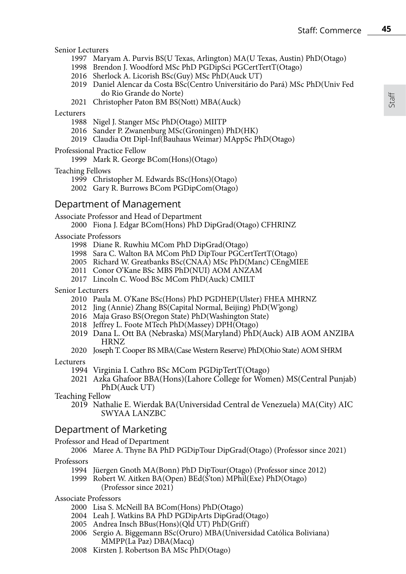#### Senior Lecturers

- 1997 Maryam A. Purvis BS(U Texas, Arlington) MA(U Texas, Austin) PhD(Otago)
- 1998 Brendon J. Woodford MSc PhD PGDipSci PGCertTertT(Otago)
- 2016 Sherlock A. Licorish BSc(Guy) MSc PhD(Auck UT)
- 2019 Daniel Alencar da Costa BSc(Centro Universitário do Pará) MSc PhD(Univ Fed do Rio Grande do Norte)
- 2021 Christopher Paton BM BS(Nott) MBA(Auck)

#### **Lecturers**

- 1988 Nigel J. Stanger MSc PhD(Otago) MIITP
- 2016 Sander P. Zwanenburg MSc(Groningen) PhD(HK)
- 2019 Claudia Ott Dipl-Inf(Bauhaus Weimar) MAppSc PhD(Otago)

#### Professional Practice Fellow

1999 Mark R. George BCom(Hons)(Otago)

#### Teaching Fellows

1999 Christopher M. Edwards BSc(Hons)(Otago)

2002 Gary R. Burrows BCom PGDipCom(Otago)

## Department of Management

Associate Professor and Head of Department

2000 Fiona J. Edgar BCom(Hons) PhD DipGrad(Otago) CFHRINZ

#### Associate Professors

- 1998 Diane R. Ruwhiu MCom PhD DipGrad(Otago)
- 1998 Sara C. Walton BA MCom PhD DipTour PGCertTertT(Otago)
- 2005 Richard W. Greatbanks BSc(CNAA) MSc PhD(Manc) CEngMIEE
- 2011 Conor O'Kane BSc MBS PhD(NUI) AOM ANZAM
- 2017 Lincoln C. Wood BSc MCom PhD(Auck) CMILT

#### Senior Lecturers

- 2010 Paula M. O'Kane BSc(Hons) PhD PGDHEP(Ulster) FHEA MHRNZ
- 2012 Jing (Annie) Zhang BS(Capital Normal, Beijing) PhD(W'gong)
- 2016 Maja Graso BS(Oregon State) PhD(Washington State)
- 2018 Jeffrey L. Foote MTech PhD(Massey) DPH(Otago)
- 2019 Dana L. Ott BA (Nebraska) MS(Maryland) PhD(Auck) AIB AOM ANZIBA HRNZ
- 2020 Joseph T. Cooper BS MBA(Case Western Reserve) PhD(Ohio State) AOM SHRM

#### Lecturers

- 1994 Virginia I. Cathro BSc MCom PGDipTertT(Otago)
- <sup>2021</sup> Azka Ghafoor BBA(Hons)(Lahore College for Women) MS(Central Punjab) PhD(Auck UT)

#### Teaching Fellow

2019 Nathalie E. Wierdak BA(Universidad Central de Venezuela) MA(City) AIC SWYAA LANZBC

### Department of Marketing

#### Professor and Head of Department

#### 2006 Maree A. Thyne BA PhD PGDipTour DipGrad(Otago) (Professor since 2021)

#### Professors

- 1994 Jüergen Gnoth MA(Bonn) PhD DipTour(Otago) (Professor since 2012)
- 1999 Robert W. Aitken BA(Open) BEd(S'ton) MPhil(Exe) PhD(Otago) (Professor since 2021)

#### Associate Professors

- 2000 Lisa S. McNeill BA BCom(Hons) PhD(Otago)
- 2004 Leah J. Watkins BA PhD PGDipArts DipGrad(Otago)
- 2005 Andrea Insch BBus(Hons)(Qld UT) PhD(Griff)
- 2006 Sergio A. Biggemann BSc(Oruro) MBA(Universidad Católica Boliviana) MMPP(La Paz) DBA(Macq)
- 2008 Kirsten J. Robertson BA MSc PhD(Otago)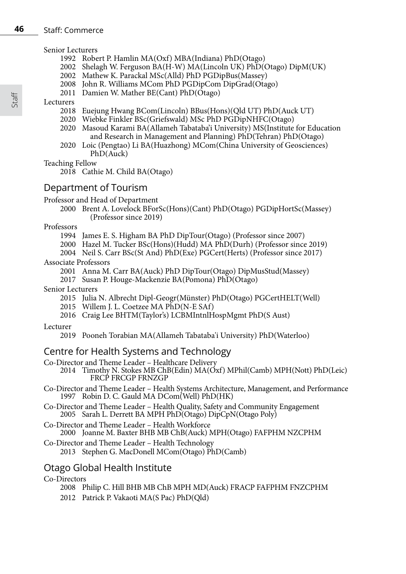#### Staff: Commerce

#### Senior Lecturers

- 1992 Robert P. Hamlin MA(Oxf) MBA(Indiana) PhD(Otago)
- 2002 Shelagh W. Ferguson BA(H-W) MA(Lincoln UK) PhD(Otago) DipM(UK)
- 2002 Mathew K. Parackal MSc(Alld) PhD PGDipBus(Massey)
- 2008 John R. Williams MCom PhD PGDipCom DipGrad(Otago)
- 2011 Damien W. Mather BE(Cant)  $PhD(\hat{O}_t)$

### Lecturers

- 2018 Euejung Hwang BCom(Lincoln) BBus(Hons)(Qld UT) PhD(Auck UT)
- 2020 Wiebke Finkler BSc(Griefswald) MSc PhD PGDipNHFC(Otago)
- 2020 Masoud Karami BA(Allameh Tabataba'i University) MS(Institute for Education and Research in Management and Planning) PhD(Tehran) PhD(Otago)
- 2020 Loic (Pengtao) Li BA(Huazhong) MCom(China University of Geosciences) PhD(Auck)

Teaching Fellow

2018 Cathie M. Child BA(Otago)

## Department of Tourism

#### Professor and Head of Department

2000 Brent A. Lovelock BForSc(Hons)(Cant) PhD(Otago) PGDipHortSc(Massey) (Professor since 2019)

Professors

- 1994 James E. S. Higham BA PhD DipTour(Otago) (Professor since 2007)
- 2000 Hazel M. Tucker BSc(Hons)(Hudd) MA PhD(Durh) (Professor since 2019)
- 2004 Neil S. Carr BSc(St And) PhD(Exe) PGCert(Herts) (Professor since 2017)

#### Associate Professors

- 2001 Anna M. Carr BA(Auck) PhD DipTour(Otago) DipMusStud(Massey)
- 2017 Susan P. Houge-Mackenzie BA(Pomona) PhD(Otago)

#### Senior Lecturers

- 2015 Julia N. Albrecht Dipl-Geogr(Münster) PhD(Otago) PGCertHELT(Well)
- 2015 Willem J. L. Coetzee MA PhD(N-E SAf)
- 2016 Craig Lee BHTM(Taylor's) LCBMIntnlHospMgmt PhD(S Aust)

#### Lecturer

2019 Pooneh Torabian MA(Allameh Tabataba'i University) PhD(Waterloo)

## Centre for Health Systems and Technology

- Co-Director and Theme Leader Healthcare Delivery
	- 2014 Timothy N. Stokes MB ChB(Edin) MA(Oxf) MPhil(Camb) MPH(Nott) PhD(Leic) FRCP FRCGP FRNZGP
- Co-Director and Theme Leader Health Systems Architecture, Management, and Performance 1997 Robin D. C. Gauld MA DCom(Well) PhD(HK)
- Co-Director and Theme Leader Health Quality, Safety and Community Engagement 2005 Sarah L. Derrett BA MPH PhD(Otago) DipCpN(Otago Poly)
- Co-Director and Theme Leader Health Workforce

#### 2000 Joanne M. Baxter BHB MB ChB(Auck) MPH(Otago) FAFPHM NZCPHM

- Co-Director and Theme Leader Health Technology
	- 2013 Stephen G. MacDonell MCom(Otago) PhD(Camb)

## Otago Global Health Institute

#### Co-Directors

- 2008 Philip C. Hill BHB MB ChB MPH MD(Auck) FRACP FAFPHM FNZCPHM
- 2012 Patrick P. Vakaoti MA(S Pac) PhD(Qld)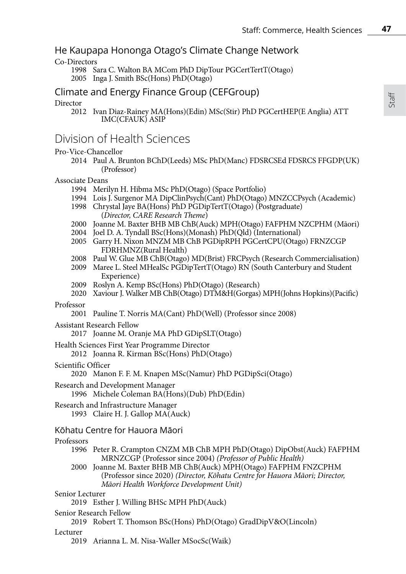## He Kaupapa Hononga Otago's Climate Change Network

#### Co-Directors

1998 Sara C. Walton BA MCom PhD DipTour PGCertTertT(Otago) 2005 Inga J. Smith BSc(Hons) PhD(Otago)

## Climate and Energy Finance Group (CEFGroup)

#### Director

2012 Ivan Diaz-Rainey MA(Hons)(Edin) MSc(Stir) PhD PGCertHEP(E Anglia) ATT IMC(CFAUK) ASIP

## Division of Health Sciences

#### Pro-Vice-Chancellor

2014 Paul A. Brunton BChD(Leeds) MSc PhD(Manc) FDSRCSEd FDSRCS FFGDP(UK) (Professor)

#### Associate Deans

- 1994 Merilyn H. Hibma MSc PhD(Otago) (Space Portfolio)
- 1994 Lois J. Surgenor MA DipClinPsych(Cant) PhD(Otago) MNZCCPsych (Academic)
- 1998 Chrystal Jaye BA(Hons) PhD PGDipTertT(Otago) (Postgraduate) (*Director, CARE Research Theme*)
- 2000 Joanne M. Baxter BHB MB ChB(Auck) MPH(Otago) FAFPHM NZCPHM (Māori)
- 2004 Joel D. A. Tyndall BSc(Hons)(Monash) PhD(Qld) (International)
- 2005 Garry H. Nixon MNZM MB ChB PGDipRPH PGCertCPU(Otago) FRNZCGP FDRHMNZ(Rural Health)
- 2008 Paul W. Glue MB ChB(Otago) MD(Brist) FRCPsych (Research Commercialisation)
- 2009 Maree L. Steel MHealSc PGDipTertT(Otago) RN (South Canterbury and Student Experience)
- 2009 Roslyn A. Kemp BSc(Hons) PhD(Otago) (Research)
- 2020 Xaviour J. Walker MB ChB(Otago) DTM&H(Gorgas) MPH(Johns Hopkins)(Pacific)

#### Professor

2001 Pauline T. Norris MA(Cant) PhD(Well) (Professor since 2008)

#### Assistant Research Fellow

2017 Joanne M. Oranje MA PhD GDipSLT(Otago)

Health Sciences First Year Programme Director

2012 Joanna R. Kirman BSc(Hons) PhD(Otago)

#### Scientific Officer

2020 Manon F. F. M. Knapen MSc(Namur) PhD PGDipSci(Otago)

Research and Development Manager

1996 Michele Coleman BA(Hons)(Dub) PhD(Edin)

#### Research and Infrastructure Manager 1993 Claire H. J. Gallop MA(Auck)

### Kōhatu Centre for Hauora Māori

#### **Professors**

- 1996 Peter R. Crampton CNZM MB ChB MPH PhD(Otago) DipObst(Auck) FAFPHM MRNZCGP (Professor since 2004) *(Professor of Public Health)*
- 2000 Joanne M. Baxter BHB MB ChB(Auck) MPH(Otago) FAFPHM FNZCPHM (Professor since 2020) *(Director, Kōhatu Centre for Hauora Māori; Director, Māori Health Workforce Development Unit)*

#### Senior Lecturer

2019 Esther J. Willing BHSc MPH PhD(Auck)

Senior Research Fellow

2019 Robert T. Thomson BSc(Hons) PhD(Otago) GradDipV&O(Lincoln)

#### Lecturer

2019 Arianna L. M. Nisa-Waller MSocSc(Waik)

**47**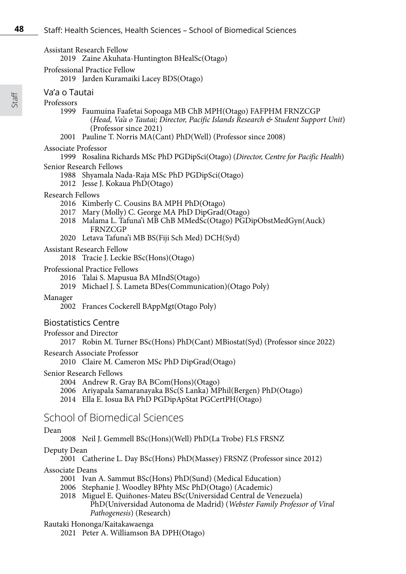| Assistant Research Fellow |  |
|---------------------------|--|
|                           |  |

2019 Zaine Akuhata-Huntington BHealSc(Otago)

Professional Practice Fellow

2019 Jarden Kuramaiki Lacey BDS(Otago)

## Va'a o Tautai

Professors

- 1999 Faumuina Faafetai Sopoaga MB ChB MPH(Otago) FAFPHM FRNZCGP (*Head, Va'a o Tautai; Director, Pacific Islands Research & Student Support Unit*) (Professor since 2021)
- 2001 Pauline T. Norris MA(Cant) PhD(Well) (Professor since 2008)

#### Associate Professor

1999 Rosalina Richards MSc PhD PGDipSci(Otago) (*Director, Centre for Pacific Health*) Senior Research Fellows

- 1988 Shyamala Nada-Raja MSc PhD PGDipSci(Otago)
- 2012 Jesse J. Kokaua PhD(Otago)

#### Research Fellows

- 2016 Kimberly C. Cousins BA MPH PhD(Otago)
- 2017 Mary (Molly) C. George MA PhD DipGrad(Otago)
- 2018 Malama L. Tafuna'i MB ChB MMedSc(Otago) PGDipObstMedGyn(Auck) FRNZCGP
- 2020 Letava Tafuna'i MB BS(Fiji Sch Med) DCH(Syd)

#### Assistant Research Fellow

2018 Tracie J. Leckie BSc(Hons)(Otago)

#### Professional Practice Fellows

- 2016 Talai S. Mapusua BA MIndS(Otago)
- 2019 Michael J. S. Lameta BDes(Communication)(Otago Poly)

#### Manager

2002 Frances Cockerell BAppMgt(Otago Poly)

#### Biostatistics Centre

- Professor and Director
	- 2017 Robin M. Turner BSc(Hons) PhD(Cant) MBiostat(Syd) (Professor since 2022)

Research Associate Professor

2010 Claire M. Cameron MSc PhD DipGrad(Otago)

#### Senior Research Fellows

- 2004 Andrew R. Gray BA BCom(Hons)(Otago)
- 2006 Ariyapala Samaranayaka BSc(S Lanka) MPhil(Bergen) PhD(Otago)
- 2014 Ella E. Iosua BA PhD PGDipApStat PGCertPH(Otago)

## School of Biomedical Sciences

#### Dean

2008 Neil J. Gemmell BSc(Hons)(Well) PhD(La Trobe) FLS FRSNZ

#### Deputy Dean

2001 Catherine L. Day BSc(Hons) PhD(Massey) FRSNZ (Professor since 2012)

#### Associate Deans

- 2001 Ivan A. Sammut BSc(Hons) PhD(Sund) (Medical Education)
- 2006 Stephanie J. Woodley BPhty MSc PhD(Otago) (Academic)
- 2018 Miguel E. Quiñones-Mateu BSc(Universidad Central de Venezuela) PhD(Universidad Autonoma de Madrid) (*Webster Family Professor of Viral Pathogenesis*) (Research)

#### Rautaki Hononga/Kaitakawaenga

2021 Peter A. Williamson BA DPH(Otago)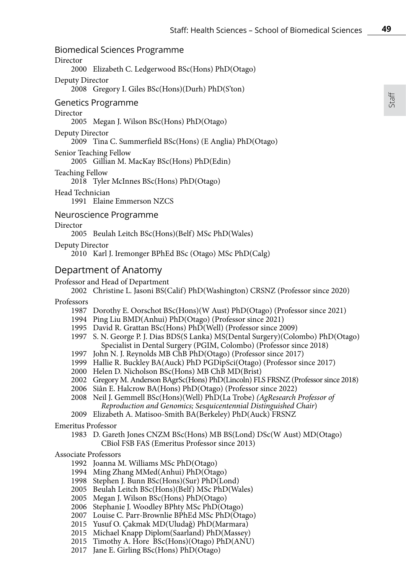### Biomedical Sciences Programme

#### Director

2000 Elizabeth C. Ledgerwood BSc(Hons) PhD(Otago)

Deputy Director

2008 Gregory I. Giles BSc(Hons)(Durh) PhD(S'ton)

Genetics Programme

#### Director

2005 Megan J. Wilson BSc(Hons) PhD(Otago)

Deputy Director

2009 Tina C. Summerfield BSc(Hons) (E Anglia) PhD(Otago)

Senior Teaching Fellow

2005 Gillian M. MacKay BSc(Hons) PhD(Edin)

Teaching Fellow

2018 Tyler McInnes BSc(Hons) PhD(Otago)

Head Technician

1991 Elaine Emmerson NZCS

#### Neuroscience Programme

#### Director

2005 Beulah Leitch BSc(Hons)(Belf) MSc PhD(Wales)

Deputy Director

2010 Karl J. Iremonger BPhEd BSc (Otago) MSc PhD(Calg)

### Department of Anatomy

#### Professor and Head of Department

- 2002 Christine L. Jasoni BS(Calif) PhD(Washington) CRSNZ (Professor since 2020)
- Professors
	- 1987 Dorothy E. Oorschot BSc(Hons)(W Aust) PhD(Otago) (Professor since 2021)
	- 1994 Ping Liu BMD(Anhui) PhD(Otago) (Professor since 2021)
	- 1995 David R. Grattan BSc(Hons) PhD(Well) (Professor since 2009)
	- 1997 S. N. George P. J. Dias BDS(S Lanka) MS(Dental Surgery)(Colombo) PhD(Otago) Specialist in Dental Surgery (PGIM, Colombo) (Professor since 2018)
	- 1997 John N. J. Reynolds MB ChB PhD(Otago) (Professor since 2017)
	- 1999 Hallie R. Buckley BA(Auck) PhD PGDipSci(Otago) (Professor since 2017)
	- 2000 Helen D. Nicholson BSc(Hons) MB ChB MD(Brist)
	- 2002 Gregory M. Anderson BAgrSc(Hons) PhD(Lincoln) FLS FRSNZ (Professor since 2018)
	- 2006 Siân E. Halcrow BA(Hons) PhD(Otago) (Professor since 2022)
	- 2008 Neil J. Gemmell BSc(Hons)(Well) PhD(La Trobe) *(AgResearch Professor of Reproduction and Genomics; Sesquicentennial Distinguished Chair*)
	- 2009 Elizabeth A. Matisoo-Smith BA(Berkeley) PhD(Auck) FRSNZ

Emeritus Professor

1983 D. Gareth Jones CNZM BSc(Hons) MB BS(Lond) DSc(W Aust) MD(Otago) CBiol FSB FAS (Emeritus Professor since 2013)

#### Associate Professors

- 1992 Joanna M. Williams MSc PhD(Otago)
- 1994 Ming Zhang MMed(Anhui) PhD(Otago)
- 1998 Stephen J. Bunn BSc(Hons)(Sur) PhD(Lond)
- 2005 Beulah Leitch BSc(Hons)(Belf) MSc PhD(Wales)
- 2005 Megan J. Wilson BSc(Hons) PhD(Otago)
- 2006 Stephanie J. Woodley BPhty MSc PhD(Otago)
- 2007 Louise C. Parr-Brownlie BPhEd MSc PhD(Otago)
- 2015 Yusuf O. Çakmak MD(Uludağ) PhD(Marmara)
- 2015 Michael Knapp Diplom(Saarland) PhD(Massey)
- 2015 Timothy A. Hore BSc(Hons)(Otago) PhD(ANU)
- 2017 Jane E. Girling BSc(Hons) PhD(Otago)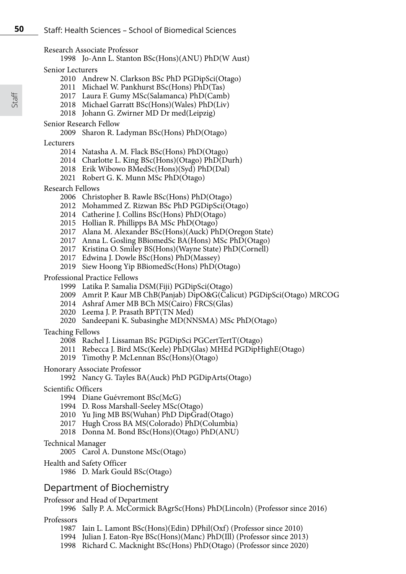| Research Associate Professor |  |
|------------------------------|--|
|------------------------------|--|

- 1998 Jo-Ann L. Stanton BSc(Hons)(ANU) PhD(W Aust)
- Senior Lecturers
	- 2010 Andrew N. Clarkson BSc PhD PGDipSci(Otago)
	- 2011 Michael W. Pankhurst BSc(Hons) PhD(Tas)
	- 2017 Laura F. Gumy MSc(Salamanca) PhD(Camb)
	- 2018 Michael Garratt BSc(Hons)(Wales) PhD(Liv)
	- 2018 Johann G. Zwirner MD Dr med(Leipzig)

## Senior Research Fellow

2009 Sharon R. Ladyman BSc(Hons) PhD(Otago)

## Lecturers

- 2014 Natasha A. M. Flack BSc(Hons) PhD(Otago)
- 2014 Charlotte L. King BSc(Hons)(Otago) PhD(Durh)
- 2018 Erik Wibowo BMedSc(Hons)(Syd) PhD(Dal)
- 2021 Robert G. K. Munn MSc PhD(Otago)

## Research Fellows

- 2006 Christopher B. Rawle BSc(Hons) PhD(Otago)
- 2012 Mohammed Z. Rizwan BSc PhD PGDipSci(Otago)
- 2014 Catherine J. Collins BSc(Hons) PhD(Otago)
- 2015 Hollian R. Phillipps BA MSc PhD(Otago)
- 2017 Alana M. Alexander BSc(Hons)(Auck) PhD(Oregon State)
- 2017 Anna L. Gosling BBiomedSc BA(Hons) MSc PhD(Otago)
- 2017 Kristina O. Smiley BS(Hons)(Wayne State) PhD(Cornell)
- 2017 Edwina J. Dowle BSc(Hons) PhD(Massey)
- 2019 Siew Hoong Yip BBiomedSc(Hons) PhD(Otago)

## Professional Practice Fellows

- 1999 Latika P. Samalia DSM(Fiji) PGDipSci(Otago)
- 2009 Amrit P. Kaur MB ChB(Panjab) DipO&G(Calicut) PGDipSci(Otago) MRCOG
- 2014 Ashraf Amer MB BCh MS(Cairo) FRCS(Glas)
- 2020 Leema J. P. Prasath BPT(TN Med)
- 2020 Sandeepani K. Subasinghe MD(NNSMA) MSc PhD(Otago)

## Teaching Fellows

- 2008 Rachel J. Lissaman BSc PGDipSci PGCertTertT(Otago)
- 2011 Rebecca J. Bird MSc(Keele) PhD(Glas) MHEd PGDipHighE(Otago)
- 2019 Timothy P. McLennan BSc(Hons)(Otago)
- Honorary Associate Professor
	- 1992 Nancy G. Tayles BA(Auck) PhD PGDipArts(Otago)
- Scientific Officers
	- 1994 Diane Guévremont BSc(McG)
	- 1994 D. Ross Marshall-Seeley MSc(Otago)
	- 2010 Yu Jing MB BS(Wuhan) PhD DipGrad(Otago)
	- 2017 Hugh Cross BA MS(Colorado) PhD(Columbia)
	- 2018 Donna M. Bond BSc(Hons)(Otago) PhD(ANU)

## Technical Manager

- 2005 Carol A. Dunstone MSc(Otago)
- Health and Safety Officer
	- 1986 D. Mark Gould BSc(Otago)

## Department of Biochemistry

Professor and Head of Department

1996 Sally P. A. McCormick BAgrSc(Hons) PhD(Lincoln) (Professor since 2016)

## Professors

- 1987 Iain L. Lamont BSc(Hons)(Edin) DPhil(Oxf) (Professor since 2010)
- 1994 Julian J. Eaton-Rye BSc(Hons)(Manc) PhD(Ill) (Professor since 2013)
- 1998 Richard C. Macknight BSc(Hons) PhD(Otago) (Professor since 2020)

Staff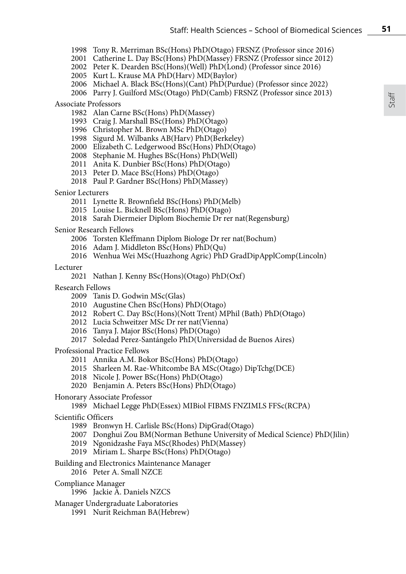- Tony R. Merriman BSc(Hons) PhD(Otago) FRSNZ (Professor since 2016)
- Catherine L. Day BSc(Hons) PhD(Massey) FRSNZ (Professor since 2012)
- Peter K. Dearden BSc(Hons)(Well) PhD(Lond) (Professor since 2016)
- Kurt L. Krause MA PhD(Harv) MD(Baylor)
- Michael A. Black BSc(Hons)(Cant) PhD(Purdue) (Professor since 2022)
- Parry J. Guilford MSc(Otago) PhD(Camb) FRSNZ (Professor since 2013)

#### Associate Professors

- Alan Carne BSc(Hons) PhD(Massey)
- Craig J. Marshall BSc(Hons) PhD(Otago)
- Christopher M. Brown MSc PhD(Otago)
- Sigurd M. Wilbanks AB(Harv) PhD(Berkeley)
- Elizabeth C. Ledgerwood BSc(Hons) PhD(Otago)
- Stephanie M. Hughes BSc(Hons) PhD(Well)
- Anita K. Dunbier BSc(Hons) PhD(Otago)
- Peter D. Mace BSc(Hons) PhD(Otago)
- Paul P. Gardner BSc(Hons) PhD(Massey)
- Senior Lecturers
	- Lynette R. Brownfield BSc(Hons) PhD(Melb)
	- Louise L. Bicknell BSc(Hons) PhD(Otago)
	- Sarah Diermeier Diplom Biochemie Dr rer nat(Regensburg)

#### Senior Research Fellows

- Torsten Kleffmann Diplom Biologe Dr rer nat(Bochum)
- Adam J. Middleton BSc(Hons) PhD(Qu)
- Wenhua Wei MSc(Huazhong Agric) PhD GradDipApplComp(Lincoln)

Lecturer

- Nathan J. Kenny BSc(Hons)(Otago) PhD(Oxf)
- Research Fellows
	- 2009 Tanis D. Godwin MSc(Glas)
	- Augustine Chen BSc(Hons) PhD(Otago)
	- 2012 Robert C. Day BSc(Hons)(Nott Trent) MPhil (Bath) PhD(Otago)
	- 2012 Lucia Schweitzer MSc Dr rer nat(Vienna)
	- 2016 Tanya J. Major BSc(Hons) PhD(Otago)
	- 2017 Soledad Perez-Santángelo PhD(Universidad de Buenos Aires)

Professional Practice Fellows

- Annika A.M. Bokor BSc(Hons) PhD(Otago)
- Sharleen M. Rae-Whitcombe BA MSc(Otago) DipTchg(DCE)
- Nicole J. Power BSc(Hons) PhD(Otago)
- Benjamin A. Peters BSc(Hons) PhD(Otago)
- Honorary Associate Professor
	- 1989 Michael Legge PhD(Essex) MIBiol FIBMS FNZIMLS FFSc(RCPA)
- Scientific Officers
	- Bronwyn H. Carlisle BSc(Hons) DipGrad(Otago)
	- Donghui Zou BM(Norman Bethune University of Medical Science) PhD(Jilin)
	- Ngonidzashe Faya MSc(Rhodes) PhD(Massey)
	- Miriam L. Sharpe BSc(Hons) PhD(Otago)
- Building and Electronics Maintenance Manager
	- Peter A. Small NZCE
- Compliance Manager
	- Jackie A. Daniels NZCS
- Manager Undergraduate Laboratories
	- Nurit Reichman BA(Hebrew)

Staff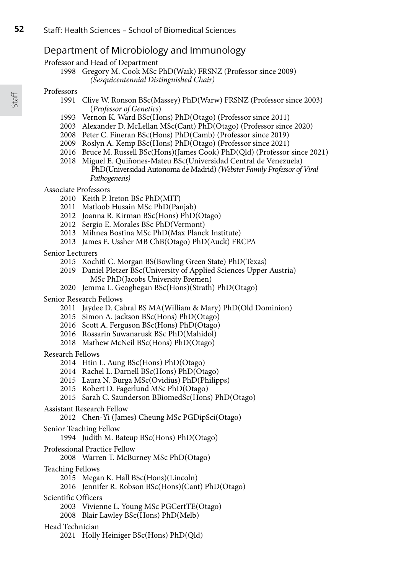## Department of Microbiology and Immunology

Professor and Head of Department

 Gregory M. Cook MSc PhD(Waik) FRSNZ (Professor since 2009) *(Sesquicentennial Distinguished Chair)*

#### Professors

- Clive W. Ronson BSc(Massey) PhD(Warw) FRSNZ (Professor since 2003) (*Professor of Genetics*)
- Vernon K. Ward BSc(Hons) PhD(Otago) (Professor since 2011)
- Alexander D. McLellan MSc(Cant) PhD(Otago) (Professor since 2020)
- Peter C. Fineran BSc(Hons) PhD(Camb) (Professor since 2019)
- Roslyn A. Kemp BSc(Hons) PhD(Otago) (Professor since 2021)
- Bruce M. Russell BSc(Hons)(James Cook) PhD(Qld) (Professor since 2021)
- Miguel E. Quiñones-Mateu BSc(Universidad Central de Venezuela) PhD(Universidad Autonoma de Madrid) *(Webster Family Professor of Viral Pathogenesis)*

#### Associate Professors

- Keith P. Ireton BSc PhD(MIT)
- Matloob Husain MSc PhD(Panjab)
- Joanna R. Kirman BSc(Hons) PhD(Otago)
- Sergio E. Morales BSc PhD(Vermont)
- Mihnea Bostina MSc PhD(Max Planck Institute)
- James E. Ussher MB ChB(Otago) PhD(Auck) FRCPA

Senior Lecturers

- Xochitl C. Morgan BS(Bowling Green State) PhD(Texas)
- Daniel Pletzer BSc(University of Applied Sciences Upper Austria) MSc PhD(Jacobs University Bremen)
- Jemma L. Geoghegan BSc(Hons)(Strath) PhD(Otago)
- Senior Research Fellows
	- Jaydee D. Cabral BS MA(William & Mary) PhD(Old Dominion)
	- Simon A. Jackson BSc(Hons) PhD(Otago)
	- Scott A. Ferguson BSc(Hons) PhD(Otago)
	- Rossarin Suwanarusk BSc PhD(Mahidol)
	- Mathew McNeil BSc(Hons) PhD(Otago)

#### Research Fellows

- Htin L. Aung BSc(Hons) PhD(Otago)
- Rachel L. Darnell BSc(Hons) PhD(Otago)
- Laura N. Burga MSc(Ovidius) PhD(Philipps)
- Robert D. Fagerlund MSc PhD(Otago)
- 2015 Sarah C. Saunderson BBiomedSc(Hons) PhD(Otago)

#### Assistant Research Fellow

- Chen-Yi (James) Cheung MSc PGDipSci(Otago)
- Senior Teaching Fellow

#### Judith M. Bateup BSc(Hons) PhD(Otago)

- Professional Practice Fellow
	- Warren T. McBurney MSc PhD(Otago)
- Teaching Fellows
	- Megan K. Hall BSc(Hons)(Lincoln)
	- Jennifer R. Robson BSc(Hons)(Cant) PhD(Otago)
- Scientific Officers
	- Vivienne L. Young MSc PGCertTE(Otago)
	- Blair Lawley BSc(Hons) PhD(Melb)

### Head Technician

2021 Holly Heiniger BSc(Hons) PhD(Qld)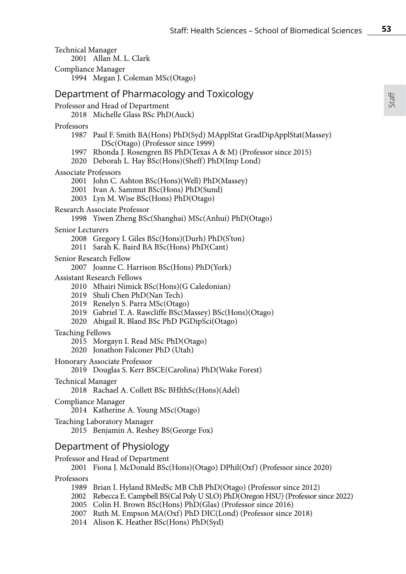Technical Manager 2001 Allan M. L. Clark Compliance Manager 1994 Megan J. Coleman MSc(Otago) Department of Pharmacology and Toxicology Professor and Head of Department 2018 Michelle Glass BSc PhD(Auck) Professors 1987 Paul F. Smith BA(Hons) PhD(Syd) MApplStat GradDipApplStat(Massey) DSc(Otago) (Professor since 1999) 1997 Rhonda J. Rosengren BS PhD(Texas A & M) (Professor since 2015) 2020 Deborah L. Hay BSc(Hons)(Sheff) PhD(Imp Lond) Associate Professors 2001 John C. Ashton BSc(Hons)(Well) PhD(Massey) 2001 Ivan A. Sammut BSc(Hons) PhD(Sund) 2003 Lyn M. Wise BSc(Hons) PhD(Otago) Research Associate Professor 1998 Yiwen Zheng BSc(Shanghai) MSc(Anhui) PhD(Otago) Senior Lecturers 2008 Gregory I. Giles BSc(Hons)(Durh) PhD(S'ton) 2011 Sarah K. Baird BA BSc(Hons) PhD(Cant) Senior Research Fellow 2007 Joanne C. Harrison BSc(Hons) PhD(York) Assistant Research Fellows 2010 Mhairi Nimick BSc(Hons)(G Caledonian) 2019 Shuli Chen PhD(Nan Tech) 2019 Renelyn S. Parra MSc(Otago) 2019 Gabriel T. A. Rawcliffe BSc(Massey) BSc(Hons)(Otago) 2020 Abigail R. Bland BSc PhD PGDipSci(Otago) Teaching Fellows 2015 Morgayn I. Read MSc PhD(Otago) 2020 Jonathon Falconer PhD (Utah) Honorary Associate Professor 2019 Douglas S. Kerr BSCE(Carolina) PhD(Wake Forest) Technical Manager 2018 Rachael A. Collett BSc BHlthSc(Hons)(Adel) Compliance Manager 2014 Katherine A. Young MSc(Otago) Teaching Laboratory Manager 2015 Benjamin A. Reshey BS(George Fox) Department of Physiology Professor and Head of Department 2001 Fiona J. McDonald BSc(Hons)(Otago) DPhil(Oxf) (Professor since 2020)

Professors

- 1989 Brian I. Hyland BMedSc MB ChB PhD(Otago) (Professor since 2012)
- 2002 Rebecca E. Campbell BS(Cal Poly U SLO) PhD(Oregon HSU) (Professor since 2022)
- 2005 Colin H. Brown BSc(Hons) PhD(Glas) (Professor since 2016)
- 2007 Ruth M. Empson MA(Oxf) PhD DIC(Lond) (Professor since 2018)
- 2014 Alison K. Heather BSc(Hons) PhD(Syd)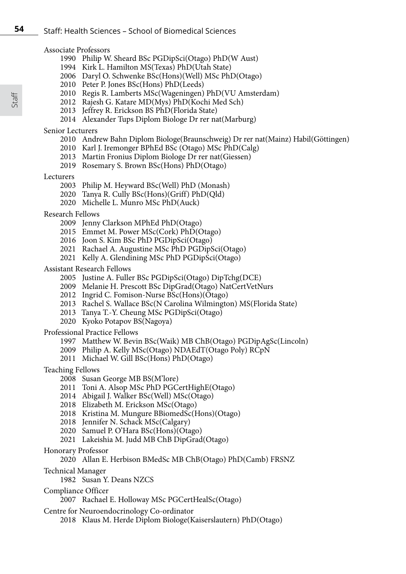#### Associate Professors

- 1990 Philip W. Sheard BSc PGDipSci(Otago) PhD(W Aust)
- 1994 Kirk L. Hamilton MS(Texas) PhD(Utah State)
- 2006 Daryl O. Schwenke BSc(Hons)(Well) MSc PhD(Otago)
- 2010 Peter P. Jones BSc(Hons) PhD(Leeds)
- 2010 Regis R. Lamberts MSc(Wageningen) PhD(VU Amsterdam)
- 2012 Rajesh G. Katare MD(Mys) PhD(Kochi Med Sch)
- 2013 Jeffrey R. Erickson BS PhD(Florida State)
- 2014 Alexander Tups Diplom Biologe Dr rer nat(Marburg)

# Senior Lecturers

- 2010 Andrew Bahn Diplom Biologe(Braunschweig) Dr rer nat(Mainz) Habil(Göttingen)
- 2010 Karl J. Iremonger BPhEd BSc (Otago) MSc PhD(Calg)
- 2013 Martin Fronius Diplom Biologe Dr rer nat(Giessen)
- 2019 Rosemary S. Brown BSc(Hons) PhD(Otago)

# Lecturers

- 2003 Philip M. Heyward BSc(Well) PhD (Monash)
- 2020 Tanya R. Cully BSc(Hons)(Griff) PhD(Qld)
- 2020 Michelle L. Munro MSc PhD(Auck)

# Research Fellows

- 2009 Jenny Clarkson MPhEd PhD(Otago)
- 2015 Emmet M. Power MSc(Cork) PhD(Otago)
- 2016 Joon S. Kim BSc PhD PGDipSci(Otago)
- 2021 Rachael A. Augustine MSc PhD PGDipSci(Otago)
- 2021 Kelly A. Glendining MSc PhD PGDipSci(Otago)

# Assistant Research Fellows

- 2005 Justine A. Fuller BSc PGDipSci(Otago) DipTchg(DCE)
- 2009 Melanie H. Prescott BSc DipGrad(Otago) NatCertVetNurs
- 2012 Ingrid C. Fomison-Nurse BSc(Hons)(Otago)
- 2013 Rachel S. Wallace BSc(N Carolina Wilmington) MS(Florida State)
- 2013 Tanya T.-Y. Cheung MSc PGDipSci(Otago)
- 2020 Kyoko Potapov BS(Nagoya)

# Professional Practice Fellows

- 1997 Matthew W. Bevin BSc(Waik) MB ChB(Otago) PGDipAgSc(Lincoln)
- 2009 Philip A. Kelly MSc(Otago) NDAEdT(Otago Poly) RCpN
- 2011 Michael W. Gill BSc(Hons) PhD(Otago)
- Teaching Fellows
	- 2008 Susan George MB BS(M'lore)
	- 2011 Toni A. Alsop MSc PhD PGCertHighE(Otago)
	- 2014 Abigail J. Walker BSc(Well) MSc(Otago)
	- 2018 Elizabeth M. Erickson MSc(Otago)
	- 2018 Kristina M. Mungure BBiomedSc(Hons)(Otago)
	- 2018 Jennifer N. Schack MSc(Calgary)
	- 2020 Samuel P. O'Hara BSc(Hons)(Otago)
	- 2021 Lakeishia M. Judd MB ChB DipGrad(Otago)

# Honorary Professor

# 2020 Allan E. Herbison BMedSc MB ChB(Otago) PhD(Camb) FRSNZ

- Technical Manager
	- 1982 Susan Y. Deans NZCS
- Compliance Officer
	- 2007 Rachael E. Holloway MSc PGCertHealSc(Otago)
- Centre for Neuroendocrinology Co-ordinator
	- 2018 Klaus M. Herde Diplom Biologe(Kaiserslautern) PhD(Otago)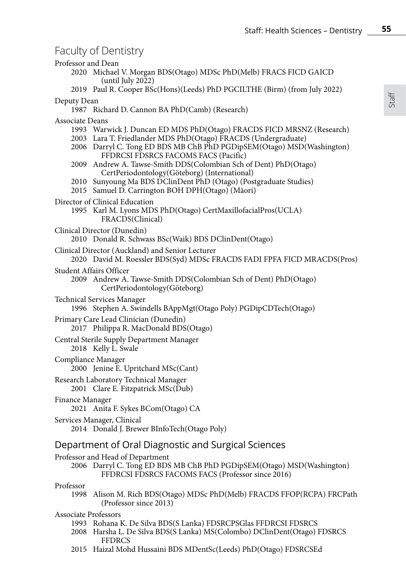# Faculty of Dentistry

| r acarty or Dernaury                                                                                                                                                                                                                                     |  |  |
|----------------------------------------------------------------------------------------------------------------------------------------------------------------------------------------------------------------------------------------------------------|--|--|
| Professor and Dean<br>2020 Michael V. Morgan BDS(Otago) MDSc PhD(Melb) FRACS FICD GAICD                                                                                                                                                                  |  |  |
| (until July 2022)<br>2019 Paul R. Cooper BSc(Hons)(Leeds) PhD PGCILTHE (Birm) (from July 2022)                                                                                                                                                           |  |  |
| Deputy Dean<br>1987 Richard D. Cannon BA PhD(Camb) (Research)                                                                                                                                                                                            |  |  |
| Associate Deans                                                                                                                                                                                                                                          |  |  |
| 1993 Warwick J. Duncan ED MDS PhD(Otago) FRACDS FICD MRSNZ (Research)<br>2003 Lara T. Friedlander MDS PhD(Otago) FRACDS (Undergraduate)<br>2006 Darryl C. Tong ED BDS MB ChB PhD PGDipSEM(Otago) MSD(Washington)<br>FFDRCSI FDSRCS FACOMS FACS (Pacific) |  |  |
| 2009 Andrew A. Tawse-Smith DDS(Colombian Sch of Dent) PhD(Otago)<br>CertPeriodontology(Göteborg) (International)                                                                                                                                         |  |  |
| 2010 Sunyoung Ma BDS DClinDent PhD (Otago) (Postgraduate Studies)<br>2015 Samuel D. Carrington BOH DPH(Otago) (Māori)                                                                                                                                    |  |  |
| Director of Clinical Education<br>1995 Karl M. Lyons MDS PhD(Otago) CertMaxillofacialPros(UCLA)<br>FRACDS(Clinical)                                                                                                                                      |  |  |
| Clinical Director (Dunedin)<br>2010 Donald R. Schwass BSc(Waik) BDS DClinDent(Otago)                                                                                                                                                                     |  |  |
| Clinical Director (Auckland) and Senior Lecturer<br>2020 David M. Roessler BDS(Syd) MDSc FRACDS FADI FPFA FICD MRACDS(Pros)                                                                                                                              |  |  |
| <b>Student Affairs Officer</b>                                                                                                                                                                                                                           |  |  |
| 2009 Andrew A. Tawse-Smith DDS(Colombian Sch of Dent) PhD(Otago)<br>CertPeriodontology(Göteborg)                                                                                                                                                         |  |  |
| Technical Services Manager<br>1996 Stephen A. Swindells BAppMgt(Otago Poly) PGDipCDTech(Otago)                                                                                                                                                           |  |  |
| Primary Care Lead Clinician (Dunedin)<br>2017 Philippa R. MacDonald BDS(Otago)                                                                                                                                                                           |  |  |
| Central Sterile Supply Department Manager<br>2018 Kelly L. Swale                                                                                                                                                                                         |  |  |
| Compliance Manager<br>2000 Jenine E. Upritchard MSc(Cant)                                                                                                                                                                                                |  |  |
| Research Laboratory Technical Manager<br>2001 Clare E. Fitzpatrick MSc(Dub)                                                                                                                                                                              |  |  |
| Finance Manager<br>2021 Anita F. Sykes BCom(Otago) CA                                                                                                                                                                                                    |  |  |
| Services Manager, Clinical<br>2014 Donald J. Brewer BInfoTech (Otago Poly)                                                                                                                                                                               |  |  |
| Department of Oral Diagnostic and Surgical Sciences                                                                                                                                                                                                      |  |  |
| Professor and Head of Department                                                                                                                                                                                                                         |  |  |
| Darryl C. Tong ED BDS MB ChB PhD PGDipSEM(Otago) MSD(Washington)<br>2006<br>FFDRCSI FDSRCS FACOMS FACS (Professor since 2016)                                                                                                                            |  |  |
| Professor<br>1998 Alison M. Rich BDS(Otago) MDSc PhD(Melb) FRACDS FFOP(RCPA) FRCPath<br>(Professor since 2013)                                                                                                                                           |  |  |
| <b>Associate Professors</b>                                                                                                                                                                                                                              |  |  |
| 1993 Rohana K. De Silva BDS(S Lanka) FDSRCPSGlas FFDRCSI FDSRCS<br>2008 Harsha L. De Silva BDS(S Lanka) MS(Colombo) DClinDent(Otago) FDSRCS<br><b>FFDRCS</b>                                                                                             |  |  |
| 2015 Haizal Mohd Hussaini BDS MDentSc(Leeds) PhD(Otago) FDSRCSEd                                                                                                                                                                                         |  |  |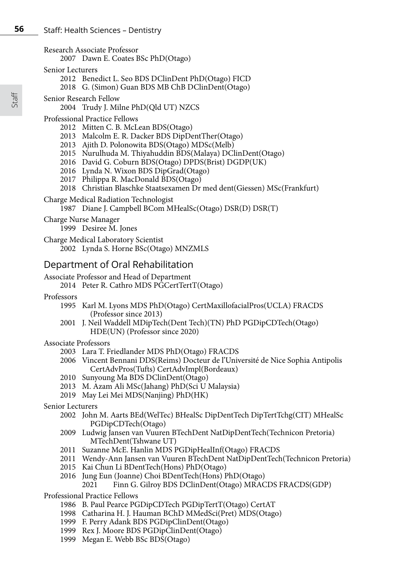- Research Associate Professor
	- Dawn E. Coates BSc PhD(Otago)
- Senior Lecturers
	- Benedict L. Seo BDS DClinDent PhD(Otago) FICD
	- G. (Simon) Guan BDS MB ChB DClinDent(Otago)
- Senior Research Fellow
	- Trudy J. Milne PhD(Qld UT) NZCS
- Professional Practice Fellows
	- Mitten C. B. McLean BDS(Otago)
	- Malcolm E. R. Dacker BDS DipDentTher(Otago)
	- Ajith D. Polonowita BDS(Otago) MDSc(Melb)
	- Nurulhuda M. Thiyahuddin BDS(Malaya) DClinDent(Otago)
	- David G. Coburn BDS(Otago) DPDS(Brist) DGDP(UK)
	- Lynda N. Wixon BDS DipGrad(Otago)
	- 2017 Philippa R. MacDonald BDS(Otago)
	- Christian Blaschke Staatsexamen Dr med dent(Giessen) MSc(Frankfurt)
- Charge Medical Radiation Technologist
	- Diane J. Campbell BCom MHealSc(Otago) DSR(D) DSR(T)
- Charge Nurse Manager

Desiree M. Jones

Charge Medical Laboratory Scientist

Lynda S. Horne BSc(Otago) MNZMLS

# Department of Oral Rehabilitation

- Associate Professor and Head of Department
	- Peter R. Cathro MDS PGCertTertT(Otago)
- Professors
	- Karl M. Lyons MDS PhD(Otago) CertMaxillofacialPros(UCLA) FRACDS (Professor since 2013)
	- J. Neil Waddell MDipTech(Dent Tech)(TN) PhD PGDipCDTech(Otago) HDE(UN) (Professor since 2020)

# Associate Professors

- Lara T. Friedlander MDS PhD(Otago) FRACDS
- Vincent Bennani DDS(Reims) Docteur de l'Université de Nice Sophia Antipolis CertAdvPros(Tufts) CertAdvImpl(Bordeaux)
- Sunyoung Ma BDS DClinDent(Otago)
- M. Azam Ali MSc(Jahang) PhD(Sci U Malaysia)
- May Lei Mei MDS(Nanjing) PhD(HK)

# Senior Lecturers

- John M. Aarts BEd(WelTec) BHealSc DipDentTech DipTertTchg(CIT) MHealSc PGDipCDTech(Otago)
- Ludwig Jansen van Vuuren BTechDent NatDipDentTech(Technicon Pretoria) MTechDent(Tshwane UT)
- Suzanne McE. Hanlin MDS PGDipHealInf(Otago) FRACDS
- Wendy-Ann Jansen van Vuuren BTechDent NatDipDentTech(Technicon Pretoria)
- Kai Chun Li BDentTech(Hons) PhD(Otago)
- Jung Eun (Joanne) Choi BDentTech(Hons) PhD(Otago)

```
Finn G. Gilroy BDS DClinDent(Otago) MRACDS FRACDS(GDP)
```
- Professional Practice Fellows
	- B. Paul Pearce PGDipCDTech PGDipTertT(Otago) CertAT
	- Catharina H. J. Hauman BChD MMedSci(Pret) MDS(Otago)
	- F. Perry Adank BDS PGDipClinDent(Otago)
	- Rex J. Moore BDS PGDipClinDent(Otago)
	- Megan E. Webb BSc BDS(Otago)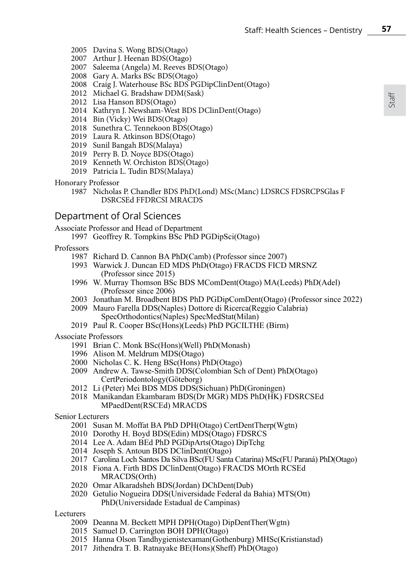- 2005 Davina S. Wong BDS(Otago)
- 2007 Arthur J. Heenan BDS(Otago)
- 2007 Saleema (Angela) M. Reeves BDS(Otago)
- 2008 Gary A. Marks BSc BDS(Otago)
- 2008 Craig J. Waterhouse BSc BDS PGDipClinDent(Otago)
- 2012 Michael G. Bradshaw DDM(Sask)
- 2012 Lisa Hanson BDS(Otago)
- 2014 Kathryn J. Newsham-West BDS DClinDent(Otago)
- 2014 Bin (Vicky) Wei BDS(Otago)
- 2018 Sunethra C. Tennekoon BDS(Otago)
- 2019 Laura R. Atkinson BDS(Otago)
- 2019 Sunil Bangah BDS(Malaya)
- 2019 Perry B. D. Noyce BDS(Otago)
- 2019 Kenneth W. Orchiston BDS(Otago)
- 2019 Patricia L. Tudin BDS(Malaya)
- Honorary Professor
	- 1987 Nicholas P. Chandler BDS PhD(Lond) MSc(Manc) LDSRCS FDSRCPSGlas F DSRCSEd FFDRCSI MRACDS

# Department of Oral Sciences

Associate Professor and Head of Department

1997 Geoffrey R. Tompkins BSc PhD PGDipSci(Otago)

Professors

- 1987 Richard D. Cannon BA PhD(Camb) (Professor since 2007)
- 1993 Warwick J. Duncan ED MDS PhD(Otago) FRACDS FICD MRSNZ (Professor since 2015)
- 1996 W. Murray Thomson BSc BDS MComDent(Otago) MA(Leeds) PhD(Adel) (Professor since 2006)
- 2003 Jonathan M. Broadbent BDS PhD PGDipComDent(Otago) (Professor since 2022)
- 2009 Mauro Farella DDS(Naples) Dottore di Ricerca(Reggio Calabria) SpecOrthodontics(Naples) SpecMedStat(Milan)
- 2019 Paul R. Cooper BSc(Hons)(Leeds) PhD PGCILTHE (Birm)

#### Associate Professors

- 1991 Brian C. Monk BSc(Hons)(Well) PhD(Monash)
- 1996 Alison M. Meldrum MDS(Otago)
- 2000 Nicholas C. K. Heng BSc(Hons) PhD(Otago)
- 2009 Andrew A. Tawse-Smith DDS(Colombian Sch of Dent) PhD(Otago) CertPeriodontology(Göteborg)
- 2012 Li (Peter) Mei BDS MDS DDS(Sichuan) PhD(Groningen)
- 2018 Manikandan Ekambaram BDS(Dr MGR) MDS PhD(HK) FDSRCSEd MPaedDent(RSCEd) MRACDS

Senior Lecturers

- 2001 Susan M. Moffat BA PhD DPH(Otago) CertDentTherp(Wgtn)
- 2010 Dorothy H. Boyd BDS(Edin) MDS(Otago) FDSRCS
- 2014 Lee A. Adam BEd PhD PGDipArts(Otago) DipTchg
- 2014 Joseph S. Antoun BDS DClinDent(Otago)
- 2017 Carolina Loch Santos Da Silva BSc(FU Santa Catarina) MSc(FU Paraná) PhD(Otago)
- 2018 Fiona A. Firth BDS DClinDent(Otago) FRACDS MOrth RCSEd MRACDS(Orth)
- 2020 Omar Alkaradsheh BDS(Jordan) DChDent(Dub)
- 2020 Getulio Nogueira DDS(Universidade Federal da Bahia) MTS(Ott) PhD(Universidade Estadual de Campinas)

Lecturers

- 2009 Deanna M. Beckett MPH DPH(Otago) DipDentTher(Wgtn)
- 2015 Samuel D. Carrington BOH DPH(Otago)
- 2015 Hanna Olson Tandhygienistexaman(Gothenburg) MHSc(Kristianstad)
- 2017 Jithendra T. B. Ratnayake BE(Hons)(Sheff) PhD(Otago)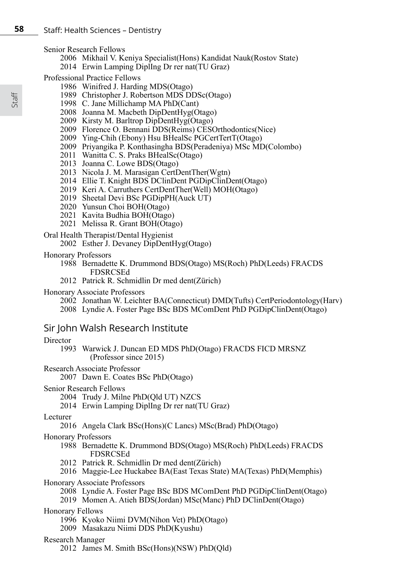Senior Research Fellows

- 2006 Mikhail V. Keniya Specialist(Hons) Kandidat Nauk(Rostov State)
- 2014 Erwin Lamping DiplIng Dr rer nat(TU Graz)

Professional Practice Fellows

- 1986 Winifred J. Harding MDS(Otago)
- 1989 Christopher J. Robertson MDS DDSc(Otago)
- 1998 C. Jane Millichamp MA PhD(Cant)
- 2008 Joanna M. Macbeth DipDentHyg(Otago)
- 2009 Kirsty M. Barltrop DipDentHyg(Otago)
- 2009 Florence O. Bennani DDS(Reims) CESOrthodontics(Nice)
- 2009 Ying-Chih (Ebony) Hsu BHealSc PGCertTertT(Otago)
- 2009 Priyangika P. Konthasingha BDS(Peradeniya) MSc MD(Colombo)
- 2011 Wanitta C. S. Praks BHealSc(Otago)
- 2013 Joanna C. Lowe BDS(Otago)
- 2013 Nicola J. M. Marasigan CertDentTher(Wgtn)
- 2014 Ellie T. Knight BDS DClinDent PGDipClinDent(Otago)
- 2019 Keri A. Carruthers CertDentTher(Well) MOH(Otago)
- 2019 Sheetal Devi BSc PGDipPH(Auck UT)
- 2020 Yunsun Choi BOH(Otago)
- 2021 Kavita Budhia BOH(Otago)
- 2021 Melissa R. Grant BOH(Otago)
- Oral Health Therapist/Dental Hygienist
	- 2002 Esther J. Devaney DipDentHyg(Otago)
- Honorary Professors
	- 1988 Bernadette K. Drummond BDS(Otago) MS(Roch) PhD(Leeds) FRACDS FDSRCSEd
	- 2012 Patrick R. Schmidlin Dr med dent(Zürich)
- Honorary Associate Professors
	- 2002 Jonathan W. Leichter BA(Connecticut) DMD(Tufts) CertPeriodontology(Harv) 2008 Lyndie A. Foster Page BSc BDS MComDent PhD PGDipClinDent(Otago)

# Sir John Walsh Research Institute

#### Director

- 1993 Warwick J. Duncan ED MDS PhD(Otago) FRACDS FICD MRSNZ (Professor since 2015)
- Research Associate Professor
	- 2007 Dawn E. Coates BSc PhD(Otago)
- Senior Research Fellows
	- 2004 Trudy J. Milne PhD(Qld UT) NZCS
	- 2014 Erwin Lamping DiplIng Dr rer nat(TU Graz)

#### Lecturer

2016 Angela Clark BSc(Hons)(C Lancs) MSc(Brad) PhD(Otago)

#### Honorary Professors

- 1988 Bernadette K. Drummond BDS(Otago) MS(Roch) PhD(Leeds) FRACDS FDSRCSEd
- 2012 Patrick R. Schmidlin Dr med dent(Zürich)
- 2016 Maggie-Lee Huckabee BA(East Texas State) MA(Texas) PhD(Memphis)

### Honorary Associate Professors

- 2008 Lyndie A. Foster Page BSc BDS MComDent PhD PGDipClinDent(Otago)
- 2019 Momen A. Atieh BDS(Jordan) MSc(Manc) PhD DClinDent(Otago)

#### Honorary Fellows

- 1996 Kyoko Niimi DVM(Nihon Vet) PhD(Otago)
- 2009 Masakazu Niimi DDS PhD(Kyushu)

#### Research Manager

2012 James M. Smith BSc(Hons)(NSW) PhD(Qld)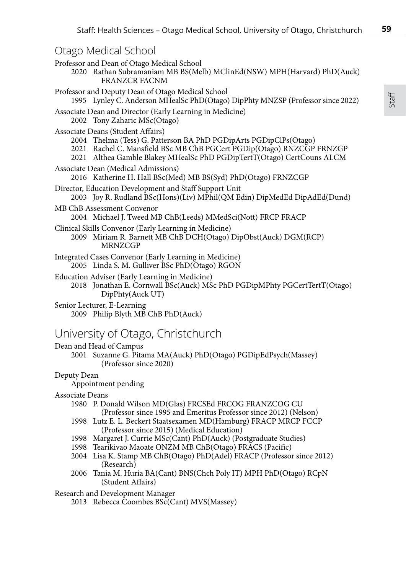| Otago Medical School                                                                                    |                                                                                                                                                                                                                      |
|---------------------------------------------------------------------------------------------------------|----------------------------------------------------------------------------------------------------------------------------------------------------------------------------------------------------------------------|
| Professor and Dean of Otago Medical School<br><b>FRANZCR FACNM</b>                                      | 2020 Rathan Subramaniam MB BS(Melb) MClinEd(NSW) MPH(Harvard) PhD(Auck)                                                                                                                                              |
| Professor and Deputy Dean of Otago Medical School                                                       | 1995 Lynley C. Anderson MHealSc PhD(Otago) DipPhty MNZSP (Professor since 2022)                                                                                                                                      |
| Associate Dean and Director (Early Learning in Medicine)<br>2002 Tony Zaharic MSc(Otago)                |                                                                                                                                                                                                                      |
| Associate Deans (Student Affairs)                                                                       | 2004 Thelma (Tess) G. Patterson BA PhD PGDipArts PGDipClPs(Otago)<br>2021 Rachel C. Mansfield BSc MB ChB PGCert PGDip(Otago) RNZCGP FRNZGP<br>2021 Althea Gamble Blakey MHealSc PhD PGDipTertT(Otago) CertCouns ALCM |
| Associate Dean (Medical Admissions)                                                                     | 2016 Katherine H. Hall BSc(Med) MB BS(Syd) PhD(Otago) FRNZCGP                                                                                                                                                        |
| Director, Education Development and Staff Support Unit                                                  | 2003 Joy R. Rudland BSc(Hons)(Liv) MPhil(QM Edin) DipMedEd DipAdEd(Dund)                                                                                                                                             |
| MB ChB Assessment Convenor                                                                              | 2004 Michael J. Tweed MB ChB(Leeds) MMedSci(Nott) FRCP FRACP                                                                                                                                                         |
| Clinical Skills Convenor (Early Learning in Medicine)<br>MRNZCGP                                        | 2009 Miriam R. Barnett MB ChB DCH(Otago) DipObst(Auck) DGM(RCP)                                                                                                                                                      |
| Integrated Cases Convenor (Early Learning in Medicine)<br>2005 Linda S. M. Gulliver BSc PhD(Otago) RGON |                                                                                                                                                                                                                      |
|                                                                                                         |                                                                                                                                                                                                                      |

- Education Adviser (Early Learning in Medicine) 2018 Jonathan E. Cornwall BSc(Auck) MSc PhD PGDipMPhty PGCertTertT(Otago) DipPhty(Auck UT)
- Senior Lecturer, E-Learning 2009 Philip Blyth MB ChB PhD(Auck)

# University of Otago, Christchurch

Dean and Head of Campus 2001 Suzanne G. Pitama MA(Auck) PhD(Otago) PGDipEdPsych(Massey) (Professor since 2020)

### Deputy Dean

Appointment pending

#### Associate Deans

- 1980 P. Donald Wilson MD(Glas) FRCSEd FRCOG FRANZCOG CU (Professor since 1995 and Emeritus Professor since 2012) (Nelson)
- 1998 Lutz E. L. Beckert Staatsexamen MD(Hamburg) FRACP MRCP FCCP (Professor since 2015) (Medical Education)
- 1998 Margaret J. Currie MSc(Cant) PhD(Auck) (Postgraduate Studies)
- 1998 Tearikivao Maoate ONZM MB ChB(Otago) FRACS (Pacific)
- 2004 Lisa K. Stamp MB ChB(Otago) PhD(Adel) FRACP (Professor since 2012) (Research)
- 2006 Tania M. Huria BA(Cant) BNS(Chch Poly IT) MPH PhD(Otago) RCpN (Student Affairs)

Research and Development Manager

2013 Rebecca Coombes BSc(Cant) MVS(Massey)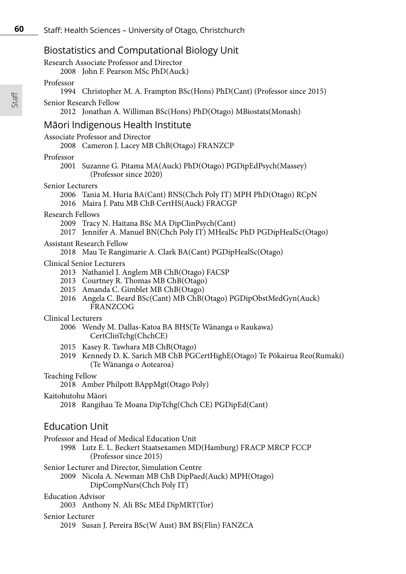# Biostatistics and Computational Biology Unit

Research Associate Professor and Director

2008 John F. Pearson MSc PhD(Auck)

#### Professor

- 1994 Christopher M. A. Frampton BSc(Hons) PhD(Cant) (Professor since 2015)
- Senior Research Fellow
	- 2012 Jonathan A. Williman BSc(Hons) PhD(Otago) MBiostats(Monash)

# Māori Indigenous Health Institute

# Associate Professor and Director

2008 Cameron J. Lacey MB ChB(Otago) FRANZCP

#### Professor

2001 Suzanne G. Pitama MA(Auck) PhD(Otago) PGDipEdPsych(Massey) (Professor since 2020)

#### Senior Lecturers

- 2006 Tania M. Huria BA(Cant) BNS(Chch Poly IT) MPH PhD(Otago) RCpN
- 2016 Maira J. Patu MB ChB CertHS(Auck) FRACGP

#### Research Fellows

- 2009 Tracy N. Haitana BSc MA DipClinPsych(Cant)
- 2017 Jennifer A. Manuel BN(Chch Poly IT) MHealSc PhD PGDipHealSc(Otago)

#### Assistant Research Fellow

2018 Mau Te Rangimarie A. Clark BA(Cant) PGDipHealSc(Otago)

#### Clinical Senior Lecturers

- 2013 Nathaniel J. Anglem MB ChB(Otago) FACSP
- 2013 Courtney R. Thomas MB ChB(Otago)
- 2015 Amanda C. Gimblet MB ChB(Otago)
- 2016 Angela C. Beard BSc(Cant) MB ChB(Otago) PGDipObstMedGyn(Auck) FRANZCOG

### Clinical Lecturers

- 2006 Wendy M. Dallas-Katoa BA BHS(Te Wänanga o Raukawa) CertClinTchg(ChchCE)
- 2015 Kasey R. Tawhara MB ChB(Otago)
- 2019 Kennedy D. K. Sarich MB ChB PGCertHighE(Otago) Te Pōkairua Reo(Rumaki) (Te Wānanga o Aotearoa)

### Teaching Fellow

2018 Amber Philpott BAppMgt(Otago Poly)

#### Kaitohutohu Māori

2018 Rangihau Te Moana DipTchg(Chch CE) PGDipEd(Cant)

# Education Unit

Professor and Head of Medical Education Unit

1998 Lutz E. L. Beckert Staatsexamen MD(Hamburg) FRACP MRCP FCCP (Professor since 2015)

#### Senior Lecturer and Director, Simulation Centre

- 2009 Nicola A. Newman MB ChB DipPaed(Auck) MPH(Otago)
	- DipCompNurs(Chch Poly IT)

#### Education Advisor

2003 Anthony N. Ali BSc MEd DipMRT(Tor)

#### Senior Lecturer

2019 Susan J. Pereira BSc(W Aust) BM BS(Flin) FANZCA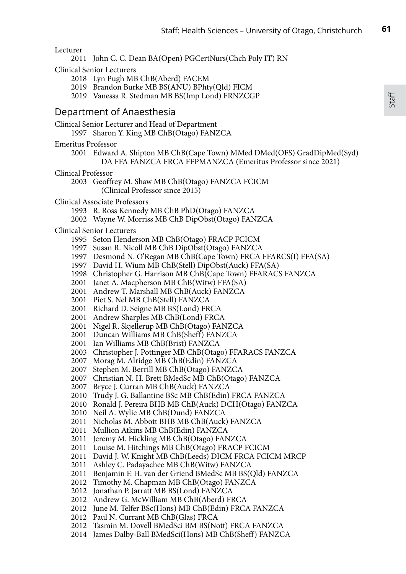#### Lecturer

John C. C. Dean BA(Open) PGCertNurs(Chch Poly IT) RN

Clinical Senior Lecturers

- Lyn Pugh MB ChB(Aberd) FACEM
- Brandon Burke MB BS(ANU) BPhty(Qld) FICM
- 2019 Vanessa R. Stedman MB BS(Imp Lond) FRNZCGP

# Department of Anaesthesia

Clinical Senior Lecturer and Head of Department

- Sharon Y. King MB ChB(Otago) FANZCA
- Emeritus Professor
	- Edward A. Shipton MB ChB(Cape Town) MMed DMed(OFS) GradDipMed(Syd) DA FFA FANZCA FRCA FFPMANZCA (Emeritus Professor since 2021)
- Clinical Professor
	- Geoffrey M. Shaw MB ChB(Otago) FANZCA FCICM (Clinical Professor since 2015)
- Clinical Associate Professors
	- R. Ross Kennedy MB ChB PhD(Otago) FANZCA
	- Wayne W. Morriss MB ChB DipObst(Otago) FANZCA

#### Clinical Senior Lecturers

- Seton Henderson MB ChB(Otago) FRACP FCICM
- Susan R. Nicoll MB ChB DipObst(Otago) FANZCA
- Desmond N. O'Regan MB ChB(Cape Town) FRCA FFARCS(I) FFA(SA)
- David H. Wium MB ChB(Stell) DipObst(Auck) FFA(SA)
- Christopher G. Harrison MB ChB(Cape Town) FFARACS FANZCA
- Janet A. Macpherson MB ChB(Witw) FFA(SA)
- Andrew T. Marshall MB ChB(Auck) FANZCA
- Piet S. Nel MB ChB(Stell) FANZCA
- Richard D. Seigne MB BS(Lond) FRCA
- Andrew Sharples MB ChB(Lond) FRCA
- Nigel R. Skjellerup MB ChB(Otago) FANZCA
- Duncan Williams MB ChB(Sheff) FANZCA
- Ian Williams MB ChB(Brist) FANZCA
- Christopher J. Pottinger MB ChB(Otago) FFARACS FANZCA
- Morag M. Alridge MB ChB(Edin) FANZCA
- Stephen M. Berrill MB ChB(Otago) FANZCA
- Christian N. H. Brett BMedSc MB ChB(Otago) FANZCA
- Bryce J. Curran MB ChB(Auck) FANZCA
- Trudy J. G. Ballantine BSc MB ChB(Edin) FRCA FANZCA
- Ronald J. Pereira BHB MB ChB(Auck) DCH(Otago) FANZCA
- Neil A. Wylie MB ChB(Dund) FANZCA
- Nicholas M. Abbott BHB MB ChB(Auck) FANZCA
- Mullion Atkins MB ChB(Edin) FANZCA
- Jeremy M. Hickling MB ChB(Otago) FANZCA
- Louise M. Hitchings MB ChB(Otago) FRACP FCICM
- David J. W. Knight MB ChB(Leeds) DICM FRCA FCICM MRCP
- Ashley C. Padayachee MB ChB(Witw) FANZCA
- Benjamin F. H. van der Griend BMedSc MB BS(Qld) FANZCA
- Timothy M. Chapman MB ChB(Otago) FANZCA
- Jonathan P. Jarratt MB BS(Lond) FANZCA
- Andrew G. McWilliam MB ChB(Aberd) FRCA
- June M. Telfer BSc(Hons) MB ChB(Edin) FRCA FANZCA
- Paul N. Currant MB ChB(Glas) FRCA
- Tasmin M. Dovell BMedSci BM BS(Nott) FRCA FANZCA
- James Dalby-Ball BMedSci(Hons) MB ChB(Sheff) FANZCA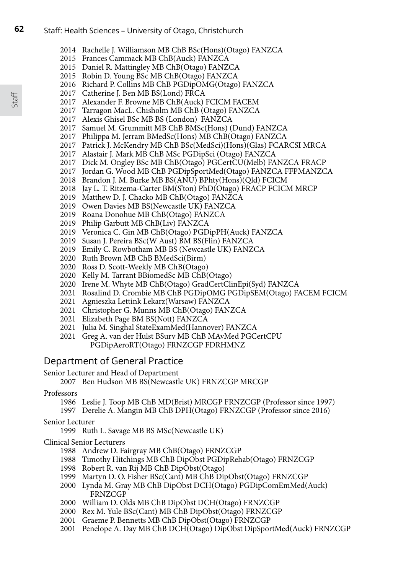- 2014 Rachelle J. Williamson MB ChB BSc(Hons)(Otago) FANZCA
- 2015 Frances Cammack MB ChB(Auck) FANZCA
- 2015 Daniel R. Mattingley MB ChB(Otago) FANZCA
- 2015 Robin D. Young BSc MB ChB(Otago) FANZCA
- 2016 Richard P. Collins MB ChB PGDipOMG(Otago) FANZCA
- 2017 Catherine J. Ben MB BS(Lond) FRCA
- 2017 Alexander F. Browne MB ChB(Auck) FCICM FACEM
- 2017 Tarragon MacL. Chisholm MB ChB (Otago) FANZCA
- 2017 Alexis Ghisel BSc MB BS (London) FANZCA
- 2017 Samuel M. Grummitt MB ChB BMSc(Hons) (Dund) FANZCA
- 2017 Philippa M. Jerram BMedSc(Hons) MB ChB(Otago) FANZCA
- 2017 Patrick J. McKendry MB ChB BSc(MedSci)(Hons)(Glas) FCARCSI MRCA
- 2017 Alastair J. Mark MB ChB MSc PGDipSci (Otago) FANZCA
- 2017 Dick M. Ongley BSc MB ChB(Otago) PGCertCU(Melb) FANZCA FRACP
- 2017 Jordan G. Wood MB ChB PGDipSportMed(Otago) FANZCA FFPMANZCA
- 2018 Brandon J. M. Burke MB BS(ANU) BPhty(Hons)(Qld) FCICM
- 2018 Jay L. T. Ritzema-Carter BM(S'ton) PhD(Otago) FRACP FCICM MRCP
- 2019 Matthew D. J. Chacko MB ChB(Otago) FANZCA
- 2019 Owen Davies MB BS(Newcastle UK) FANZCA
- 2019 Roana Donohue MB ChB(Otago) FANZCA
- 2019 Philip Garbutt MB ChB(Liv) FANZCA
- 2019 Veronica C. Gin MB ChB(Otago) PGDipPH(Auck) FANZCA
- 2019 Susan J. Pereira BSc(W Aust) BM BS(Flin) FANZCA
- 2019 Emily C. Rowbotham MB BS (Newcastle UK) FANZCA
- 2020 Ruth Brown MB ChB BMedSci(Birm)
- 2020 Ross D. Scott-Weekly MB ChB(Otago)
- 2020 Kelly M. Tarrant BBiomedSc MB ChB(Otago)
- 2020 Irene M. Whyte MB ChB(Otago) GradCertClinEpi(Syd) FANZCA
- 2021 Rosalind D. Crombie MB ChB PGDipOMG PGDipSEM(Otago) FACEM FCICM
- 2021 Agnieszka Lettink Lekarz(Warsaw) FANZCA
- 2021 Christopher G. Munns MB ChB(Otago) FANZCA
- 2021 Elizabeth Page BM BS(Nott) FANZCA
- 2021 Julia M. Singhal StateExamMed(Hannover) FANZCA
- 2021 Greg A. van der Hulst BSurv MB ChB MAvMed PGCertCPU PGDipAeroRT(Otago) FRNZCGP FDRHMNZ

# Department of General Practice

#### Senior Lecturer and Head of Department

2007 Ben Hudson MB BS(Newcastle UK) FRNZCGP MRCGP

# Professors

- 1986 Leslie J. Toop MB ChB MD(Brist) MRCGP FRNZCGP (Professor since 1997)
- 1997 Derelie A. Mangin MB ChB DPH(Otago) FRNZCGP (Professor since 2016)

# Senior Lecturer

1999 Ruth L. Savage MB BS MSc(Newcastle UK)

# Clinical Senior Lecturers

- 1988 Andrew D. Fairgray MB ChB(Otago) FRNZCGP
- 1988 Timothy Hitchings MB ChB DipObst PGDipRehab(Otago) FRNZCGP
- 1998 Robert R. van Rij MB ChB DipObst(Otago)
- 1999 Martyn D. O. Fisher BSc(Cant) MB ChB DipObst(Otago) FRNZCGP
- 2000 Lynda M. Gray MB ChB DipObst DCH(Otago) PGDipComEmMed(Auck) FRNZCGP
- 2000 William D. Olds MB ChB DipObst DCH(Otago) FRNZCGP
- 2000 Rex M. Yule BSc(Cant) MB ChB DipObst(Otago) FRNZCGP
- 2001 Graeme P. Bennetts MB ChB DipObst(Otago) FRNZCGP
- 2001 Penelope A. Day MB ChB DCH(Otago) DipObst DipSportMed(Auck) FRNZCGP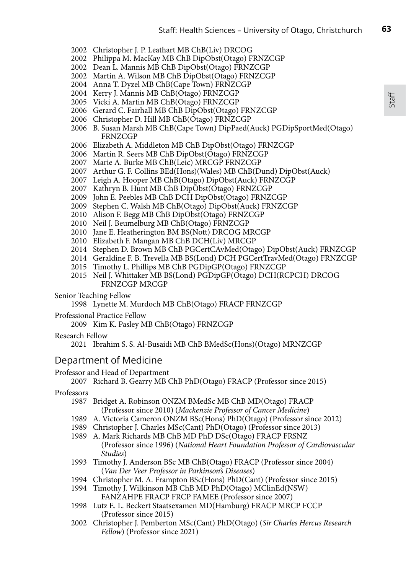- Christopher J. P. Leathart MB ChB(Liv) DRCOG
- Philippa M. MacKay MB ChB DipObst(Otago) FRNZCGP
- Dean L. Mannis MB ChB DipObst(Otago) FRNZCGP
- Martin A. Wilson MB ChB DipObst(Otago) FRNZCGP
- Anna T. Dyzel MB ChB(Cape Town) FRNZCGP
- Kerry J. Mannis MB ChB(Otago) FRNZCGP
- Vicki A. Martin MB ChB(Otago) FRNZCGP
- Gerard C. Fairhall MB ChB DipObst(Otago) FRNZCGP
- Christopher D. Hill MB ChB(Otago) FRNZCGP
- B. Susan Marsh MB ChB(Cape Town) DipPaed(Auck) PGDipSportMed(Otago) FRNZCGP
- Elizabeth A. Middleton MB ChB DipObst(Otago) FRNZCGP
- Martin R. Seers MB ChB DipObst(Otago) FRNZCGP
- Marie A. Burke MB ChB(Leic) MRCGP FRNZCGP
- Arthur G. F. Collins BEd(Hons)(Wales) MB ChB(Dund) DipObst(Auck)
- Leigh A. Hooper MB ChB(Otago) DipObst(Auck) FRNZCGP
- Kathryn B. Hunt MB ChB DipObst(Otago) FRNZCGP
- John E. Peebles MB ChB DCH DipObst(Otago) FRNZCGP
- Stephen C. Walsh MB ChB(Otago) DipObst(Auck) FRNZCGP
- Alison F. Begg MB ChB DipObst(Otago) FRNZCGP
- Neil J. Beumelburg MB ChB(Otago) FRNZCGP
- Jane E. Heatherington BM BS(Nott) DRCOG MRCGP
- Elizabeth F. Mangan MB ChB DCH(Liv) MRCGP
- Stephen D. Brown MB ChB PGCertCAvMed(Otago) DipObst(Auck) FRNZCGP
- Geraldine F. B. Trevella MB BS(Lond) DCH PGCertTravMed(Otago) FRNZCGP
- Timothy L. Phillips MB ChB PGDipGP(Otago) FRNZCGP
- Neil J. Whittaker MB BS(Lond) PGDipGP(Otago) DCH(RCPCH) DRCOG FRNZCGP MRCGP

Senior Teaching Fellow

Lynette M. Murdoch MB ChB(Otago) FRACP FRNZCGP

Professional Practice Fellow

2009 Kim K. Pasley MB ChB(Otago) FRNZCGP

Research Fellow

2021 Ibrahim S. S. Al-Busaidi MB ChB BMedSc(Hons)(Otago) MRNZCGP

# Department of Medicine

#### Professor and Head of Department

Richard B. Gearry MB ChB PhD(Otago) FRACP (Professor since 2015)

# Professors

- Bridget A. Robinson ONZM BMedSc MB ChB MD(Otago) FRACP (Professor since 2010) (*Mackenzie Professor of Cancer Medicine*)
- A. Victoria Cameron ONZM BSc(Hons) PhD(Otago) (Professor since 2012)
- Christopher J. Charles MSc(Cant) PhD(Otago) (Professor since 2013)
- A. Mark Richards MB ChB MD PhD DSc(Otago) FRACP FRSNZ (Professor since 1996) (*National Heart Foundation Professor of Cardiovascular Studies*)
- Timothy J. Anderson BSc MB ChB(Otago) FRACP (Professor since 2004) (*Van Der Veer Professor in Parkinson's Diseases*)
- Christopher M. A. Frampton BSc(Hons) PhD(Cant) (Professor since 2015)
- Timothy J. Wilkinson MB ChB MD PhD(Otago) MClinEd(NSW) FANZAHPE FRACP FRCP FAMEE (Professor since 2007)
- Lutz E. L. Beckert Staatsexamen MD(Hamburg) FRACP MRCP FCCP (Professor since 2015)
- Christopher J. Pemberton MSc(Cant) PhD(Otago) (*Sir Charles Hercus Research Fellow*) (Professor since 2021)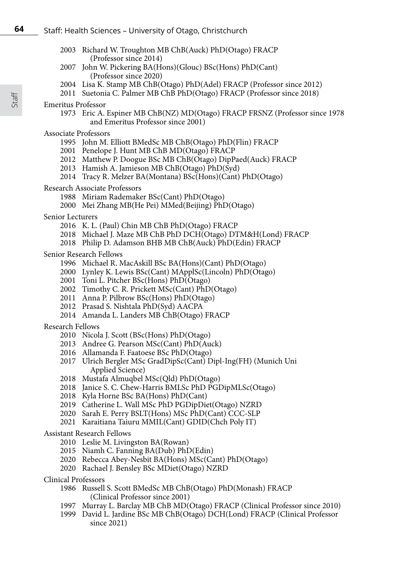- 2003 Richard W. Troughton MB ChB(Auck) PhD(Otago) FRACP (Professor since 2014)
- 2007 John W. Pickering BA(Hons)(Glouc) BSc(Hons) PhD(Cant) (Professor since 2020)
- 2004 Lisa K. Stamp MB ChB(Otago) PhD(Adel) FRACP (Professor since 2012)
- 2011 Suetonia C. Palmer MB ChB PhD(Otago) FRACP (Professor since 2018)

#### Emeritus Professor

1973 Eric A. Espiner MB ChB(NZ) MD(Otago) FRACP FRSNZ (Professor since 1978 and Emeritus Professor since 2001)

#### Associate Professors

- 1995 John M. Elliott BMedSc MB ChB(Otago) PhD(Flin) FRACP
- 2001 Penelope J. Hunt MB ChB MD(Otago) FRACP
- 2012 Matthew P. Doogue BSc MB ChB(Otago) DipPaed(Auck) FRACP
- 2013 Hamish A. Jamieson MB ChB(Otago) PhD(Syd)
- 2014 Tracy R. Melzer BA(Montana) BSc(Hons)(Cant) PhD(Otago)
- Research Associate Professors
	- 1988 Miriam Rademaker BSc(Cant) PhD(Otago)
	- 2000 Mei Zhang MB(He Pei) MMed(Beijing) PhD(Otago)
- Senior Lecturers
	- 2016 K. L. (Paul) Chin MB ChB PhD(Otago) FRACP
	- 2018 Michael J. Maze MB ChB PhD DCH(Otago) DTM&H(Lond) FRACP
	- 2018 Philip D. Adamson BHB MB ChB(Auck) PhD(Edin) FRACP

#### Senior Research Fellows

- 1996 Michael R. MacAskill BSc BA(Hons)(Cant) PhD(Otago)
- 2000 Lynley K. Lewis BSc(Cant) MApplSc(Lincoln) PhD(Otago)
- 2001 Toni L. Pitcher BSc(Hons) PhD(Otago)
- 2002 Timothy C. R. Prickett MSc(Cant) PhD(Otago)
- 2011 Anna P. Pilbrow BSc(Hons) PhD(Otago)
- 2012 Prasad S. Nishtala PhD(Syd) AACPA
- 2014 Amanda L. Landers MB ChB(Otago) FRACP

#### Research Fellows

- 2010 Nicola J. Scott (BSc(Hons) PhD(Otago)
- 2013 Andree G. Pearson MSc(Cant) PhD(Auck)
- 2016 Allamanda F. Faatoese BSc PhD(Otago)
- 2017 Ulrich Bergler MSc GradDipSc(Cant) Dipl-Ing(FH) (Munich Uni Applied Science)
- 2018 Mustafa Almuqbel MSc(Qld) PhD(Otago)
- 2018 Janice S. C. Chew-Harris BMLSc PhD PGDipMLSc(Otago)
- 2018 Kyla Horne BSc BA(Hons) PhD(Cant)
- 2019 Catherine L. Wall MSc PhD PGDipDiet(Otago) NZRD
- 2020 Sarah E. Perry BSLT(Hons) MSc PhD(Cant) CCC-SLP
- 2021 Karaitiana Taiuru MMIL(Cant) GDID(Chch Poly IT)

#### Assistant Research Fellows

- 2010 Leslie M. Livingston BA(Rowan)
- 2015 Niamh C. Fanning BA(Dub) PhD(Edin)
- 2020 Rebecca Abey-Nesbit BA(Hons) MSc(Cant) PhD(Otago)
- 2020 Rachael J. Bensley BSc MDiet(Otago) NZRD
- Clinical Professors
	- 1986 Russell S. Scott BMedSc MB ChB(Otago) PhD(Monash) FRACP (Clinical Professor since 2001)
	- 1997 Murray L. Barclay MB ChB MD(Otago) FRACP (Clinical Professor since 2010)
	- 1999 David L. Jardine BSc MB ChB(Otago) DCH(Lond) FRACP (Clinical Professor since 2021)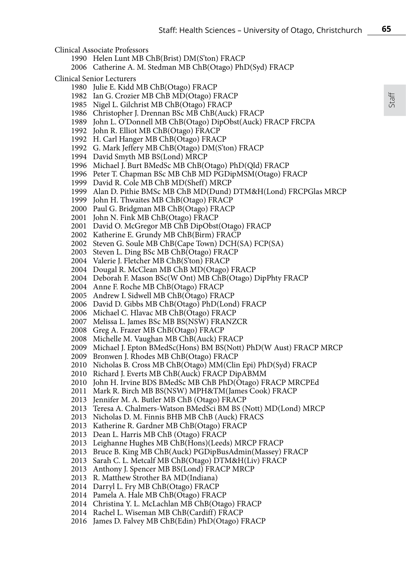Clinical Associate Professors

- Helen Lunt MB ChB(Brist) DM(S'ton) FRACP
- Catherine A. M. Stedman MB ChB(Otago) PhD(Syd) FRACP

Clinical Senior Lecturers

- Julie E. Kidd MB ChB(Otago) FRACP
- Ian G. Crozier MB ChB MD(Otago) FRACP
- Nigel L. Gilchrist MB ChB(Otago) FRACP
- Christopher J. Drennan BSc MB ChB(Auck) FRACP
- John L. O'Donnell MB ChB(Otago) DipObst(Auck) FRACP FRCPA
- John R. Elliot MB ChB(Otago) FRACP
- H. Carl Hanger MB ChB(Otago) FRACP
- G. Mark Jeffery MB ChB(Otago) DM(S'ton) FRACP
- David Smyth MB BS(Lond) MRCP
- Michael J. Burt BMedSc MB ChB(Otago) PhD(Qld) FRACP
- Peter T. Chapman BSc MB ChB MD PGDipMSM(Otago) FRACP
- David R. Cole MB ChB MD(Sheff) MRCP
- Alan D. Pithie BMSc MB ChB MD(Dund) DTM&H(Lond) FRCPGlas MRCP
- John H. Thwaites MB ChB(Otago) FRACP
- Paul G. Bridgman MB ChB(Otago) FRACP
- John N. Fink MB ChB(Otago) FRACP
- David O. McGregor MB ChB DipObst(Otago) FRACP
- Katherine E. Grundy MB ChB(Birm) FRACP
- Steven G. Soule MB ChB(Cape Town) DCH(SA) FCP(SA)
- Steven L. Ding BSc MB ChB(Otago) FRACP
- Valerie J. Fletcher MB ChB(S'ton) FRACP
- Dougal R. McClean MB ChB MD(Otago) FRACP
- Deborah F. Mason BSc(W Ont) MB ChB(Otago) DipPhty FRACP
- Anne F. Roche MB ChB(Otago) FRACP
- Andrew I. Sidwell MB ChB(Otago) FRACP
- David D. Gibbs MB ChB(Otago) PhD(Lond) FRACP
- Michael C. Hlavac MB ChB(Otago) FRACP
- Melissa L. James BSc MB BS(NSW) FRANZCR
- Greg A. Frazer MB ChB(Otago) FRACP
- Michelle M. Vaughan MB ChB(Auck) FRACP
- Michael J. Epton BMedSc(Hons) BM BS(Nott) PhD(W Aust) FRACP MRCP
- Bronwen J. Rhodes MB ChB(Otago) FRACP
- Nicholas B. Cross MB ChB(Otago) MM(Clin Epi) PhD(Syd) FRACP
- Richard J. Everts MB ChB(Auck) FRACP DipABMM
- John H. Irvine BDS BMedSc MB ChB PhD(Otago) FRACP MRCPEd
- Mark R. Birch MB BS(NSW) MPH&TM(James Cook) FRACP
- Jennifer M. A. Butler MB ChB (Otago) FRACP
- Teresa A. Chalmers-Watson BMedSci BM BS (Nott) MD(Lond) MRCP
- Nicholas D. M. Finnis BHB MB ChB (Auck) FRACS
- Katherine R. Gardner MB ChB(Otago) FRACP
- Dean L. Harris MB ChB (Otago) FRACP
- Leighanne Hughes MB ChB(Hons)(Leeds) MRCP FRACP
- Bruce B. King MB ChB(Auck) PGDipBusAdmin(Massey) FRACP
- Sarah C. L. Metcalf MB ChB(Otago) DTM&H(Liv) FRACP
- Anthony J. Spencer MB BS(Lond) FRACP MRCP
- R. Matthew Strother BA MD(Indiana)
- Darryl L. Fry MB ChB(Otago) FRACP
- Pamela A. Hale MB ChB(Otago) FRACP
- Christina Y. L. McLachlan MB ChB(Otago) FRACP
- Rachel L. Wiseman MB ChB(Cardiff) FRACP
- James D. Falvey MB ChB(Edin) PhD(Otago) FRACP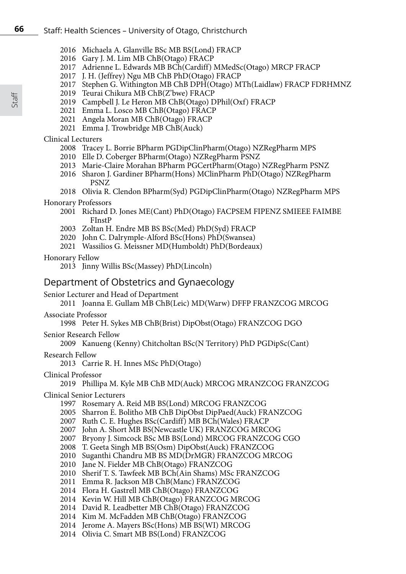- Michaela A. Glanville BSc MB BS(Lond) FRACP
- 2016 Gary J. M. Lim MB ChB(Otago) FRACP
- Adrienne L. Edwards MB BCh(Cardiff) MMedSc(Otago) MRCP FRACP
- J. H. (Jeffrey) Ngu MB ChB PhD(Otago) FRACP
- Stephen G. Withington MB ChB DPH(Otago) MTh(Laidlaw) FRACP FDRHMNZ
- Teurai Chikura MB ChB(Z'bwe) FRACP
- Campbell J. Le Heron MB ChB(Otago) DPhil(Oxf) FRACP
- Emma L. Losco MB ChB(Otago) FRACP
- Angela Moran MB ChB(Otago) FRACP
- Emma J. Trowbridge MB ChB(Auck)

# Clinical Lecturers

- 2008 Tracey L. Borrie BPharm PGDipClinPharm(Otago) NZRegPharm MPS
- 2010 Elle D. Coberger BPharm(Otago) NZRegPharm PSNZ
- 2013 Marie-Claire Morahan BPharm PGCertPharm(Otago) NZRegPharm PSNZ
- 2016 Sharon J. Gardiner BPharm(Hons) MClinPharm PhD(Otago) NZRegPharm PSNZ
- 2018 Olivia R. Clendon BPharm(Syd) PGDipClinPharm(Otago) NZRegPharm MPS

# Honorary Professors

- Richard D. Jones ME(Cant) PhD(Otago) FACPSEM FIPENZ SMIEEE FAIMBE FInstP
- Zoltan H. Endre MB BS BSc(Med) PhD(Syd) FRACP
- John C. Dalrymple-Alford BSc(Hons) PhD(Swansea)
- Wassilios G. Meissner MD(Humboldt) PhD(Bordeaux)

# Honorary Fellow

Jinny Willis BSc(Massey) PhD(Lincoln)

# Department of Obstetrics and Gynaecology

# Senior Lecturer and Head of Department

Joanna E. Gullam MB ChB(Leic) MD(Warw) DFFP FRANZCOG MRCOG

# Associate Professor

Peter H. Sykes MB ChB(Brist) DipObst(Otago) FRANZCOG DGO

# Senior Research Fellow

Kanueng (Kenny) Chitcholtan BSc(N Territory) PhD PGDipSc(Cant)

# Research Fellow

2013 Carrie R. H. Innes MSc PhD(Otago)

# Clinical Professor

# Phillipa M. Kyle MB ChB MD(Auck) MRCOG MRANZCOG FRANZCOG

# Clinical Senior Lecturers

Rosemary A. Reid MB BS(Lond) MRCOG FRANZCOG

- Sharron E. Bolitho MB ChB DipObst DipPaed(Auck) FRANZCOG
- Ruth C. E. Hughes BSc(Cardiff) MB BCh(Wales) FRACP
- John A. Short MB BS(Newcastle UK) FRANZCOG MRCOG
- Bryony J. Simcock BSc MB BS(Lond) MRCOG FRANZCOG CGO
- T. Geeta Singh MB BS(Osm) DipObst(Auck) FRANZCOG
- Suganthi Chandru MB BS MD(DrMGR) FRANZCOG MRCOG
- Jane N. Fielder MB ChB(Otago) FRANZCOG
- Sherif T. S. Tawfeek MB BCh(Ain Shams) MSc FRANZCOG
- Emma R. Jackson MB ChB(Manc) FRANZCOG
- Flora H. Gastrell MB ChB(Otago) FRANZCOG
- Kevin W. Hill MB ChB(Otago) FRANZCOG MRCOG
- David R. Leadbetter MB ChB(Otago) FRANZCOG
- Kim M. McFadden MB ChB(Otago) FRANZCOG
- 2014 Jerome A. Mayers BSc(Hons) MB BS(WI) MRCOG
- Olivia C. Smart MB BS(Lond) FRANZCOG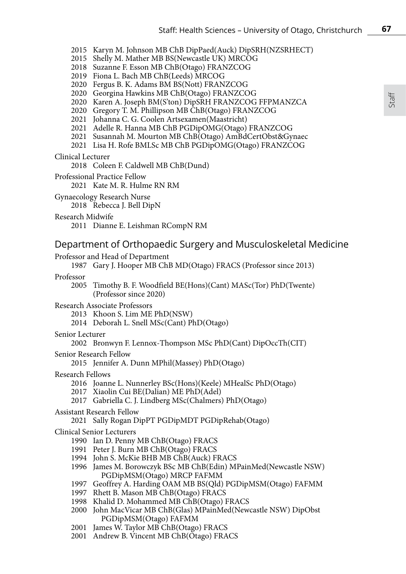2015 Karyn M. Johnson MB ChB DipPaed(Auck) DipSRH(NZSRHECT)

- 2015 Shelly M. Mather MB BS(Newcastle UK) MRCOG
- 2018 Suzanne F. Esson MB ChB(Otago) FRANZCOG
- 2019 Fiona L. Bach MB ChB(Leeds) MRCOG
- 2020 Fergus B. K. Adams BM BS(Nott) FRANZCOG
- 2020 Georgina Hawkins MB ChB(Otago) FRANZCOG
- 2020 Karen A. Joseph BM(S'ton) DipSRH FRANZCOG FFPMANZCA
- 2020 Gregory T. M. Phillipson MB ChB(Otago) FRANZCOG
- 2021 Johanna C. G. Coolen Artsexamen(Maastricht)
- 2021 Adelle R. Hanna MB ChB PGDipOMG(Otago) FRANZCOG
- 2021 Susannah M. Mourton MB ChB(Otago) AmBdCertObst&Gynaec
- 2021 Lisa H. Rofe BMLSc MB ChB PGDipOMG(Otago) FRANZCOG

#### Clinical Lecturer

2018 Coleen F. Caldwell MB ChB(Dund)

Professional Practice Fellow

2021 Kate M. R. Hulme RN RM

Gynaecology Research Nurse

2018 Rebecca J. Bell DipN

#### Research Midwife

2011 Dianne E. Leishman RCompN RM

# Department of Orthopaedic Surgery and Musculoskeletal Medicine

#### Professor and Head of Department

1987 Gary J. Hooper MB ChB MD(Otago) FRACS (Professor since 2013)

### Professor

2005 Timothy B. F. Woodfield BE(Hons)(Cant) MASc(Tor) PhD(Twente) (Professor since 2020)

#### Research Associate Professors

- 2013 Khoon S. Lim ME PhD(NSW)
- 2014 Deborah L. Snell MSc(Cant) PhD(Otago)

#### Senior Lecturer

2002 Bronwyn F. Lennox-Thompson MSc PhD(Cant) DipOccTh(CIT)

### Senior Research Fellow

2015 Jennifer A. Dunn MPhil(Massey) PhD(Otago)

#### Research Fellows

- 2016 Joanne L. Nunnerley BSc(Hons)(Keele) MHealSc PhD(Otago)
- 2017 Xiaolin Cui BE(Dalian) ME PhD(Adel)
- 2017 Gabriella C. J. Lindberg MSc(Chalmers) PhD(Otago)

#### Assistant Research Fellow

2021 Sally Rogan DipPT PGDipMDT PGDipRehab(Otago)

#### Clinical Senior Lecturers

- 1990 Ian D. Penny MB ChB(Otago) FRACS
- 1991 Peter J. Burn MB ChB(Otago) FRACS
- 1994 John S. McKie BHB MB ChB(Auck) FRACS
- 1996 James M. Borowczyk BSc MB ChB(Edin) MPainMed(Newcastle NSW) PGDipMSM(Otago) MRCP FAFMM
- 1997 Geoffrey A. Harding OAM MB BS(Qld) PGDipMSM(Otago) FAFMM
- 1997 Rhett B. Mason MB ChB(Otago) FRACS
- 1998 Khalid D. Mohammed MB ChB(Otago) FRACS
- 2000 John MacVicar MB ChB(Glas) MPainMed(Newcastle NSW) DipObst PGDipMSM(Otago) FAFMM
- 2001 James W. Taylor MB ChB(Otago) FRACS
- 2001 Andrew B. Vincent MB ChB(Otago) FRACS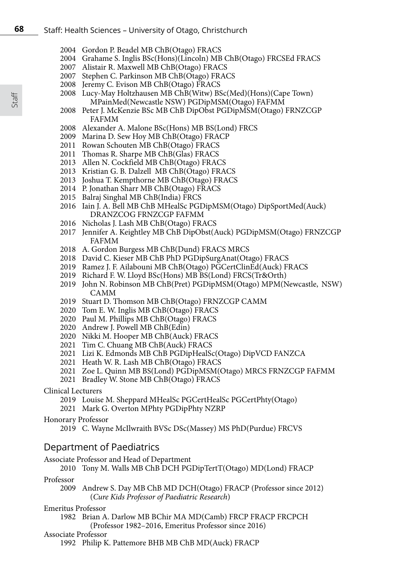- 2004 Gordon P. Beadel MB ChB(Otago) FRACS
- 2004 Grahame S. Inglis BSc(Hons)(Lincoln) MB ChB(Otago) FRCSEd FRACS
- 2007 Alistair R. Maxwell MB ChB(Otago) FRACS
- 2007 Stephen C. Parkinson MB ChB(Otago) FRACS
- 2008 Jeremy C. Evison MB ChB(Otago) FRACS
- 2008 Lucy-May Holtzhausen MB ChB(Witw) BSc(Med)(Hons)(Cape Town) MPainMed(Newcastle NSW) PGDipMSM(Otago) FAFMM
- 2008 Peter J. McKenzie BSc MB ChB DipObst PGDipMSM(Otago) FRNZCGP FAFMM
- 2008 Alexander A. Malone BSc(Hons) MB BS(Lond) FRCS
- 2009 Marina D. Sew Hoy MB ChB(Otago) FRACP
- 2011 Rowan Schouten MB ChB(Otago) FRACS
- 2011 Thomas R. Sharpe MB ChB(Glas) FRACS
- 2013 Allen N. Cockfield MB ChB(Otago) FRACS
- 2013 Kristian G. B. Dalzell MB ChB(Otago) FRACS
- 2013 Joshua T. Kempthorne MB ChB(Otago) FRACS
- 2014 P. Jonathan Sharr MB ChB(Otago) FRACS
- 2015 Balraj Singhal MB ChB(India) FRCS
- 2016 Iain J. A. Bell MB ChB MHealSc PGDipMSM(Otago) DipSportMed(Auck) DRANZCOG FRNZCGP FAFMM
- 2016 Nicholas J. Lash MB ChB(Otago) FRACS
- 2017 Jennifer A. Keightley MB ChB DipObst(Auck) PGDipMSM(Otago) FRNZCGP FAFMM
- 2018 A. Gordon Burgess MB ChB(Dund) FRACS MRCS
- 2018 David C. Kieser MB ChB PhD PGDipSurgAnat(Otago) FRACS
- 2019 Ramez J. F. Ailabouni MB ChB(Otago) PGCertClinEd(Auck) FRACS
- 2019 Richard F. W. Lloyd BSc(Hons) MB BS(Lond) FRCS(Tr&Orth)
- 2019 John N. Robinson MB ChB(Pret) PGDipMSM(Otago) MPM(Newcastle, NSW) CAMM
- 2019 Stuart D. Thomson MB ChB(Otago) FRNZCGP CAMM
- 2020 Tom E. W. Inglis MB ChB(Otago) FRACS
- 2020 Paul M. Phillips MB ChB(Otago) FRACS
- 2020 Andrew J. Powell MB ChB(Edin)
- 2020 Nikki M. Hooper MB ChB(Auck) FRACS
- 2021 Tim C. Chuang MB ChB(Auck) FRACS
- 2021 Lizi K. Edmonds MB ChB PGDipHealSc(Otago) DipVCD FANZCA
- 2021 Heath W. R. Lash MB ChB(Otago) FRACS
- 2021 Zoe L. Quinn MB BS(Lond) PGDipMSM(Otago) MRCS FRNZCGP FAFMM
- 2021 Bradley W. Stone MB ChB(Otago) FRACS

# Clinical Lecturers

- 2019 Louise M. Sheppard MHealSc PGCertHealSc PGCertPhty(Otago)
- 2021 Mark G. Overton MPhty PGDipPhty NZRP

#### Honorary Professor

2019 C. Wayne McIlwraith BVSc DSc(Massey) MS PhD(Purdue) FRCVS

# Department of Paediatrics

Associate Professor and Head of Department

2010 Tony M. Walls MB ChB DCH PGDipTertT(Otago) MD(Lond) FRACP

# Professor

2009 Andrew S. Day MB ChB MD DCH(Otago) FRACP (Professor since 2012) (*Cure Kids Professor of Paediatric Research*)

# Emeritus Professor

1982 Brian A. Darlow MB BChir MA MD(Camb) FRCP FRACP FRCPCH (Professor 1982–2016, Emeritus Professor since 2016)

# Associate Professor

1992 Philip K. Pattemore BHB MB ChB MD(Auck) FRACP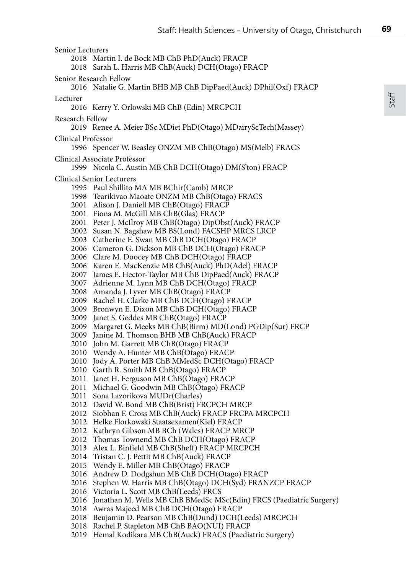Senior Lecturers Martin I. de Bock MB ChB PhD(Auck) FRACP Sarah L. Harris MB ChB(Auck) DCH(Otago) FRACP Senior Research Fellow Natalie G. Martin BHB MB ChB DipPaed(Auck) DPhil(Oxf) FRACP Lecturer 2016 Kerry Y. Orlowski MB ChB (Edin) MRCPCH Research Fellow 2019 Renee A. Meier BSc MDiet PhD(Otago) MDairyScTech(Massey) Clinical Professor Spencer W. Beasley ONZM MB ChB(Otago) MS(Melb) FRACS Clinical Associate Professor Nicola C. Austin MB ChB DCH(Otago) DM(S'ton) FRACP Clinical Senior Lecturers Paul Shillito MA MB BChir(Camb) MRCP Tearikivao Maoate ONZM MB ChB(Otago) FRACS 2001 Alison J. Daniell MB ChB(Otago) FRACP Fiona M. McGill MB ChB(Glas) FRACP Peter J. McIlroy MB ChB(Otago) DipObst(Auck) FRACP Susan N. Bagshaw MB BS(Lond) FACSHP MRCS LRCP Catherine E. Swan MB ChB DCH(Otago) FRACP Cameron G. Dickson MB ChB DCH(Otago) FRACP Clare M. Doocey MB ChB DCH(Otago) FRACP Karen E. MacKenzie MB ChB(Auck) PhD(Adel) FRACP James E. Hector-Taylor MB ChB DipPaed(Auck) FRACP 2007 Adrienne M. Lynn MB ChB DCH(Otago) FRACP Amanda J. Lyver MB ChB(Otago) FRACP Rachel H. Clarke MB ChB DCH(Otago) FRACP Bronwyn E. Dixon MB ChB DCH(Otago) FRACP Janet S. Geddes MB ChB(Otago) FRACP Margaret G. Meeks MB ChB(Birm) MD(Lond) PGDip(Sur) FRCP Janine M. Thomson BHB MB ChB(Auck) FRACP 2010 John M. Garrett MB ChB(Otago) FRACP Wendy A. Hunter MB ChB(Otago) FRACP 2010 Jody A. Porter MB ChB MMedSc DCH(Otago) FRACP Garth R. Smith MB ChB(Otago) FRACP Janet H. Ferguson MB ChB(Otago) FRACP Michael G. Goodwin MB ChB(Otago) FRACP Sona Lazorikova MUDr(Charles) David W. Bond MB ChB(Brist) FRCPCH MRCP Siobhan F. Cross MB ChB(Auck) FRACP FRCPA MRCPCH Helke Florkowski Staatsexamen(Kiel) FRACP Kathryn Gibson MB BCh (Wales) FRACP MRCP Thomas Townend MB ChB DCH(Otago) FRACP Alex L. Binfield MB ChB(Sheff) FRACP MRCPCH Tristan C. J. Pettit MB ChB(Auck) FRACP Wendy E. Miller MB ChB(Otago) FRACP 2016 Andrew D. Dodgshun MB ChB DCH(Otago) FRACP Stephen W. Harris MB ChB(Otago) DCH(Syd) FRANZCP FRACP Victoria L. Scott MB ChB(Leeds) FRCS Jonathan M. Wells MB ChB BMedSc MSc(Edin) FRCS (Paediatric Surgery) Awras Majeed MB ChB DCH(Otago) FRACP Benjamin D. Pearson MB ChB(Dund) DCH(Leeds) MRCPCH Rachel P. Stapleton MB ChB BAO(NUI) FRACP Hemal Kodikara MB ChB(Auck) FRACS (Paediatric Surgery)

Staff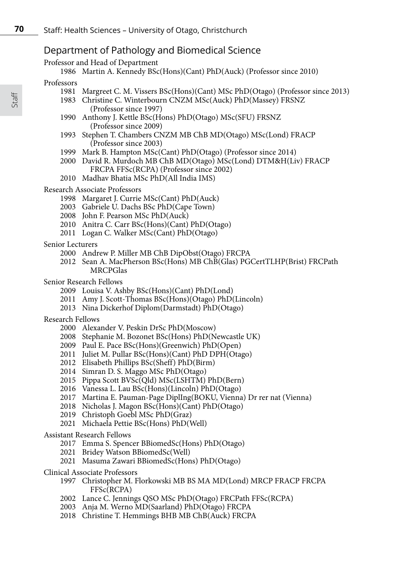# Department of Pathology and Biomedical Science

Professor and Head of Department

```
1986 Martin A. Kennedy BSc(Hons)(Cant) PhD(Auck) (Professor since 2010)
```
### Professors

- Margreet C. M. Vissers BSc(Hons)(Cant) MSc PhD(Otago) (Professor since 2013)
- Christine C. Winterbourn CNZM MSc(Auck) PhD(Massey) FRSNZ (Professor since 1997)
- Anthony J. Kettle BSc(Hons) PhD(Otago) MSc(SFU) FRSNZ (Professor since 2009)
- Stephen T. Chambers CNZM MB ChB MD(Otago) MSc(Lond) FRACP (Professor since 2003)
- Mark B. Hampton MSc(Cant) PhD(Otago) (Professor since 2014)
- David R. Murdoch MB ChB MD(Otago) MSc(Lond) DTM&H(Liv) FRACP FRCPA FFSc(RCPA) (Professor since 2002)
- Madhav Bhatia MSc PhD(All India IMS)

#### Research Associate Professors

- Margaret J. Currie MSc(Cant) PhD(Auck)
- Gabriele U. Dachs BSc PhD(Cape Town)
- John F. Pearson MSc PhD(Auck)
- Anitra C. Carr BSc(Hons)(Cant) PhD(Otago)
- Logan C. Walker MSc(Cant) PhD(Otago)

#### Senior Lecturers

- Andrew P. Miller MB ChB DipObst(Otago) FRCPA
- Sean A. MacPherson BSc(Hons) MB ChB(Glas) PGCertTLHP(Brist) FRCPath MRCPGlas
- Senior Research Fellows
	- Louisa V. Ashby BSc(Hons)(Cant) PhD(Lond)
	- Amy J. Scott-Thomas BSc(Hons)(Otago) PhD(Lincoln)
	- Nina Dickerhof Diplom(Darmstadt) PhD(Otago)

#### Research Fellows

- Alexander V. Peskin DrSc PhD(Moscow)
- Stephanie M. Bozonet BSc(Hons) PhD(Newcastle UK)
- Paul E. Pace BSc(Hons)(Greenwich) PhD(Open)
- 2011 Juliet M. Pullar BSc(Hons)(Cant) PhD DPH(Otago)
- Elisabeth Phillips BSc(Sheff) PhD(Birm)
- Simran D. S. Maggo MSc PhD(Otago)
- Pippa Scott BVSc(Qld) MSc(LSHTM) PhD(Bern)
- Vanessa L. Lau BSc(Hons)(Lincoln) PhD(Otago)
- Martina E. Pauman-Page DiplIng(BOKU, Vienna) Dr rer nat (Vienna)
- 2018 Nicholas J. Magon BSc(Hons)(Cant) PhD(Otago)
- Christoph Goebl MSc PhD(Graz)
- Michaela Pettie BSc(Hons) PhD(Well)

#### Assistant Research Fellows

- Emma S. Spencer BBiomedSc(Hons) PhD(Otago)
- Bridey Watson BBiomedSc(Well)
- 2021 Masuma Zawari BBiomedSc(Hons) PhD(Otago)
- Clinical Associate Professors
	- Christopher M. Florkowski MB BS MA MD(Lond) MRCP FRACP FRCPA FFSc(RCPA)
	- Lance C. Jennings QSO MSc PhD(Otago) FRCPath FFSc(RCPA)
	- Anja M. Werno MD(Saarland) PhD(Otago) FRCPA
	- Christine T. Hemmings BHB MB ChB(Auck) FRCPA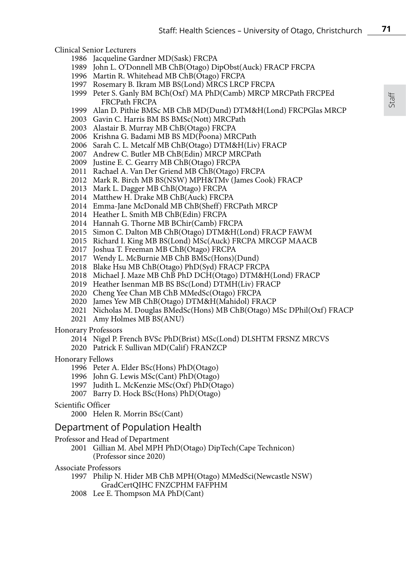Clinical Senior Lecturers

- Jacqueline Gardner MD(Sask) FRCPA
- John L. O'Donnell MB ChB(Otago) DipObst(Auck) FRACP FRCPA
- Martin R. Whitehead MB ChB(Otago) FRCPA
- Rosemary B. Ikram MB BS(Lond) MRCS LRCP FRCPA
- Peter S. Ganly BM BCh(Oxf) MA PhD(Camb) MRCP MRCPath FRCPEd FRCPath FRCPA
- Alan D. Pithie BMSc MB ChB MD(Dund) DTM&H(Lond) FRCPGlas MRCP
- Gavin C. Harris BM BS BMSc(Nott) MRCPath
- Alastair B. Murray MB ChB(Otago) FRCPA
- Krishna G. Badami MB BS MD(Poona) MRCPath
- Sarah C. L. Metcalf MB ChB(Otago) DTM&H(Liv) FRACP
- Andrew C. Butler MB ChB(Edin) MRCP MRCPath
- Justine E. C. Gearry MB ChB(Otago) FRCPA
- Rachael A. Van Der Griend MB ChB(Otago) FRCPA
- Mark R. Birch MB BS(NSW) MPH&TMv (James Cook) FRACP
- Mark L. Dagger MB ChB(Otago) FRCPA
- Matthew H. Drake MB ChB(Auck) FRCPA
- Emma-Jane McDonald MB ChB(Sheff) FRCPath MRCP
- Heather L. Smith MB ChB(Edin) FRCPA
- Hannah G. Thorne MB BChir(Camb) FRCPA
- Simon C. Dalton MB ChB(Otago) DTM&H(Lond) FRACP FAWM
- Richard I. King MB BS(Lond) MSc(Auck) FRCPA MRCGP MAACB
- 2017 Joshua T. Freeman MB ChB(Otago) FRCPA
- Wendy L. McBurnie MB ChB BMSc(Hons)(Dund)
- Blake Hsu MB ChB(Otago) PhD(Syd) FRACP FRCPA
- Michael J. Maze MB ChB PhD DCH(Otago) DTM&H(Lond) FRACP
- Heather Isenman MB BS BSc(Lond) DTMH(Liv) FRACP
- 2020 Cheng Yee Chan MB ChB MMedSc(Otago) FRCPA
- James Yew MB ChB(Otago) DTM&H(Mahidol) FRACP
- Nicholas M. Douglas BMedSc(Hons) MB ChB(Otago) MSc DPhil(Oxf) FRACP
- Amy Holmes MB BS(ANU)

#### Honorary Professors

- Nigel P. French BVSc PhD(Brist) MSc(Lond) DLSHTM FRSNZ MRCVS
- 2020 Patrick F. Sullivan MD(Calif) FRANZCP

#### Honorary Fellows

- 1996 Peter A. Elder BSc(Hons) PhD(Otago)
- 1996 John G. Lewis MSc(Cant) PhD(Otago)
- 1997 Judith L. McKenzie MSc(Oxf) PhD(Otago)
- 2007 Barry D. Hock BSc(Hons) PhD(Otago)

# Scientific Officer

Helen R. Morrin BSc(Cant)

# Department of Population Health

### Professor and Head of Department

 Gillian M. Abel MPH PhD(Otago) DipTech(Cape Technicon) (Professor since 2020)

#### Associate Professors

- Philip N. Hider MB ChB MPH(Otago) MMedSci(Newcastle NSW) GradCertQIHC FNZCPHM FAFPHM
- Lee E. Thompson MA PhD(Cant)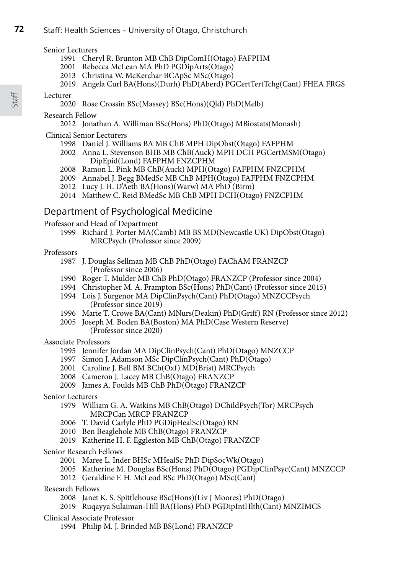#### Senior Lecturers

- Cheryl R. Brunton MB ChB DipComH(Otago) FAFPHM
- Rebecca McLean MA PhD PGDipArts(Otago)
- Christina W. McKerchar BCApSc MSc(Otago)
- Angela Curl BA(Hons)(Durh) PhD(Aberd) PGCertTertTchg(Cant) FHEA FRGS

#### Lecturer

Rose Crossin BSc(Massey) BSc(Hons)(Qld) PhD(Melb)

# Research Fellow

Jonathan A. Williman BSc(Hons) PhD(Otago) MBiostats(Monash)

# Clinical Senior Lecturers

- Daniel J. Williams BA MB ChB MPH DipObst(Otago) FAFPHM
- Anna L. Stevenson BHB MB ChB(Auck) MPH DCH PGCertMSM(Otago) DipEpid(Lond) FAFPHM FNZCPHM
- Ramon L. Pink MB ChB(Auck) MPH(Otago) FAFPHM FNZCPHM
- Annabel J. Begg BMedSc MB ChB MPH(Otago) FAFPHM FNZCPHM
- Lucy J. H. D'Aeth BA(Hons)(Warw) MA PhD (Birm)
- Matthew C. Reid BMedSc MB ChB MPH DCH(Otago) FNZCPHM

# Department of Psychological Medicine

Professor and Head of Department

 Richard J. Porter MA(Camb) MB BS MD(Newcastle UK) DipObst(Otago) MRCPsych (Professor since 2009)

#### Professors

- J. Douglas Sellman MB ChB PhD(Otago) FAChAM FRANZCP (Professor since 2006)
- Roger T. Mulder MB ChB PhD(Otago) FRANZCP (Professor since 2004)
- Christopher M. A. Frampton BSc(Hons) PhD(Cant) (Professor since 2015)
- Lois J. Surgenor MA DipClinPsych(Cant) PhD(Otago) MNZCCPsych (Professor since 2019)
- Marie T. Crowe BA(Cant) MNurs(Deakin) PhD(Griff) RN (Professor since 2012)
- Joseph M. Boden BA(Boston) MA PhD(Case Western Reserve) (Professor since 2020)

#### Associate Professors

- Jennifer Jordan MA DipClinPsych(Cant) PhD(Otago) MNZCCP
- Simon J. Adamson MSc DipClinPsych(Cant) PhD(Otago)
- Caroline J. Bell BM BCh(Oxf) MD(Brist) MRCPsych
- Cameron J. Lacey MB ChB(Otago) FRANZCP
- James A. Foulds MB ChB PhD(Otago) FRANZCP

#### Senior Lecturers

- William G. A. Watkins MB ChB(Otago) DChildPsych(Tor) MRCPsych MRCPCan MRCP FRANZCP
- T. David Carlyle PhD PGDipHealSc(Otago) RN
- Ben Beaglehole MB ChB(Otago) FRANZCP
- Katherine H. F. Eggleston MB ChB(Otago) FRANZCP
- Senior Research Fellows
	- Maree L. Inder BHSc MHealSc PhD DipSocWk(Otago)
	- Katherine M. Douglas BSc(Hons) PhD(Otago) PGDipClinPsyc(Cant) MNZCCP
	- Geraldine F. H. McLeod BSc PhD(Otago) MSc(Cant)
- Research Fellows
	- Janet K. S. Spittlehouse BSc(Hons)(Liv J Moores) PhD(Otago)
	- Ruqayya Sulaiman-Hill BA(Hons) PhD PGDipIntHlth(Cant) MNZIMCS
- Clinical Associate Professor
	- Philip M. J. Brinded MB BS(Lond) FRANZCP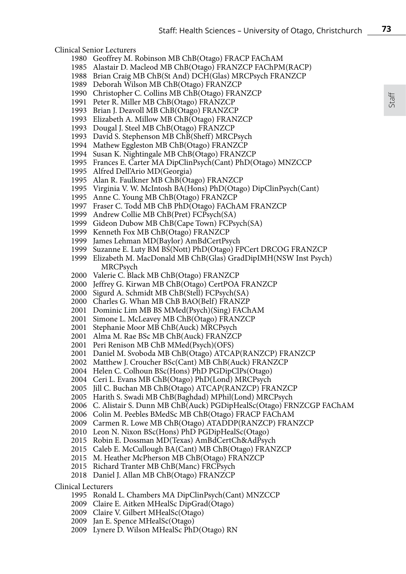Clinical Senior Lecturers

- Geoffrey M. Robinson MB ChB(Otago) FRACP FAChAM
- Alastair D. Macleod MB ChB(Otago) FRANZCP FAChPM(RACP)
- Brian Craig MB ChB(St And) DCH(Glas) MRCPsych FRANZCP
- Deborah Wilson MB ChB(Otago) FRANZCP
- Christopher C. Collins MB ChB(Otago) FRANZCP
- Peter R. Miller MB ChB(Otago) FRANZCP
- Brian J. Deavoll MB ChB(Otago) FRANZCP
- Elizabeth A. Millow MB ChB(Otago) FRANZCP
- Dougal J. Steel MB ChB(Otago) FRANZCP
- David S. Stephenson MB ChB(Sheff) MRCPsych
- Mathew Eggleston MB ChB(Otago) FRANZCP
- Susan K. Nightingale MB ChB(Otago) FRANZCP
- Frances E. Carter MA DipClinPsych(Cant) PhD(Otago) MNZCCP
- Alfred Dell'Ario MD(Georgia)
- Alan R. Faulkner MB ChB(Otago) FRANZCP
- Virginia V. W. McIntosh BA(Hons) PhD(Otago) DipClinPsych(Cant)
- Anne C. Young MB ChB(Otago) FRANZCP
- Fraser C. Todd MB ChB PhD(Otago) FAChAM FRANZCP
- Andrew Collie MB ChB(Pret) FCPsych(SA)
- Gideon Dubow MB ChB(Cape Town) FCPsych(SA)
- Kenneth Fox MB ChB(Otago) FRANZCP
- James Lehman MD(Baylor) AmBdCertPsych
- Suzanne E. Luty BM BS(Nott) PhD(Otago) FPCert DRCOG FRANZCP
- Elizabeth M. MacDonald MB ChB(Glas) GradDipIMH(NSW Inst Psych) MRCPsych
- Valerie C. Black MB ChB(Otago) FRANZCP
- Jeffrey G. Kirwan MB ChB(Otago) CertPOA FRANZCP
- Sigurd A. Schmidt MB ChB(Stell) FCPsych(SA)
- Charles G. Whan MB ChB BAO(Belf) FRANZP
- Dominic Lim MB BS MMed(Psych)(Sing) FAChAM
- Simone L. McLeavey MB ChB(Otago) FRANZCP
- Stephanie Moor MB ChB(Auck) MRCPsych
- Alma M. Rae BSc MB ChB(Auck) FRANZCP
- Peri Renison MB ChB MMed(Psych)(OFS)
- Daniel M. Svoboda MB ChB(Otago) ATCAP(RANZCP) FRANZCP
- Matthew J. Croucher BSc(Cant) MB ChB(Auck) FRANZCP
- Helen C. Colhoun BSc(Hons) PhD PGDipClPs(Otago)
- Ceri L. Evans MB ChB(Otago) PhD(Lond) MRCPsych
- Jill C. Buchan MB ChB(Otago) ATCAP(RANZCP) FRANZCP
- Harith S. Swadi MB ChB(Baghdad) MPhil(Lond) MRCPsych
- C. Alistair S. Dunn MB ChB(Auck) PGDipHealSc(Otago) FRNZCGP FAChAM
- Colin M. Peebles BMedSc MB ChB(Otago) FRACP FAChAM
- Carmen R. Lowe MB ChB(Otago) ATADDP(RANZCP) FRANZCP
- Leon N. Nixon BSc(Hons) PhD PGDipHealSc(Otago)
- Robin E. Dossman MD(Texas) AmBdCertCh&AdPsych
- Caleb E. McCullough BA(Cant) MB ChB(Otago) FRANZCP
- M. Heather McPherson MB ChB(Otago) FRANZCP
- Richard Tranter MB ChB(Manc) FRCPsych
- Daniel J. Allan MB ChB(Otago) FRANZCP

Clinical Lecturers

- Ronald L. Chambers MA DipClinPsych(Cant) MNZCCP
- Claire E. Aitken MHealSc DipGrad(Otago)
- Claire V. Gilbert MHealSc(Otago)
- Jan E. Spence MHealSc(Otago)
- Lynere D. Wilson MHealSc PhD(Otago) RN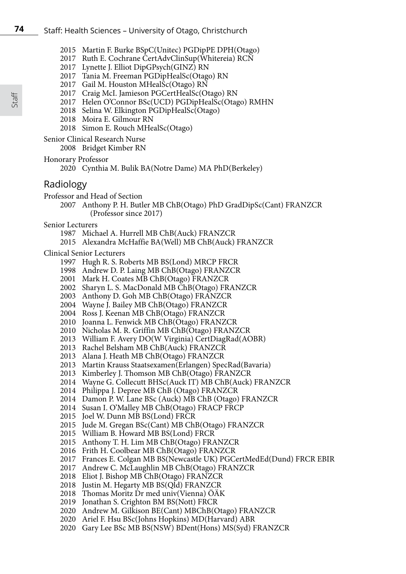- Martin F. Burke BSpC(Unitec) PGDipPE DPH(Otago)
- Ruth E. Cochrane CertAdvClinSup(Whitereia) RCN
- Lynette J. Elliot DipGPsych(GINZ) RN
- Tania M. Freeman PGDipHealSc(Otago) RN
- Gail M. Houston MHealSc(Otago) RN
- Craig McI. Jamieson PGCertHealSc(Otago) RN
- 2017 Helen O'Connor BSc(UCD) PGDipHealSc(Otago) RMHN
- Selina W. Elkington PGDipHealSc(Otago)
- Moira E. Gilmour RN
- Simon E. Rouch MHealSc(Otago)

Senior Clinical Research Nurse

Bridget Kimber RN

Honorary Professor

# Radiology

- Professor and Head of Section
	- Anthony P. H. Butler MB ChB(Otago) PhD GradDipSc(Cant) FRANZCR (Professor since 2017)

Senior Lecturers

- Michael A. Hurrell MB ChB(Auck) FRANZCR
- Alexandra McHaffie BA(Well) MB ChB(Auck) FRANZCR

Clinical Senior Lecturers

- Hugh R. S. Roberts MB BS(Lond) MRCP FRCR
- Andrew D. P. Laing MB ChB(Otago) FRANZCR
- Mark H. Coates MB ChB(Otago) FRANZCR
- Sharyn L. S. MacDonald MB ChB(Otago) FRANZCR
- Anthony D. Goh MB ChB(Otago) FRANZCR
- Wayne J. Bailey MB ChB(Otago) FRANZCR
- Ross J. Keenan MB ChB(Otago) FRANZCR
- Joanna L. Fenwick MB ChB(Otago) FRANZCR
- Nicholas M. R. Griffin MB ChB(Otago) FRANZCR
- William F. Avery DO(W Virginia) CertDiagRad(AOBR)
- Rachel Belsham MB ChB(Auck) FRANZCR
- Alana J. Heath MB ChB(Otago) FRANZCR
- Martin Krauss Staatsexamen(Erlangen) SpecRad(Bavaria)
- Kimberley J. Thomson MB ChB(Otago) FRANZCR
- Wayne G. Collecutt BHSc(Auck IT) MB ChB(Auck) FRANZCR
- Philippa J. Depree MB ChB (Otago) FRANZCR
- Damon P. W. Lane BSc (Auck) MB ChB (Otago) FRANZCR
- 2014 Susan I. O'Malley MB ChB(Otago) FRACP FRCP
- 2015 Joel W. Dunn MB BS(Lond) FRCR
- 2015 Jude M. Gregan BSc(Cant) MB ChB(Otago) FRANZCR
- William B. Howard MB BS(Lond) FRCR
- Anthony T. H. Lim MB ChB(Otago) FRANZCR
- Frith H. Coolbear MB ChB(Otago) FRANZCR
- Frances E. Colgan MB BS(Newcastle UK) PGCertMedEd(Dund) FRCR EBIR
- Andrew C. McLaughlin MB ChB(Otago) FRANZCR
- 2018 Eliot J. Bishop MB ChB(Otago) FRANZCR
- 2018 Justin M. Hegarty MB BS(QId) FRANZCR
- 2018 Thomas Moritz Dr med univ(Vienna) ÖÄK
- 2019 Jonathan S. Crighton BM BS(Nott) FRCR
- 2020 Andrew M. Gilkison BE(Cant) MBChB(Otago) FRANZCR
- 2020 Ariel F. Hsu BSc(Johns Hopkins) MD(Harvard) ABR
- 2020 Gary Lee BSc MB BS(NSW) BDent(Hons) MS(Syd) FRANZCR

<sup>2020</sup> Cynthia M. Bulik BA(Notre Dame) MA PhD(Berkeley)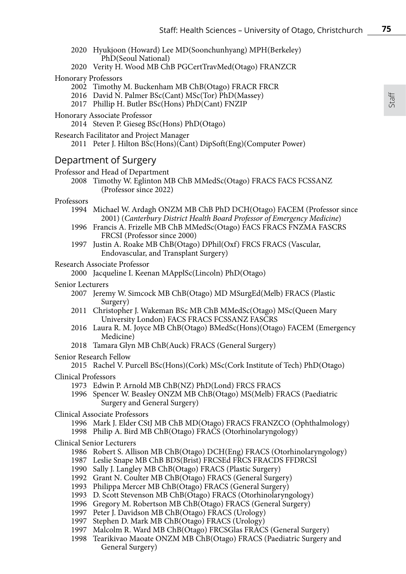- 2020 Hyukjoon (Howard) Lee MD(Soonchunhyang) MPH(Berkeley) PhD(Seoul National)
- 2020 Verity H. Wood MB ChB PGCertTravMed(Otago) FRANZCR
- Honorary Professors
	- 2002 Timothy M. Buckenham MB ChB(Otago) FRACR FRCR
	- 2016 David N. Palmer BSc(Cant) MSc(Tor) PhD(Massey)
	- 2017 Phillip H. Butler BSc(Hons) PhD(Cant) FNZIP
- Honorary Associate Professor
	- 2014 Steven P. Gieseg BSc(Hons) PhD(Otago)
- Research Facilitator and Project Manager
	- 2011 Peter J. Hilton BSc(Hons)(Cant) DipSoft(Eng)(Computer Power)

# Department of Surgery

- Professor and Head of Department
	- 2008 Timothy W. Eglinton MB ChB MMedSc(Otago) FRACS FACS FCSSANZ (Professor since 2022)

#### Professors

- 1994 Michael W. Ardagh ONZM MB ChB PhD DCH(Otago) FACEM (Professor since 2001) (*Canterbury District Health Board Professor of Emergency Medicine*)
- 1996 Francis A. Frizelle MB ChB MMedSc(Otago) FACS FRACS FNZMA FASCRS FRCSI (Professor since 2000)
- 1997 Justin A. Roake MB ChB(Otago) DPhil(Oxf) FRCS FRACS (Vascular, Endovascular, and Transplant Surgery)

### Research Associate Professor

2000 Jacqueline I. Keenan MApplSc(Lincoln) PhD(Otago)

- Senior Lecturers
	- 2007 Jeremy W. Simcock MB ChB(Otago) MD MSurgEd(Melb) FRACS (Plastic Surgery)
	- 2011 Christopher J. Wakeman BSc MB ChB MMedSc(Otago) MSc(Queen Mary University London) FACS FRACS FCSSANZ FASCRS
	- 2016 Laura R. M. Joyce MB ChB(Otago) BMedSc(Hons)(Otago) FACEM (Emergency Medicine)
	- 2018 Tamara Glyn MB ChB(Auck) FRACS (General Surgery)

### Senior Research Fellow

- 2015 Rachel V. Purcell BSc(Hons)(Cork) MSc(Cork Institute of Tech) PhD(Otago)
- Clinical Professors
	- 1973 Edwin P. Arnold MB ChB(NZ) PhD(Lond) FRCS FRACS
	- 1996 Spencer W. Beasley ONZM MB ChB(Otago) MS(Melb) FRACS (Paediatric Surgery and General Surgery)
- Clinical Associate Professors
	- 1996 Mark J. Elder CStJ MB ChB MD(Otago) FRACS FRANZCO (Ophthalmology) 1998 Philip A. Bird MB ChB(Otago) FRACS (Otorhinolaryngology)

#### Clinical Senior Lecturers

- 1986 Robert S. Allison MB ChB(Otago) DCH(Eng) FRACS (Otorhinolaryngology)
- 1987 Leslie Snape MB ChB BDS(Brist) FRCSEd FRCS FRACDS FFDRCSI
- 1990 Sally J. Langley MB ChB(Otago) FRACS (Plastic Surgery)
- 1992 Grant N. Coulter MB ChB(Otago) FRACS (General Surgery)
- 1993 Philippa Mercer MB ChB(Otago) FRACS (General Surgery)
- 1993 D. Scott Stevenson MB ChB(Otago) FRACS (Otorhinolaryngology)
- 1996 Gregory M. Robertson MB ChB(Otago) FRACS (General Surgery)
- 1997 Peter J. Davidson MB ChB(Otago) FRACS (Urology)
- 1997 Stephen D. Mark MB ChB(Otago) FRACS (Urology)
- 1997 Malcolm R. Ward MB ChB(Otago) FRCSGlas FRACS (General Surgery)
- 1998 Tearikivao Maoate ONZM MB ChB(Otago) FRACS (Paediatric Surgery and General Surgery)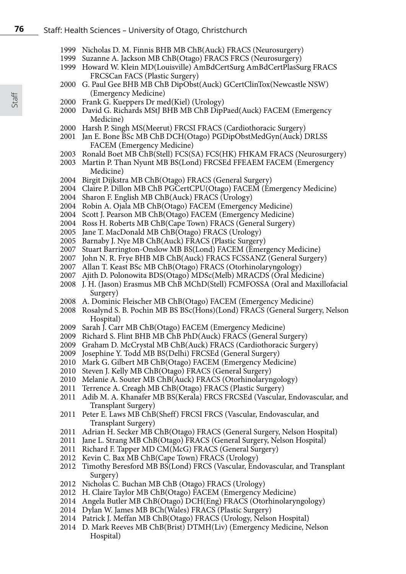#### Staff: Health Sciences – University of Otago, Christchurch

- Nicholas D. M. Finnis BHB MB ChB(Auck) FRACS (Neurosurgery)
- 1999 Suzanne A. Jackson MB ChB(Otago) FRACS FRCS (Neurosurgery)
- Howard W. Klein MD(Louisville) AmBdCertSurg AmBdCertPlasSurg FRACS FRCSCan FACS (Plastic Surgery)
- G. Paul Gee BHB MB ChB DipObst(Auck) GCertClinTox(Newcastle NSW) (Emergency Medicine)
- Frank G. Kueppers Dr med(Kiel) (Urology)
- David G. Richards MStJ BHB MB ChB DipPaed(Auck) FACEM (Emergency Medicine)
- Harsh P. Singh MS(Meerut) FRCSI FRACS (Cardiothoracic Surgery)
- Jan E. Bone BSc MB ChB DCH(Otago) PGDipObstMedGyn(Auck) DRLSS FACEM (Emergency Medicine)
- Ronald Boet MB ChB(Stell) FCS(SA) FCS(HK) FHKAM FRACS (Neurosurgery)
- Martin P. Than Nyunt MB BS(Lond) FRCSEd FFEAEM FACEM (Emergency Medicine)
- Birgit Dijkstra MB ChB(Otago) FRACS (General Surgery)
- Claire P. Dillon MB ChB PGCertCPU(Otago) FACEM (Emergency Medicine)
- Sharon F. English MB ChB(Auck) FRACS (Urology)
- Robin A. Ojala MB ChB(Otago) FACEM (Emergency Medicine)
- Scott J. Pearson MB ChB(Otago) FACEM (Emergency Medicine)
- Ross H. Roberts MB ChB(Cape Town) FRACS (General Surgery)
- Jane T. MacDonald MB ChB(Otago) FRACS (Urology)
- Barnaby J. Nye MB ChB(Auck) FRACS (Plastic Surgery)
- Stuart Barrington-Onslow MB BS(Lond) FACEM (Emergency Medicine)
- John N. R. Frye BHB MB ChB(Auck) FRACS FCSSANZ (General Surgery)
- Allan T. Keast BSc MB ChB(Otago) FRACS (Otorhinolaryngology)
- Ajith D. Polonowita BDS(Otago) MDSc(Melb) MRACDS (Oral Medicine)
- J. H. (Jason) Erasmus MB ChB MChD(Stell) FCMFOSSA (Oral and Maxillofacial Surgery)
- A. Dominic Fleischer MB ChB(Otago) FACEM (Emergency Medicine)
- 2008 Rosalynd S. B. Pochin MB BS BSc(Hons)(Lond) FRACS (General Surgery, Nelson Hospital)
- Sarah J. Carr MB ChB(Otago) FACEM (Emergency Medicine)
- Richard S. Flint BHB MB ChB PhD(Auck) FRACS (General Surgery)
- 2009 Graham D. McCrystal MB ChB(Auck) FRACS (Cardiothoracic Surgery)
- Josephine Y. Todd MB BS(Delhi) FRCSEd (General Surgery)
- Mark G. Gilbert MB ChB(Otago) FACEM (Emergency Medicine)
- Steven J. Kelly MB ChB(Otago) FRACS (General Surgery)
- Melanie A. Souter MB ChB(Auck) FRACS (Otorhinolaryngology)
- Terrence A. Creagh MB ChB(Otago) FRACS (Plastic Surgery)
- Adib M. A. Khanafer MB BS(Kerala) FRCS FRCSEd (Vascular, Endovascular, and Transplant Surgery)
- Peter E. Laws MB ChB(Sheff) FRCSI FRCS (Vascular, Endovascular, and Transplant Surgery)
- 2011 Adrian H. Secker MB ChB(Otago) FRACS (General Surgery, Nelson Hospital)
- Jane L. Strang MB ChB(Otago) FRACS (General Surgery, Nelson Hospital)
- Richard F. Tapper MD CM(McG) FRACS (General Surgery)
- Kevin C. Bax MB ChB(Cape Town) FRACS (Urology)
- Timothy Beresford MB BS(Lond) FRCS (Vascular, Endovascular, and Transplant Surgery)
- Nicholas C. Buchan MB ChB (Otago) FRACS (Urology)
- H. Claire Taylor MB ChB(Otago) FACEM (Emergency Medicine)
- 2014 Angela Butler MB ChB(Otago) DCH(Eng) FRACS (Otorhinolaryngology)
- 2014 Dylan W. James MB BCh(Wales) FRACS (Plastic Surgery)
- 2014 Patrick J. Meffan MB ChB(Otago) FRACS (Urology, Nelson Hospital)
- D. Mark Reeves MB ChB(Brist) DTMH(Liv) (Emergency Medicine, Nelson Hospital)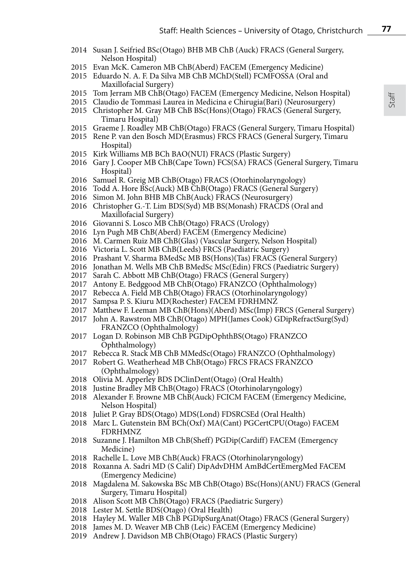- 2014 Susan J. Seifried BSc(Otago) BHB MB ChB (Auck) FRACS (General Surgery, Nelson Hospital)
- Evan McK. Cameron MB ChB(Aberd) FACEM (Emergency Medicine)
- 2015 Eduardo N. A. F. Da Silva MB ChB MChD(Stell) FCMFOSSA (Oral and Maxillofacial Surgery)
- Tom Jerram MB ChB(Otago) FACEM (Emergency Medicine, Nelson Hospital)
- Claudio de Tommasi Laurea in Medicina e Chirugia(Bari) (Neurosurgery)
- 2015 Christopher M. Gray MB ChB BSc(Hons)(Otago) FRACS (General Surgery, Timaru Hospital)
- 2015 Graeme J. Roadley MB ChB(Otago) FRACS (General Surgery, Timaru Hospital)
- 2015 Rene P. van den Bosch MD(Erasmus) FRCS FRACS (General Surgery, Timaru Hospital)
- 2015 Kirk Williams MB BCh BAO(NUI) FRACS (Plastic Surgery)
- Gary J. Cooper MB ChB(Cape Town) FCS(SA) FRACS (General Surgery, Timaru Hospital)
- Samuel R. Greig MB ChB(Otago) FRACS (Otorhinolaryngology)
- Todd A. Hore BSc(Auck) MB ChB(Otago) FRACS (General Surgery)
- Simon M. John BHB MB ChB(Auck) FRACS (Neurosurgery)
- Christopher G.-T. Lim BDS(Syd) MB BS(Monash) FRACDS (Oral and Maxillofacial Surgery)
- Giovanni S. Losco MB ChB(Otago) FRACS (Urology)
- Lyn Pugh MB ChB(Aberd) FACEM (Emergency Medicine)
- M. Carmen Ruiz MB ChB(Glas) (Vascular Surgery, Nelson Hospital)
- Victoria L. Scott MB ChB(Leeds) FRCS (Paediatric Surgery)
- Prashant V. Sharma BMedSc MB BS(Hons)(Tas) FRACS (General Surgery)
- Jonathan M. Wells MB ChB BMedSc MSc(Edin) FRCS (Paediatric Surgery)
- Sarah C. Abbott MB ChB(Otago) FRACS (General Surgery)
- Antony E. Bedggood MB ChB(Otago) FRANZCO (Ophthalmology)
- Rebecca A. Field MB ChB(Otago) FRACS (Otorhinolaryngology)
- Sampsa P. S. Kiuru MD(Rochester) FACEM FDRHMNZ
- Matthew F. Leeman MB ChB(Hons)(Aberd) MSc(Imp) FRCS (General Surgery)
- John A. Rawstron MB ChB(Otago) MPH(James Cook) GDipRefractSurg(Syd) FRANZCO (Ophthalmology)
- Logan D. Robinson MB ChB PGDipOphthBS(Otago) FRANZCO Ophthalmology)
- Rebecca R. Stack MB ChB MMedSc(Otago) FRANZCO (Ophthalmology)
- Robert G. Weatherhead MB ChB(Otago) FRCS FRACS FRANZCO (Ophthalmology)
- Olivia M. Apperley BDS DClinDent(Otago) (Oral Health)
- Justine Bradley MB ChB(Otago) FRACS (Otorhinolaryngology)
- Alexander F. Browne MB ChB(Auck) FCICM FACEM (Emergency Medicine, Nelson Hospital)
- Juliet P. Gray BDS(Otago) MDS(Lond) FDSRCSEd (Oral Health)
- Marc L. Gutenstein BM BCh(Oxf) MA(Cant) PGCertCPU(Otago) FACEM FDRHMNZ
- Suzanne J. Hamilton MB ChB(Sheff) PGDip(Cardiff) FACEM (Emergency Medicine)
- Rachelle L. Love MB ChB(Auck) FRACS (Otorhinolaryngology)
- Roxanna A. Sadri MD (S Calif) DipAdvDHM AmBdCertEmergMed FACEM (Emergency Medicine)
- Magdalena M. Sakowska BSc MB ChB(Otago) BSc(Hons)(ANU) FRACS (General Surgery, Timaru Hospital)
- Alison Scott MB ChB(Otago) FRACS (Paediatric Surgery)
- Lester M. Settle BDS(Otago) (Oral Health)
- Hayley M. Waller MB ChB PGDipSurgAnat(Otago) FRACS (General Surgery)
- James M. D. Weaver MB ChB (Leic) FACEM (Emergency Medicine)
- 2019 Andrew J. Davidson MB ChB(Otago) FRACS (Plastic Surgery)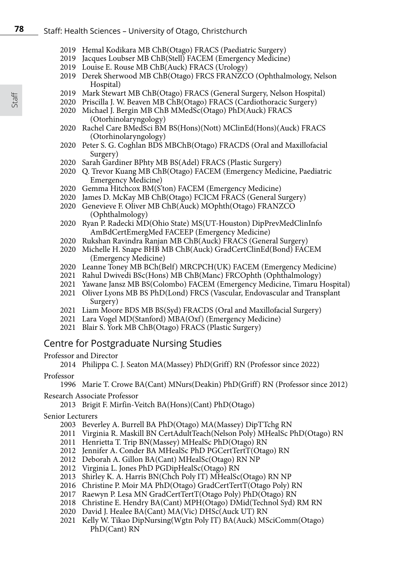- 2019 Hemal Kodikara MB ChB(Otago) FRACS (Paediatric Surgery)
- 2019 Jacques Loubser MB ChB(Stell) FACEM (Emergency Medicine)
- 2019 Louise E. Rouse MB ChB(Auck) FRACS (Urology)
- 2019 Derek Sherwood MB ChB(Otago) FRCS FRANZCO (Ophthalmology, Nelson Hospital)
- 2019 Mark Stewart MB ChB(Otago) FRACS (General Surgery, Nelson Hospital)
- 2020 Priscilla J. W. Beaven MB ChB(Otago) FRACS (Cardiothoracic Surgery)
- 2020 Michael J. Bergin MB ChB MMedSc(Otago) PhD(Auck) FRACS (Otorhinolaryngology)
- 2020 Rachel Care BMedSci BM BS(Hons)(Nott) MClinEd(Hons)(Auck) FRACS (Otorhinolaryngology)
- 2020 Peter S. G. Coghlan BDS MBChB(Otago) FRACDS (Oral and Maxillofacial Surgery)
- 2020 Sarah Gardiner BPhty MB BS(Adel) FRACS (Plastic Surgery)
- 2020 Q. Trevor Kuang MB ChB(Otago) FACEM (Emergency Medicine, Paediatric Emergency Medicine)
- 2020 Gemma Hitchcox BM(S'ton) FACEM (Emergency Medicine)
- 2020 James D. McKay MB ChB(Otago) FCICM FRACS (General Surgery)
- 2020 Genevieve F. Oliver MB ChB(Auck) MOphth(Otago) FRANZCO (Ophthalmology)
- 2020 Ryan P. Radecki MD(Ohio State) MS(UT-Houston) DipPrevMedClinInfo AmBdCertEmergMed FACEEP (Emergency Medicine)
- 2020 Rukshan Ravindra Ranjan MB ChB(Auck) FRACS (General Surgery)
- 2020 Michelle H. Snape BHB MB ChB(Auck) GradCertClinEd(Bond) FACEM (Emergency Medicine)
- 2020 Leanne Toney MB BCh(Belf) MRCPCH(UK) FACEM (Emergency Medicine)
- 2021 Rahul Dwivedi BSc(Hons) MB ChB(Manc) FRCOphth (Ophthalmology)
- 2021 Yawane Jansz MB BS(Colombo) FACEM (Emergency Medicine, Timaru Hospital)
- 2021 Oliver Lyons MB BS PhD(Lond) FRCS (Vascular, Endovascular and Transplant Surgery)
- 2021 Liam Moore BDS MB BS(Syd) FRACDS (Oral and Maxillofacial Surgery)
- 2021 Lara Vogel MD(Stanford) MBA(Oxf) (Emergency Medicine)
- 2021 Blair S. York MB ChB(Otago) FRACS (Plastic Surgery)

# Centre for Postgraduate Nursing Studies

# Professor and Director

2014 Philippa C. J. Seaton MA(Massey) PhD(Griff) RN (Professor since 2022)

# Professor

1996 Marie T. Crowe BA(Cant) MNurs(Deakin) PhD(Griff) RN (Professor since 2012)

Research Associate Professor

2013 Brigit F. Mirfin-Veitch BA(Hons)(Cant) PhD(Otago)

# Senior Lecturers

- 2003 Beverley A. Burrell BA PhD(Otago) MA(Massey) DipTTchg RN
- 2011 Virginia R. Maskill BN CertAdultTeach(Nelson Poly) MHealSc PhD(Otago) RN
- 2011 Henrietta T. Trip BN(Massey) MHealSc PhD(Otago) RN
- 2012 Jennifer A. Conder BA MHealSc PhD PGCertTertT(Otago) RN
- 2012 Deborah A. Gillon BA(Cant) MHealSc(Otago) RN NP
- 2012 Virginia L. Jones PhD PGDipHealSc(Otago) RN
- 2013 Shirley K. A. Harris BN(Chch Poly IT) MHealSc(Otago) RN NP
- 2016 Christine P. Moir MA PhD(Otago) GradCertTertT(Otago Poly) RN
- 2017 Raewyn P. Lesa MN GradCertTertT(Otago Poly) PhD(Otago) RN
- 2018 Christine E. Hendry BA(Cant) MPH(Otago) DMid(Technol Syd) RM RN
- 2020 David J. Healee BA(Cant) MA(Vic) DHSc(Auck UT) RN
- 2021 Kelly W. Tikao DipNursing(Wgtn Poly IT) BA(Auck) MSciComm(Otago) PhD(Cant) RN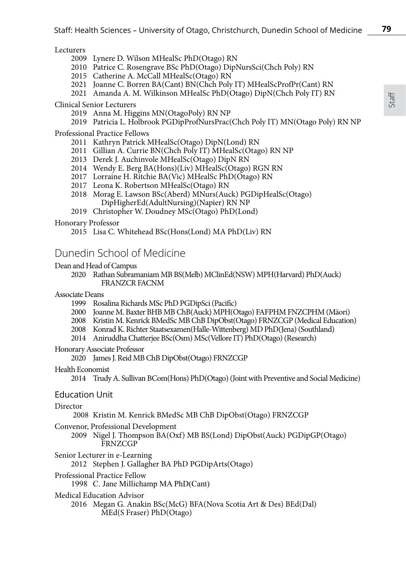#### **Lecturers**

- 2009 Lynere D. Wilson MHealSc PhD(Otago) RN
- 2010 Patrice C. Rosengrave BSc PhD(Otago) DipNursSci(Chch Poly) RN
- 2015 Catherine A. McCall MHealSc(Otago) RN
- 2021 Joanne C. Borren BA(Cant) BN(Chch Poly IT) MHealScProfPr(Cant) RN
- 2021 Amanda A. M. Wilkinson MHealSc PhD(Otago) DipN(Chch Poly IT) RN

Clinical Senior Lecturers

- 2019 Anna M. Higgins MN(OtagoPoly) RN NP
- 2019 Patricia L. Holbrook PGDipProfNursPrac(Chch Poly IT) MN(Otago Poly) RN NP

Professional Practice Fellows

- 2011 Kathryn Patrick MHealSc(Otago) DipN(Lond) RN
- 2011 Gillian A. Currie BN(Chch Poly IT) MHealSc(Otago) RN NP
- 2013 Derek J. Auchinvole MHealSc(Otago) DipN RN
- 2014 Wendy E. Berg BA(Hons)(Liv) MHealSc(Otago) RGN RN
- 2017 Lorraine H. Ritchie BA(Vic) MHealSc PhD(Otago) RN
- 2017 Leona K. Robertson MHealSc(Otago) RN
- 2018 Morag E. Lawson BSc(Aberd) MNurs(Auck) PGDipHealSc(Otago) DipHigherEd(AdultNursing)(Napier) RN NP
- 2019 Christopher W. Doudney MSc(Otago) PhD(Lond)

Honorary Professor

2015 Lisa C. Whitehead BSc(Hons(Lond) MA PhD(Liv) RN

# Dunedin School of Medicine

#### Dean and Head of Campus

2020 Rathan Subramaniam MB BS(Melb) MClinEd(NSW) MPH(Harvard) PhD(Auck) FRANZCR FACNM

Associate Deans

- 1999 Rosalina Richards MSc PhD PGDipSci (Pacific)
- 2000 Joanne M. Baxter BHB MB ChB(Auck) MPH(Otago) FAFPHM FNZCPHM (Mäori)
- 2008 Kristin M. Kenrick BMedSc MB ChB DipObst(Otago) FRNZCGP (Medical Education)
- 2008 Konrad K. Richter Staatsexamen(Halle-Wittenberg) MD PhD(Jena) (Southland)
- 2014 Aniruddha Chatterjee BSc(Osm) MSc(Vellore IT) PhD(Otago) (Research)

Honorary Associate Professor

2020 James J. Reid MB ChB DipObst(Otago) FRNZCGP

Health Economist

2014 Trudy A. Sullivan BCom(Hons) PhD(Otago) (Joint with Preventive and Social Medicine)

# Education Unit

# Director

2008 Kristin M. Kenrick BMedSc MB ChB DipObst(Otago) FRNZCGP

- Convenor, Professional Development
	- 2009 Nigel J. Thompson BA(Oxf) MB BS(Lond) DipObst(Auck) PGDipGP(Otago) **FRNZCGP**
- Senior Lecturer in e-Learning
	- 2012 Stephen J. Gallagher BA PhD PGDipArts(Otago)
- Professional Practice Fellow
	- 1998 C. Jane Millichamp MA PhD(Cant)
- Medical Education Advisor
	- 2016 Megan G. Anakin BSc(McG) BFA(Nova Scotia Art & Des) BEd(Dal) MEd(S Fraser) PhD(Otago)

Staff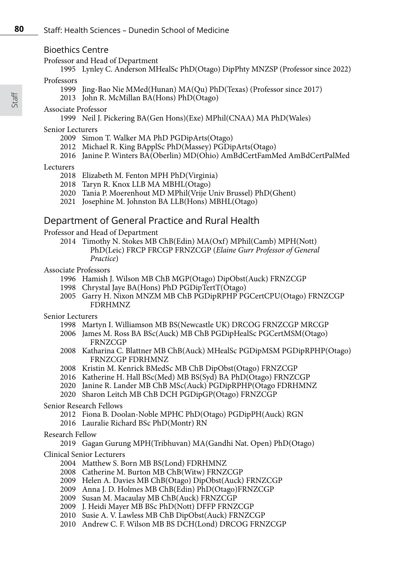### Bioethics Centre

Professor and Head of Department

1995 Lynley C. Anderson MHealSc PhD(Otago) DipPhty MNZSP (Professor since 2022)

### Professors

- 1999 Jing-Bao Nie MMed(Hunan) MA(Qu) PhD(Texas) (Professor since 2017)
- 2013 John R. McMillan BA(Hons) PhD(Otago)

### Associate Professor

1999 Neil J. Pickering BA(Gen Hons)(Exe) MPhil(CNAA) MA PhD(Wales)

#### Senior Lecturers

- 2009 Simon T. Walker MA PhD PGDipArts(Otago)
- 2012 Michael R. King BApplSc PhD(Massey) PGDipArts(Otago)
- 2016 Janine P. Winters BA(Oberlin) MD(Ohio) AmBdCertFamMed AmBdCertPalMed

#### Lecturers

- 2018 Elizabeth M. Fenton MPH PhD(Virginia)
- 2018 Taryn R. Knox LLB MA MBHL(Otago)
- 2020 Tania P. Moerenhout MD MPhil(Vrije Univ Brussel) PhD(Ghent)
- 2021 Josephine M. Johnston BA LLB(Hons) MBHL(Otago)

# Department of General Practice and Rural Health

Professor and Head of Department

2014 Timothy N. Stokes MB ChB(Edin) MA(Oxf) MPhil(Camb) MPH(Nott) PhD(Leic) FRCP FRCGP FRNZCGP (*Elaine Gurr Professor of General Practice*)

#### Associate Professors

- 1996 Hamish J. Wilson MB ChB MGP(Otago) DipObst(Auck) FRNZCGP
- 1998 Chrystal Jaye BA(Hons) PhD PGDipTertT(Otago)
- 2005 Garry H. Nixon MNZM MB ChB PGDipRPHP PGCertCPU(Otago) FRNZCGP FDRHMNZ
- Senior Lecturers
	- 1998 Martyn I. Williamson MB BS(Newcastle UK) DRCOG FRNZCGP MRCGP
	- 2006 James M. Ross BA BSc(Auck) MB ChB PGDipHealSc PGCertMSM(Otago) **FRNZCGP**
	- 2008 Katharina C. Blattner MB ChB(Auck) MHealSc PGDipMSM PGDipRPHP(Otago) FRNZCGP FDRHMNZ
	- 2008 Kristin M. Kenrick BMedSc MB ChB DipObst(Otago) FRNZCGP
	- 2016 Katherine H. Hall BSc(Med) MB BS(Syd) BA PhD(Otago) FRNZCGP
	- 2020 Janine R. Lander MB ChB MSc(Auck) PGDipRPHP(Otago FDRHMNZ
	- 2020 Sharon Leitch MB ChB DCH PGDipGP(Otago) FRNZCGP

#### Senior Research Fellows

- 2012 Fiona B. Doolan-Noble MPHC PhD(Otago) PGDipPH(Auck) RGN
- 2016 Lauralie Richard BSc PhD(Montr) RN

# Research Fellow

2019 Gagan Gurung MPH(Tribhuvan) MA(Gandhi Nat. Open) PhD(Otago)

# Clinical Senior Lecturers

- 2004 Matthew S. Born MB BS(Lond) FDRHMNZ
- 2008 Catherine M. Burton MB ChB(Witw) FRNZCGP
- 2009 Helen A. Davies MB ChB(Otago) DipObst(Auck) FRNZCGP
- 2009 Anna J. D. Holmes MB ChB(Edin) PhD(Otago)FRNZCGP
- 2009 Susan M. Macaulay MB ChB(Auck) FRNZCGP
- 2009 J. Heidi Mayer MB BSc PhD(Nott) DFFP FRNZCGP
- 2010 Susie A. V. Lawless MB ChB DipObst(Auck) FRNZCGP
- 2010 Andrew C. F. Wilson MB BS DCH(Lond) DRCOG FRNZCGP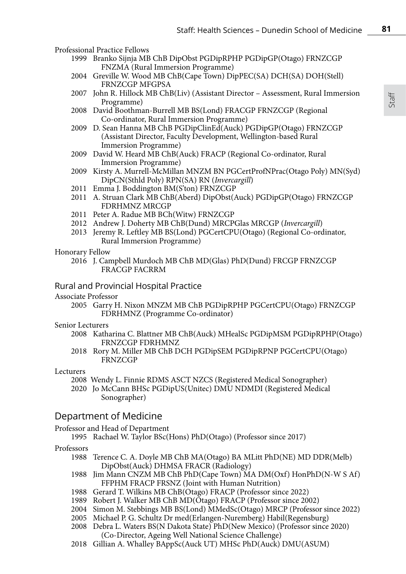Professional Practice Fellows

- 1999 Branko Sijnja MB ChB DipObst PGDipRPHP PGDipGP(Otago) FRNZCGP FNZMA (Rural Immersion Programme)
- 2004 Greville W. Wood MB ChB(Cape Town) DipPEC(SA) DCH(SA) DOH(Stell) FRNZCGP MFGPSA
- 2007 John R. Hillock MB ChB(Liv) (Assistant Director Assessment, Rural Immersion Programme)
- 2008 David Boothman-Burrell MB BS(Lond) FRACGP FRNZCGP (Regional Co-ordinator, Rural Immersion Programme)
- 2009 D. Sean Hanna MB ChB PGDipClinEd(Auck) PGDipGP(Otago) FRNZCGP (Assistant Director, Faculty Development, Wellington-based Rural Immersion Programme)
- 2009 David W. Heard MB ChB(Auck) FRACP (Regional Co-ordinator, Rural Immersion Programme)
- 2009 Kirsty A. Murrell-McMillan MNZM BN PGCertProfNPrac(Otago Poly) MN(Syd) DipCN(Sthld Poly) RPN(SA) RN (*Invercargill*)
- 2011 Emma J. Boddington BM(S'ton) FRNZCGP
- 2011 A. Struan Clark MB ChB(Aberd) DipObst(Auck) PGDipGP(Otago) FRNZCGP FDRHMNZ MRCGP
- 2011 Peter A. Radue MB BCh(Witw) FRNZCGP
- 2012 Andrew J. Doherty MB ChB(Dund) MRCPGlas MRCGP (*Invercargill*)
- 2013 Jeremy R. Leftley MB BS(Lond) PGCertCPU(Otago) (Regional Co-ordinator, Rural Immersion Programme)
- Honorary Fellow
	- 2016 J. Campbell Murdoch MB ChB MD(Glas) PhD(Dund) FRCGP FRNZCGP FRACGP FACRRM
- Rural and Provincial Hospital Practice
- Associate Professor
	- 2005 Garry H. Nixon MNZM MB ChB PGDipRPHP PGCertCPU(Otago) FRNZCGP FDRHMNZ (Programme Co-ordinator)
- Senior Lecturers
	- 2008 Katharina C. Blattner MB ChB(Auck) MHealSc PGDipMSM PGDipRPHP(Otago) FRNZCGP FDRHMNZ
	- 2018 Rory M. Miller MB ChB DCH PGDipSEM PGDipRPNP PGCertCPU(Otago) **FRNZCGP**

Lecturers

- 2008 Wendy L. Finnie RDMS ASCT NZCS (Registered Medical Sonographer)
- 2020 Jo McCann BHSc PGDipUS(Unitec) DMU NDMDI (Registered Medical Sonographer)

# Department of Medicine

Professor and Head of Department

1995 Rachael W. Taylor BSc(Hons) PhD(Otago) (Professor since 2017)

#### Professors

- 1988 Terence C. A. Doyle MB ChB MA(Otago) BA MLitt PhD(NE) MD DDR(Melb) DipObst(Auck) DHMSA FRACR (Radiology)
- 1988 Jim Mann CNZM MB ChB PhD(Cape Town) MA DM(Oxf) HonPhD(N-W S Af) FFPHM FRACP FRSNZ (Joint with Human Nutrition)
- 1988 Gerard T. Wilkins MB ChB(Otago) FRACP (Professor since 2022)
- 1989 Robert J. Walker MB ChB MD(Otago) FRACP (Professor since 2002)
- 2004 Simon M. Stebbings MB BS(Lond) MMedSc(Otago) MRCP (Professor since 2022)
- 2005 Michael P. G. Schultz Dr med(Erlangen-Nuremberg) Habil(Regensburg)
- 2008 Debra L. Waters BS(N Dakota State) PhD(New Mexico) (Professor since 2020) (Co-Director, Ageing Well National Science Challenge)
- 2018 Gillian A. Whalley BAppSc(Auck UT) MHSc PhD(Auck) DMU(ASUM)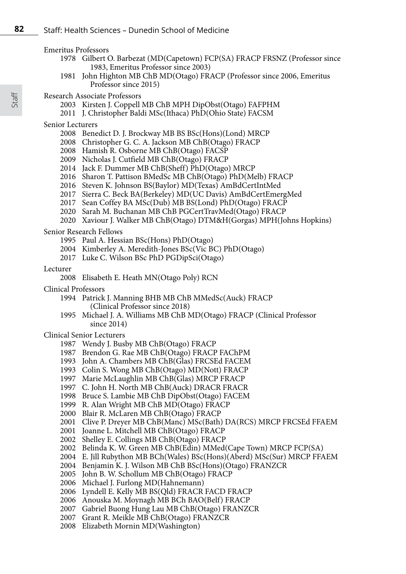Emeritus Professors

- Gilbert O. Barbezat (MD(Capetown) FCP(SA) FRACP FRSNZ (Professor since 1983, Emeritus Professor since 2003)
- John Highton MB ChB MD(Otago) FRACP (Professor since 2006, Emeritus Professor since 2015)

#### Research Associate Professors

- Kirsten J. Coppell MB ChB MPH DipObst(Otago) FAFPHM
- J. Christopher Baldi MSc(Ithaca) PhD(Ohio State) FACSM

#### Senior Lecturers

- Benedict D. J. Brockway MB BS BSc(Hons)(Lond) MRCP
- Christopher G. C. A. Jackson MB ChB(Otago) FRACP
- Hamish R. Osborne MB ChB(Otago) FACSP
- Nicholas J. Cutfield MB ChB(Otago) FRACP
- Jack F. Dummer MB ChB(Sheff) PhD(Otago) MRCP
- Sharon T. Pattison BMedSc MB ChB(Otago) PhD(Melb) FRACP
- Steven K. Johnson BS(Baylor) MD(Texas) AmBdCertIntMed
- Sierra C. Beck BA(Berkeley) MD(UC Davis) AmBdCertEmergMed
- Sean Coffey BA MSc(Dub) MB BS(Lond) PhD(Otago) FRACP
- Sarah M. Buchanan MB ChB PGCertTravMed(Otago) FRACP
- Xaviour J. Walker MB ChB(Otago) DTM&H(Gorgas) MPH(Johns Hopkins)

#### Senior Research Fellows

- Paul A. Hessian BSc(Hons) PhD(Otago)
- Kimberley A. Meredith-Jones BSc(Vic BC) PhD(Otago)
- Luke C. Wilson BSc PhD PGDipSci(Otago)

#### Lecturer

- Clinical Professors
	- Patrick J. Manning BHB MB ChB MMedSc(Auck) FRACP (Clinical Professor since 2018)
	- Michael J. A. Williams MB ChB MD(Otago) FRACP (Clinical Professor since 2014)

#### Clinical Senior Lecturers

- Wendy J. Busby MB ChB(Otago) FRACP
- Brendon G. Rae MB ChB(Otago) FRACP FAChPM
- John A. Chambers MB ChB(Glas) FRCSEd FACEM
- Colin S. Wong MB ChB(Otago) MD(Nott) FRACP
- Marie McLaughlin MB ChB(Glas) MRCP FRACP
- C. John H. North MB ChB(Auck) DRACR FRACR
- Bruce S. Lambie MB ChB DipObst(Otago) FACEM
- R. Alan Wright MB ChB MD(Otago) FRACP
- Blair R. McLaren MB ChB(Otago) FRACP
- Clive P. Dreyer MB ChB(Manc) MSc(Bath) DA(RCS) MRCP FRCSEd FFAEM
- Joanne L. Mitchell MB ChB(Otago) FRACP
- Shelley E. Collings MB ChB(Otago) FRACP
- Belinda K. W. Green MB ChB(Edin) MMed(Cape Town) MRCP FCP(SA)
- E. Jill Rubython MB BCh(Wales) BSc(Hons)(Aberd) MSc(Sur) MRCP FFAEM
- Benjamin K. J. Wilson MB ChB BSc(Hons)(Otago) FRANZCR
- John B. W. Schollum MB ChB(Otago) FRACP
- Michael J. Furlong MD(Hahnemann)
- Lyndell E. Kelly MB BS(Qld) FRACR FACD FRACP
- 2006 Anouska M. Moynagh MB BCh BAO(Belf) FRACP
- Gabriel Buong Hung Lau MB ChB(Otago) FRANZCR
- Grant R. Meikle MB ChB(Otago) FRANZCR
- Elizabeth Mornin MD(Washington)

Elisabeth E. Heath MN(Otago Poly) RCN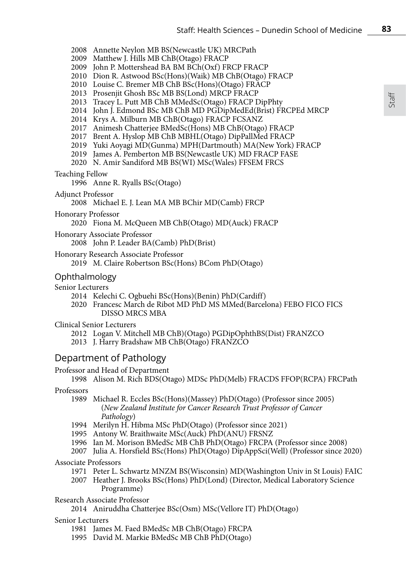2008 Annette Neylon MB BS(Newcastle UK) MRCPath

- 2009 Matthew J. Hills MB ChB(Otago) FRACP
- 2009 John P. Mottershead BA BM BCh(Oxf) FRCP FRACP
- 2010 Dion R. Astwood BSc(Hons)(Waik) MB ChB(Otago) FRACP
- 2010 Louise C. Bremer MB ChB BSc(Hons)(Otago) FRACP
- 2013 Prosenjit Ghosh BSc MB BS(Lond) MRCP FRACP
- 2013 Tracey L. Putt MB ChB MMedSc(Otago) FRACP DipPhty
- 2014 John J. Edmond BSc MB ChB MD PGDipMedEd(Brist) FRCPEd MRCP
- 2014 Krys A. Milburn MB ChB(Otago) FRACP FCSANZ
- 2017 Animesh Chatterjee BMedSc(Hons) MB ChB(Otago) FRACP
- 2017 Brent A. Hyslop MB ChB MBHL(Otago) DipPallMed FRACP
- 2019 Yuki Aoyagi MD(Gunma) MPH(Dartmouth) MA(New York) FRACP
- 2019 James A. Pemberton MB BS(Newcastle UK) MD FRACP FASE
- 2020 N. Amir Sandiford MB BS(WI) MSc(Wales) FFSEM FRCS

### Teaching Fellow

1996 Anne R. Ryalls BSc(Otago)

### Adjunct Professor

2008 Michael E. J. Lean MA MB BChir MD(Camb) FRCP

# Honorary Professor

2020 Fiona M. McQueen MB ChB(Otago) MD(Auck) FRACP

# Honorary Associate Professor

2008 John P. Leader BA(Camb) PhD(Brist)

### Honorary Research Associate Professor

# Ophthalmology

### Senior Lecturers

- 2014 Kelechi C. Ogbuehi BSc(Hons)(Benin) PhD(Cardiff)
- 2020 Francesc March de Ribot MD PhD MS MMed(Barcelona) FEBO FICO FICS DISSO MRCS MBA

# Clinical Senior Lecturers

- 2012 Logan V. Mitchell MB ChB)(Otago) PGDipOphthBS(Dist) FRANZCO
- 2013 J. Harry Bradshaw MB ChB(Otago) FRANZCO

# Department of Pathology

# Professor and Head of Department

1998 Alison M. Rich BDS(Otago) MDSc PhD(Melb) FRACDS FFOP(RCPA) FRCPath

#### Professors

- 1989 Michael R. Eccles BSc(Hons)(Massey) PhD(Otago) (Professor since 2005) (*New Zealand Institute for Cancer Research Trust Professor of Cancer Pathology*)
- 1994 Merilyn H. Hibma MSc PhD(Otago) (Professor since 2021)
- 1995 Antony W. Braithwaite MSc(Auck) PhD(ANU) FRSNZ
- 1996 Ian M. Morison BMedSc MB ChB PhD(Otago) FRCPA (Professor since 2008)
- 2007 Julia A. Horsfield BSc(Hons) PhD(Otago) DipAppSci(Well) (Professor since 2020)

# Associate Professors

- 1971 Peter L. Schwartz MNZM BS(Wisconsin) MD(Washington Univ in St Louis) FAIC
- 2007 Heather J. Brooks BSc(Hons) PhD(Lond) (Director, Medical Laboratory Science Programme)

#### Research Associate Professor

2014 Aniruddha Chatterjee BSc(Osm) MSc(Vellore IT) PhD(Otago)

### Senior Lecturers

- 1981 James M. Faed BMedSc MB ChB(Otago) FRCPA
- 1995 David M. Markie BMedSc MB ChB PhD(Otago)

<sup>2019</sup> M. Claire Robertson BSc(Hons) BCom PhD(Otago)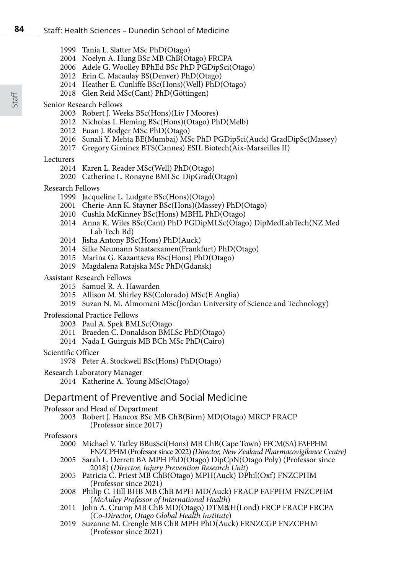- Tania L. Slatter MSc PhD(Otago)
- Noelyn A. Hung BSc MB ChB(Otago) FRCPA
- Adele G. Woolley BPhEd BSc PhD PGDipSci(Otago)
- Erin C. Macaulay BS(Denver) PhD(Otago)
- Heather E. Cunliffe BSc(Hons)(Well) PhD(Otago)
- Glen Reid MSc(Cant) PhD(Göttingen)

#### Senior Research Fellows

- Robert J. Weeks BSc(Hons)(Liv J Moores)
- Nicholas I. Fleming BSc(Hons)(Otago) PhD(Melb)
- Euan J. Rodger MSc PhD(Otago)
- Sunali Y. Mehta BE(Mumbai) MSc PhD PGDipSci(Auck) GradDipSc(Massey)
- Gregory Giminez BTS(Cannes) ESIL Biotech(Aix-Marseilles II)

#### Lecturers

- Karen L. Reader MSc(Well) PhD(Otago)
- Catherine L. Ronayne BMLSc DipGrad(Otago)

#### Research Fellows

- Jacqueline L. Ludgate BSc(Hons)(Otago)
- Cherie-Ann K. Stayner BSc(Hons)(Massey) PhD(Otago)
- Cushla McKinney BSc(Hons) MBHL PhD(Otago)
- Anna K. Wiles BSc(Cant) PhD PGDipMLSc(Otago) DipMedLabTech(NZ Med Lab Tech Bd)
- Jisha Antony BSc(Hons) PhD(Auck)
- Silke Neumann Staatsexamen(Frankfurt) PhD(Otago)
- Marina G. Kazantseva BSc(Hons) PhD(Otago)
- Magdalena Ratajska MSc PhD(Gdansk)

#### Assistant Research Fellows

- Samuel R. A. Hawarden
- Allison M. Shirley BS(Colorado) MSc(E Anglia)
- Suzan N. M. Almomani MSc(Jordan University of Science and Technology)

#### Professional Practice Fellows

- Paul A. Spek BMLSc(Otago
- Braeden C. Donaldson BMLSc PhD(Otago)
- Nada I. Guirguis MB BCh MSc PhD(Cairo)

#### Scientific Officer

- Peter A. Stockwell BSc(Hons) PhD(Otago)
- Research Laboratory Manager
	- Katherine A. Young MSc(Otago)

# Department of Preventive and Social Medicine

#### Professor and Head of Department

Robert J. Hancox BSc MB ChB(Birm) MD(Otago) MRCP FRACP (Professor since 2017)

- Professors<br>2000 Michael V. Tatley BBusSci(Hons) MB ChB(Cape Town) FFCM(SA) FAFPHM  $FNZCPHM$  (Professor since 2022) *(Director, New Zealand Pharmacovigilance Centre)* 
	- Sarah L. Derrett BA MPH PhD(Otago) DipCpN(Otago Poly) (Professor since 2018) (*Director, Injury Prevention Research Unit*)
	- Patricia C. Priest MB ChB(Otago) MPH(Auck) DPhil(Oxf) FNZCPHM (Professor since 2021)
	- Philip C. Hill BHB MB ChB MPH MD(Auck) FRACP FAFPHM FNZCPHM (*McAuley Professor of International Health*)
	- John A. Crump MB ChB MD(Otago) DTM&H(Lond) FRCP FRACP FRCPA (*Co-Director, Otago Global Health Institute*)
	- Suzanne M. Crengle MB ChB MPH PhD(Auck) FRNZCGP FNZCPHM (Professor since 2021)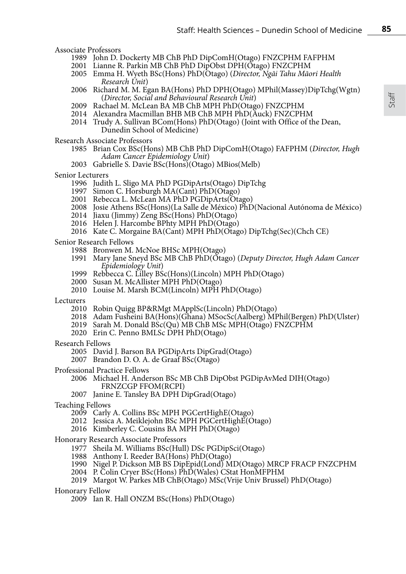Associate Professors

- John D. Dockerty MB ChB PhD DipComH(Otago) FNZCPHM FAFPHM
- Lianne R. Parkin MB ChB PhD DipObst DPH(Otago) FNZCPHM
- Emma H. Wyeth BSc(Hons) PhD(Otago) (*Director, Ngāi Tahu Māori Health Research Unit*)
- Richard M. M. Egan BA(Hons) PhD DPH(Otago) MPhil(Massey)DipTchg(Wgtn) (*Director, Social and Behavioural Research Unit*)
- Rachael M. McLean BA MB ChB MPH PhD(Otago) FNZCPHM
- Alexandra Macmillan BHB MB ChB MPH PhD(Auck) FNZCPHM
- Trudy A. Sullivan BCom(Hons) PhD(Otago) (Joint with Office of the Dean, Dunedin School of Medicine)

Research Associate Professors

- Brian Cox BSc(Hons) MB ChB PhD DipComH(Otago) FAFPHM (*Director, Hugh Adam Cancer Epidemiology Unit*)
- Gabrielle S. Davie BSc(Hons)(Otago) MBios(Melb)
- Senior Lecturers
	- Judith L. Sligo MA PhD PGDipArts(Otago) DipTchg
	- Simon C. Horsburgh MA(Cant) PhD(Otago)
	- Rebecca L. McLean MA PhD PGDipArts(Otago)
	- Josie Athens BSc(Hons)(La Salle de México) PhD(Nacional Autónoma de México)
	- Jiaxu (Jimmy) Zeng BSc(Hons) PhD(Otago)
	- Helen J. Harcombe BPhty MPH PhD(Otago)
	- Kate C. Morgaine BA(Cant) MPH PhD(Otago) DipTchg(Sec)(Chch CE)

Senior Research Fellows

- Bronwen M. McNoe BHSc MPH(Otago)
- Mary Jane Sneyd BSc MB ChB PhD(Otago) (*Deputy Director, Hugh Adam Cancer Epidemiology Unit*)
- Rebbecca C. Lilley BSc(Hons)(Lincoln) MPH PhD(Otago)
- Susan M. McAllister MPH PhD(Otago)
- Louise M. Marsh BCM(Lincoln) MPH PhD(Otago)
- Lecturers
	- Robin Quigg BP&RMgt MApplSc(Lincoln) PhD(Otago)
	- Adam Fusheini BA(Hons)(Ghana) MSocSc(Aalberg) MPhil(Bergen) PhD(Ulster)
	- Sarah M. Donald BSc(Qu) MB ChB MSc MPH(Otago) FNZCPHM
	- Erin C. Penno BMLSc DPH PhD(Otago)
- Research Fellows
	- David J. Barson BA PGDipArts DipGrad(Otago)
	- Brandon D. O. A. de Graaf BSc(Otago)

Professional Practice Fellows

- Michael H. Anderson BSc MB ChB DipObst PGDipAvMed DIH(Otago) FRNZCGP FFOM(RCPI)
- Janine E. Tansley BA DPH DipGrad(Otago)
- Teaching Fellows
	- Carly A. Collins BSc MPH PGCertHighE(Otago)
	- Jessica A. Meiklejohn BSc MPH PGCertHighE(Otago)
	- Kimberley C. Cousins BA MPH PhD(Otago)
- Honorary Research Associate Professors
	- 1977 Sheila M. Williams BSc(Hull) DSc PGDipSci(Otago)
	- 1988 Anthony I. Reeder BA(Hons) PhD(Otago)
	- 1990 Nigel P. Dickson MB BS DipEpid(Lond) MD(Otago) MRCP FRACP FNZCPHM
	- 2004 P. Colin Cryer BSc(Hons) PhD(Wales) CStat HonMFPHM
	- 2019 Margot W. Parkes MB ChB(Otago) MSc(Vrije Univ Brussel) PhD(Otago)

Honorary Fellow

Ian R. Hall ONZM BSc(Hons) PhD(Otago)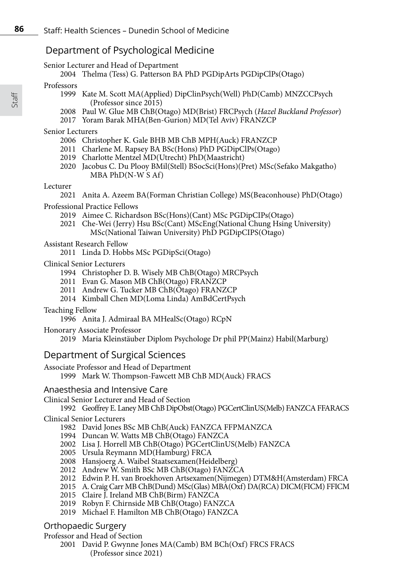# Department of Psychological Medicine

Senior Lecturer and Head of Department

2004 Thelma (Tess) G. Patterson BA PhD PGDipArts PGDipClPs(Otago)

### Professors

- 1999 Kate M. Scott MA(Applied) DipClinPsych(Well) PhD(Camb) MNZCCPsych (Professor since 2015)
- 2008 Paul W. Glue MB ChB(Otago) MD(Brist) FRCPsych (*Hazel Buckland Professor*)
- 2017 Yoram Barak MHA(Ben-Gurion) MD(Tel Aviv) FRANZCP

# Senior Lecturers

- 2006 Christopher K. Gale BHB MB ChB MPH(Auck) FRANZCP
- 2011 Charlene M. Rapsey BA BSc(Hons) PhD PGDipClPs(Otago)
- 2019 Charlotte Mentzel MD(Utrecht) PhD(Maastricht)
- 2020 Jacobus C. Du Plooy BMil(Stell) BSocSci(Hons)(Pret) MSc(Sefako Makgatho) MBA PhD(N-W S Af)

# Lecturer

2021 Anita A. Azeem BA(Forman Christian College) MS(Beaconhouse) PhD(Otago)

# Professional Practice Fellows

- 2019 Aimee C. Richardson BSc(Hons)(Cant) MSc PGDipCIPs(Otago)
- 2021 Che-Wei (Jerry) Hsu BSc(Cant) MScEng(National Chung Hsing University) MSc(National Taiwan University) PhD PGDipCIPS(Otago)

# Assistant Research Fellow

2011 Linda D. Hobbs MSc PGDipSci(Otago)

# Clinical Senior Lecturers

- 1994 Christopher D. B. Wisely MB ChB(Otago) MRCPsych
- 2011 Evan G. Mason MB ChB(Otago) FRANZCP
- 2011 Andrew G. Tucker MB ChB(Otago) FRANZCP
- 2014 Kimball Chen MD(Loma Linda) AmBdCertPsych

# Teaching Fellow

1996 Anita J. Admiraal BA MHealSc(Otago) RCpN

# Honorary Associate Professor

2019 Maria Kleinstäuber Diplom Psychologe Dr phil PP(Mainz) Habil(Marburg)

# Department of Surgical Sciences

Associate Professor and Head of Department

1999 Mark W. Thompson-Fawcett MB ChB MD(Auck) FRACS

# Anaesthesia and Intensive Care

Clinical Senior Lecturer and Head of Section

1992 Geoffrey E. Laney MB ChB DipObst(Otago) PGCertClinUS(Melb) FANZCA FFARACS

# Clinical Senior Lecturers

1982 David Jones BSc MB ChB(Auck) FANZCA FFPMANZCA

- 1994 Duncan W. Watts MB ChB(Otago) FANZCA
- 2002 Lisa J. Horrell MB ChB(Otago) PGCertClinUS(Melb) FANZCA
- 2005 Ursula Reymann MD(Hamburg) FRCA
- 2008 Hansjoerg A. Waibel Staatsexamen(Heidelberg)
- 2012 Andrew W. Smith BSc MB ChB(Otago) FANZCA
- 2012 Edwin P. H. van Broekhoven Artsexamen(Nijmegen) DTM&H(Amsterdam) FRCA
- 2015 A. Craig Carr MB ChB(Dund) MSc(Glas) MBA(Oxf) DA(RCA) DICM(FICM) FFICM
- 2015 Claire J. Ireland MB ChB(Birm) FANZCA
- 2019 Robyn F. Chirnside MB ChB(Otago) FANZCA
- 2019 Michael F. Hamilton MB ChB(Otago) FANZCA

# Orthopaedic Surgery

Professor and Head of Section

2001 David P. Gwynne Jones MA(Camb) BM BCh(Oxf) FRCS FRACS (Professor since 2021)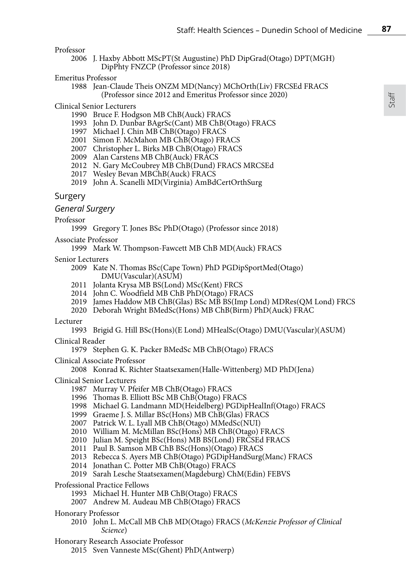Professor

- 2006 J. Haxby Abbott MScPT(St Augustine) PhD DipGrad(Otago) DPT(MGH) DipPhty FNZCP (Professor since 2018)
- Emeritus Professor
	- 1988 Jean-Claude Theis ONZM MD(Nancy) MChOrth(Liv) FRCSEd FRACS (Professor since 2012 and Emeritus Professor since 2020)

#### Clinical Senior Lecturers

- 1990 Bruce F. Hodgson MB ChB(Auck) FRACS
- 1993 John D. Dunbar BAgrSc(Cant) MB ChB(Otago) FRACS
- 1997 Michael J. Chin MB ChB(Otago) FRACS
- 2001 Simon F. McMahon MB ChB(Otago) FRACS
- 2007 Christopher L. Birks MB ChB(Otago) FRACS
- 2009 Alan Carstens MB ChB(Auck) FRACS
- 2012 N. Gary McCoubrey MB ChB(Dund) FRACS MRCSEd
- 2017 Wesley Bevan MBChB(Auck) FRACS
- 2019 John A. Scanelli MD(Virginia) AmBdCertOrthSurg

### Surgery

*General Surgery*

Professor

1999 Gregory T. Jones BSc PhD(Otago) (Professor since 2018)

Associate Professor

1999 Mark W. Thompson-Fawcett MB ChB MD(Auck) FRACS

Senior Lecturers

- 2009 Kate N. Thomas BSc(Cape Town) PhD PGDipSportMed(Otago) DMU(Vascular)(ASUM)
- 2011 Jolanta Krysa MB BS(Lond) MSc(Kent) FRCS
- 2014 John C. Woodfield MB ChB PhD(Otago) FRACS
- 2019 James Haddow MB ChB(Glas) BSc MB BS(Imp Lond) MDRes(QM Lond) FRCS
- 2020 Deborah Wright BMedSc(Hons) MB ChB(Birm) PhD(Auck) FRAC

Lecturer

1993 Brigid G. Hill BSc(Hons)(E Lond) MHealSc(Otago) DMU(Vascular)(ASUM)

Clinical Reader

1979 Stephen G. K. Packer BMedSc MB ChB(Otago) FRACS

Clinical Associate Professor

2008 Konrad K. Richter Staatsexamen(Halle-Wittenberg) MD PhD(Jena)

Clinical Senior Lecturers

- 1987 Murray V. Pfeifer MB ChB(Otago) FRACS
- 1996 Thomas B. Elliott BSc MB ChB(Otago) FRACS
- 1998 Michael G. Landmann MD(Heidelberg) PGDipHealInf(Otago) FRACS
- 1999 Graeme J. S. Millar BSc(Hons) MB ChB(Glas) FRACS
- 2007 Patrick W. L. Lyall MB ChB(Otago) MMedSc(NUI)
- 2010 William M. McMillan BSc(Hons) MB ChB(Otago) FRACS
- 2010 Julian M. Speight BSc(Hons) MB BS(Lond) FRCSEd FRACS
- 2011 Paul B. Samson MB ChB BSc(Hons)(Otago) FRACS
- 2013 Rebecca S. Ayers MB ChB(Otago) PGDipHandSurg(Manc) FRACS
- 2014 Jonathan C. Potter MB ChB(Otago) FRACS
- 2019 Sarah Lesche Staatsexamen(Magdeburg) ChM(Edin) FEBVS

Professional Practice Fellows

- 1993 Michael H. Hunter MB ChB(Otago) FRACS
- 2007 Andrew M. Audeau MB ChB(Otago) FRACS
- Honorary Professor
	- 2010 John L. McCall MB ChB MD(Otago) FRACS (*McKenzie Professor of Clinical Science*)
- Honorary Research Associate Professor
	- 2015 Sven Vanneste MSc(Ghent) PhD(Antwerp)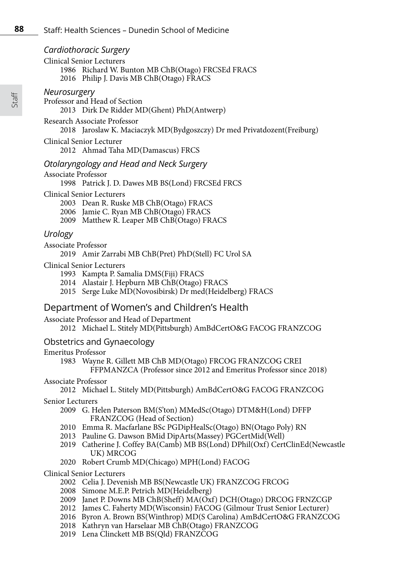# *Cardiothoracic Surgery*

Clinical Senior Lecturers

- 1986 Richard W. Bunton MB ChB(Otago) FRCSEd FRACS
- 2016 Philip J. Davis MB ChB(Otago) FRACS

# *Neurosurgery*

Professor and Head of Section 2013 Dirk De Ridder MD(Ghent) PhD(Antwerp)

Research Associate Professor

2018 Jaroslaw K. Maciaczyk MD(Bydgoszczy) Dr med Privatdozent(Freiburg)

Clinical Senior Lecturer 2012 Ahmad Taha MD(Damascus) FRCS

# *Otolaryngology and Head and Neck Surgery*

Associate Professor

1998 Patrick J. D. Dawes MB BS(Lond) FRCSEd FRCS

# Clinical Senior Lecturers

- 2003 Dean R. Ruske MB ChB(Otago) FRACS
- 2006 Jamie C. Ryan MB ChB(Otago) FRACS
- 2009 Matthew R. Leaper MB ChB(Otago) FRACS

# *Urology*

### Associate Professor

2019 Amir Zarrabi MB ChB(Pret) PhD(Stell) FC Urol SA

# Clinical Senior Lecturers

- 1993 Kampta P. Samalia DMS(Fiji) FRACS
- 2014 Alastair J. Hepburn MB ChB(Otago) FRACS
- 2015 Serge Luke MD(Novosibirsk) Dr med(Heidelberg) FRACS

# Department of Women's and Children's Health

Associate Professor and Head of Department

2012 Michael L. Stitely MD(Pittsburgh) AmBdCertO&G FACOG FRANZCOG

# Obstetrics and Gynaecology

# Emeritus Professor

1983 Wayne R. Gillett MB ChB MD(Otago) FRCOG FRANZCOG CREI FFPMANZCA (Professor since 2012 and Emeritus Professor since 2018)

# Associate Professor

2012 Michael L. Stitely MD(Pittsburgh) AmBdCertO&G FACOG FRANZCOG

# Senior Lecturers

- 2009 G. Helen Paterson BM(S'ton) MMedSc(Otago) DTM&H(Lond) DFFP FRANZCOG (Head of Section)
- 2010 Emma R. Macfarlane BSc PGDipHealSc(Otago) BN(Otago Poly) RN
- 2013 Pauline G. Dawson BMid DipArts(Massey) PGCertMid(Well)
- 2019 Catherine J. Coffey BA(Camb) MB BS(Lond) DPhil(Oxf) CertClinEd(Newcastle UK) MRCOG
- 2020 Robert Crumb MD(Chicago) MPH(Lond) FACOG

# Clinical Senior Lecturers

- 2002 Celia J. Devenish MB BS(Newcastle UK) FRANZCOG FRCOG
- 2008 Simone M.E.P. Petrich MD(Heidelberg)
- 2009 Janet P. Downs MB ChB(Sheff) MA(Oxf) DCH(Otago) DRCOG FRNZCGP
- 2012 James C. Faherty MD(Wisconsin) FACOG (Gilmour Trust Senior Lecturer)
- 2016 Byron A. Brown BS(Winthrop) MD(S Carolina) AmBdCertO&G FRANZCOG
- 2018 Kathryn van Harselaar MB ChB(Otago) FRANZCOG
- 2019 Lena Clinckett MB BS(Qld) FRANZCOG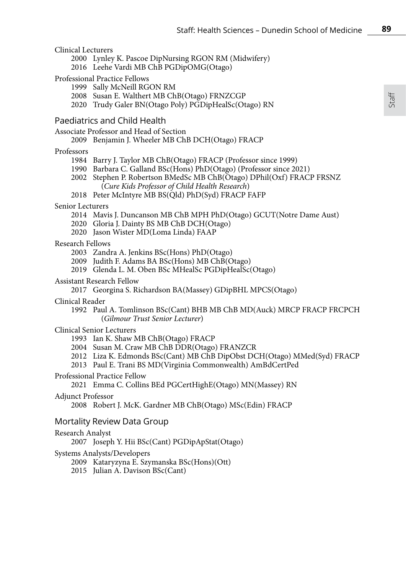### Clinical Lecturers

- 2000 Lynley K. Pascoe DipNursing RGON RM (Midwifery)
- 2016 Leehe Vardi MB ChB PGDipOMG(Otago)

#### Professional Practice Fellows

- 1999 Sally McNeill RGON RM
- 2008 Susan E. Walthert MB ChB(Otago) FRNZCGP
- 2020 Trudy Galer BN(Otago Poly) PGDipHealSc(Otago) RN

### Paediatrics and Child Health

Associate Professor and Head of Section

#### 2009 Benjamin J. Wheeler MB ChB DCH(Otago) FRACP

#### Professors

- 1984 Barry J. Taylor MB ChB(Otago) FRACP (Professor since 1999)
- 1990 Barbara C. Galland BSc(Hons) PhD(Otago) (Professor since 2021)
- 2002 Stephen P. Robertson BMedSc MB ChB(Otago) DPhil(Oxf) FRACP FRSNZ (*Cure Kids Professor of Child Health Research*)
- 2018 Peter McIntyre MB BS(Qld) PhD(Syd) FRACP FAFP

#### Senior Lecturers

- 2014 Mavis J. Duncanson MB ChB MPH PhD(Otago) GCUT(Notre Dame Aust)
- 2020 Gloria J. Dainty BS MB ChB DCH(Otago)
- 2020 Jason Wister MD(Loma Linda) FAAP

### Research Fellows

- 2003 Zandra A. Jenkins BSc(Hons) PhD(Otago)
- 2009 Judith F. Adams BA BSc(Hons) MB ChB(Otago)
- 2019 Glenda L. M. Oben BSc MHealSc PGDipHealSc(Otago)

#### Assistant Research Fellow

2017 Georgina S. Richardson BA(Massey) GDipBHL MPCS(Otago)

#### Clinical Reader

1992 Paul A. Tomlinson BSc(Cant) BHB MB ChB MD(Auck) MRCP FRACP FRCPCH (*Gilmour Trust Senior Lecturer*)

### Clinical Senior Lecturers

- 1993 Ian K. Shaw MB ChB(Otago) FRACP
- 2004 Susan M. Craw MB ChB DDR(Otago) FRANZCR
- 2012 Liza K. Edmonds BSc(Cant) MB ChB DipObst DCH(Otago) MMed(Syd) FRACP
- 2013 Paul E. Trani BS MD(Virginia Commonwealth) AmBdCertPed

#### Professional Practice Fellow

```
2021 Emma C. Collins BEd PGCertHighE(Otago) MN(Massey) RN
```
#### Adjunct Professor

2008 Robert J. McK. Gardner MB ChB(Otago) MSc(Edin) FRACP

### Mortality Review Data Group

#### Research Analyst

2007 Joseph Y. Hii BSc(Cant) PGDipApStat(Otago)

#### Systems Analysts/Developers

- 2009 Kataryzyna E. Szymanska BSc(Hons)(Ott)
- 2015 Julian A. Davison BSc(Cant)

**89**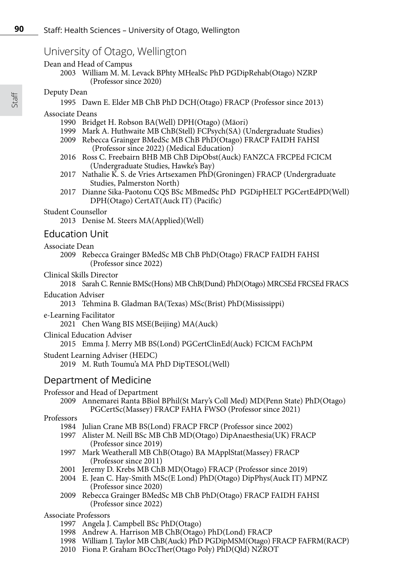# University of Otago, Wellington

Dean and Head of Campus

2003 William M. M. Levack BPhty MHealSc PhD PGDipRehab(Otago) NZRP (Professor since 2020)

### Deputy Dean

1995 Dawn E. Elder MB ChB PhD DCH(Otago) FRACP (Professor since 2013)

# Associate Deans

- 1990 Bridget H. Robson BA(Well) DPH(Otago) (Mäori)
- 1999 Mark A. Huthwaite MB ChB(Stell) FCPsych(SA) (Undergraduate Studies)
- 2009 Rebecca Grainger BMedSc MB ChB PhD(Otago) FRACP FAIDH FAHSI (Professor since 2022) (Medical Education)
- 2016 Ross C. Freebairn BHB MB ChB DipObst(Auck) FANZCA FRCPEd FCICM (Undergraduate Studies, Hawke's Bay)
- 2017 Nathalie K. S. de Vries Artsexamen PhD(Groningen) FRACP (Undergraduate Studies, Palmerston North)
- 2017 Dianne Sika-Paotonu CQS BSc MBmedSc PhD PGDipHELT PGCertEdPD(Well) DPH(Otago) CertAT(Auck IT) (Pacific)

### Student Counsellor

2013 Denise M. Steers MA(Applied)(Well)

# Education Unit

#### Associate Dean

2009 Rebecca Grainger BMedSc MB ChB PhD(Otago) FRACP FAIDH FAHSI (Professor since 2022)

### Clinical Skills Director

2018 Sarah C. Rennie BMSc(Hons) MB ChB(Dund) PhD(Otago) MRCSEd FRCSEd FRACS

### Education Adviser

2013 Tehmina B. Gladman BA(Texas) MSc(Brist) PhD(Mississippi)

e-Learning Facilitator

2021 Chen Wang BIS MSE(Beijing) MA(Auck)

Clinical Education Adviser

2015 Emma J. Merry MB BS(Lond) PGCertClinEd(Auck) FCICM FAChPM

Student Learning Adviser (HEDC)

2019 M. Ruth Toumu'a MA PhD DipTESOL(Well)

# Department of Medicine

Professor and Head of Department

2009 Annemarei Ranta BBiol BPhil(St Mary's Coll Med) MD(Penn State) PhD(Otago) PGCertSc(Massey) FRACP FAHA FWSO (Professor since 2021)

# Professors

1984 Julian Crane MB BS(Lond) FRACP FRCP (Professor since 2002)

- 1997 Alister M. Neill BSc MB ChB MD(Otago) DipAnaesthesia(UK) FRACP (Professor since 2019)
- 1997 Mark Weatherall MB ChB(Otago) BA MApplStat(Massey) FRACP (Professor since 2011)
- 2001 Jeremy D. Krebs MB ChB MD(Otago) FRACP (Professor since 2019)
- 2004 E. Jean C. Hay-Smith MSc(E Lond) PhD(Otago) DipPhys(Auck IT) MPNZ (Professor since 2020)
- 2009 Rebecca Grainger BMedSc MB ChB PhD(Otago) FRACP FAIDH FAHSI (Professor since 2022)

### Associate Professors

- 1997 Angela J. Campbell BSc PhD(Otago)
- 1998 Andrew A. Harrison MB ChB(Otago) PhD(Lond) FRACP
- 1998 William J. Taylor MB ChB(Auck) PhD PGDipMSM(Otago) FRACP FAFRM(RACP)
- 2010 Fiona P. Graham BOccTher(Otago Poly) PhD(Qld) NZROT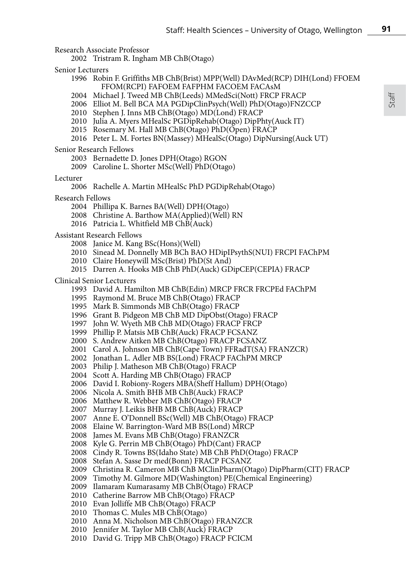Research Associate Professor

2002 Tristram R. Ingham MB ChB(Otago)

Senior Lecturers

- 1996 Robin F. Griffiths MB ChB(Brist) MPP(Well) DAvMed(RCP) DIH(Lond) FFOEM FFOM(RCPI) FAFOEM FAFPHM FACOEM FACAsM
- 2004 Michael J. Tweed MB ChB(Leeds) MMedSci(Nott) FRCP FRACP
- 2006 Elliot M. Bell BCA MA PGDipClinPsych(Well) PhD(Otago)FNZCCP
- 2010 Stephen J. Inns MB ChB(Otago) MD(Lond) FRACP
- 2010 Julia A. Myers MHealSc PGDipRehab(Otago) DipPhty(Auck IT)
- 2015 Rosemary M. Hall MB ChB(Otago) PhD(Open) FRACP
- 2016 Peter L. M. Fortes BN(Massey) MHealSc(Otago) DipNursing(Auck UT)

#### Senior Research Fellows

- 2003 Bernadette D. Jones DPH(Otago) RGON
- 2009 Caroline L. Shorter MSc(Well) PhD(Otago)

### Lecturer

- 2006 Rachelle A. Martin MHealSc PhD PGDipRehab(Otago)
- Research Fellows
	- 2004 Phillipa K. Barnes BA(Well) DPH(Otago)
	- 2008 Christine A. Barthow MA(Applied)(Well) RN
	- 2016 Patricia L. Whitfield MB ChB(Auck)

#### Assistant Research Fellows

- 2008 Janice M. Kang BSc(Hons)(Well)
- 2010 Sinead M. Donnelly MB BCh BAO HDipIPsythS(NUI) FRCPI FAChPM
- 2010 Claire Honeywill MSc(Brist) PhD(St And)
- 2015 Darren A. Hooks MB ChB PhD(Auck) GDipCEP(CEPIA) FRACP

### Clinical Senior Lecturers

- 1993 David A. Hamilton MB ChB(Edin) MRCP FRCR FRCPEd FAChPM
- 1995 Raymond M. Bruce MB ChB(Otago) FRACP
- 1995 Mark B. Simmonds MB ChB(Otago) FRACP
- 1996 Grant B. Pidgeon MB ChB MD DipObst(Otago) FRACP
- 1997 John W. Wyeth MB ChB MD(Otago) FRACP FRCP
- 1999 Phillip P. Matsis MB ChB(Auck) FRACP FCSANZ
- 2000 S. Andrew Aitken MB ChB(Otago) FRACP FCSANZ
- 2001 Carol A. Johnson MB ChB(Cape Town) FFRadT(SA) FRANZCR)
- 2002 Jonathan L. Adler MB BS(Lond) FRACP FAChPM MRCP
- 2003 Philip J. Matheson MB ChB(Otago) FRACP
- 2004 Scott A. Harding MB ChB(Otago) FRACP
- 2006 David I. Robiony-Rogers MBA(Sheff Hallum) DPH(Otago)
- 2006 Nicola A. Smith BHB MB ChB(Auck) FRACP
- 2006 Matthew R. Webber MB ChB(Otago) FRACP
- 2007 Murray J. Leikis BHB MB ChB(Auck) FRACP
- 2007 Anne E. O'Donnell BSc(Well) MB ChB(Otago) FRACP
- 2008 Elaine W. Barrington-Ward MB BS(Lond) MRCP
- 2008 James M. Evans MB ChB(Otago) FRANZCR
- 2008 Kyle G. Perrin MB ChB(Otago) PhD(Cant) FRACP
- 2008 Cindy R. Towns BS(Idaho State) MB ChB PhD(Otago) FRACP
- 2008 Stefan A. Sasse Dr med(Bonn) FRACP FCSANZ
- 2009 Christina R. Cameron MB ChB MClinPharm(Otago) DipPharm(CIT) FRACP
- 2009 Timothy M. Gilmore MD(Washington) PE(Chemical Engineering)
- 2009 Ilamaram Kumarasamy MB ChB(Otago) FRACP
- 2010 Catherine Barrow MB ChB(Otago) FRACP
- 2010 Evan Jolliffe MB ChB(Otago) FRACP
- 2010 Thomas C. Mules MB ChB(Otago)
- 2010 Anna M. Nicholson MB ChB(Otago) FRANZCR
- 2010 Jennifer M. Taylor MB ChB(Auck) FRACP
- 2010 David G. Tripp MB ChB(Otago) FRACP FCICM

**91**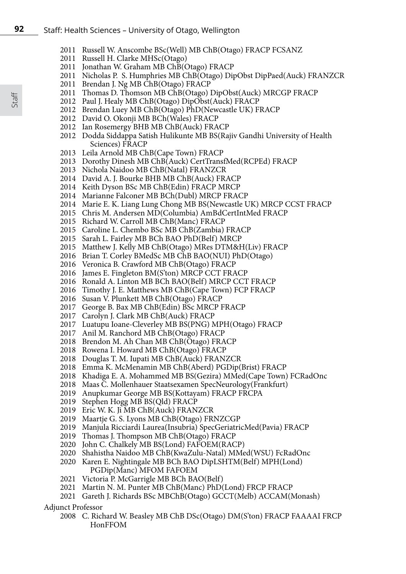- 2011 Russell W. Anscombe BSc(Well) MB ChB(Otago) FRACP FCSANZ
- 2011 Russell H. Clarke MHSc(Otago)
- 2011 Jonathan W. Graham MB ChB(Otago) FRACP
- 2011 Nicholas P. S. Humphries MB ChB(Otago) DipObst DipPaed(Auck) FRANZCR
- 2011 Brendan J. Ng MB ChB(Otago) FRACP
- 2011 Thomas D. Thomson MB ChB(Otago) DipObst(Auck) MRCGP FRACP
- 2012 Paul J. Healy MB ChB(Otago) DipObst(Auck) FRACP
- 2012 Brendan Luey MB ChB(Otago) PhD(Newcastle UK) FRACP
- 2012 David O. Okonji MB BCh(Wales) FRACP
- 2012 Ian Rosemergy BHB MB ChB(Auck) FRACP
- 2012 Dodda Siddappa Satish Hulikunte MB BS(Rajiv Gandhi University of Health Sciences) FRACP
- 2013 Leila Arnold MB ChB(Cape Town) FRACP
- 2013 Dorothy Dinesh MB ChB(Auck) CertTransfMed(RCPEd) FRACP
- 2013 Nichola Naidoo MB ChB(Natal) FRANZCR
- 2014 David A. J. Bourke BHB MB ChB(Auck) FRACP
- 2014 Keith Dyson BSc MB ChB(Edin) FRACP MRCP
- 2014 Marianne Falconer MB BCh(Dubl) MRCP FRACP
- 2014 Marie E. K. Liang Lung Chong MB BS(Newcastle UK) MRCP CCST FRACP
- 2015 Chris M. Andersen MD(Columbia) AmBdCertIntMed FRACP
- 2015 Richard W. Carroll MB ChB(Manc) FRACP
- 2015 Caroline L. Chembo BSc MB ChB(Zambia) FRACP
- 2015 Sarah L. Fairley MB BCh BAO PhD(Belf) MRCP
- 2015 Matthew J. Kelly MB ChB(Otago) MRes DTM&H(Liv) FRACP
- 2016 Brian T. Corley BMedSc MB ChB BAO(NUI) PhD(Otago)
- 2016 Veronica B. Crawford MB ChB(Otago) FRACP
- 2016 James E. Fingleton BM(S'ton) MRCP CCT FRACP
- 2016 Ronald A. Linton MB BCh BAO(Belf) MRCP CCT FRACP
- 2016 Timothy J. E. Matthews MB ChB(Cape Town) FCP FRACP
- 2016 Susan V. Plunkett MB ChB(Otago) FRACP
- 2017 George B. Bax MB ChB(Edin) BSc MRCP FRACP
- 2017 Carolyn J. Clark MB ChB(Auck) FRACP
- 2017 Luatupu Ioane-Cleverley MB BS(PNG) MPH(Otago) FRACP
- 2017 Anil M. Ranchord MB ChB(Otago) FRACP
- 2018 Brendon M. Ah Chan MB ChB(Otago) FRACP
- 2018 Rowena I. Howard MB ChB(Otago) FRACP
- 2018 Douglas T. M. Iupati MB ChB(Auck) FRANZCR
- 2018 Emma K. McMenamin MB ChB(Aberd) PGDip(Brist) FRACP
- 2018 Khadiga E. A. Mohammed MB BS(Gezira) MMed(Cape Town) FCRadOnc
- 2018 Maas C. Mollenhauer Staatsexamen SpecNeurology(Frankfurt)
- 2019 Anupkumar George MB BS(Kottayam) FRACP FRCPA
- 2019 Stephen Hogg MB BS(Qld) FRACP
- 2019 Eric W. K. Ji MB ChB(Auck) FRANZCR
- 2019 Maartje G. S. Lyons MB ChB(Otago) FRNZCGP
- 2019 Manjula Ricciardi Laurea(Insubria) SpecGeriatricMed(Pavia) FRACP
- 2019 Thomas J. Thompson MB ChB(Otago) FRACP
- 2020 John C. Chalkely MB BS(Lond) FAFOEM(RACP)
- 2020 Shahistha Naidoo MB ChB(KwaZulu-Natal) MMed(WSU) FcRadOnc
- 2020 Karen E. Nightingale MB BCh BAO DipLSHTM(Belf) MPH(Lond) PGDip(Manc) MFOM FAFOEM
- 2021 Victoria P. McGarrigle MB BCh BAO(Belf)
- 2021 Martin N. M. Punter MB ChB(Manc) PhD(Lond) FRCP FRACP
- 2021 Gareth J. Richards BSc MBChB(Otago) GCCT(Melb) ACCAM(Monash)

### Adjunct Professor

2008 C. Richard W. Beasley MB ChB DSc(Otago) DM(S'ton) FRACP FAAAAI FRCP HonFFOM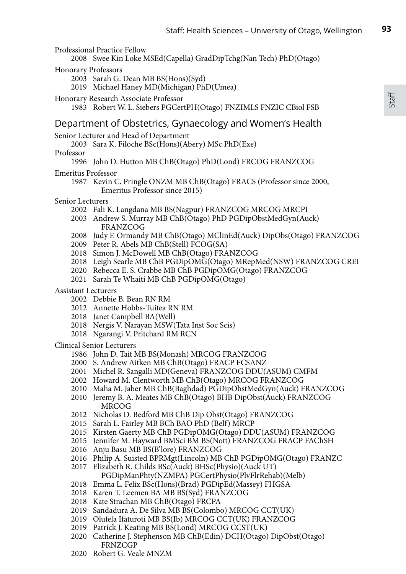Professional Practice Fellow

2008 Swee Kin Loke MSEd(Capella) GradDipTchg(Nan Tech) PhD(Otago)

- Honorary Professors
	- 2003 Sarah G. Dean MB BS(Hons)(Syd)
	- 2019 Michael Haney MD(Michigan) PhD(Umea)

### Honorary Research Associate Professor

1983 Robert W. L. Siebers PGCertPH(Otago) FNZIMLS FNZIC CBiol FSB

# Department of Obstetrics, Gynaecology and Women's Health

Senior Lecturer and Head of Department

2003 Sara K. Filoche BSc(Hons)(Abery) MSc PhD(Exe)

Professor

1996 John D. Hutton MB ChB(Otago) PhD(Lond) FRCOG FRANZCOG

### Emeritus Professor

- 1987 Kevin C. Pringle ONZM MB ChB(Otago) FRACS (Professor since 2000, Emeritus Professor since 2015)
- Senior Lecturers
	- 2002 Fali K. Langdana MB BS(Nagpur) FRANZCOG MRCOG MRCPI
	- 2003 Andrew S. Murray MB ChB(Otago) PhD PGDipObstMedGyn(Auck) FRANZCOG
	- 2008 Judy F. Ormandy MB ChB(Otago) MClinEd(Auck) DipObs(Otago) FRANZCOG
	- 2009 Peter R. Abels MB ChB(Stell) FCOG(SA)
	- 2018 Simon J. McDowell MB ChB(Otago) FRANZCOG
	- 2018 Leigh Searle MB ChB PGDipOMG(Otago) MRepMed(NSW) FRANZCOG CREI
	- 2020 Rebecca E. S. Crabbe MB ChB PGDipOMG(Otago) FRANZCOG
	- 2021 Sarah Te Whaiti MB ChB PGDipOMG(Otago)

### Assistant Lecturers

- 2002 Debbie B. Bean RN RM
- 2012 Annette Hobbs-Tuitea RN RM
- 2018 Janet Campbell BA(Well)
- 2018 Nergis V. Narayan MSW(Tata Inst Soc Scis)
- 2018 Ngarangi V. Pritchard RM RCN

Clinical Senior Lecturers

- 1986 John D. Tait MB BS(Monash) MRCOG FRANZCOG
- 2000 S. Andrew Aitken MB ChB(Otago) FRACP FCSANZ
- 2001 Michel R. Sangalli MD(Geneva) FRANZCOG DDU(ASUM) CMFM
- 2002 Howard M. Clentworth MB ChB(Otago) MRCOG FRANZCOG
- 2010 Maha M. Jaber MB ChB(Baghdad) PGDipObstMedGyn(Auck) FRANZCOG
- 2010 Jeremy B. A. Meates MB ChB(Otago) BHB DipObst(Auck) FRANZCOG MRCOG
- 2012 Nicholas D. Bedford MB ChB Dip Obst(Otago) FRANZCOG
- 2015 Sarah L. Fairley MB BCh BAO PhD (Belf) MRCP
- 2015 Kirsten Gaerty MB ChB PGDipOMG(Otago) DDU(ASUM) FRANZCOG
- 2015 Jennifer M. Hayward BMSci BM BS(Nott) FRANZCOG FRACP FAChSH
- 2016 Anju Basu MB BS(B'lore) FRANZCOG
- 2016 Philip A. Suisted BPRMgt(Lincoln) MB ChB PGDipOMG(Otago) FRANZC
- 2017 Elizabeth R. Childs BSc(Auck) BHSc(Physio)(Auck UT)
- PGDipManPhty(NZMPA) PGCertPhysio(PlvFlrRehab)(Melb) 2018 Emma L. Felix BSc(Hons)(Brad) PGDipEd(Massey) FHGSA
- 2018 Karen T. Leemen BA MB BS(Syd) FRANZCOG
- 2018 Kate Strachan MB ChB(Otago) FRCPA
- 2019 Sandadura A. De Silva MB BS(Colombo) MRCOG CCT(UK)
- 2019 Olufela Ifaturoti MB BS(Ib) MRCOG CCT(UK) FRANZCOG
- 2019 Patrick J. Keating MB BS(Lond) MRCOG CCST(UK)
- 2020 Catherine J. Stephenson MB ChB(Edin) DCH(Otago) DipObst(Otago) **FRNZCGP**
- 2020 Robert G. Veale MNZM

**93**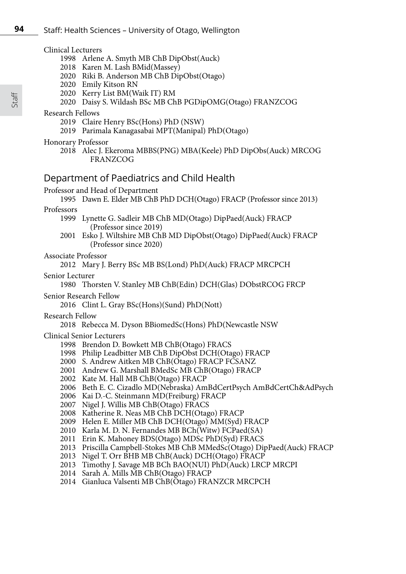### Clinical Lecturers

- 1998 Arlene A. Smyth MB ChB DipObst(Auck)
- 2018 Karen M. Lash BMid(Massey)
- 2020 Riki B. Anderson MB ChB DipObst(Otago)
- 2020 Emily Kitson RN
- 2020 Kerry List BM(Waik IT) RM
- 2020 Daisy S. Wildash BSc MB ChB PGDipOMG(Otago) FRANZCOG

### Research Fellows

- 2019 Claire Henry BSc(Hons) PhD (NSW)
- 2019 Parimala Kanagasabai MPT(Manipal) PhD(Otago)

### Honorary Professor

2018 Alec J. Ekeroma MBBS(PNG) MBA(Keele) PhD DipObs(Auck) MRCOG FRANZCOG

# Department of Paediatrics and Child Health

Professor and Head of Department

1995 Dawn E. Elder MB ChB PhD DCH(Otago) FRACP (Professor since 2013)

### Professors

- 1999 Lynette G. Sadleir MB ChB MD(Otago) DipPaed(Auck) FRACP (Professor since 2019)
- 2001 Esko J. Wiltshire MB ChB MD DipObst(Otago) DipPaed(Auck) FRACP (Professor since 2020)

### Associate Professor

2012 Mary J. Berry BSc MB BS(Lond) PhD(Auck) FRACP MRCPCH

### Senior Lecturer

1980 Thorsten V. Stanley MB ChB(Edin) DCH(Glas) DObstRCOG FRCP

### Senior Research Fellow

2016 Clint L. Gray BSc(Hons)(Sund) PhD(Nott)

### Research Fellow

### 2018 Rebecca M. Dyson BBiomedSc(Hons) PhD(Newcastle NSW

### Clinical Senior Lecturers

- 1998 Brendon D. Bowkett MB ChB(Otago) FRACS
- 1998 Philip Leadbitter MB ChB DipObst DCH(Otago) FRACP
- 2000 S. Andrew Aitken MB ChB(Otago) FRACP FCSANZ
- 2001 Andrew G. Marshall BMedSc MB ChB(Otago) FRACP
- 2002 Kate M. Hall MB ChB(Otago) FRACP
- 2006 Beth E. C. Cizadlo MD(Nebraska) AmBdCertPsych AmBdCertCh&AdPsych
- 2006 Kai D.-C. Steinmann MD(Freiburg) FRACP
- 2007 Nigel J. Willis MB ChB(Otago) FRACS
- 2008 Katherine R. Neas MB ChB DCH(Otago) FRACP
- 2009 Helen E. Miller MB ChB DCH(Otago) MM(Syd) FRACP
- 2010 Karla M. D. N. Fernandes MB BCh(Witw) FCPaed(SA)
- 2011 Erin K. Mahoney BDS(Otago) MDSc PhD(Syd) FRACS
- 2013 Priscilla Campbell-Stokes MB ChB MMedSc(Otago) DipPaed(Auck) FRACP
- 2013 Nigel T. Orr BHB MB ChB(Auck) DCH(Otago) FRACP
- 2013 Timothy J. Savage MB BCh BAO(NUI) PhD(Auck) LRCP MRCPI
- 2014 Sarah A. Mills MB ChB(Otago) FRACP
- 2014 Gianluca Valsenti MB ChB(Otago) FRANZCR MRCPCH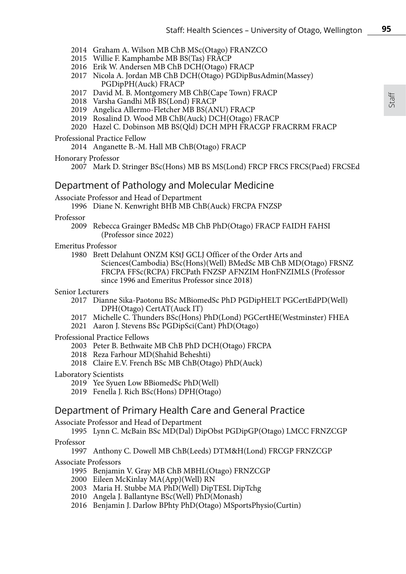- 2014 Graham A. Wilson MB ChB MSc(Otago) FRANZCO
- 2015 Willie F. Kamphambe MB BS(Tas) FRACP
- 2016 Erik W. Andersen MB ChB DCH(Otago) FRACP
- 2017 Nicola A. Jordan MB ChB DCH(Otago) PGDipBusAdmin(Massey) PGDipPH(Auck) FRACP
- 2017 David M. B. Montgomery MB ChB(Cape Town) FRACP
- 2018 Varsha Gandhi MB BS(Lond) FRACP
- 2019 Angelica Allermo-Fletcher MB BS(ANU) FRACP
- 2019 Rosalind D. Wood MB ChB(Auck) DCH(Otago) FRACP
- 2020 Hazel C. Dobinson MB BS(Qld) DCH MPH FRACGP FRACRRM FRACP

#### Professional Practice Fellow

2014 Anganette B.-M. Hall MB ChB(Otago) FRACP

#### Honorary Professor

2007 Mark D. Stringer BSc(Hons) MB BS MS(Lond) FRCP FRCS FRCS(Paed) FRCSEd

## Department of Pathology and Molecular Medicine

### Associate Professor and Head of Department

1996 Diane N. Kenwright BHB MB ChB(Auck) FRCPA FNZSP

#### Professor

2009 Rebecca Grainger BMedSc MB ChB PhD(Otago) FRACP FAIDH FAHSI (Professor since 2022)

### Emeritus Professor

1980 Brett Delahunt ONZM KStJ GCLJ Officer of the Order Arts and Sciences(Cambodia) BSc(Hons)(Well) BMedSc MB ChB MD(Otago) FRSNZ FRCPA FFSc(RCPA) FRCPath FNZSP AFNZIM HonFNZIMLS (Professor since 1996 and Emeritus Professor since 2018)

#### Senior Lecturers

- 2017 Dianne Sika-Paotonu BSc MBiomedSc PhD PGDipHELT PGCertEdPD(Well) DPH(Otago) CertAT(Auck IT)
- 2017 Michelle C. Thunders BSc(Hons) PhD(Lond) PGCertHE(Westminster) FHEA
- 2021 Aaron J. Stevens BSc PGDipSci(Cant) PhD(Otago)

### Professional Practice Fellows

- 2003 Peter B. Bethwaite MB ChB PhD DCH(Otago) FRCPA
- 2018 Reza Farhour MD(Shahid Beheshti)
- 2018 Claire E.V. French BSc MB ChB(Otago) PhD(Auck)

### Laboratory Scientists

- 2019 Yee Syuen Low BBiomedSc PhD(Well)
- 2019 Fenella J. Rich BSc(Hons) DPH(Otago)

### Department of Primary Health Care and General Practice

Associate Professor and Head of Department

1995 Lynn C. McBain BSc MD(Dal) DipObst PGDipGP(Otago) LMCC FRNZCGP

# Professor

# 1997 Anthony C. Dowell MB ChB(Leeds) DTM&H(Lond) FRCGP FRNZCGP

### Associate Professors

- 1995 Benjamin V. Gray MB ChB MBHL(Otago) FRNZCGP
- 2000 Eileen McKinlay MA(App)(Well) RN
- 2003 Maria H. Stubbe MA PhD(Well) DipTESL DipTchg
- 2010 Angela J. Ballantyne BSc(Well) PhD(Monash)
- 2016 Benjamin J. Darlow BPhty PhD(Otago) MSportsPhysio(Curtin)

**95**

Staff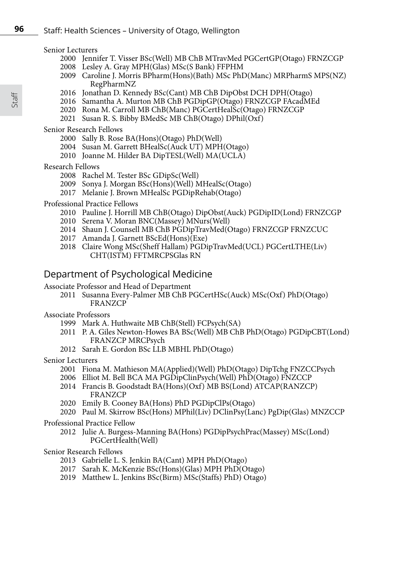#### Senior Lecturers

- 2000 Jennifer T. Visser BSc(Well) MB ChB MTravMed PGCertGP(Otago) FRNZCGP
- 2008 Lesley A. Gray MPH(Glas) MSc(S Bank) FFPHM
- 2009 Caroline J. Morris BPharm(Hons)(Bath) MSc PhD(Manc) MRPharmS MPS(NZ) RegPharmNZ
- 2016 Jonathan D. Kennedy BSc(Cant) MB ChB DipObst DCH DPH(Otago)
- 2016 Samantha A. Murton MB ChB PGDipGP(Otago) FRNZCGP FAcadMEd
- 2020 Rona M. Carroll MB ChB(Manc) PGCertHealSc(Otago) FRNZCGP
- 2021 Susan R. S. Bibby BMedSc MB ChB(Otago) DPhil(Oxf)

Senior Research Fellows

- 2000 Sally B. Rose BA(Hons)(Otago) PhD(Well)
- 2004 Susan M. Garrett BHealSc(Auck UT) MPH(Otago)
- 2010 Joanne M. Hilder BA DipTESL(Well) MA(UCLA)

### Research Fellows

- 2008 Rachel M. Tester BSc GDipSc(Well)
- 2009 Sonya J. Morgan BSc(Hons)(Well) MHealSc(Otago)
- 2017 Melanie J. Brown MHealSc PGDipRehab(Otago)

### Professional Practice Fellows

- 2010 Pauline J. Horrill MB ChB(Otago) DipObst(Auck) PGDipID(Lond) FRNZCGP
- 2010 Serena V. Moran BNC(Massey) MNurs(Well)
- 2014 Shaun J. Counsell MB ChB PGDipTravMed(Otago) FRNZCGP FRNZCUC
- 2017 Amanda J. Garnett BScEd(Hons)(Exe)
- 2018 Claire Wong MSc(Sheff Hallam) PGDipTravMed(UCL) PGCertLTHE(Liv) CHT(ISTM) FFTMRCPSGlas RN

# Department of Psychological Medicine

Associate Professor and Head of Department

2011 Susanna Every-Palmer MB ChB PGCertHSc(Auck) MSc(Oxf) PhD(Otago) FRANZCP

# Associate Professors

- 1999 Mark A. Huthwaite MB ChB(Stell) FCPsych(SA)
- 2011 P. A. Giles Newton-Howes BA BSc(Well) MB ChB PhD(Otago) PGDipCBT(Lond) FRANZCP MRCPsych
- 2012 Sarah E. Gordon BSc LLB MBHL PhD(Otago)

### Senior Lecturers

- 2001 Fiona M. Mathieson MA(Applied)(Well) PhD(Otago) DipTchg FNZCCPsych
- 2006 Elliot M. Bell BCA MA PGDipClinPsych(Well) PhD(Otago) FNZCCP
- 2014 Francis B. Goodstadt BA(Hons)(Oxf) MB BS(Lond) ATCAP(RANZCP) FRANZCP
- 2020 Emily B. Cooney BA(Hons) PhD PGDipClPs(Otago)
- 2020 Paul M. Skirrow BSc(Hons) MPhil(Liv) DClinPsy(Lanc) PgDip(Glas) MNZCCP

### Professional Practice Fellow

2012 Julie A. Burgess-Manning BA(Hons) PGDipPsychPrac(Massey) MSc(Lond) PGCertHealth(Well)

## Senior Research Fellows

- 2013 Gabrielle L. S. Jenkin BA(Cant) MPH PhD(Otago)
- 2017 Sarah K. McKenzie BSc(Hons)(Glas) MPH PhD(Otago)
- 2019 Matthew L. Jenkins BSc(Birm) MSc(Staffs) PhD) Otago)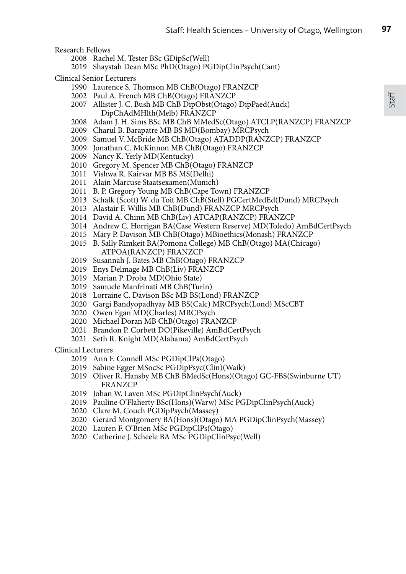Research Fellows

- 2008 Rachel M. Tester BSc GDipSc(Well)
- 2019 Shaystah Dean MSc PhD(Otago) PGDipClinPsych(Cant)

Clinical Senior Lecturers

- 1990 Laurence S. Thomson MB ChB(Otago) FRANZCP
- 2002 Paul A. French MB ChB(Otago) FRANZCP
- 2007 Allister J. C. Bush MB ChB DipObst(Otago) DipPaed(Auck) DipChAdMHlth(Melb) FRANZCP
- 2008 Adam J. H. Sims BSc MB ChB MMedSc(Otago) ATCLP(RANZCP) FRANZCP
- 2009 Charul B. Barapatre MB BS MD(Bombay) MRCPsych
- 2009 Samuel V. McBride MB ChB(Otago) ATADDP(RANZCP) FRANZCP
- 2009 Jonathan C. McKinnon MB ChB(Otago) FRANZCP
- 2009 Nancy K. Yerly MD(Kentucky)
- 2010 Gregory M. Spencer MB ChB(Otago) FRANZCP
- 2011 Vishwa R. Kairvar MB BS MS(Delhi)
- 2011 Alain Marcuse Staatsexamen(Munich)
- 2011 B. P. Gregory Young MB ChB(Cape Town) FRANZCP
- 2013 Schalk (Scott) W. du Toit MB ChB(Stell) PGCertMedEd(Dund) MRCPsych
- 2013 Alastair F. Willis MB ChB(Dund) FRANZCP MRCPsych
- 2014 David A. Chinn MB ChB(Liv) ATCAP(RANZCP) FRANZCP
- 2014 Andrew C. Horrigan BA(Case Western Reserve) MD(Toledo) AmBdCertPsych
- 2015 Mary P. Davison MB ChB(Otago) MBioethics(Monash) FRANZCP
- 2015 B. Sally Rimkeit BA(Pomona College) MB ChB(Otago) MA(Chicago) ATPOA(RANZCP) FRANZCP
- 2019 Susannah J. Bates MB ChB(Otago) FRANZCP
- 2019 Enys Delmage MB ChB(Liv) FRANZCP
- 2019 Marian P. Droba MD(Ohio State)
- 2019 Samuele Manfrinati MB ChB(Turin)
- 2018 Lorraine C. Davison BSc MB BS(Lond) FRANZCP
- 2020 Gargi Bandyopadhyay MB BS(Calc) MRCPsych(Lond) MScCBT
- 2020 Owen Egan MD(Charles) MRCPsych
- 2020 Michael Doran MB ChB(Otago) FRANZCP
- 2021 Brandon P. Corbett DO(Pikeville) AmBdCertPsych
- 2021 Seth R. Knight MD(Alabama) AmBdCertPsych

Clinical Lecturers

- 2019 Ann F. Connell MSc PGDipClPs(Otago)
- 2019 Sabine Egger MSocSc PGDipPsyc(Clin)(Waik)
- 2019 Oliver R. Hansby MB ChB BMedSc(Hons)(Otago) GC-FBS(Swinburne UT) FRANZCP
- 2019 Johan W. Laven MSc PGDipClinPsych(Auck)
- 2019 Pauline O'Flaherty BSc(Hons)(Warw) MSc PGDipClinPsych(Auck)
- 2020 Clare M. Couch PGDipPsych(Massey)
- 2020 Gerard Montgomery BA(Hons)(Otago) MA PGDipClinPsych(Massey)
- 2020 Lauren F. O'Brien MSc PGDipClPs(Otago)
- 2020 Catherine J. Scheele BA MSc PGDipClinPsyc(Well)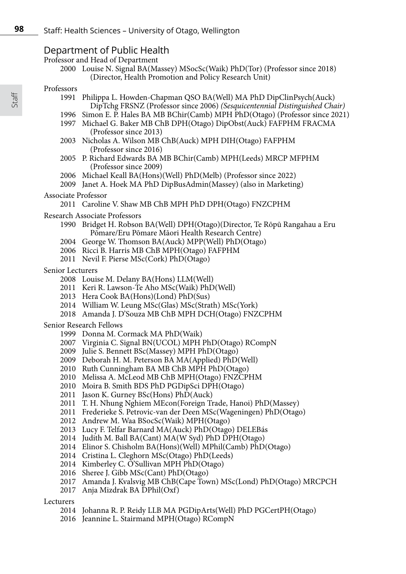# Department of Public Health

Professor and Head of Department

 Louise N. Signal BA(Massey) MSocSc(Waik) PhD(Tor) (Professor since 2018) (Director, Health Promotion and Policy Research Unit)

### Professors

- Philippa L. Howden-Chapman QSO BA(Well) MA PhD DipClinPsych(Auck) DipTchg FRSNZ (Professor since 2006) *(Sesquicentennial Distinguished Chair)*
- Simon E. P. Hales BA MB BChir(Camb) MPH PhD(Otago) (Professor since 2021)
- Michael G. Baker MB ChB DPH(Otago) DipObst(Auck) FAFPHM FRACMA (Professor since 2013)
- Nicholas A. Wilson MB ChB(Auck) MPH DIH(Otago) FAFPHM (Professor since 2016)
- P. Richard Edwards BA MB BChir(Camb) MPH(Leeds) MRCP MFPHM (Professor since 2009)
- Michael Keall BA(Hons)(Well) PhD(Melb) (Professor since 2022)
- Janet A. Hoek MA PhD DipBusAdmin(Massey) (also in Marketing)

### Associate Professor

Caroline V. Shaw MB ChB MPH PhD DPH(Otago) FNZCPHM

### Research Associate Professors

- Bridget H. Robson BA(Well) DPH(Otago)(Director, Te Rōpū Rangahau a Eru Pōmare/Eru Pōmare Māori Health Research Centre)
- George W. Thomson BA(Auck) MPP(Well) PhD(Otago)
- Ricci B. Harris MB ChB MPH(Otago) FAFPHM
- Nevil F. Pierse MSc(Cork) PhD(Otago)

### Senior Lecturers

- Louise M. Delany BA(Hons) LLM(Well)
- Keri R. Lawson-Te Aho MSc(Waik) PhD(Well)
- Hera Cook BA(Hons)(Lond) PhD(Sus)
- William W. Leung MSc(Glas) MSc(Strath) MSc(York)
- Amanda J. D'Souza MB ChB MPH DCH(Otago) FNZCPHM

### Senior Research Fellows

- Donna M. Cormack MA PhD(Waik)
- Virginia C. Signal BN(UCOL) MPH PhD(Otago) RCompN
- Julie S. Bennett BSc(Massey) MPH PhD(Otago)
- Deborah H. M. Peterson BA MA(Applied) PhD(Well)
- Ruth Cunningham BA MB ChB MPH PhD(Otago)
- Melissa A. McLeod MB ChB MPH(Otago) FNZCPHM
- Moira B. Smith BDS PhD PGDipSci DPH(Otago)
- 2011 Jason K. Gurney  $BSc(Hons) PhD(Auck)$
- T. H. Nhung Nghiem MEcon(Foreign Trade, Hanoi) PhD(Massey)
- Frederieke S. Petrovic-van der Deen MSc(Wageningen) PhD(Otago)
- Andrew M. Waa BSocSc(Waik) MPH(Otago)
- Lucy F. Telfar Barnard MA(Auck) PhD(Otago) DELEBás
- 2014 Judith M. Ball BA(Cant) MA(W Syd) PhD DPH(Otago)
- 2014 Elinor S. Chisholm BA(Hons)(Well) MPhil(Camb) PhD(Otago)
- Cristina L. Cleghorn MSc(Otago) PhD(Leeds)
- 2014 Kimberley C. O'Sullivan MPH PhD(Otago)
- Sheree J. Gibb MSc(Cant) PhD(Otago)
- Amanda J. Kvalsvig MB ChB(Cape Town) MSc(Lond) PhD(Otago) MRCPCH
- 2017 Anja Mizdrak BA DPhil(Oxf)

### Lecturers

- Johanna R. P. Reidy LLB MA PGDipArts(Well) PhD PGCertPH(Otago)
- Jeannine L. Stairmand MPH(Otago) RCompN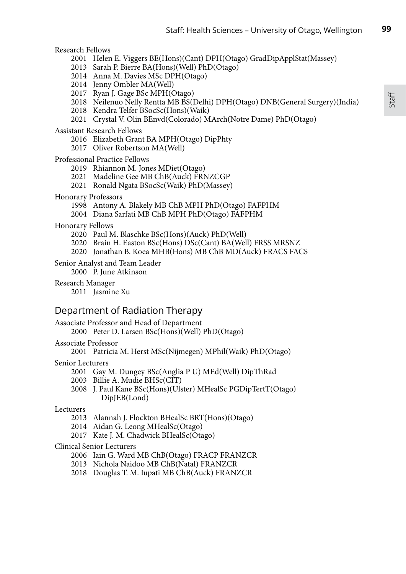## Research Fellows

- 2001 Helen E. Viggers BE(Hons)(Cant) DPH(Otago) GradDipApplStat(Massey)
- 2013 Sarah P. Bierre BA(Hons)(Well) PhD(Otago)
- 2014 Anna M. Davies MSc DPH(Otago)
- 2014 Jenny Ombler MA(Well)
- 2017 Ryan J. Gage BSc MPH(Otago)
- 2018 Neilenuo Nelly Rentta MB BS(Delhi) DPH(Otago) DNB(General Surgery)(India)
- 2018 Kendra Telfer BSocSc(Hons)(Waik)
- 2021 Crystal V. Olin BEnvd(Colorado) MArch(Notre Dame) PhD(Otago)

### Assistant Research Fellows

- 2016 Elizabeth Grant BA MPH(Otago) DipPhty
- 2017 Oliver Robertson MA(Well)

### Professional Practice Fellows

- 2019 Rhiannon M. Jones MDiet(Otago)
- 2021 Madeline Gee MB ChB(Auck) FRNZCGP
- 2021 Ronald Ngata BSocSc(Waik) PhD(Massey)

#### Honorary Professors

- 1998 Antony A. Blakely MB ChB MPH PhD(Otago) FAFPHM
- 2004 Diana Sarfati MB ChB MPH PhD(Otago) FAFPHM

#### Honorary Fellows

- 2020 Paul M. Blaschke BSc(Hons)(Auck) PhD(Well)
- 2020 Brain H. Easton BSc(Hons) DSc(Cant) BA(Well) FRSS MRSNZ
- 2020 Jonathan B. Koea MHB(Hons) MB ChB MD(Auck) FRACS FACS

# Senior Analyst and Team Leader

2000 P. June Atkinson

#### Research Manager

2011 Jasmine Xu

# Department of Radiation Therapy

Associate Professor and Head of Department

2000 Peter D. Larsen BSc(Hons)(Well) PhD(Otago)

### Associate Professor

2001 Patricia M. Herst MSc(Nijmegen) MPhil(Waik) PhD(Otago)

#### Senior Lecturers

- 2001 Gay M. Dungey BSc(Anglia P U) MEd(Well) DipThRad
- 2003 Billie A. Mudie BHSc(CIT)
- 2008 J. Paul Kane BSc(Hons)(Ulster) MHealSc PGDipTertT(Otago) DipJEB(Lond)

#### Lecturers

- 2013 Alannah J. Flockton BHealSc BRT(Hons)(Otago)
- 2014 Aidan G. Leong MHealSc(Otago)
- 2017 Kate J. M. Chadwick BHealSc(Otago)

### Clinical Senior Lecturers

- 2006 Iain G. Ward MB ChB(Otago) FRACP FRANZCR
- 2013 Nichola Naidoo MB ChB(Natal) FRANZCR
- 2018 Douglas T. M. Iupati MB ChB(Auck) FRANZCR

**99**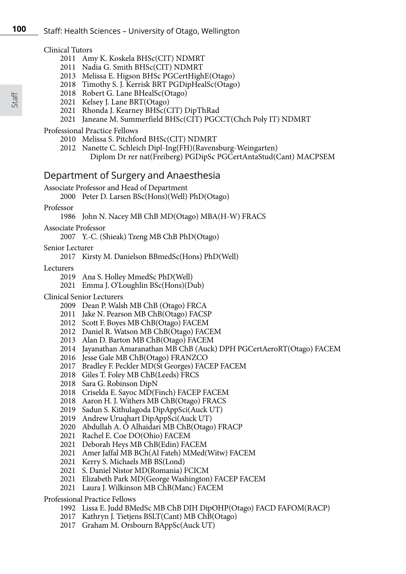### Clinical Tutors

- 2011 Amy K. Koskela BHSc(CIT) NDMRT
- 2011 Nadia G. Smith BHSc(CIT) NDMRT
- 2013 Melissa E. Higson BHSc PGCertHighE(Otago)
- 2018 Timothy S. J. Kerrisk BRT PGDipHealSc(Otago)
- 2018 Robert G. Lane BHealSc(Otago)
- 2021 Kelsey J. Lane BRT(Otago)
- 2021 Rhonda J. Kearney BHSc(CIT) DipThRad
- 2021 Janeane M. Summerfield BHSc(CIT) PGCCT(Chch Poly IT) NDMRT

### Professional Practice Fellows

- 2010 Melissa S. Pitchford BHSc(CIT) NDMRT
- 2012 Nanette C. Schleich Dipl-Ing(FH)(Ravensburg-Weingarten) Diplom Dr rer nat(Freiberg) PGDipSc PGCertAntaStud(Cant) MACPSEM

# Department of Surgery and Anaesthesia

Associate Professor and Head of Department

2000 Peter D. Larsen BSc(Hons)(Well) PhD(Otago)

Professor

1986 John N. Nacey MB ChB MD(Otago) MBA(H-W) FRACS

Associate Professor

2007 Y.-C. (Shieak) Tzeng MB ChB PhD(Otago)

Senior Lecturer

2017 Kirsty M. Danielson BBmedSc(Hons) PhD(Well)

Lecturers

- 2019 Ana S. Holley MmedSc PhD(Well)
- 2021 Emma J. O'Loughlin BSc(Hons)(Dub)
- Clinical Senior Lecturers
	- 2009 Dean P. Walsh MB ChB (Otago) FRCA
	- 2011 Jake N. Pearson MB ChB(Otago) FACSP
	- 2012 Scott F. Boyes MB ChB(Otago) FACEM
	- 2012 Daniel R. Watson MB ChB(Otago) FACEM
	- 2013 Alan D. Barton MB ChB(Otago) FACEM
	- 2014 Jayanathan Amaranathan MB ChB (Auck) DPH PGCertAeroRT(Otago) FACEM
	- 2016 Jesse Gale MB ChB(Otago) FRANZCO
	- 2017 Bradley F. Peckler MD(St Georges) FACEP FACEM
	- 2018 Giles T. Foley MB ChB(Leeds) FRCS
	- 2018 Sara G. Robinson DipN
	- 2018 Criselda E. Sayoc MD(Finch) FACEP FACEM
	- 2018 Aaron H. J. Withers MB ChB(Otago) FRACS
	- 2019 Sadun S. Kithulagoda DipAppSci(Auck UT)
	- 2019 Andrew Uruqhart DipAppSci(Auck UT)
	- 2020 Abdullah A. O Alhaidari MB ChB(Otago) FRACP
	- 2021 Rachel E. Coe DO(Ohio) FACEM
	- 2021 Deborah Heys MB ChB(Edin) FACEM
	- 2021 Amer Jaffal MB BCh(Al Fateh) MMed(Witw) FACEM
	- 2021 Kerry S. Michaels MB BS(Lond)
	- 2021 S. Daniel Nistor MD(Romania) FCICM
	- 2021 Elizabeth Park MD(George Washington) FACEP FACEM
	- 2021 Laura J. Wilkinson MB ChB(Manc) FACEM

Professional Practice Fellows

- 1992 Lissa E. Judd BMedSc MB ChB DIH DipOHP(Otago) FACD FAFOM(RACP)
- 2017 Kathryn J. Tietjens BSLT(Cant) MB ChB(Otago)
- 2017 Graham M. Orsbourn BAppSc(Auck UT)

Staff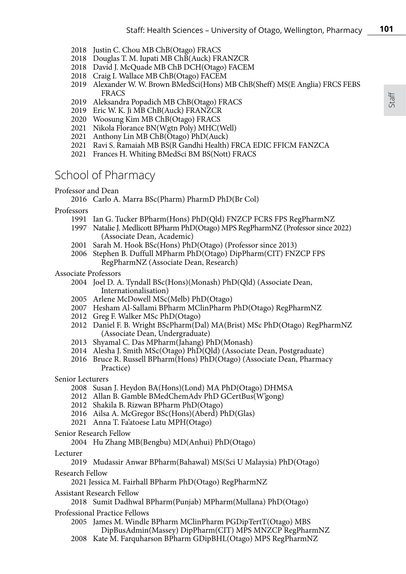- 2018 Justin C. Chou MB ChB(Otago) FRACS
- 2018 Douglas T. M. Iupati MB ChB(Auck) FRANZCR
- 2018 David J. McQuade MB ChB DCH(Otago) FACEM
- 2018 Craig I. Wallace MB ChB(Otago) FACEM
- 2019 Alexander W. W. Brown BMedSci(Hons) MB ChB(Sheff) MS(E Anglia) FRCS FEBS FRACS
- 2019 Aleksandra Popadich MB ChB(Otago) FRACS
- 2019 Eric W. K. Ji MB ChB(Auck) FRANZCR
- 2020 Woosung Kim MB ChB(Otago) FRACS
- 2021 Nikola Florance BN(Wgtn Poly) MHC(Well)
- 2021 Anthony Lin MB ChB(Otago) PhD(Auck)
- 2021 Ravi S. Ramaiah MB BS(R Gandhi Health) FRCA EDIC FFICM FANZCA
- 2021 Frances H. Whiting BMedSci BM BS(Nott) FRACS

# School of Pharmacy

### Professor and Dean

2016 Carlo A. Marra BSc(Pharm) PharmD PhD(Br Col)

Professors

- 1991 Ian G. Tucker BPharm(Hons) PhD(Qld) FNZCP FCRS FPS RegPharmNZ
- 1997 Natalie J. Medlicott BPharm PhD(Otago) MPS RegPharmNZ (Professor since 2022) (Associate Dean, Academic)
- 2001 Sarah M. Hook BSc(Hons) PhD(Otago) (Professor since 2013)
- 2006 Stephen B. Duffull MPharm PhD(Otago) DipPharm(CIT) FNZCP FPS RegPharmNZ (Associate Dean, Research)
- Associate Professors
	- 2004 Joel D. A. Tyndall BSc(Hons)(Monash) PhD(Qld) (Associate Dean, Internationalisation)
	- 2005 Arlene McDowell MSc(Melb) PhD(Otago)
	- 2007 Hesham Al-Sallami BPharm MClinPharm PhD(Otago) RegPharmNZ
	- 2012 Greg F. Walker MSc PhD(Otago)
	- 2012 Daniel F. B. Wright BScPharm(Dal) MA(Brist) MSc PhD(Otago) RegPharmNZ (Associate Dean, Undergraduate)
	- 2013 Shyamal C. Das MPharm(Jahang) PhD(Monash)
	- 2014 Alesha J. Smith MSc(Otago) PhD(Qld) (Associate Dean, Postgraduate)
	- 2016 Bruce R. Russell BPharm(Hons) PhD(Otago) (Associate Dean, Pharmacy Practice)
- Senior Lecturers
	- 2008 Susan J. Heydon BA(Hons)(Lond) MA PhD(Otago) DHMSA
	- 2012 Allan B. Gamble BMedChemAdv PhD GCertBus(W'gong)
	- 2012 Shakila B. Rizwan BPharm PhD(Otago)
	- 2016 Ailsa A. McGregor BSc(Hons)(Aberd) PhD(Glas)
	- 2021 Anna T. Fa'atoese Latu MPH(Otago)
- Senior Research Fellow
	- 2004 Hu Zhang MB(Bengbu) MD(Anhui) PhD(Otago)
- Lecturer

2019 Mudassir Anwar BPharm(Bahawal) MS(Sci U Malaysia) PhD(Otago)

Research Fellow

2021 Jessica M. Fairhall BPharm PhD(Otago) RegPharmNZ

Assistant Research Fellow

2018 Sumit Dadhwal BPharm(Punjab) MPharm(Mullana) PhD(Otago)

Professional Practice Fellows

2005 James M. Windle BPharm MClinPharm PGDipTertT(Otago) MBS DipBusAdmin(Massey) DipPharm(CIT) MPS MNZCP RegPharmNZ

2008 Kate M. Farquharson BPharm GDipBHL(Otago) MPS RegPharmNZ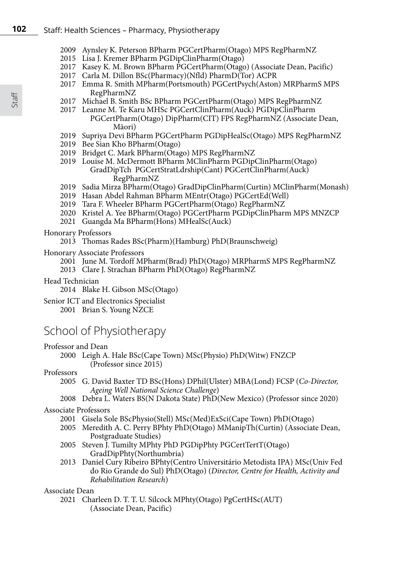- 2009 Aynsley K. Peterson BPharm PGCertPharm(Otago) MPS RegPharmNZ
- 2015 Lisa J. Kremer BPharm PGDipClinPharm(Otago)
- 2017 Kasey K. M. Brown BPharm PGCertPharm(Otago) (Associate Dean, Pacific)
- 2017 Carla M. Dillon BSc(Pharmacy)(Nfld) PharmD(Tor) ACPR
- 2017 Emma R. Smith MPharm(Portsmouth) PGCertPsych(Aston) MRPharmS MPS RegPharmNZ
- 2017 Michael B. Smith BSc BPharm PGCertPharm(Otago) MPS RegPharmNZ
- 2017 Leanne M. Te Karu MHSc PGCertClinPharm(Auck) PGDipClinPharm PGCertPharm(Otago) DipPharm(CIT) FPS RegPharmNZ (Associate Dean, Māori)
- 2019 Supriya Devi BPharm PGCertPharm PGDipHealSc(Otago) MPS RegPharmNZ
- 2019 Bee Sian Kho BPharm(Otago)
- 2019 Bridget C. Mark BPharm(Otago) MPS RegPharmNZ
- 2019 Louise M. McDermott BPharm MClinPharm PGDipClinPharm(Otago) GradDipTch PGCertStratLdrship(Cant) PGCertClinPharm(Auck) RegPharmNZ
- 2019 Sadia Mirza BPharm(Otago) GradDipClinPharm(Curtin) MClinPharm(Monash)
- 2019 Hasan Abdel Rahman BPharm MEntr(Otago) PGCertEd(Well)
- 2019 Tara F. Wheeler BPharm PGCertPharm(Otago) RegPharmNZ
- 2020 Kristel A. Yee BPharm(Otago) PGCertPharm PGDipClinPharm MPS MNZCP
- 2021 Guangda Ma BPharm(Hons) MHealSc(Auck)

### Honorary Professors

- 2013 Thomas Rades BSc(Pharm)(Hamburg) PhD(Braunschweig)
- Honorary Associate Professors
	- 2001 June M. Tordoff MPharm(Brad) PhD(Otago) MRPharmS MPS RegPharmNZ
	- 2013 Clare J. Strachan BPharm PhD(Otago) RegPharmNZ
- Head Technician

2014 Blake H. Gibson MSc(Otago)

Senior ICT and Electronics Specialist

2001 Brian S. Young NZCE

# School of Physiotherapy

### Professor and Dean

2000 Leigh A. Hale BSc(Cape Town) MSc(Physio) PhD(Witw) FNZCP (Professor since 2015)

# Professors<br>2005

- 2005 G. David Baxter TD BSc(Hons) DPhil(Ulster) MBA(Lond) FCSP (*Co-Director, Ageing Well National Science Challenge*)
- 2008 Debra L. Waters BS(N Dakota State) PhD(New Mexico) (Professor since 2020)

### Associate Professors

- 2001 Gisela Sole BScPhysio(Stell) MSc(Med)ExSci(Cape Town) PhD(Otago)
- 2005 Meredith A. C. Perry BPhty PhD(Otago) MManipTh(Curtin) (Associate Dean, Postgraduate Studies)
- 2005 Steven J. Tumilty MPhty PhD PGDipPhty PGCertTertT(Otago) GradDipPhty(Northumbria)
- 2013 Daniel Cury Ribeiro BPhty(Centro Universitário Metodista IPA) MSc(Univ Fed do Rio Grande do Sul) PhD(Otago) (*Director, Centre for Health, Activity and Rehabilitation Research*)

### Associate Dean

2021 Charleen D. T. T. U. Silcock MPhty(Otago) PgCertHSc(AUT) (Associate Dean, Pacific)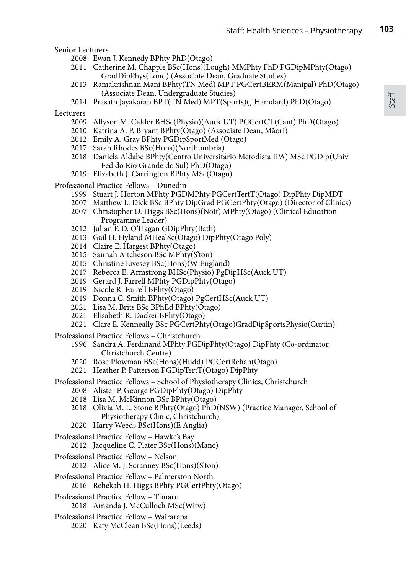Senior Lecturers

- 2008 Ewan J. Kennedy BPhty PhD(Otago)
- 2011 Catherine M. Chapple BSc(Hons)(Lough) MMPhty PhD PGDipMPhty(Otago) GradDipPhys(Lond) (Associate Dean, Graduate Studies)
- 2013 Ramakrishnan Mani BPhty(TN Med) MPT PGCertBERM(Manipal) PhD(Otago) (Associate Dean, Undergraduate Studies)
- 2014 Prasath Jayakaran BPT(TN Med) MPT(Sports)(J Hamdard) PhD(Otago)

Lecturers

- 2009 Allyson M. Calder BHSc(Physio)(Auck UT) PGCertCT(Cant) PhD(Otago)
- 2010 Katrina A. P. Bryant BPhty(Otago) (Associate Dean, Māori)
- 2012 Emily A. Gray BPhty PGDipSportMed (Otago)
- 2017 Sarah Rhodes BSc(Hons)(Northumbria)
- 2018 Daniela Aldabe BPhty(Centro Universitário Metodista IPA) MSc PGDip(Univ Fed do Rio Grande do Sul) PhD(Otago)
- 2019 Elizabeth J. Carrington BPhty MSc(Otago)

Professional Practice Fellows – Dunedin

- 1999 Stuart J. Horton MPhty PGDMPhty PGCertTertT(Otago) DipPhty DipMDT
- 2007 Matthew L. Dick BSc BPhty DipGrad PGCertPhty(Otago) (Director of Clinics)
- 2007 Christopher D. Higgs BSc(Hons)(Nott) MPhty(Otago) (Clinical Education Programme Leader)
- 2012 Julian F. D. O'Hagan GDipPhty(Bath)
- 2013 Gail H. Hyland MHealSc(Otago) DipPhty(Otago Poly)
- 2014 Claire E. Hargest BPhty(Otago)
- 2015 Sannah Aitcheson BSc MPhty(S'ton)
- 2015 Christine Livesey BSc(Hons)(W England)
- 2017 Rebecca E. Armstrong BHSc(Physio) PgDipHSc(Auck UT)
- 2019 Gerard J. Farrell MPhty PGDipPhty(Otago)
- 2019 Nicole R. Farrell BPhty(Otago)
- 2019 Donna C. Smith BPhty(Otago) PgCertHSc(Auck UT)
- 2021 Lisa M. Brits BSc BPhEd BPhty(Otago)
- 2021 Elisabeth R. Dacker BPhty(Otago)
- 2021 Clare E. Kenneally BSc PGCertPhty(Otago)GradDipSportsPhysio(Curtin)

Professional Practice Fellows – Christchurch

- 1996 Sandra A. Ferdinand MPhty PGDipPhty(Otago) DipPhty (Co-ordinator, Christchurch Centre)
- 2020 Rose Plowman BSc(Hons)(Hudd) PGCertRehab(Otago)
- 2021 Heather P. Patterson PGDipTertT(Otago) DipPhty
- Professional Practice Fellows School of Physiotherapy Clinics, Christchurch
	- 2008 Alister P. George PGDipPhty(Otago) DipPhty
	- 2018 Lisa M. McKinnon BSc BPhty(Otago)
	- 2018 Olivia M. L. Stone BPhty(Otago) PhD(NSW) (Practice Manager, School of Physiotherapy Clinic, Christchurch)
	- 2020 Harry Weeds BSc(Hons)(E Anglia)
- Professional Practice Fellow Hawke's Bay
	- 2012 Jacqueline C. Plater BSc(Hons)(Manc)
- Professional Practice Fellow Nelson
	- 2012 Alice M. J. Scranney BSc(Hons)(S'ton)
- Professional Practice Fellow Palmerston North 2016 Rebekah H. Higgs BPhty PGCertPhty(Otago)
- Professional Practice Fellow Timaru 2018 Amanda J. McCulloch MSc(Witw)
- Professional Practice Fellow Wairarapa 2020 Katy McClean BSc(Hons)(Leeds)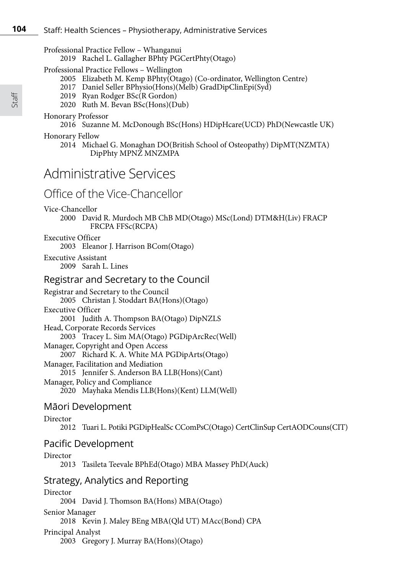## Professional Practice Fellow – Whanganui

2019 Rachel L. Gallagher BPhty PGCertPhty(Otago)

Professional Practice Fellows – Wellington

- 2005 Elizabeth M. Kemp BPhty(Otago) (Co-ordinator, Wellington Centre)
- 2017 Daniel Seller BPhysio(Hons)(Melb) GradDipClinEpi(Syd)
- 2019 Ryan Rodger BSc(R Gordon)
- 2020 Ruth M. Bevan BSc(Hons)(Dub)

### Honorary Professor

2016 Suzanne M. McDonough BSc(Hons) HDipHcare(UCD) PhD(Newcastle UK)

### Honorary Fellow

2014 Michael G. Monaghan DO(British School of Osteopathy) DipMT(NZMTA) DipPhty MPNZ MNZMPA

# Administrative Services

# Office of the Vice-Chancellor

Vice-Chancellor

2000 David R. Murdoch MB ChB MD(Otago) MSc(Lond) DTM&H(Liv) FRACP FRCPA FFSc(RCPA)

# Executive Officer

2003 Eleanor J. Harrison BCom(Otago)

Executive Assistant 2009 Sarah L. Lines

# Registrar and Secretary to the Council

Registrar and Secretary to the Council 2005 Christan J. Stoddart BA(Hons)(Otago) Executive Officer 2001 Judith A. Thompson BA(Otago) DipNZLS Head, Corporate Records Services 2003 Tracey L. Sim MA(Otago) PGDipArcRec(Well) Manager, Copyright and Open Access 2007 Richard K. A. White MA PGDipArts(Otago) Manager, Facilitation and Mediation 2015 Jennifer S. Anderson BA LLB(Hons)(Cant) Manager, Policy and Compliance 2020 Mayhaka Mendis LLB(Hons)(Kent) LLM(Well)

# Māori Development

## Director

2012 Tuari L. Potiki PGDipHealSc CComPsC(Otago) CertClinSup CertAODCouns(CIT)

# Pacific Development

Director 2013 Tasileta Teevale BPhEd(Otago) MBA Massey PhD(Auck)

# Strategy, Analytics and Reporting

# Director 2004 David J. Thomson BA(Hons) MBA(Otago) Senior Manager 2018 Kevin J. Maley BEng MBA(Qld UT) MAcc(Bond) CPA Principal Analyst 2003 Gregory J. Murray BA(Hons)(Otago)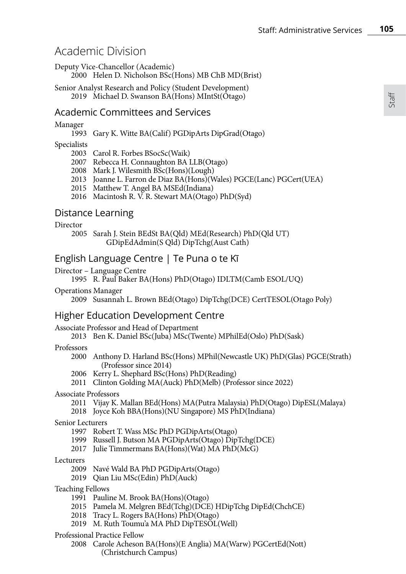# Academic Division

Deputy Vice-Chancellor (Academic)

2000 Helen D. Nicholson BSc(Hons) MB ChB MD(Brist)

Senior Analyst Research and Policy (Student Development) 2019 Michael D. Swanson BA(Hons) MIntSt(Otago)

# Academic Committees and Services

### Manager

1993 Gary K. Witte BA(Calif) PGDipArts DipGrad(Otago)

### Specialists

2003 Carol R. Forbes BSocSc(Waik)

- 2007 Rebecca H. Connaughton BA LLB(Otago)
- 2008 Mark J. Wilesmith BSc(Hons)(Lough)
- 2013 Joanne L. Farron de Diaz BA(Hons)(Wales) PGCE(Lanc) PGCert(UEA)
- 2015 Matthew T. Angel BA MSEd(Indiana)
- 2016 Macintosh R. V. R. Stewart MA(Otago) PhD(Syd)

# Distance Learning

### Director

 2005 Sarah J. Stein BEdSt BA(Qld) MEd(Research) PhD(Qld UT) GDipEdAdmin(S Qld) DipTchg(Aust Cath)

# English Language Centre | Te Puna o te Kī

### Director – Language Centre

1995 R. Paul Baker BA(Hons) PhD(Otago) IDLTM(Camb ESOL/UQ)

Operations Manager

2009 Susannah L. Brown BEd(Otago) DipTchg(DCE) CertTESOL(Otago Poly)

# Higher Education Development Centre

### Associate Professor and Head of Department

2013 Ben K. Daniel BSc(Juba) MSc(Twente) MPhilEd(Oslo) PhD(Sask)

### Professors

- 2000 Anthony D. Harland BSc(Hons) MPhil(Newcastle UK) PhD(Glas) PGCE(Strath) (Professor since 2014)
- 2006 Kerry L. Shephard BSc(Hons) PhD(Reading)
- 2011 Clinton Golding MA(Auck) PhD(Melb) (Professor since 2022)

### Associate Professors

- 2011 Vijay K. Mallan BEd(Hons) MA(Putra Malaysia) PhD(Otago) DipESL(Malaya)
- 2018 Joyce Koh BBA(Hons)(NU Singapore) MS PhD(Indiana)

### Senior Lecturers

- 1997 Robert T. Wass MSc PhD PGDipArts(Otago)
- 1999 Russell J. Butson MA PGDipArts(Otago) DipTchg(DCE)
- 2017 Julie Timmermans  $BA(Hons)(Wat) MA PhD(McG)$

### Lecturers

- 2009 Navé Wald BA PhD PGDipArts(Otago)
- 2019 Qian Liu MSc(Edin) PhD(Auck)

### Teaching Fellows

- 1991 Pauline M. Brook BA(Hons)(Otago)
- 2015 Pamela M. Melgren BEd(Tchg)(DCE) HDipTchg DipEd(ChchCE)
- 2018 Tracy L. Rogers BA(Hons) PhD(Otago)
- 2019 M. Ruth Toumu'a MA PhD DipTESOL(Well)

### Professional Practice Fellow

2008 Carole Acheson BA(Hons)(E Anglia) MA(Warw) PGCertEd(Nott) (Christchurch Campus)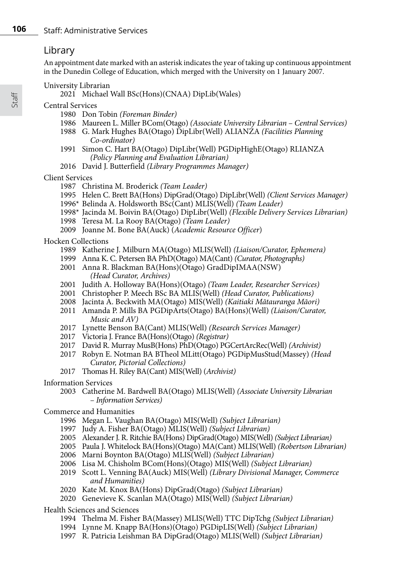# Library

An appointment date marked with an asterisk indicates the year of taking up continuous appointment in the Dunedin College of Education, which merged with the University on 1 January 2007.

University Librarian

Michael Wall BSc(Hons)(CNAA) DipLib(Wales)

Central Services

- Don Tobin *(Foreman Binder)*
- Maureen L. Miller BCom(Otago) *(Associate University Librarian Central Services)*
- G. Mark Hughes BA(Otago) DipLibr(Well) ALIANZA *(Facilities Planning Co-ordinator)*
- Simon C. Hart BA(Otago) DipLibr(Well) PGDipHighE(Otago) RLIANZA *(Policy Planning and Evaluation Librarian)*
- David J. Butterfield *(Library Programmes Manager)*

Client Services

- Christina M. Broderick *(Team Leader)*
- Helen C. Brett BA(Hons) DipGrad(Otago) DipLibr(Well) *(Client Services Manager)*
- 1996\* Belinda A. Holdsworth BSc(Cant) MLIS(Well) *(Team Leader)*
- 1998\* Jacinda M. Boivin BA(Otago) DipLibr(Well) *(Flexible Delivery Services Librarian)*
- Teresa M. La Rooy BA(Otago) *(Team Leader)*
- Joanne M. Bone BA(Auck) (*Academic Resource Officer*)

Hocken Collections

- Katherine J. Milburn MA(Otago) MLIS(Well) *(Liaison/Curator, Ephemera)*
- Anna K. C. Petersen BA PhD(Otago) MA(Cant) *(Curator, Photographs)*
- Anna R. Blackman BA(Hons)(Otago) GradDipIMAA(NSW) *(Head Curator, Archives)*
- Judith A. Holloway BA(Hons)(Otago) *(Team Leader, Researcher Services)*
- Christopher P. Meech BSc BA MLIS(Well) *(Head Curator, Publications)*
- Jacinta A. Beckwith MA(Otago) MIS(Well) *(Kaitiaki Mātauranga Māori)*
- Amanda P. Mills BA PGDipArts(Otago) BA(Hons)(Well) *(Liaison/Curator, Music and AV)*
- Lynette Benson BA(Cant) MLIS(Well) *(Research Services Manager)*
- Victoria J. France BA(Hons)(Otago) *(Registrar)*
- David R. Murray MusB(Hons) PhD(Otago) PGCertArcRec(Well) *(Archivist)*
- Robyn E. Notman BA BTheol MLitt(Otago) PGDipMusStud(Massey) *(Head Curator, Pictorial Collections)*
- Thomas H. Riley BA(Cant) MIS(Well) (*Archivist)*
- Information Services
	- Catherine M. Bardwell BA(Otago) MLIS(Well) *(Associate University Librarian* – *Information Services)*
- Commerce and Humanities
	- Megan L. Vaughan BA(Otago) MIS(Well) *(Subject Librarian)*
	- Judy A. Fisher BA(Otago) MLIS(Well) *(Subject Librarian)*
	- Alexander J. R. Ritchie BA(Hons) DipGrad(Otago) MIS(Well) *(Subject Librarian)*
	- Paula J. Whitelock BA(Hons)(Otago) MA(Cant) MLIS(Well) *(Robertson Librarian)*
	- 2006 Marni Boynton BA(Otago) MLIS(Well) *(Subject Librarian)*
	- Lisa M. Chisholm BCom(Hons)(Otago) MIS(Well) *(Subject Librarian)*
	- Scott L. Venning BA(Auck) MIS(Well) *(Library Divisional Manager, Commerce and Humanities)*
	- Kate M. Knox BA(Hons) DipGrad(Otago) *(Subject Librarian)*
	- Genevieve K. Scanlan MA(Otago) MIS(Well) *(Subject Librarian)*

Health Sciences and Sciences

- Thelma M. Fisher BA(Massey) MLIS(Well) TTC DipTchg *(Subject Librarian)*
- Lynne M. Knapp BA(Hons)(Otago) PGDipLIS(Well) *(Subject Librarian)*
- R. Patricia Leishman BA DipGrad(Otago) MLIS(Well) *(Subject Librarian)*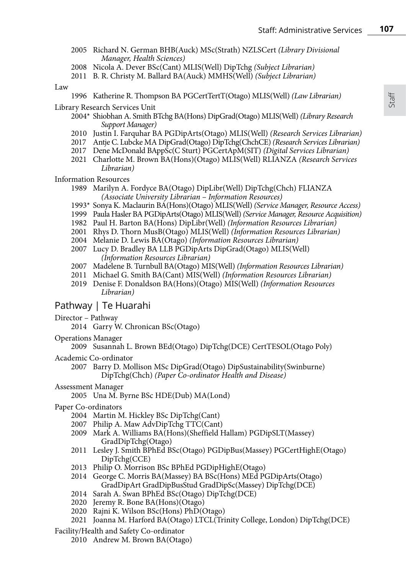- 2005 Richard N. German BHB(Auck) MSc(Strath) NZLSCert *(Library Divisional Manager, Health Sciences)*
- 2008 Nicola A. Dever BSc(Cant) MLIS(Well) DipTchg *(Subject Librarian)*
- 2011 B. R. Christy M. Ballard BA(Auck) MMHS(Well) *(Subject Librarian)*

Law

1996 Katherine R. Thompson BA PGCertTertT(Otago) MLIS(Well) *(Law Librarian)*

Library Research Services Unit

- 2004\* Shiobhan A. Smith BTchg BA(Hons) DipGrad(Otago) MLIS(Well) *(Library Research Support Manager)*
- 2010 Justin I. Farquhar BA PGDipArts(Otago) MLIS(Well) *(Research Services Librarian)*
- 2017 Antje C. Lubcke MA DipGrad(Otago) DipTchg(ChchCE) *(Research Services Librarian)*
- 2017 Dene McDonald BAppSc(C Sturt) PGCertApM(SIT) *(Digital Services Librarian)*
- 2021 Charlotte M. Brown BA(Hons)(Otago) MLIS(Well) RLIANZA *(Research Services Librarian)*

Information Resources

- 1989 Marilyn A. Fordyce BA(Otago) DipLibr(Well) DipTchg(Chch) FLIANZA *(Associate University Librarian* – *Information Resources)*
- 1993\* Sonya K. Maclaurin BA(Hons)(Otago) MLIS(Well) *(Service Manager, Resource Access)*
- 1999 Paula Hasler BA PGDipArts(Otago) MLIS(Well) *(Service Manager, Resource Acquisition)*
- 1982 Paul H. Barton BA(Hons) DipLibr(Well) *(Information Resources Librarian)*
- 2001 Rhys D. Thorn MusB(Otago) MLIS(Well) *(Information Resources Librarian)*
- 2004 Melanie D. Lewis BA(Otago) *(Information Resources Librarian)*
- 2007 Lucy D. Bradley BA LLB PGDipArts DipGrad(Otago) MLIS(Well) *(Information Resources Librarian)*
- 2007 Madelene B. Turnbull BA(Otago) MIS(Well) *(Information Resources Librarian)*
- 2011 Michael G. Smith BA(Cant) MIS(Well) *(Information Resources Librarian)*
- 2019 Denise F. Donaldson BA(Hons)(Otago) MIS(Well) *(Information Resources Librarian)*

# Pathway | Te Huarahi

- Director Pathway
	- 2014 Garry W. Chronican BSc(Otago)
- Operations Manager

2009 Susannah L. Brown BEd(Otago) DipTchg(DCE) CertTESOL(Otago Poly)

- Academic Co-ordinator
	- 2007 Barry D. Mollison MSc DipGrad(Otago) DipSustainability(Swinburne) DipTchg(Chch) *(Paper Co-ordinator Health and Disease)*
- Assessment Manager
	- 2005 Una M. Byrne BSc HDE(Dub) MA(Lond)
- Paper Co-ordinators
	- 2004 Martin M. Hickley BSc DipTchg(Cant)
	- 2007 Philip A. Maw AdvDipTchg TTC(Cant)
	- 2009 Mark A. Williams BA(Hons)(Sheffield Hallam) PGDipSLT(Massey) GradDipTchg(Otago)
	- 2011 Lesley J. Smith BPhEd BSc(Otago) PGDipBus(Massey) PGCertHighE(Otago) DipTchg(CCE)
	- 2013 Philip O. Morrison BSc BPhEd PGDipHighE(Otago)
	- 2014 George C. Morris BA(Massey) BA BSc(Hons) MEd PGDipArts(Otago) GradDipArt GradDipBusStud GradDipSc(Massey) DipTchg(DCE)
	- 2014 Sarah A. Swan BPhEd BSc(Otago) DipTchg(DCE)
	- 2020 Jeremy R. Bone BA(Hons)(Otago)
	- 2020 Rajni K. Wilson BSc(Hons) PhD(Otago)
	- 2021 Joanna M. Harford BA(Otago) LTCL(Trinity College, London) DipTchg(DCE)
- Facility/Health and Safety Co-ordinator
	- 2010 Andrew M. Brown BA(Otago)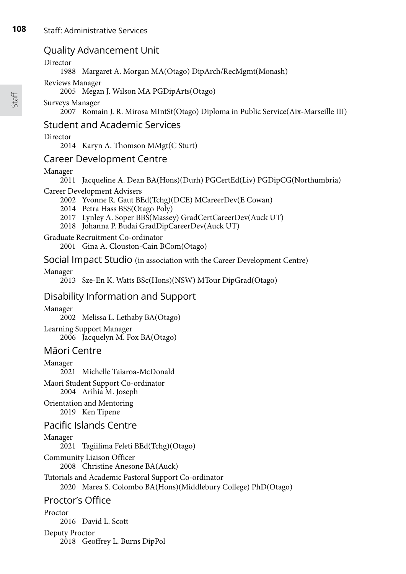# Quality Advancement Unit

### Director

1988 Margaret A. Morgan MA(Otago) DipArch/RecMgmt(Monash)

## Reviews Manager

2005 Megan J. Wilson MA PGDipArts(Otago)

# Surveys Manager

2007 Romain J. R. Mirosa MIntSt(Otago) Diploma in Public Service(Aix-Marseille III)

# Student and Academic Services

# Director

2014 Karyn A. Thomson MMgt(C Sturt)

# Career Development Centre

## Manager

2011 Jacqueline A. Dean BA(Hons)(Durh) PGCertEd(Liv) PGDipCG(Northumbria)

## Career Development Advisers

2002 Yvonne R. Gaut BEd(Tchg)(DCE) MCareerDev(E Cowan)

- 2014 Petra Hass BSS(Otago Poly)
- 2017 Lynley A. Soper BBS(Massey) GradCertCareerDev(Auck UT)
- 2018 Johanna P. Budai GradDipCareerDev(Auck UT)
- Graduate Recruitment Co-ordinator

2001 Gina A. Clouston-Cain BCom(Otago)

# Social Impact Studio (in association with the Career Development Centre)

# Manager

2013 Sze-En K. Watts BSc(Hons)(NSW) MTour DipGrad(Otago)

# Disability Information and Support

### Manager 2002 Melissa L. Lethaby BA(Otago) Learning Support Manager 2006 Jacquelyn M. Fox BA(Otago)

# Māori Centre

Manager 2021 Michelle Taiaroa-McDonald Māori Student Support Co-ordinator 2004 Arihia M. Joseph Orientation and Mentoring 2019 Ken Tipene Pacific Islands Centre Manager 2021 Tagiilima Feleti BEd(Tchg)(Otago) Community Liaison Officer 2008 Christine Anesone BA(Auck) Tutorials and Academic Pastoral Support Co-ordinator 2020 Marea S. Colombo BA(Hons)(Middlebury College) PhD(Otago)

# Proctor's Office

Proctor 2016 David L. Scott Deputy Proctor 2018 Geoffrey L. Burns DipPol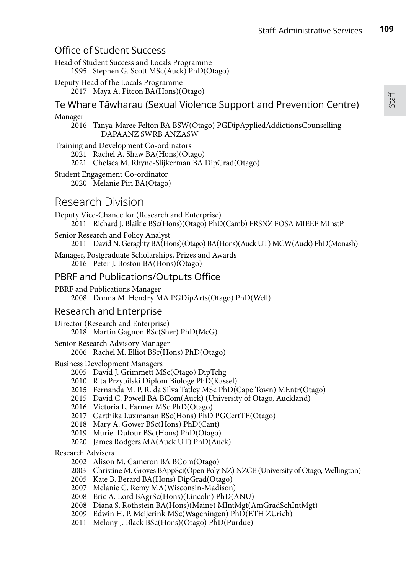# Office of Student Success

Head of Student Success and Locals Programme 1995 Stephen G. Scott MSc(Auck) PhD(Otago)

Deputy Head of the Locals Programme 2017 Maya A. Pitcon BA(Hons)(Otago)

Te Whare Tāwharau (Sexual Violence Support and Prevention Centre)

### Manager

2016 Tanya-Maree Felton BA BSW(Otago) PGDipAppliedAddictionsCounselling DAPAANZ SWRB ANZASW

### Training and Development Co-ordinators

2021 Rachel A. Shaw BA(Hons)(Otago)

- 2021 Chelsea M. Rhyne-Slijkerman BA DipGrad(Otago)
- Student Engagement Co-ordinator

2020 Melanie Piri BA(Otago)

# Research Division

Deputy Vice-Chancellor (Research and Enterprise) 2011 Richard J. Blaikie BSc(Hons)(Otago) PhD(Camb) FRSNZ FOSA MIEEE MInstP

Senior Research and Policy Analyst

2011 David N. Geraghty BA(Hons)(Otago) BA(Hons)(Auck UT) MCW(Auck) PhD(Monash)

Manager, Postgraduate Scholarships, Prizes and Awards 2016 Peter J. Boston BA(Hons)(Otago)

# PBRF and Publications/Outputs Office

PBRF and Publications Manager 2008 Donna M. Hendry MA PGDipArts(Otago) PhD(Well)

# Research and Enterprise

Director (Research and Enterprise) 2018 Martin Gagnon BSc(Sher) PhD(McG)

Senior Research Advisory Manager

2006 Rachel M. Elliot BSc(Hons) PhD(Otago)

### Business Development Managers

- 2005 David J. Grimmett MSc(Otago) DipTchg
- 2010 Rita Przybilski Diplom Biologe PhD(Kassel)
- 2015 Fernanda M. P. R. da Silva Tatley MSc PhD(Cape Town) MEntr(Otago)
- 2015 David C. Powell BA BCom(Auck) (University of Otago, Auckland)
- 2016 Victoria L. Farmer MSc PhD(Otago)
- 2017 Carthika Luxmanan BSc(Hons) PhD PGCertTE(Otago)
- 2018 Mary A. Gower BSc(Hons) PhD(Cant)
- 2019 Muriel Dufour BSc(Hons) PhD(Otago)
- 2020 James Rodgers MA(Auck UT) PhD(Auck)

Research Advisers

- 2002 Alison M. Cameron BA BCom(Otago)
- 2003 Christine M. Groves BAppSci(Open Poly NZ) NZCE (University of Otago, Wellington)
- 2005 Kate B. Berard BA(Hons) DipGrad(Otago)
- 2007 Melanie C. Remy MA(Wisconsin-Madison)
- 2008 Eric A. Lord BAgrSc(Hons)(Lincoln) PhD(ANU)
- 2008 Diana S. Rothstein BA(Hons)(Maine) MIntMgt(AmGradSchIntMgt)
- 2009 Edwin H. P. Meijerink MSc(Wageningen) PhD(ETH ZÜrich)
- 2011 Melony J. Black BSc(Hons)(Otago) PhD(Purdue)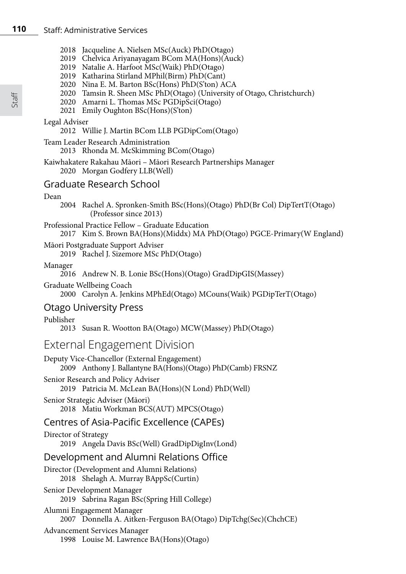- 2018 Jacqueline A. Nielsen MSc(Auck) PhD(Otago)
- 2019 Chelvica Ariyanayagam BCom MA(Hons)(Auck)
	- 2019 Natalie A. Harfoot MSc(Waik) PhD(Otago)
	- 2019 Katharina Stirland MPhil(Birm) PhD(Cant)
	- 2020 Nina E. M. Barton BSc(Hons) PhD(S'ton) ACA
	- 2020 Tamsin R. Sheen MSc PhD(Otago) (University of Otago, Christchurch)
	- 2020 Amarni L. Thomas MSc PGDipSci(Otago)
	- 2021 Emily Oughton BSc(Hons)(S'ton)

## Legal Adviser

2012 Willie J. Martin BCom LLB PGDipCom(Otago)

Team Leader Research Administration

2013 Rhonda M. McSkimming BCom(Otago)

Kaiwhakatere Rakahau Māori – Māori Research Partnerships Manager 2020 Morgan Godfery LLB(Well)

# Graduate Research School

# Dean

2004 Rachel A. Spronken-Smith BSc(Hons)(Otago) PhD(Br Col) DipTertT(Otago) (Professor since 2013)

- Professional Practice Fellow Graduate Education
	- 2017 Kim S. Brown BA(Hons)(Middx) MA PhD(Otago) PGCE-Primary(W England)

# Māori Postgraduate Support Adviser

2019 Rachel J. Sizemore MSc PhD(Otago)

## Manager

2016 Andrew N. B. Lonie BSc(Hons)(Otago) GradDipGIS(Massey)

Graduate Wellbeing Coach

2000 Carolyn A. Jenkins MPhEd(Otago) MCouns(Waik) PGDipTerT(Otago)

# Otago University Press

Publisher

2013 Susan R. Wootton BA(Otago) MCW(Massey) PhD(Otago)

# External Engagement Division

Deputy Vice-Chancellor (External Engagement) 2009 Anthony J. Ballantyne BA(Hons)(Otago) PhD(Camb) FRSNZ

- Senior Research and Policy Adviser
	- 2019 Patricia M. McLean BA(Hons)(N Lond) PhD(Well)
- Senior Strategic Adviser (Māori) 2018 Matiu Workman BCS(AUT) MPCS(Otago)

# Centres of Asia-Pacific Excellence (CAPEs)

Director of Strategy 2019 Angela Davis BSc(Well) GradDipDigInv(Lond)

# Development and Alumni Relations Office

Director (Development and Alumni Relations) 2018 Shelagh A. Murray BAppSc(Curtin)

# Senior Development Manager

2019 Sabrina Ragan BSc(Spring Hill College)

- Alumni Engagement Manager 2007 Donnella A. Aitken-Ferguson BA(Otago) DipTchg(Sec)(ChchCE)
- Advancement Services Manager
	- 1998 Louise M. Lawrence BA(Hons)(Otago)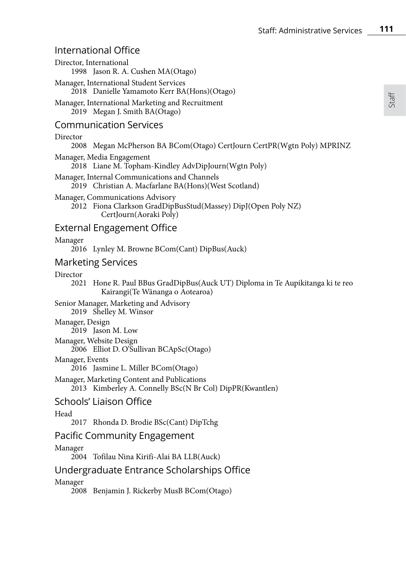Staff

# International Office

| Director, International | 1998 Jason R. A. Cushen MA(Otago)                                                                                            |
|-------------------------|------------------------------------------------------------------------------------------------------------------------------|
|                         | Manager, International Student Services<br>2018 Danielle Yamamoto Kerr BA(Hons)(Otago)                                       |
|                         | Manager, International Marketing and Recruitment<br>2019 Megan J. Smith BA(Otago)                                            |
|                         | Communication Services                                                                                                       |
| Director                |                                                                                                                              |
| 2008                    | Megan McPherson BA BCom(Otago) CertJourn CertPR(Wgtn Poly) MPRINZ                                                            |
|                         | Manager, Media Engagement<br>2018 Liane M. Topham-Kindley AdvDipJourn(Wgtn Poly)                                             |
|                         | Manager, Internal Communications and Channels<br>2019   Christian A. Macfarlane BA(Hons)(West Scotland)                      |
|                         | Manager, Communications Advisory<br>2012 Fiona Clarkson GradDipBusStud(Massey) DipJ(Open Poly NZ)<br>CertJourn (Aoraki Poly) |
|                         | External Engagement Office                                                                                                   |
| Manager                 | 2016 Lynley M. Browne BCom(Cant) DipBus(Auck)                                                                                |
| Marketing Services      |                                                                                                                              |
| Director                | 2021   Hone R. Paul BBus GradDipBus(Auck UT) Diploma in Te Aupikitanga ki te reo<br>Kairangi (Te Wānanga o Aotearoa)         |
|                         | Senior Manager, Marketing and Advisory<br>2019 Shelley M. Winsor                                                             |
| Manager, Design         | 2019 Jason M. Low                                                                                                            |
| Manager, Website Design | 2006 Elliot D. O'Sullivan BCApSc(Otago)                                                                                      |
| Manager, Events         | 2016 Jasmine L. Miller BCom(Otago)                                                                                           |
|                         | Manager, Marketing Content and Publications<br>2013 Kimberley A. Connelly BSc(N Br Col) DipPR(Kwantlen)                      |
|                         | Schools' Liaison Office                                                                                                      |
| Head                    | 2017   Rhonda D. Brodie BSc(Cant) DipTchg                                                                                    |
|                         | Pacific Community Engagement                                                                                                 |
| Manager                 | 2004 Tofilau Nina Kirifi-Alai BA LLB(Auck)                                                                                   |
|                         | Undergraduate Entrance Scholarships Office                                                                                   |
| Manager                 | 2008 Benjamin J. Rickerby MusB BCom(Otago)                                                                                   |
|                         |                                                                                                                              |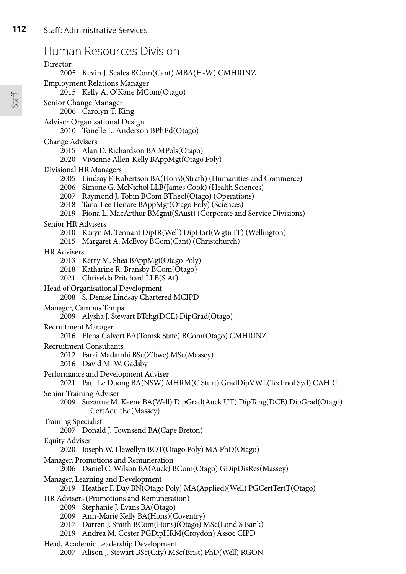# Human Resources Division

Director

2005 Kevin J. Seales BCom(Cant) MBA(H-W) CMHRINZ

Employment Relations Manager

2015 Kelly A. O'Kane MCom(Otago)

Senior Change Manager

2006 Carolyn T. King

Adviser Organisational Design

2010 Tonelle L. Anderson BPhEd(Otago)

- Change Advisers
	- 2015 Alan D. Richardson BA MPols(Otago)
	- 2020 Vivienne Allen-Kelly BAppMgt(Otago Poly)
- Divisional HR Managers
	- 2005 Lindsay F. Robertson BA(Hons)(Strath) (Humanities and Commerce)
	- 2006 Simone G. McNichol LLB(James Cook) (Health Sciences)
	- 2007 Raymond J. Tobin BCom BTheol(Otago) (Operations)
	- 2018 Tana-Lee Henare BAppMgt(Otago Poly) (Sciences)
	- 2019 Fiona L. MacArthur BMgmt(SAust) (Corporate and Service Divisions)
- Senior HR Advisers
	- 2010 Karyn M. Tennant DipIR(Well) DipHort(Wgtn IT) (Wellington)
	- 2015 Margaret A. McEvoy BCom(Cant) (Christchurch)

### HR Advisers

- 2013 Kerry M. Shea BAppMgt(Otago Poly)
- 2018 Katharine R. Bransby BCom(Otago)
- 2021 Chriselda Pritchard LLB(S Af)
- Head of Organisational Development

2008 S. Denise Lindsay Chartered MCIPD

Manager, Campus Temps

2009 Alysha J. Stewart BTchg(DCE) DipGrad(Otago)

- Recruitment Manager
	- 2016 Elena Calvert BA(Tomsk State) BCom(Otago) CMHRINZ
- Recruitment Consultants
	- 2012 Farai Madambi BSc(Z'bwe) MSc(Massey)
	- 2016 David M. W. Gadsby
- Performance and Development Adviser
	- 2021 Paul Le Duong BA(NSW) MHRM(C Sturt) GradDipVWL(Technol Syd) CAHRI
- Senior Training Adviser
	- 2009 Suzanne M. Keene BA(Well) DipGrad(Auck UT) DipTchg(DCE) DipGrad(Otago) CertAdultEd(Massey)

### Training Specialist

2007 Donald J. Townsend BA(Cape Breton)

### Equity Adviser

- 2020 Joseph W. Llewellyn BOT(Otago Poly) MA PhD(Otago)
- Manager, Promotions and Remuneration
	- 2006 Daniel C. Wilson BA(Auck) BCom(Otago) GDipDisRes(Massey)
- Manager, Learning and Development
	- 2019 Heather F. Day BN(Otago Poly) MA(Applied)(Well) PGCertTertT(Otago)
- HR Advisers (Promotions and Remuneration)
	- 2009 Stephanie J. Evans BA(Otago)
	- 2009 Ann-Marie Kelly BA(Hons)(Coventry)
	- 2017 Darren J. Smith BCom(Hons)(Otago) MSc(Lond S Bank)
	- 2019 Andrea M. Coster PGDipHRM(Croydon) Assoc CIPD

### Head, Academic Leadership Development

2007 Alison J. Stewart BSc(City) MSc(Brist) PhD(Well) RGON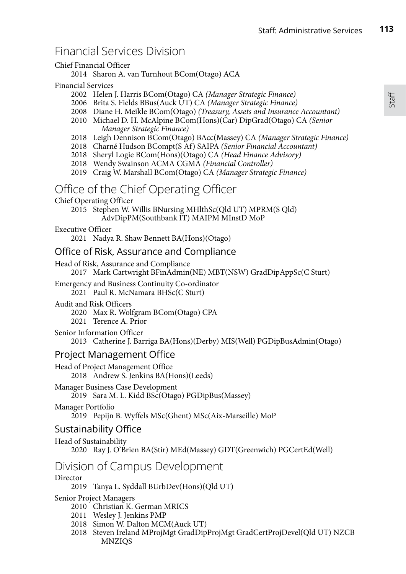# Financial Services Division

## Chief Financial Officer

2014 Sharon A. van Turnhout BCom(Otago) ACA

## Financial Services

- 2002 Helen J. Harris BCom(Otago) CA *(Manager Strategic Finance)*
- 2006 Brita S. Fields BBus(Auck UT) CA *(Manager Strategic Finance)*
- 2008 Diane H. Meikle BCom(Otago) *(Treasury, Assets and Insurance Accountant)*
- 2010 Michael D. H. McAlpine BCom(Hons)(Car) DipGrad(Otago) CA *(Senior Manager Strategic Finance)*
- 2018 Leigh Dennison BCom(Otago) BAcc(Massey) CA *(Manager Strategic Finance)*
- 2018 Charné Hudson BCompt(S Af) SAIPA *(Senior Financial Accountant)*
- 2018 Sheryl Logie BCom(Hons)(Otago) CA *(Head Finance Advisory)*
- 2018 Wendy Swainson ACMA CGMA *(Financial Controller)*
- 2019 Craig W. Marshall BCom(Otago) CA *(Manager Strategic Finance)*

# Office of the Chief Operating Officer

Chief Operating Officer

2015 Stephen W. Willis BNursing MHlthSc(Qld UT) MPRM(S Qld) AdvDipPM(Southbank IT) MAIPM MInstD MoP

### Executive Officer

2021 Nadya R. Shaw Bennett BA(Hons)(Otago)

# Office of Risk, Assurance and Compliance

Head of Risk, Assurance and Compliance

2017 Mark Cartwright BFinAdmin(NE) MBT(NSW) GradDipAppSc(C Sturt)

#### Emergency and Business Continuity Co-ordinator 2021 Paul R. McNamara BHSc(C Sturt)

# Audit and Risk Officers

2020 Max R. Wolfgram BCom(Otago) CPA

2021 Terence A. Prior

# Senior Information Officer

2013 Catherine J. Barriga BA(Hons)(Derby) MIS(Well) PGDipBusAdmin(Otago)

# Project Management Office

Head of Project Management Office 2018 Andrew S. Jenkins BA(Hons)(Leeds)

Manager Business Case Development 2019 Sara M. L. Kidd BSc(Otago) PGDipBus(Massey)

# Manager Portfolio

2019 Pepijn B. Wyffels MSc(Ghent) MSc(Aix-Marseille) MoP

# Sustainability Office

# Head of Sustainability

2020 Ray J. O'Brien BA(Stir) MEd(Massey) GDT(Greenwich) PGCertEd(Well)

# Division of Campus Development

# Director

2019 Tanya L. Syddall BUrbDev(Hons)(Qld UT)

Senior Project Managers

- 2010 Christian K. German MRICS
- 2011 Wesley J. Jenkins PMP
- 2018 Simon W. Dalton MCM(Auck UT)
- 2018 Steven Ireland MProjMgt GradDipProjMgt GradCertProjDevel(Qld UT) NZCB **MNZIOS**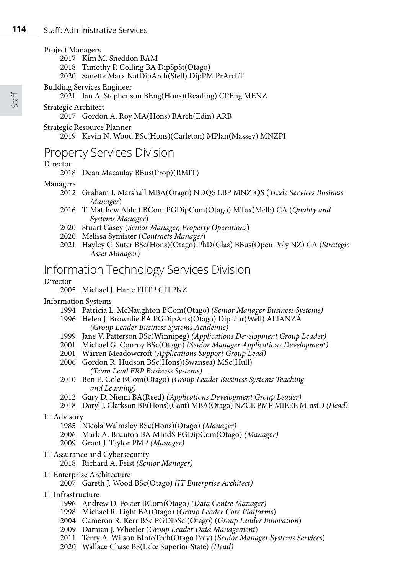### Project Managers

- 2017 Kim M. Sneddon BAM
- 2018 Timothy P. Colling BA DipSpSt(Otago)
- 2020 Sanette Marx NatDipArch(Stell) DipPM PrArchT

### Building Services Engineer

- 2021 Ian A. Stephenson BEng(Hons)(Reading) CPEng MENZ
- Strategic Architect

# 2017 Gordon A. Roy MA(Hons) BArch(Edin) ARB

### Strategic Resource Planner

2019 Kevin N. Wood BSc(Hons)(Carleton) MPlan(Massey) MNZPI

# Property Services Division

## Director

2018 Dean Macaulay BBus(Prop)(RMIT)

### Managers

- 2012 Graham I. Marshall MBA(Otago) NDQS LBP MNZIQS (*Trade Services Business Manager*)
- 2016 T. Matthew Ablett BCom PGDipCom(Otago) MTax(Melb) CA (*Quality and Systems Manager*)
- 2020 Stuart Casey (*Senior Manager, Property Operations*)
- 2020 Melissa Symister (*Contracts Manager*)
- 2021 Hayley C. Suter BSc(Hons)(Otago) PhD(Glas) BBus(Open Poly NZ) CA (*Strategic Asset Manager*)

# Information Technology Services Division

## Director

# 2005 Michael J. Harte FIITP CITPNZ

# Information Systems

- 1994 Patricia L. McNaughton BCom(Otago) *(Senior Manager Business Systems)*
- 1996 Helen J. Brownlie BA PGDipArts(Otago) DipLibr(Well) ALIANZA *(Group Leader Business Systems Academic)*
- 1999 Jane V. Patterson BSc(Winnipeg) *(Applications Development Group Leader)*
- 2001 Michael G. Conroy BSc(Otago) *(Senior Manager Applications Development)*
- 2001 Warren Meadowcroft *(Applications Support Group Lead)*
- 2006 Gordon R. Hudson BSc(Hons)(Swansea) MSc(Hull) *(Team Lead ERP Business Systems)*
- 2010 Ben E. Cole BCom(Otago) *(Group Leader Business Systems Teaching and Learning)*
- 2012 Gary D. Niemi BA(Reed) *(Applications Development Group Leader)*
- 2018 Daryl J. Clarkson BE(Hons)(Cant) MBA(Otago) NZCE PMP MIEEE MInstD *(Head)*

### IT Advisory

- 1985 Nicola Walmsley BSc(Hons)(Otago) *(Manager)*
- 2006 Mark A. Brunton BA MIndS PGDipCom(Otago) *(Manager)*
- 2009 Grant J. Taylor PMP *(Manager)*
- IT Assurance and Cybersecurity
	- 2018 Richard A. Feist *(Senior Manager)*

# IT Enterprise Architecture

2007 Gareth J. Wood BSc(Otago) *(IT Enterprise Architect)*

# IT Infrastructure

- 1996 Andrew D. Foster BCom(Otago) *(Data Centre Manager)*
- 1998 Michael R. Light BA(Otago) (*Group Leader Core Platforms*)
- 2004 Cameron R. Kerr BSc PGDipSci(Otago) (*Group Leader Innovation*)
- 2009 Damian J. Wheeler (*Group Leader Data Management*)
- 2011 Terry A. Wilson BInfoTech(Otago Poly) (*Senior Manager Systems Services*)
- 2020 Wallace Chase BS(Lake Superior State) *(Head)*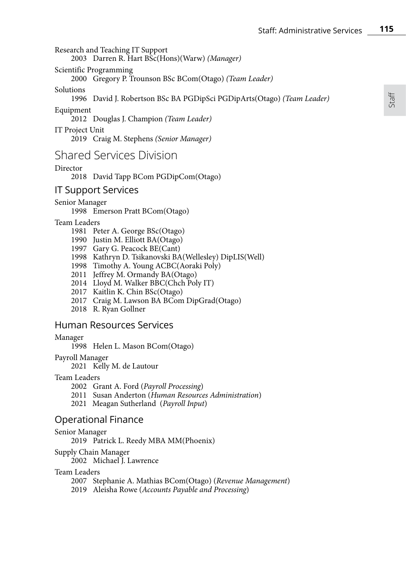Research and Teaching IT Support

2003 Darren R. Hart BSc(Hons)(Warw) *(Manager)*

Scientific Programming

2000 Gregory P. Trounson BSc BCom(Otago) *(Team Leader)*

Solutions

1996 David J. Robertson BSc BA PGDipSci PGDipArts(Otago) *(Team Leader)*

Equipment

2012 Douglas J. Champion *(Team Leader)*

IT Project Unit 2019 Craig M. Stephens *(Senior Manager)*

# Shared Services Division

# Director

2018 David Tapp BCom PGDipCom(Otago)

# IT Support Services

Senior Manager

1998 Emerson Pratt BCom(Otago)

## Team Leaders

- 1981 Peter A. George BSc(Otago)
- 1990 Justin M. Elliott BA(Otago)
- 1997 Gary G. Peacock BE(Cant)
- 1998 Kathryn D. Tsikanovski BA(Wellesley) DipLIS(Well)
- 1998 Timothy A. Young ACBC(Aoraki Poly)
- 2011 Jeffrey M. Ormandy BA(Otago)
- 2014 Lloyd M. Walker BBC(Chch Poly IT)
- 2017 Kaitlin K. Chin BSc(Otago)
- 2017 Craig M. Lawson BA BCom DipGrad(Otago)
- 2018 R. Ryan Gollner

# Human Resources Services

### Manager

- 1998 Helen L. Mason BCom(Otago)
- Payroll Manager

2021 Kelly M. de Lautour

### Team Leaders

- 2002 Grant A. Ford (*Payroll Processing*)
- 2011 Susan Anderton (*Human Resources Administration*)
- 2021 Meagan Sutherland (*Payroll Input*)

# Operational Finance

### Senior Manager

- 2019 Patrick L. Reedy MBA MM(Phoenix)
- Supply Chain Manager

2002 Michael J. Lawrence

### Team Leaders

- 2007 Stephanie A. Mathias BCom(Otago) (*Revenue Management*)
- 2019 Aleisha Rowe (*Accounts Payable and Processing*)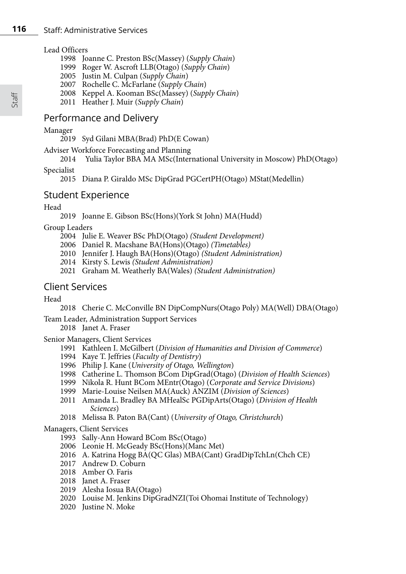### Lead Officers

- 1998 Joanne C. Preston BSc(Massey) (*Supply Chain*)
- 1999 Roger W. Ascroft LLB(Otago) (*Supply Chain*)
- 2005 Justin M. Culpan (*Supply Chain*)
- 2007 Rochelle C. McFarlane (*Supply Chain*)
- 2008 Keppel A. Kooman BSc(Massey) (*Supply Chain*)
- 2011 Heather J. Muir (*Supply Chain*)

# Performance and Delivery

## Manager

2019 Syd Gilani MBA(Brad) PhD(E Cowan)

Adviser Workforce Forecasting and Planning<br>2014 Yulia Taylor BBA MA MSc(Inter

2014 Yulia Taylor BBA MA MSc(International University in Moscow) PhD(Otago)

Specialist

2015 Diana P. Giraldo MSc DipGrad PGCertPH(Otago) MStat(Medellin)

# Student Experience

Head

2019 Joanne E. Gibson BSc(Hons)(York St John) MA(Hudd)

## Group Leaders

- 2004 Julie E. Weaver BSc PhD(Otago) *(Student Development)*
- 2006 Daniel R. Macshane BA(Hons)(Otago) *(Timetables)*
- 2010 Jennifer J. Haugh BA(Hons)(Otago) *(Student Administration)*
- *2*014 Kirsty S. Lewis *(Student Administration)*
- 2021 Graham M. Weatherly BA(Wales) *(Student Administration)*

# Client Services

# Head

2018 Cherie C. McConville BN DipCompNurs(Otago Poly) MA(Well) DBA(Otago)

Team Leader, Administration Support Services

2018 Janet A. Fraser

Senior Managers, Client Services

- 1991 Kathleen I. McGilbert (*Division of Humanities and Division of Commerce*)
- 1994 Kaye T. Jeffries (*Faculty of Dentistry*)
- 1996 Philip J. Kane (*University of Otago, Wellington*)
- 1998 Catherine L. Thomson BCom DipGrad(Otago) (*Division of Health Sciences*)
- 1999 Nikola R. Hunt BCom MEntr(Otago) (*Corporate and Service Divisions*)
- 1999 Marie-Louise Neilsen MA(Auck) ANZIM (*Division of Sciences*)
- 2011 Amanda L. Bradley BA MHealSc PGDipArts(Otago) (*Division of Health Sciences*)
- 2018 Melissa B. Paton BA(Cant) (*University of Otago, Christchurch*)

### Managers, Client Services

- 1993 Sally-Ann Howard BCom BSc(Otago)
- 2006 Leonie H. McGeady BSc(Hons)(Manc Met)
- 2016 A. Katrina Hogg BA(QC Glas) MBA(Cant) GradDipTchLn(Chch CE)
- 2017 Andrew D. Coburn
- 2018 Amber O. Faris
- 2018 Janet A. Fraser
- 2019 Alesha Iosua BA(Otago)
- 2020 Louise M. Jenkins DipGradNZI(Toi Ohomai Institute of Technology)
- 2020 Justine N. Moke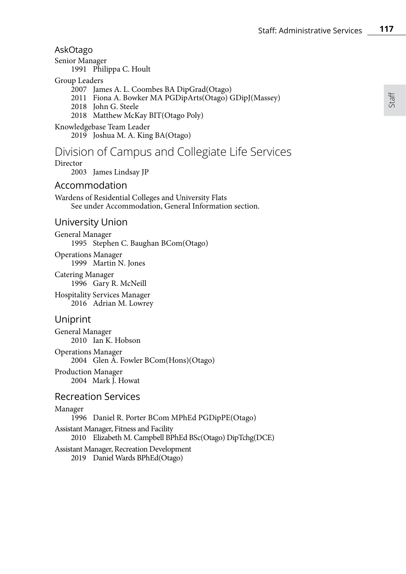Staff

# AskOtago

Senior Manager

1991 Philippa C. Hoult

## Group Leaders

- 2007 James A. L. Coombes BA DipGrad(Otago)
- 2011 Fiona A. Bowker MA PGDipArts(Otago) GDipJ(Massey)
- 2018 John G. Steele
- 2018 Matthew McKay BIT(Otago Poly)

# Knowledgebase Team Leader

2019 Joshua M. A. King BA(Otago)

# Division of Campus and Collegiate Life Services

# Director

2003 James Lindsay JP

# Accommodation

Wardens of Residential Colleges and University Flats See under Accommodation, General Information section.

# University Union

General Manager 1995 Stephen C. Baughan BCom(Otago)

Operations Manager 1999 Martin N. Jones

Catering Manager 1996 Gary R. McNeill Hospitality Services Manager

2016 Adrian M. Lowrey

# Uniprint

General Manager 2010 Ian K. Hobson

Operations Manager 2004 Glen A. Fowler BCom(Hons)(Otago)

Production Manager 2004 Mark J. Howat

# Recreation Services

## Manager

1996 Daniel R. Porter BCom MPhEd PGDipPE(Otago)

### Assistant Manager, Fitness and Facility 2010 Elizabeth M. Campbell BPhEd BSc(Otago) DipTchg(DCE)

# Assistant Manager, Recreation Development

2019 Daniel Wards BPhEd(Otago)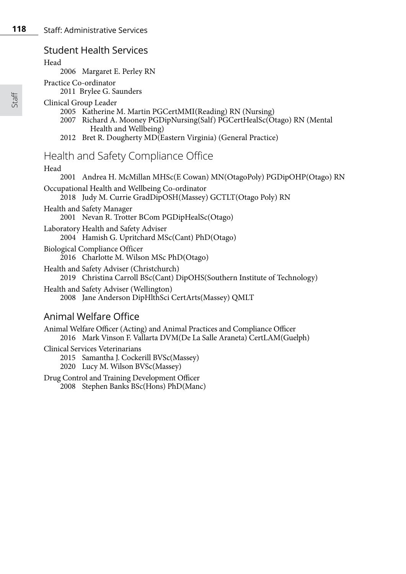# Student Health Services

Head

2006 Margaret E. Perley RN

Practice Co-ordinator

2011 Brylee G. Saunders

## Clinical Group Leader

- 2005 Katherine M. Martin PGCertMMI(Reading) RN (Nursing)
- 2007 Richard A. Mooney PGDipNursing(Salf) PGCertHealSc(Otago) RN (Mental Health and Wellbeing)
- 2012 Bret R. Dougherty MD(Eastern Virginia) (General Practice)

# Health and Safety Compliance Office

## Head

2001 Andrea H. McMillan MHSc(E Cowan) MN(OtagoPoly) PGDipOHP(Otago) RN Occupational Health and Wellbeing Co-ordinator 2018 Judy M. Currie GradDipOSH(Massey) GCTLT(Otago Poly) RN Health and Safety Manager 2001 Nevan R. Trotter BCom PGDipHealSc(Otago) Laboratory Health and Safety Adviser 2004 Hamish G. Upritchard MSc(Cant) PhD(Otago) Biological Compliance Officer 2016 Charlotte M. Wilson MSc PhD(Otago) Health and Safety Adviser (Christchurch) 2019 Christina Carroll BSc(Cant) DipOHS(Southern Institute of Technology) Health and Safety Adviser (Wellington) 2008 Jane Anderson DipHlthSci CertArts(Massey) QMLT

# Animal Welfare Office

Animal Welfare Officer (Acting) and Animal Practices and Compliance Officer 2016 Mark Vinson F. Vallarta DVM(De La Salle Araneta) CertLAM(Guelph) Clinical Services Veterinarians 2015 Samantha J. Cockerill BVSc(Massey)

2020 Lucy M. Wilson BVSc(Massey)

Drug Control and Training Development Officer 2008 Stephen Banks BSc(Hons) PhD(Manc)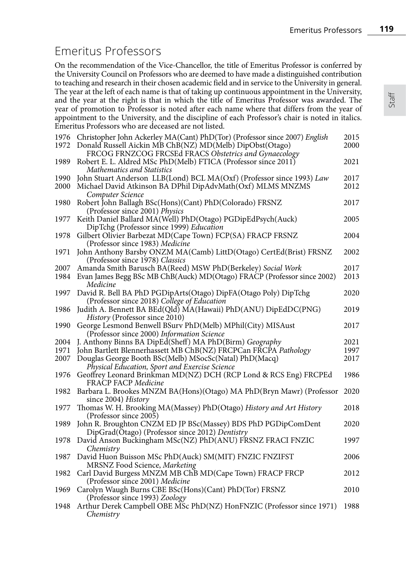# Emeritus Professors

On the recommendation of the Vice-Chancellor, the title of Emeritus Professor is conferred by the University Council on Professors who are deemed to have made a distinguished contribution to teaching and research in their chosen academic field and in service to the University in general. The year at the left of each name is that of taking up continuous appointment in the University, and the year at the right is that in which the title of Emeritus Professor was awarded. The year of promotion to Professor is noted after each name where that differs from the year of appointment to the University, and the discipline of each Professor's chair is noted in italics. Emeritus Professors who are deceased are not listed.

| 1976<br>1972 | Christopher John Ackerley MA(Cant) PhD(Tor) (Professor since 2007) English<br>Donald Russell Aickin MB ChB(NZ) MD(Melb) DipObst(Otago)                | 2015<br>2000 |
|--------------|-------------------------------------------------------------------------------------------------------------------------------------------------------|--------------|
| 1989         | FRCOG FRNZCOG FRCSEd FRACS Obstetrics and Gynaecology<br>Robert E. L. Aldred MSc PhD(Melb) FTICA (Professor since 2011)<br>Mathematics and Statistics | 2021         |
| 1990         | John Stuart Anderson LLB(Lond) BCL MA(Oxf) (Professor since 1993) Law                                                                                 | 2017         |
| 2000         | Michael David Atkinson BA DPhil DipAdvMath(Oxf) MLMS MNZMS<br>Computer Science                                                                        | 2012         |
| 1980         | Robert John Ballagh BSc(Hons)(Cant) PhD(Colorado) FRSNZ<br>(Professor since 2001) Physics                                                             | 2017         |
| 1977         | Keith Daniel Ballard MA(Well) PhD(Otago) PGDipEdPsych(Auck)<br>DipTchg (Professor since 1999) Education                                               | 2005         |
| 1978         | Gilbert Olivier Barbezat MD(Cape Town) FCP(SA) FRACP FRSNZ<br>(Professor since 1983) Medicine                                                         | 2004         |
| 1971         | John Anthony Barsby ONZM MA(Camb) LittD(Otago) CertEd(Brist) FRSNZ<br>(Professor since 1978) Classics                                                 | 2002         |
| 2007         | Amanda Smith Barusch BA(Reed) MSW PhD(Berkeley) Social Work                                                                                           | 2017         |
| 1984         | Evan James Begg BSc MB ChB(Auck) MD(Otago) FRACP (Professor since 2002)<br>Medicine                                                                   | 2013         |
| 1997         | David R. Bell BA PhD PGDipArts(Otago) DipFA(Otago Poly) DipTchg<br>(Professor since 2018) College of Education                                        | 2020         |
| 1986         | Judith A. Bennett BA BEd(Qld) MA(Hawaii) PhD(ANU) DipEdDC(PNG)<br>History (Professor since 2010)                                                      | 2019         |
| 1990         | George Lesmond Benwell BSurv PhD(Melb) MPhil(City) MISAust<br>(Professor since 2000) Information Science                                              | 2017         |
| 2004         | J. Anthony Binns BA DipEd(Sheff) MA PhD(Birm) Geography                                                                                               | 2021         |
| 1971         | John Bartlett Blennerhassett MB ChB(NZ) FRCPCan FRCPA Pathology                                                                                       | 1997         |
| 2007         | Douglas George Booth BSc(Melb) MSocSc(Natal) PhD(Macq)<br>Physical Education, Sport and Exercise Science                                              | 2017         |
| 1976         | Geoffrey Leonard Brinkman MD(NZ) DCH (RCP Lond & RCS Eng) FRCPEd<br><b>FRACP FACP Medicine</b>                                                        | 1986         |
| 1982         | Barbara L. Brookes MNZM BA(Hons)(Otago) MA PhD(Bryn Mawr) (Professor<br>since 2004) History                                                           | 2020         |
| 1977         | Thomas W. H. Brooking MA(Massey) PhD(Otago) History and Art History<br>(Professor since 2005)                                                         | 2018         |
| 1989         | John R. Broughton CNZM ED JP BSc(Massey) BDS PhD PGDipComDent<br>DipGrad(Otago) (Professor since 2012) Dentistry                                      | 2020         |
| 1978         | David Anson Buckingham MSc(NZ) PhD(ANU) FRSNZ FRACI FNZIC<br>Chemistry                                                                                | 1997         |
| 1987         | David Huon Buisson MSc PhD(Auck) SM(MIT) FNZIC FNZIFST<br>MRSNZ Food Science, Marketing                                                               | 2006         |
| 1982         | Carl David Burgess MNZM MB ChB MD(Cape Town) FRACP FRCP<br>(Professor since 2001) Medicine                                                            | 2012         |
| 1969         | Carolyn Waugh Burns CBE BSc(Hons)(Cant) PhD(Tor) FRSNZ<br>(Professor since 1993) Zoology                                                              | 2010         |
| 1948         | Arthur Derek Campbell OBE MSc PhD(NZ) HonFNZIC (Professor since 1971)<br>Chemistry                                                                    | 1988         |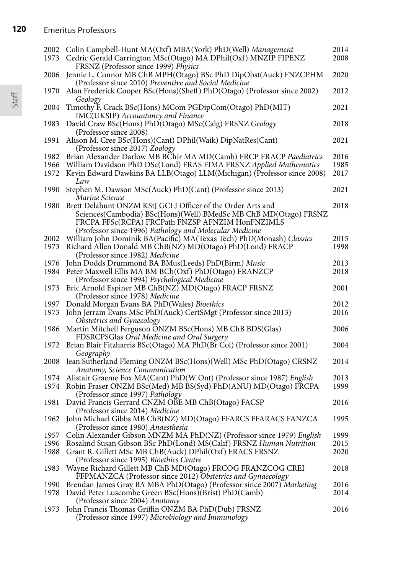**120** Emeritus Professors

| 2002<br>1973 | Colin Campbell-Hunt MA(Oxf) MBA(York) PhD(Well) Management<br>Cedric Gerald Carrington MSc(Otago) MA DPhil(Oxf) MNZIP FIPENZ                                                                                                                       | 2014<br>2008 |
|--------------|----------------------------------------------------------------------------------------------------------------------------------------------------------------------------------------------------------------------------------------------------|--------------|
| 2006         | FRSNZ (Professor since 1999) Physics<br>Jennie L. Connor MB ChB MPH(Otago) BSc PhD DipObst(Auck) FNZCPHM                                                                                                                                           | 2020         |
| 1970         | (Professor since 2010) Preventive and Social Medicine<br>Alan Frederick Cooper BSc(Hons)(Sheff) PhD(Otago) (Professor since 2002)                                                                                                                  | 2012         |
| 2004         | Geology<br>Timothy F. Crack BSc(Hons) MCom PGDipCom(Otago) PhD(MIT)                                                                                                                                                                                | 2021         |
| 1983         | IMC(UKSIP) Accountancy and Finance<br>David Craw BSc(Hons) PhD(Otago) MSc(Calg) FRSNZ Geology                                                                                                                                                      | 2018         |
| 1991         | (Professor since 2008)<br>Alison M. Cree BSc(Hons)(Cant) DPhil(Waik) DipNatRes(Cant)                                                                                                                                                               | 2021         |
| 1982<br>1966 | (Professor since 2017) Zoology<br>Brian Alexander Darlow MB BChir MA MD(Camb) FRCP FRACP Paediatrics<br>William Davidson PhD DSc(Lond) FRAS FIMA FRSNZ Applied Mathematics                                                                         | 2016<br>1985 |
| 1972         | Kevin Edward Dawkins BA LLB(Otago) LLM(Michigan) (Professor since 2008)<br>Law                                                                                                                                                                     | 2017         |
| 1990         | Stephen M. Dawson MSc(Auck) PhD(Cant) (Professor since 2013)<br>Marine Science                                                                                                                                                                     | 2021         |
| 1980         | Brett Delahunt ONZM KStJ GCLJ Officer of the Order Arts and<br>Sciences (Cambodia) BSc (Hons) (Well) BMedSc MB ChB MD (Otago) FRSNZ<br>FRCPA FFSc(RCPA) FRCPath FNZSP AFNZIM HonFNZIMLS<br>(Professor since 1996) Pathology and Molecular Medicine | 2018         |
| 2002         | William John Dominik BA(Pacific) MA(Texas Tech) PhD(Monash) Classics                                                                                                                                                                               | 2015         |
| 1973         | Richard Allen Donald MB ChB(NZ) MD(Otago) PhD(Lond) FRACP<br>(Professor since 1982) Medicine                                                                                                                                                       | 1998         |
| 1976         | John Dodds Drummond BA BMus(Leeds) PhD(Birm) Music                                                                                                                                                                                                 | 2013         |
| 1984         | Peter Maxwell Ellis MA BM BCh(Oxf) PhD(Otago) FRANZCP<br>(Professor since 1994) Psychological Medicine                                                                                                                                             | 2018         |
| 1973         | Eric Arnold Espiner MB ChB(NZ) MD(Otago) FRACP FRSNZ<br>(Professor since 1978) Medicine                                                                                                                                                            | 2001         |
| 1997         | Donald Morgan Evans BA PhD (Wales) Bioethics                                                                                                                                                                                                       | 2012         |
| 1973         | John Jerram Evans MSc PhD(Auck) CertSMgt (Professor since 2013)<br>Obstetrics and Gynecology                                                                                                                                                       | 2016         |
| 1986         | Martin Mitchell Ferguson ONZM BSc(Hons) MB ChB BDS(Glas)<br>FDSRCPSGlas Oral Medicine and Oral Surgery                                                                                                                                             | 2006         |
| 1972         | Brian Blair Fitzharris BSc(Otago) MA PhD(Br Col) (Professor since 2001)<br>Geography                                                                                                                                                               | 2004         |
| 2008         | Jean Sutherland Fleming ONZM BSc(Hons)(Well) MSc PhD(Otago) CRSNZ<br>Anatomy, Science Communication                                                                                                                                                | 2014         |
| 1974<br>1974 | Alistair Graeme Fox MA(Cant) PhD(W Ont) (Professor since 1987) English<br>Robin Fraser ONZM BSc(Med) MB BS(Syd) PhD(ANU) MD(Otago) FRCPA                                                                                                           | 2013<br>1999 |
| 1981         | (Professor since 1997) Pathology<br>David Francis Gerrard CNZM OBE MB ChB(Otago) FACSP                                                                                                                                                             | 2016         |
| 1962         | (Professor since 2014) Medicine<br>John Michael Gibbs MB ChB(NZ) MD(Otago) FFARCS FFARACS FANZCA<br>(Professor since 1980) Anaesthesia                                                                                                             | 1995         |
|              |                                                                                                                                                                                                                                                    | 1999         |
| 1957         | Colin Alexander Gibson MNZM MA PhD(NZ) (Professor since 1979) English                                                                                                                                                                              |              |
| 1996<br>1988 | Rosalind Susan Gibson BSc PhD(Lond) MS(Calif) FRSNZ Human Nutrition<br>Grant R. Gillett MSc MB ChB(Auck) DPhil(Oxf) FRACS FRSNZ                                                                                                                    | 2015<br>2020 |
| 1983         | (Professor since 1995) Bioethics Centre<br>Wayne Richard Gillett MB ChB MD(Otago) FRCOG FRANZCOG CREI<br>FFPMANZCA (Professor since 2012) Obstetrics and Gynaecology                                                                               | 2018         |
| 1990         | Brendan James Gray BA MBA PhD(Otago) (Professor since 2007) Marketing                                                                                                                                                                              | 2016         |
| 1978         | David Peter Luscombe Green BSc(Hons)(Brist) PhD(Camb)<br>(Professor since 2004) Anatomy                                                                                                                                                            | 2014         |
| 1973         | John Francis Thomas Griffin ONZM BA PhD(Dub) FRSNZ<br>(Professor since 1997) Microbiology and Immunology                                                                                                                                           | 2016         |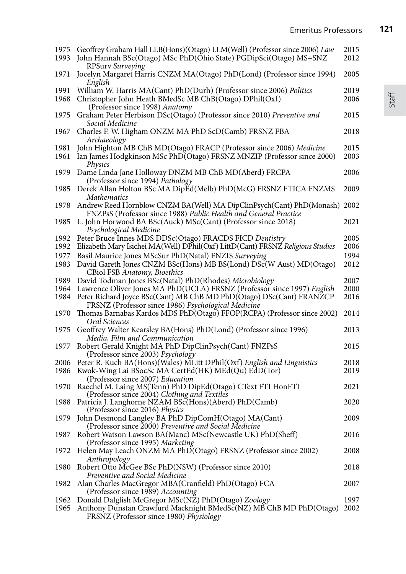| 1975<br>1993 | Geoffrey Graham Hall LLB(Hons)(Otago) LLM(Well) (Professor since 2006) Law<br>John Hannah BSc(Otago) MSc PhD(Ohio State) PGDipSci(Otago) MS+SNZ | 2015<br>2012 |
|--------------|-------------------------------------------------------------------------------------------------------------------------------------------------|--------------|
|              | RPSurv Surveying                                                                                                                                |              |
| 1971         | Jocelyn Margaret Harris CNZM MA(Otago) PhD(Lond) (Professor since 1994)<br>English                                                              | 2005         |
| 1991         | William W. Harris MA(Cant) PhD(Durh) (Professor since 2006) Politics                                                                            | 2019         |
| 1968         | Christopher John Heath BMedSc MB ChB(Otago) DPhil(Oxf)                                                                                          | 2006         |
|              | (Professor since 1998) Anatomy                                                                                                                  |              |
| 1975         | Graham Peter Herbison DSc(Otago) (Professor since 2010) Preventive and                                                                          | 2015         |
|              | Social Medicine                                                                                                                                 |              |
| 1967         | Charles F. W. Higham ONZM MA PhD ScD(Camb) FRSNZ FBA                                                                                            | 2018         |
|              | Archaeology                                                                                                                                     |              |
| 1981         | John Highton MB ChB MD(Otago) FRACP (Professor since 2006) Medicine                                                                             | 2015         |
| 1961         | Ian James Hodgkinson MSc PhD(Otago) FRSNZ MNZIP (Professor since 2000)<br>Physics                                                               | 2003         |
| 1979         | Dame Linda Jane Holloway DNZM MB ChB MD(Aberd) FRCPA                                                                                            | 2006         |
|              | (Professor since 1994) Pathology                                                                                                                |              |
| 1985         | Derek Allan Holton BSc MA DipEd(Melb) PhD(McG) FRSNZ FTICA FNZMS<br>Mathematics                                                                 | 2009         |
| 1978         | Andrew Reed Hornblow CNZM BA(Well) MA DipClinPsych(Cant) PhD(Monash) 2002                                                                       |              |
|              | FNZPsS (Professor since 1988) Public Health and General Practice                                                                                |              |
| 1985         | L. John Horwood BA BSc(Auck) MSc(Cant) (Professor since 2018)<br>Psychological Medicine                                                         | 2021         |
| 1992         | Peter Bruce Innes MDS DDSc(Otago) FRACDS FICD Dentistry                                                                                         | 2005         |
| 1992         | Elizabeth Mary Isichei MA(Well) DPhil(Oxf) LittD(Cant) FRSNZ Religious Studies                                                                  | 2006         |
| 1977         | Basil Maurice Jones MScSur PhD(Natal) FNZIS Surveying                                                                                           | 1994         |
| 1983         | David Gareth Jones CNZM BSc(Hons) MB BS(Lond) DSc(W Aust) MD(Otago)<br>CBiol FSB Anatomy, Bioethics                                             | 2012         |
| 1989         | David Todman Jones BSc(Natal) PhD(Rhodes) Microbiology                                                                                          | 2007         |
| 1964         | Lawrence Oliver Jones MA PhD(UCLA) FRSNZ (Professor since 1997) English                                                                         | 2000         |
| 1984         | Peter Richard Joyce BSc(Cant) MB ChB MD PhD(Otago) DSc(Cant) FRANZCP                                                                            | 2016         |
|              | FRSNZ (Professor since 1986) Psychological Medicine                                                                                             |              |
| 1970         | Thomas Barnabas Kardos MDS PhD(Otago) FFOP(RCPA) (Professor since 2002)                                                                         | 2014         |
|              | Oral Sciences                                                                                                                                   |              |
| 1975         | Geoffrey Walter Kearsley BA(Hons) PhD(Lond) (Professor since 1996)                                                                              | 2013         |
|              | Media, Film and Communication                                                                                                                   |              |
| 1977         | Robert Gerald Knight MA PhD DipClinPsych(Cant) FNZPsS                                                                                           | 2015         |
|              | (Professor since 2003) Psychology                                                                                                               |              |
| 2006         | Peter R. Kuch BA(Hons)(Wales) MLitt DPhil(Oxf) English and Linguistics                                                                          | 2018         |
| 1986         | Kwok-Wing Lai BSocSc MA CertEd(HK) MEd(Qu) EdD(Tor)                                                                                             | 2019         |
|              | (Professor since 2007) Education                                                                                                                |              |
| 1970         | Raechel M. Laing MS(Tenn) PhD DipEd(Otago) CText FTI HonFTI                                                                                     | 2021         |
|              | (Professor since 2004) Clothing and Textiles                                                                                                    |              |
| 1988         | Patricia J. Langhorne NZAM BSc(Hons)(Aberd) PhD(Camb)<br>(Professor since 2016) Physics                                                         | 2020         |

| 2006 Peter R. Kuch BA(Hons)(Wales) MLitt DPhil(Oxf) English and Linguistics | 2018 |
|-----------------------------------------------------------------------------|------|
| 1986 Kwok-Wing Lai BSocSc MA CertEd(HK) MEd(Qu) EdD(Tor)                    | 2019 |
| (Professor since 2007) Education                                            |      |
| 1970 Raechel M. Laing MS(Tenn) PhD DipEd(Otago) CText FTI HonFTI            | 2021 |
| (Professor since 2004) Clothing and Textiles                                |      |
| 1988 Patricia J. Langhorne NZAM BSc(Hons)(Aberd) PhD(Camb)                  | 2020 |
| (Professor since 2016) Physics                                              |      |
| 1979 John Desmond Langley BA PhD DipComH(Otago) MA(Cant)                    | 2009 |
| (Professor since $\tilde{2}000$ ) Preventive and Social Medicine            |      |
| 1987 Robert Watson Lawson BA(Manc) MSc(Newcastle UK) PhD(Sheff)             | 2016 |
| (Professor since 1995) Marketing                                            |      |
| 1972 Helen May Leach ONZM MA PhD(Otago) FRSNZ (Professor since 2002)        | 2008 |
| Anthropology                                                                |      |
| 1980 Robert Otto McGee BSc PhD(NSW) (Professor since 2010)                  | 2018 |
| Preventive and Social Medicine                                              |      |
| 1982 Alan Charles MacGregor MBA(Cranfield) PhD(Otago) FCA                   | 2007 |
| (Professor since 1989) Accounting                                           |      |
|                                                                             |      |

1962 Donald Dalglish McGregor MSc(NZ) PhD(Otago) *Zoology* 1997 1965 Anthony Dunstan Crawfurd Macknight BMedSc(NZ) MB ChB MD PhD(Otago) 2002 FRSNZ (Professor since 1980) *Physiology*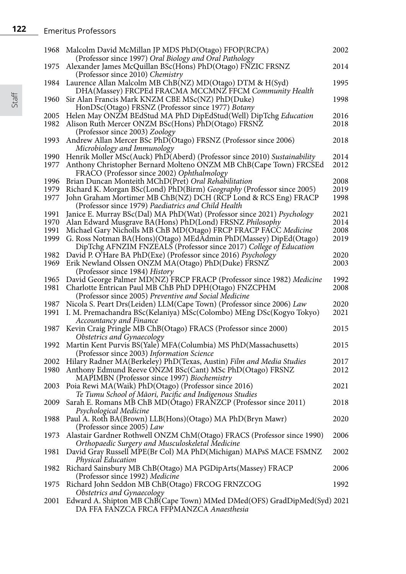| 1968         | Malcolm David McMillan JP MDS PhD(Otago) FFOP(RCPA)                                                                            | 2002         |
|--------------|--------------------------------------------------------------------------------------------------------------------------------|--------------|
| 1975         | (Professor since 1997) Oral Biology and Oral Pathology<br>Alexander James McQuillan BSc(Hons) PhD(Otago) FNZIC FRSNZ           | 2014         |
| 1984         | (Professor since 2010) Chemistry<br>Laurence Allan Malcolm MB ChB(NZ) MD(Otago) DTM & H(Syd)                                   | 1995         |
| 1960         | DHA(Massey) FRCPEd FRACMA MCCMNZ FFCM Community Health<br>Sir Alan Francis Mark KNZM CBE MSc(NZ) PhD(Duke)                     | 1998         |
| 2005         | HonDSc(Otago) FRSNZ (Professor since 1977) Botany<br>Helen May ONZM BEdStud MA PhD DipEdStud(Well) DipTchg Education           | 2016         |
| 1982         | Alison Ruth Mercer ONZM BSc(Hons) PhD(Otago) FRSNZ                                                                             | 2018         |
| 1993         | (Professor since 2003) Zoology<br>Andrew Allan Mercer BSc PhD(Otago) FRSNZ (Professor since 2006)                              | 2018         |
| 1990         | Microbiology and Immunology<br>Henrik Moller MSc(Auck) PhD(Aberd) (Professor since 2010) Sustainability                        | 2014         |
| 1977         | Anthony Christopher Bernard Molteno ONZM MB ChB(Cape Town) FRCSEd<br>FRACO (Professor since 2002) Ophthalmology                | 2012         |
| 1996         | Brian Duncan Monteith MChD(Pret) Oral Rehabilitation                                                                           | 2008         |
| 1979         | Richard K. Morgan BSc(Lond) PhD(Birm) Geography (Professor since 2005)                                                         | 2019         |
| 1977         | John Graham Mortimer MB ChB(NZ) DCH (RCP Lond & RCS Eng) FRACP                                                                 | 1998         |
|              | (Professor since 1979) Paediatrics and Child Health                                                                            |              |
| 1991<br>1970 | Janice E. Murray BSc(Dal) MA PhD(Wat) (Professor since 2021) Psychology                                                        | 2021<br>2014 |
| 1991         | Alan Edward Musgrave BA(Hons) PhD(Lond) FRSNZ Philosophy<br>Michael Gary Nicholls MB ChB MD(Otago) FRCP FRACP FACC Medicine    | 2008         |
| 1999         | G. Ross Notman BA(Hons)(Otago) MEdAdmin PhD(Massey) DipEd(Otago)                                                               | 2019         |
|              | DipTchg AFNZIM FNZEALS (Professor since 2017) College of Education                                                             |              |
| 1982         | David P. O'Hare BA PhD(Exe) (Professor since 2016) Psychology                                                                  | 2020         |
| 1969         | Erik Newland Olssen ONZM MA(Otago) PhD(Duke) FRSNZ                                                                             | 2003         |
|              | (Professor since 1984) History                                                                                                 |              |
| 1965         | David George Palmer MD(NZ) FRCP FRACP (Professor since 1982) Medicine                                                          | 1992         |
| 1981         | Charlotte Entrican Paul MB ChB PhD DPH(Otago) FNZCPHM                                                                          | 2008         |
| 1987         | (Professor since 2005) Preventive and Social Medicine<br>Nicola S. Peart Drs(Leiden) LLM(Cape Town) (Professor since 2006) Law | 2020         |
| 1991         | I. M. Premachandra BSc(Kelaniya) MSc(Colombo) MEng DSc(Kogyo Tokyo)                                                            | 2021         |
|              | Accountancy and Finance                                                                                                        |              |
| 1987         | Kevin Craig Pringle MB ChB(Otago) FRACS (Professor since 2000)                                                                 | 2015         |
|              | Obstetrics and Gynaecology                                                                                                     |              |
| 1992         | Martin Kent Purvis BS(Yale) MFA(Columbia) MS PhD(Massachusetts)<br>(Professor since 2003) Information Science                  | 2015         |
| 2002         | Hilary Radner MA(Berkeley) PhD(Texas, Austin) Film and Media Studies                                                           | 2017         |
| 1980         | Anthony Edmund Reeve ONZM BSc(Cant) MSc PhD(Otago) FRSNZ                                                                       | 2012         |
|              | MAPIMBN (Professor since 1997) Biochemistry                                                                                    |              |
| 2003         | Poia Rewi MA(Waik) PhD(Otago) (Professor since 2016)                                                                           | 2021         |
|              | Te Tumu School of Māori, Pacific and Indigenous Studies                                                                        |              |
| 2009         | Sarah E. Romans MB ChB MD(Otago) FRANZCP (Professor since 2011)<br>Psychological Medicine                                      | 2018         |
| 1988         | Paul A. Roth BA(Brown) LLB(Hons)(Otago) MA PhD(Bryn Mawr)<br>(Professor since 2005) Law                                        | 2020         |
| 1973         | Alastair Gardner Rothwell ONZM ChM(Otago) FRACS (Professor since 1990)                                                         | 2006         |
| 1981         | Orthopaedic Surgery and Musculoskeletal Medicine<br>David Gray Russell MPE(Br Col) MA PhD(Michigan) MAPsS MACE FSMNZ           | 2002         |
| 1982         | Physical Education<br>Richard Sainsbury MB ChB(Otago) MA PGDipArts(Massey) FRACP                                               | 2006         |
|              | (Professor since 1992) Medicine                                                                                                |              |
| 1975         | Richard John Seddon MB ChB(Otago) FRCOG FRNZCOG                                                                                | 1992         |
|              | Obstetrics and Gynaecology                                                                                                     |              |
| 2001         | Edward A. Shipton MB ChB(Cape Town) MMed DMed(OFS) GradDipMed(Syd) 2021<br>DA FFA FANZCA FRCA FFPMANZCA Anaesthesia            |              |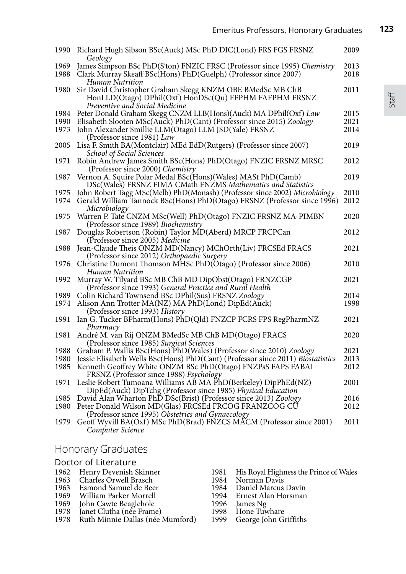| 1990 | Richard Hugh Sibson BSc(Auck) MSc PhD DIC(Lond) FRS FGS FRSNZ<br>Geology                                   | 2009 |
|------|------------------------------------------------------------------------------------------------------------|------|
| 1969 | James Simpson BSc PhD(S'ton) FNZIC FRSC (Professor since 1995) Chemistry                                   | 2013 |
| 1988 | Clark Murray Skeaff BSc(Hons) PhD(Guelph) (Professor since 2007)                                           | 2018 |
|      | Human Nutrition                                                                                            |      |
| 1980 | Sir David Christopher Graham Skegg KNZM OBE BMedSc MB ChB                                                  | 2011 |
|      | HonLLD(Otago) DPhil(Oxf) HonDSc(Qu) FFPHM FAFPHM FRSNZ                                                     |      |
|      | Preventive and Social Medicine                                                                             |      |
| 1984 | Peter Donald Graham Skegg CNZM LLB(Hons)(Auck) MA DPhil(Oxf) Law                                           | 2015 |
| 1990 | Elisabeth Slooten MSc(Auck) PhD(Cant) (Professor since 2015) Zoology                                       | 2021 |
| 1973 | John Alexander Smillie LLM(Otago) LLM JSD(Yale) FRSNZ                                                      | 2014 |
|      | (Professor since 1981) Law                                                                                 |      |
| 2005 | Lisa F. Smith BA(Montclair) MEd EdD(Rutgers) (Professor since 2007)                                        | 2019 |
|      | School of Social Sciences                                                                                  |      |
| 1971 | Robin Andrew James Smith BSc(Hons) PhD(Otago) FNZIC FRSNZ MRSC                                             | 2012 |
|      | (Professor since 2000) Chemistry                                                                           |      |
| 1987 | Vernon A. Squire Polar Medal BSc(Hons)(Wales) MASt PhD(Camb)                                               | 2019 |
|      | DSc(Wales) FRSNZ FIMA CMath FNZMS Mathematics and Statistics                                               |      |
| 1975 | John Robert Tagg MSc(Melb) PhD(Monash) (Professor since 2002) Microbiology                                 | 2010 |
| 1974 | Gerald William Tannock BSc(Hons) PhD(Otago) FRSNZ (Professor since 1996)                                   | 2012 |
|      | Microbiology                                                                                               |      |
| 1975 | Warren P. Tate CNZM MSc(Well) PhD(Otago) FNZIC FRSNZ MA-PIMBN                                              | 2020 |
|      | (Professor since 1989) Biochemistry                                                                        |      |
| 1987 | Douglas Robertson (Robin) Taylor MD(Aberd) MRCP FRCPCan                                                    | 2012 |
|      | (Professor since 2005) Medicine                                                                            |      |
| 1988 | Jean-Claude Theis ONZM MD(Nancy) MChOrth(Liv) FRCSEd FRACS                                                 | 2021 |
|      | (Professor since 2012) Orthopaedic Surgery                                                                 |      |
| 1976 | Christine Dumont Thomson MHSc PhD(Otágo) (Professor since 2006)                                            | 2010 |
|      | Human Nutrition                                                                                            |      |
| 1992 | Murray W. Tilyard BSc MB ChB MD DipObst(Otago) FRNZCGP                                                     | 2021 |
|      | (Professor since 1993) General Practice and Rural Health                                                   |      |
| 1989 | Colin Richard Townsend BSc DPhil(Sus) FRSNZ Zoology                                                        | 2014 |
| 1974 | Alison Ann Trotter MA(NZ) MA PhD(Lond) DipEd(Auck)                                                         | 1998 |
|      | (Professor since 1993) History                                                                             |      |
| 1991 | Ian G. Tucker BPharm(Hons) PhD(Qld) FNZCP FCRS FPS RegPharmNZ                                              | 2021 |
|      | Pharmacy                                                                                                   |      |
| 1981 | André M. van Rij ONZM BMedSc MB ChB MD(Otago) FRACS                                                        | 2020 |
|      | (Professor since 1985) Surgical Sciences                                                                   |      |
| 1988 | Graham P. Wallis BSc(Hons) PhD(Wales) (Professor since 2010) Zoology                                       | 2021 |
| 1980 | Jessie Elisabeth Wells BSc(Hons) PhD(Cant) (Professor since 2011) Biostatistics                            | 2013 |
| 1985 | Kenneth Geoffrey White ONZM BSc PhD(Otago) FNZPsS FAPS FABAI                                               | 2012 |
|      | FRSNZ (Professor since 1988) Psychology                                                                    |      |
| 1971 | Leslie Robert Tumoana Williams AB MA PhD(Berkeley) DipPhEd(NZ)                                             | 2001 |
|      | DipEd(Auck) DipTchg (Professor since 1985) Physical Education                                              |      |
| 1985 | David Alan Wharton PhD DSc(Brist) (Professor since 2013) Zoology                                           | 2016 |
| 1980 | Peter Donald Wilson MD(Glas) FRCSEd FRCOG FRANZCOG CU<br>(Professor since 1995) Obstetrics and Gynaecology | 2012 |
| 1979 | Geoff Wyvill BA(Oxf) MSc PhD(Brad) FŃZCS MĂCM (Professor since 2001)                                       | 2011 |
|      | Computer Science                                                                                           |      |
|      |                                                                                                            |      |

# Honorary Graduates

| Doctor of Literature |                                       |      |                                        |  |
|----------------------|---------------------------------------|------|----------------------------------------|--|
|                      | 1962 Henry Devenish Skinner           | 1981 | His Royal Highness the Prince of Wales |  |
|                      | 1963 Charles Orwell Brasch            |      | 1984 Norman Davis                      |  |
|                      | 1963 Esmond Samuel de Beer            |      | 1984 Daniel Marcus Davin               |  |
|                      | 1969 William Parker Morrell           |      | 1994 Ernest Alan Horsman               |  |
|                      | 1969 John Cawte Beaglehole            |      | 1996 James Ng                          |  |
|                      | 1978 Janet Clutha (née Frame)         |      |                                        |  |
|                      | 1978 Ruth Minnie Dallas (née Mumford) |      | 1999 George John Griffiths             |  |
|                      |                                       |      | 1998 Hone Tuwhare                      |  |

Staff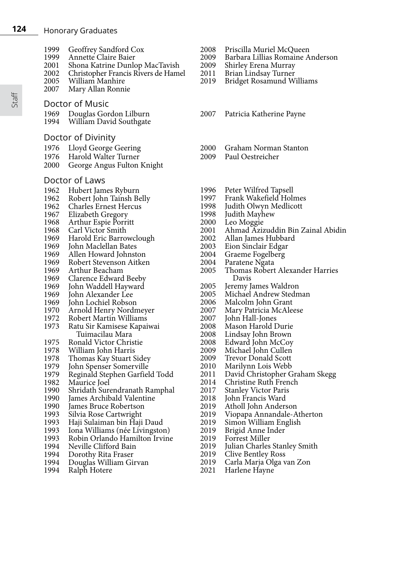- **124** Honorary Graduates
	- 1999 Geoffrey Sandford Cox<br>1999 Annette Claire Baier
	- 1999 Annette Claire Baier<br>2001 Shona Katrine Dunle
	- 2001 Shona Katrine Dunlop MacTavish<br>2002 Christopher Francis Rivers de Ham
	- 2002 Christopher Francis Rivers de Hamel<br>2005 William Manhire
	- 2005 William Manhire Mary Allan Ronnie
	- Doctor of Music
	- 1969 Douglas Gordon Lilburn<br>1994 William David Southgate
	- William David Southgate
	- Doctor of Divinity
	-
	- 1976 Lloyd George Geering<br>1976 Harold Walter Turner
	- 1976 Harold Walter Turner<br>2000 George Angus Fulton George Angus Fulton Knight

# Doctor of Laws

- 1962 Hubert James Ryburn<br>1962 Robert John Tainsh B
- 1962 Robert John Tainsh Belly<br>1962 Charles Ernest Hercus
- 1962 Charles Ernest Hercus<br>1967 Elizabeth Gregory
- 1967 Elizabeth Gregory<br>1968 Arthur Espie Porr
- 1968 Arthur Espie Porritt<br>1968 Carl Victor Smith
- 1968 Carl Victor Smith<br>1969 Harold Fric Barro
- 1969 Harold Eric Barrowclough<br>1969 John Maclellan Bates
- 1969 John Maclellan Bates<br>1969 Allen Howard Johnst
- 1969 Allen Howard Johnston<br>1969 Robert Stevenson Aitke
- 1969 Robert Stevenson Aitken<br>1969 Arthur Beacham
- 1969 Arthur Beacham<br>1969 Clarence Edward
- 1969 Clarence Edward Beeby<br>1969 John Waddell Havward
- 1969 John Waddell Hayward
- 1969 John Alexander Lee<br>1969 John Lochiel Robso
- 1969 John Lochiel Robson<br>1970 Arnold Henry Nordr
- 1970 Arnold Henry Nordmeyer<br>1972 Robert Martin Williams
- 1972 Robert Martin Williams<br>1973 Ratu Sir Kamisese Kapai
- 1973 Ratu Sir Kamisese Kapaiwai<br>Tuimacilau Mara<br>1975 Ronald Victor Christie
- 1975 Ronald Victor Christie<br>1978 William John Harris
- 1978 William John Harris<br>1978 Thomas Kay Stuart S
- 
- 1978 Thomas Kay Stuart Sidey<br>1979 Tohn Spenser Somerville
- 1979 John Spenser Somerville<br>1979 Reginald Stephen Garfiel 1979 Reginald Stephen Garfield Todd
- 1982 Maurice Joel<br>1990 Shridath Sure
- 1990 Shridath Surendranath Ramphal<br>1990 Iames Archibald Valentine
- 1990 James Archibald Valentine<br>1990 James Bruce Robertson
- 1990 James Bruce Robertson<br>1993 Silvia Rose Cartwright
- 1993 Silvia Rose Cartwright<br>1993 Haii Sulaiman bin Hai
- 1993 Haji Sulaiman bin Haji Daud<br>1993 Hona Williams (née Livingsto
- 1993 Iona Williams (née Livingston)<br>1993 Robin Orlando Hamilton Irvin
- 1993 Robin Orlando Hamilton Irvine<br>1994 Neville Clifford Bain
- 1994 Neville Clifford Bain<br>1994 Dorothy Rita Fraser
- 1994 Dorothy Rita Fraser<br>1994 Douglas William Gi
- 1994 Douglas William Girvan
- Ralph Hotere
- 2008 Priscilla Muriel McQueen
- 2009 Barbara Lillias Romaine Anderson
- 2009 Shirley Erena Murray<br>2011 Brian Lindsay Turner
- 2011 Brian Lindsay Turner<br>2019 Bridget Rosamund W
- **Bridget Rosamund Williams**
- 2007 Patricia Katherine Payne
- 2000 Graham Norman Stanton<br>2009 Paul Oestreicher
- Paul Oestreicher
- 1996 Peter Wilfred Tapsell<br>1997 Frank Wakefield Hol
- 1997 Frank Wakefield Holmes<br>1998 Iudith Olwyn Medlicott
- 1998 Judith Olwyn Medlicott<br>1998 Judith Mayhew
- 1998 Judith Mayhew<br>2000 Leo Moggie
- 
- 2000 Leo Moggie 2001 Ahmad Azizuddin Bin Zainal Abidin
- 2002 Allan James Hubbard<br>2003 Eion Sinclair Edgar
- 
- 2003 Eion Sinclair Edgar
- 2004 Graeme Fogelberg<br>2004 Paratene Ngata
- 2004 Paratene Ngata<br>2005 Thomas Robert <sup>2005</sup> Thomas Robert Alexander Harries Davis
- 
- 2005 Jeremy James Waldron 2005 Michael Andrew Stedman
- 
- 2006 Malcolm John Grant<br>2007 Mary Patricia McAle 2007 Mary Patricia McAleese<br>2007 – John Hall-Jones
- 
- 2007 John Hall-Jones
- 2008 Mason Harold Durie
- 2008 Lindsay John Brown
- 2008 Edward John McCoy
- 2009 Michael John Cullen<br>2009 Trevor Donald Scott
- 2009 Trevor Donald Scott<br>2010 Marilynn Lois Webb
- 2010 Marilynn Lois Webb 2011 David Christopher Graham Skegg
- 2014 Christine Ruth French<br>2017 Stanley Victor Paris
- 2017 Stanley Victor Paris<br>2018 Iohn Francis Ward
- 2018 John Francis Ward
- 2019 Atholl John Anderson
- 2019 Viopapa Annandale-Atherton
- 2019 Simon William English<br>2019 Brigid Anne Inder
- 2019 Brigid Anne Inder
- 2019 Forrest Miller
- 2019 Julian Charles Stanley Smith<br>2019 Clive Bentley Ross
- 2019 Clive Bentley Ross<br>2019 Carla Maria Olga y
- 2019 Carla Marja Olga van Zon
- Harlene Hayne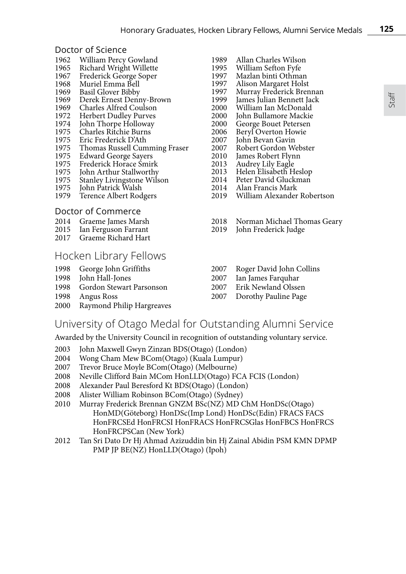#### Doctor of Science

- 1962 William Percy Gowland<br>1965 Richard Wright Willette
- 1965 Richard Wright Willette<br>1967 Frederick George Soper
- 1967 Frederick George Soper<br>1968 Muriel Emma Bell
- 1968 Muriel Emma Bell<br>1969 Basil Glover Bibby
- 1969 Basil Glover Bibby<br>1969 Derek Ernest Deni
- 1969 Derek Ernest Denny-Brown<br>1969 Charles Alfred Coulson
- 1969 Charles Alfred Coulson<br>1972 Herbert Dudley Purves
- 1972 Herbert Dudley Purves<br>1974 John Thorpe Holloway
- 1974 John Thorpe Holloway<br>1975 Charles Ritchie Burns
- 1975 Charles Ritchie Burns<br>1975 Eric Frederick D'Ath
- 1975 Eric Frederick D'Ath<br>1975 Thomas Russell Cum 1975 Thomas Russell Cumming Fraser<br>1975 Edward George Savers
- 
- 1975 Edward George Sayers<br>1975 Frederick Horace Smir
- 1975 Frederick Horace Śmirk<br>1975 John Arthur Stallworthy
- 1975 John Arthur Stallworthy<br>1975 Stanley Livingstone Wils
- 1975 Stanley Livingstone Wilson<br>1975 John Patrick Walsh
- 1975 John Patrick Walsh<br>1979 Terence Albert Rod Terence Albert Rodgers

#### Doctor of Commerce

- 2014 Graeme James Marsh<br>2015 Ian Ferguson Farrant
- 2015 Ian Ferguson Farrant<br>2017 Graeme Richard Hart
- Graeme Richard Hart

### Hocken Library Fellows

- 
- 1998 George John Griffiths<br>1998 Iohn Hall-Jones John Hall-Jones
- 1998 Gordon Stewart Parsonson
- 
- 1998 Angus Ross Raymond Philip Hargreaves
- 
- 1989 Allan Charles Wilson<br>1995 William Sefton Fyfe 1995 William Sefton Fyfe<br>1997 Mazlan binti Othma
- 1997 Mazlan binti Othman<br>1997 Alison Margaret Hols
- 1997 Alison Margaret Holst<br>1997 Murray Frederick Brer
- 1997 Murray Frederick Brennan<br>1999 James Julian Bennett Jack
- 1999 James Julian Bennett Jack<br>2000 William Jan McDonald
- 2000 William Ian McDonald<br>2000 John Bullamore Mackie
- 2000 John Bullamore Mackie<br>2000 George Bouet Petersen
- 2000 George Bouet Petersen<br>2006 Bervl Overton Howie
- 2006 Beryl Overton Howie<br>2007 Iohn Bevan Gavin
- 2007 John Bevan Gavin<br>2007 Robert Gordon W 2007 Robert Gordon Webster<br>2010 Iames Robert Flynn
- 2010 James Robert Flynn<br>2013 Audrey Lily Eagle
- 2013 Audrey Lily Eagle
- 2013 Helen Elisabeth Heslop<br>2014 Peter David Gluckman
- 2014 Peter David Gluckman<br>2014 Alan Francis Mark
- 2014 Alan Francis Mark
- William Alexander Robertson
- 2018 Norman Michael Thomas Geary
- John Frederick Judge
- 2007 Roger David John Collins<br>2007 Ian James Farquhar
- Ian James Farquhar
- 2007 Erik Newland Olssen
- 2007 Dorothy Pauline Page

#### University of Otago Medal for Outstanding Alumni Service

Awarded by the University Council in recognition of outstanding voluntary service.

- 2003 John Maxwell Gwyn Zinzan BDS(Otago) (London)
- 2004 Wong Cham Mew BCom(Otago) (Kuala Lumpur)
- 2007 Trevor Bruce Moyle BCom(Otago) (Melbourne)
- 2008 Neville Clifford Bain MCom HonLLD(Otago) FCA FCIS (London)
- 2008 Alexander Paul Beresford Kt BDS(Otago) (London)
- Alister William Robinson BCom(Otago) (Sydney)
- 2010 Murray Frederick Brennan GNZM BSc(NZ) MD ChM HonDSc(Otago) HonMD(Göteborg) HonDSc(Imp Lond) HonDSc(Edin) FRACS FACS HonFRCSEd HonFRCSI HonFRACS HonFRCSGlas HonFBCS HonFRCS HonFRCPSCan (New York)
- 2012 Tan Sri Dato Dr Hj Ahmad Azizuddin bin Hj Zainal Abidin PSM KMN DPMP PMP JP BE(NZ) HonLLD(Otago) (Ipoh)

Staff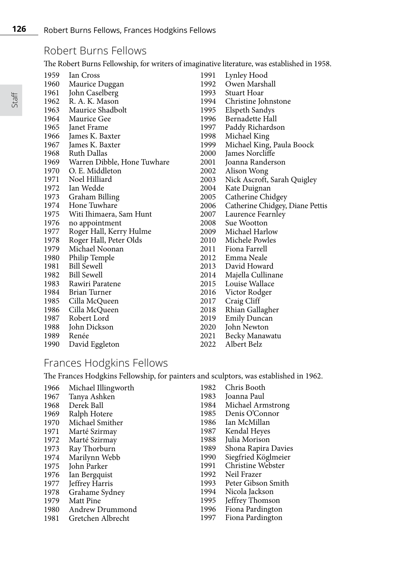## Robert Burns Fellows

The Robert Burns Fellowship, for writers of imaginative literature, was established in 1958.

| 1959 | Ian Cross                   | 1991 | Lynley Hood                     |
|------|-----------------------------|------|---------------------------------|
| 1960 | Maurice Duggan              | 1992 | Owen Marshall                   |
| 1961 | John Caselberg              | 1993 | Stuart Hoar                     |
| 1962 | R. A. K. Mason              | 1994 | Christine Johnstone             |
| 1963 | Maurice Shadbolt            | 1995 | Elspeth Sandys                  |
| 1964 | Maurice Gee                 | 1996 | Bernadette Hall                 |
| 1965 | Janet Frame                 | 1997 | Paddy Richardson                |
| 1966 | James K. Baxter             | 1998 | Michael King                    |
| 1967 | James K. Baxter             | 1999 | Michael King, Paula Boock       |
| 1968 | Ruth Dallas                 | 2000 | James Norcliffe                 |
| 1969 | Warren Dibble, Hone Tuwhare | 2001 | Joanna Randerson                |
| 1970 | O. E. Middleton             | 2002 | Alison Wong                     |
| 1971 | Noel Hilliard               | 2003 | Nick Ascroft, Sarah Quigley     |
| 1972 | Ian Wedde                   | 2004 | Kate Duignan                    |
| 1973 | Graham Billing              | 2005 | Catherine Chidgey               |
|      | 1974 Hone Tuwhare           | 2006 | Catherine Chidgey, Diane Pettis |
| 1975 | Witi Ihimaera, Sam Hunt     | 2007 | Laurence Fearnley               |
| 1976 | no appointment              | 2008 | Sue Wootton                     |
| 1977 | Roger Hall, Kerry Hulme     | 2009 | Michael Harlow                  |
| 1978 | Roger Hall, Peter Olds      | 2010 | Michele Powles                  |
| 1979 | Michael Noonan              | 2011 | Fiona Farrell                   |
| 1980 | Philip Temple               | 2012 | Emma Neale                      |
| 1981 | <b>Bill Sewell</b>          | 2013 | David Howard                    |
| 1982 | <b>Bill Sewell</b>          | 2014 | Majella Cullinane               |
| 1983 | Rawiri Paratene             | 2015 | Louise Wallace                  |
| 1984 | Brian Turner                | 2016 | Victor Rodger                   |
| 1985 | Cilla McQueen               | 2017 | Craig Cliff                     |
| 1986 | Cilla McQueen               | 2018 | Rhian Gallagher                 |
| 1987 | Robert Lord                 | 2019 | <b>Emily Duncan</b>             |
| 1988 | John Dickson                | 2020 | John Newton                     |
| 1989 | Renée                       | 2021 | Becky Manawatu                  |
| 1990 | David Eggleton              | 2022 | Albert Belz                     |
|      |                             |      |                                 |

## Frances Hodgkins Fellows

The Frances Hodgkins Fellowship, for painters and sculptors, was established in 1962.

| 1966 | Michael Illingworth | 1982 | Chris Booth         |
|------|---------------------|------|---------------------|
| 1967 | Tanya Ashken        | 1983 | Joanna Paul         |
| 1968 | Derek Ball          | 1984 | Michael Armstrong   |
| 1969 | Ralph Hotere        | 1985 | Denis O'Connor      |
| 1970 | Michael Smither     | 1986 | Ian McMillan        |
| 1971 | Marté Szirmay       | 1987 | Kendal Heyes        |
| 1972 | Marté Szirmay       | 1988 | Julia Morison       |
| 1973 | Ray Thorburn        | 1989 | Shona Rapira Davies |
| 1974 | Marilynn Webb       | 1990 | Siegfried Köglmeier |
| 1975 | John Parker         | 1991 | Christine Webster   |
| 1976 | Ian Bergquist       | 1992 | Neil Frazer         |
| 1977 | Jeffrey Harris      | 1993 | Peter Gibson Smith  |
| 1978 | Grahame Sydney      | 1994 | Nicola Jackson      |
| 1979 | Matt Pine           | 1995 | Jeffrey Thomson     |
| 1980 | Andrew Drummond     | 1996 | Fiona Pardington    |
| 1981 | Gretchen Albrecht   | 1997 | Fiona Pardington    |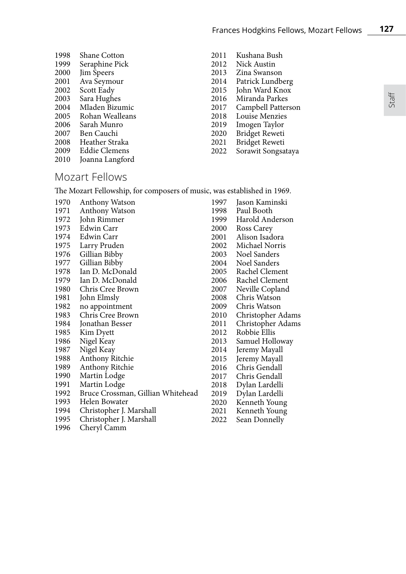Staff

| 1998 | Shane Cotton    |
|------|-----------------|
| 1999 | Seraphine Pick  |
| 2000 | Jim Speers      |
| 2001 | Ava Seymour     |
| 2002 | Scott Eady      |
| 2003 | Sara Hughes     |
| 2004 | Mladen Bizumic  |
| 2005 | Rohan Wealleans |
| 2006 | Sarah Munro     |
| 2007 | Ben Cauchi      |
| 2008 | Heather Straka  |
| 2009 | Eddie Clemens   |
| 2010 | Joanna Langford |
|      |                 |

- 2011 Kushana Bush 2012 Nick Austin 2013 Zina Swanson 2014 Patrick Lundberg 2015 John Ward Knox 2016 Miranda Parkes 2017 Campbell Patterson 2018 Louise Menzies 2019 Imogen Taylor 2020 Bridget Reweti 2021 Bridget Reweti
- 2022 Sorawit Songsataya

## Mozart Fellows

1996 Cheryl Camm

The Mozart Fellowship, for composers of music, was established in 1969.

| 1970 | Anthony Watson                    | 1997 | Jason Kaminski    |
|------|-----------------------------------|------|-------------------|
| 1971 | Anthony Watson                    | 1998 | Paul Booth        |
| 1972 | John Rimmer                       | 1999 | Harold Anderson   |
| 1973 | Edwin Carr                        | 2000 | Ross Carey        |
| 1974 | Edwin Carr                        | 2001 | Alison Isadora    |
| 1975 | Larry Pruden                      | 2002 | Michael Norris    |
| 1976 | Gillian Bibby                     | 2003 | Noel Sanders      |
| 1977 | Gillian Bibby                     | 2004 | Noel Sanders      |
| 1978 | Ian D. McDonald                   | 2005 | Rachel Clement    |
| 1979 | Ian D. McDonald                   | 2006 | Rachel Clement    |
| 1980 | Chris Cree Brown                  | 2007 | Neville Copland   |
| 1981 | John Elmsly                       | 2008 | Chris Watson      |
| 1982 | no appointment                    | 2009 | Chris Watson      |
| 1983 | Chris Cree Brown                  | 2010 | Christopher Adams |
| 1984 | Jonathan Besser                   | 2011 | Christopher Adams |
| 1985 | Kim Dyett                         | 2012 | Robbie Ellis      |
| 1986 | Nigel Keay                        | 2013 | Samuel Holloway   |
| 1987 | Nigel Keay                        | 2014 | Jeremy Mayall     |
| 1988 | Anthony Ritchie                   | 2015 | Jeremy Mayall     |
| 1989 | Anthony Ritchie                   | 2016 | Chris Gendall     |
| 1990 | Martin Lodge                      | 2017 | Chris Gendall     |
| 1991 | Martin Lodge                      | 2018 | Dylan Lardelli    |
| 1992 | Bruce Crossman, Gillian Whitehead | 2019 | Dylan Lardelli    |
| 1993 | Helen Bowater                     | 2020 | Kenneth Young     |
| 1994 | Christopher J. Marshall           | 2021 | Kenneth Young     |
| 1995 | Christopher J. Marshall           | 2022 | Sean Donnelly     |